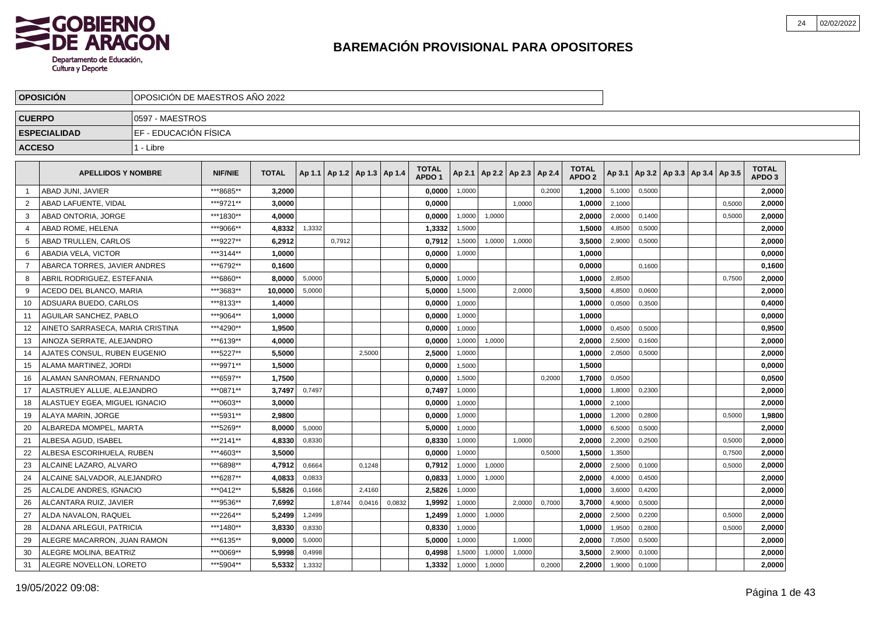

|               | <b>OPOSICION</b>                 |                       |                | OPOSICION DE MAESTROS ANO 2022 |        |                                   |        |        |                                   |        |                      |        |        |                                   |        |        |  |                                   |        |                                   |  |
|---------------|----------------------------------|-----------------------|----------------|--------------------------------|--------|-----------------------------------|--------|--------|-----------------------------------|--------|----------------------|--------|--------|-----------------------------------|--------|--------|--|-----------------------------------|--------|-----------------------------------|--|
| <b>CUERPO</b> |                                  | 0597 - MAESTROS       |                |                                |        |                                   |        |        |                                   |        |                      |        |        |                                   |        |        |  |                                   |        |                                   |  |
|               | <b>ESPECIALIDAD</b>              | EF - EDUCACIÓN FÍSICA |                |                                |        |                                   |        |        |                                   |        |                      |        |        |                                   |        |        |  |                                   |        |                                   |  |
| <b>ACCESO</b> |                                  | 1 - Libre             |                |                                |        |                                   |        |        |                                   |        |                      |        |        |                                   |        |        |  |                                   |        |                                   |  |
|               |                                  |                       |                |                                |        |                                   |        |        |                                   |        |                      |        |        |                                   |        |        |  |                                   |        |                                   |  |
|               | <b>APELLIDOS Y NOMBRE</b>        |                       | <b>NIF/NIE</b> | <b>TOTAL</b>                   |        | Ap 1.1   Ap 1.2   Ap 1.3   Ap 1.4 |        |        | <b>TOTAL</b><br>APDO <sub>1</sub> | Ap 2.1 | Ap 2.2 Ap 2.3 Ap 2.4 |        |        | <b>TOTAL</b><br>APDO <sub>2</sub> | Ap 3.1 |        |  | Ap 3.2   Ap 3.3   Ap 3.4   Ap 3.5 |        | <b>TOTAL</b><br>APDO <sub>3</sub> |  |
| 1             | ABAD JUNI, JAVIER                |                       | ***8685**      | 3,2000                         |        |                                   |        |        | 0,0000                            | 1,0000 |                      |        | 0,2000 | 1,2000                            | 5,1000 | 0,5000 |  |                                   |        | 2,0000                            |  |
| 2             | ABAD LAFUENTE, VIDAL             |                       | ***9721**      | 3,0000                         |        |                                   |        |        | 0,0000                            |        |                      | 1,0000 |        | 1,0000                            | 2,1000 |        |  |                                   | 0,5000 | 2,0000                            |  |
| 3             | ABAD ONTORIA, JORGE              |                       | ***1830**      | 4.0000                         |        |                                   |        |        | 0.0000                            | 1,0000 | 1,0000               |        |        | 2.0000                            | 2,0000 | 0.1400 |  |                                   | 0,5000 | 2.0000                            |  |
| 4             | <b>ABAD ROME, HELENA</b>         |                       | ***9066**      | 4,8332                         | 1,3332 |                                   |        |        | 1,3332                            | 1,5000 |                      |        |        | 1.5000                            | 4,8500 | 0,5000 |  |                                   |        | 2,0000                            |  |
| 5             | ABAD TRULLEN, CARLOS             |                       | ***9227**      | 6.2912                         |        | 0,7912                            |        |        | 0,7912                            | 1,5000 | 1,0000               | 1,0000 |        | 3,5000                            | 2,9000 | 0,5000 |  |                                   |        | 2,0000                            |  |
| 6             | ABADIA VELA, VICTOR              |                       | ***3144**      | 1,0000                         |        |                                   |        |        | 0,0000                            | 1,0000 |                      |        |        | 1,0000                            |        |        |  |                                   |        | 0,0000                            |  |
| 7             | ABARCA TORRES, JAVIER ANDRES     |                       | ***6792**      | 0,1600                         |        |                                   |        |        | 0,0000                            |        |                      |        |        | 0,0000                            |        | 0,1600 |  |                                   |        | 0,1600                            |  |
| 8             | ABRIL RODRIGUEZ, ESTEFANIA       |                       | ***6860**      | 8,0000                         | 5,0000 |                                   |        |        | 5,0000                            | 1,0000 |                      |        |        | 1,0000                            | 2,8500 |        |  |                                   | 0,7500 | 2,0000                            |  |
| 9             | ACEDO DEL BLANCO, MARIA          |                       | ***3683**      | 10,0000                        | 5,0000 |                                   |        |        | 5,0000                            | 1,5000 |                      | 2,0000 |        | 3,5000                            | 4,8500 | 0,0600 |  |                                   |        | 2,0000                            |  |
| 10            | ADSUARA BUEDO, CARLOS            |                       | ***8133**      | 1,4000                         |        |                                   |        |        | 0,0000                            | 1,0000 |                      |        |        | 1,0000                            | 0,0500 | 0,3500 |  |                                   |        | 0,4000                            |  |
| 11            | <b>AGUILAR SANCHEZ, PABLO</b>    |                       | ***9064**      | 1,0000                         |        |                                   |        |        | 0,0000                            | 1,0000 |                      |        |        | 1,0000                            |        |        |  |                                   |        | 0,0000                            |  |
| 12            | AINETO SARRASECA, MARIA CRISTINA |                       | ***4290**      | 1,9500                         |        |                                   |        |        | 0,0000                            | 1,0000 |                      |        |        | 1,0000                            | 0,4500 | 0.5000 |  |                                   |        | 0,9500                            |  |
| 13            | AINOZA SERRATE, ALEJANDRO        |                       | ***6139**      | 4,0000                         |        |                                   |        |        | 0.0000                            | 1,0000 | 1,0000               |        |        | 2,0000                            | 2,5000 | 0,1600 |  |                                   |        | 2,0000                            |  |
| 14            | AJATES CONSUL. RUBEN EUGENIO     |                       | ***5227**      | 5.5000                         |        |                                   | 2,5000 |        | 2,5000                            | 1,0000 |                      |        |        | 1.0000                            | 2,0500 | 0,5000 |  |                                   |        | 2,0000                            |  |
| 15            | ALAMA MARTINEZ. JORDI            |                       | ***9971**      | 1,5000                         |        |                                   |        |        | 0,0000                            | 1,5000 |                      |        |        | 1,5000                            |        |        |  |                                   |        | 0,0000                            |  |
| 16            | ALAMAN SANROMAN, FERNANDO        |                       | ***6597**      | 1,7500                         |        |                                   |        |        | 0,0000                            | 1,5000 |                      |        | 0,2000 | 1,7000                            | 0,0500 |        |  |                                   |        | 0,0500                            |  |
| 17            | ALASTRUEY ALLUE. ALEJANDRO       |                       | ***0871**      | 3,7497                         | 0,7497 |                                   |        |        | 0,7497                            | 1,0000 |                      |        |        | 1,0000                            | 1,8000 | 0,2300 |  |                                   |        | 2,0000                            |  |
| 18            | ALASTUEY EGEA, MIGUEL IGNACIO    |                       | ***0603**      | 3,0000                         |        |                                   |        |        | 0,0000                            | 1,0000 |                      |        |        | 1,0000                            | 2,1000 |        |  |                                   |        | 2,0000                            |  |
| 19            | ALAYA MARIN, JORGE               |                       | ***5931**      | 2,9800                         |        |                                   |        |        | 0,0000                            | 1,0000 |                      |        |        | 1,0000                            | 1,2000 | 0,2800 |  |                                   | 0,5000 | 1,9800                            |  |
| 20            | ALBAREDA MOMPEL, MARTA           |                       | ***5269**      | 8.0000                         | 5,0000 |                                   |        |        | 5.0000                            | 1,0000 |                      |        |        | 1.0000                            | 6,5000 | 0.5000 |  |                                   |        | 2,0000                            |  |
| 21            | ALBESA AGUD, ISABEL              |                       | ***2141**      | 4,8330                         | 0,8330 |                                   |        |        | 0.8330                            | 1,0000 |                      | 1.0000 |        | 2.0000                            | 2,2000 | 0.2500 |  |                                   | 0,5000 | 2,0000                            |  |
| 22            | ALBESA ESCORIHUELA. RUBEN        |                       | ***4603**      | 3.5000                         |        |                                   |        |        | 0,0000                            | 1,0000 |                      |        | 0,5000 | 1,5000                            | 1,3500 |        |  |                                   | 0,7500 | 2,0000                            |  |
| 23            | ALCAINE LAZARO, ALVARO           |                       | ***6898**      | 4,7912                         | 0,6664 |                                   | 0,1248 |        | 0,7912                            | 1,0000 | 1,0000               |        |        | 2,0000                            | 2,5000 | 0,1000 |  |                                   | 0,5000 | 2,0000                            |  |
| 24            | ALCAINE SALVADOR, ALEJANDRO      |                       | ***6287**      | 4,0833                         | 0,0833 |                                   |        |        | 0,0833                            | 1,0000 | 1,0000               |        |        | 2,0000                            | 4,0000 | 0,4500 |  |                                   |        | 2,0000                            |  |
| 25            | ALCALDE ANDRES, IGNACIO          |                       | ***0412**      | 5,5826                         | 0,1666 |                                   | 2,4160 |        | 2,5826                            | 1,0000 |                      |        |        | 1,0000                            | 3,6000 | 0,4200 |  |                                   |        | 2,0000                            |  |
| 26            | ALCANTARA RUIZ, JAVIER           |                       | ***9536**      | 7,6992                         |        | 1,8744                            | 0,0416 | 0,0832 | 1,9992                            | 1,0000 |                      | 2,0000 | 0,7000 | 3,7000                            | 4,9000 | 0,5000 |  |                                   |        | 2,0000                            |  |
| 27            | ALDA NAVALON, RAQUEL             |                       | ***2264**      | 5,2499                         | 1,2499 |                                   |        |        | 1,2499                            | 1,0000 | 1,0000               |        |        | 2,0000                            | 2,5000 | 0,2200 |  |                                   | 0,5000 | 2,0000                            |  |
| 28            | ALDANA ARLEGUI, PATRICIA         |                       | ***1480**      | 3,8330                         | 0,8330 |                                   |        |        | 0,8330                            | 1,0000 |                      |        |        | 1,0000                            | 1,9500 | 0,2800 |  |                                   | 0,5000 | 2,0000                            |  |
| 29            | ALEGRE MACARRON, JUAN RAMON      |                       | ***6135**      | 9,0000                         | 5,0000 |                                   |        |        | 5,0000                            | 1,0000 |                      | 1.0000 |        | 2,0000                            | 7,0500 | 0,5000 |  |                                   |        | 2,0000                            |  |
| 30            | ALEGRE MOLINA, BEATRIZ           |                       | ***0069**      | 5.9998                         | 0,4998 |                                   |        |        | 0,4998                            | 1,5000 | 1,0000               | 1,0000 |        | 3.5000                            | 2,9000 | 0,1000 |  |                                   |        | 2,0000                            |  |
| 31            | ALEGRE NOVELLON, LORETO          |                       | ***5904**      | 5,5332                         | 1,3332 |                                   |        |        | 1,3332                            | 1,0000 | 1,0000               |        | 0,2000 | 2.2000                            | 1,9000 | 0,1000 |  |                                   |        | 2,0000                            |  |
|               |                                  |                       |                |                                |        |                                   |        |        |                                   |        |                      |        |        |                                   |        |        |  |                                   |        |                                   |  |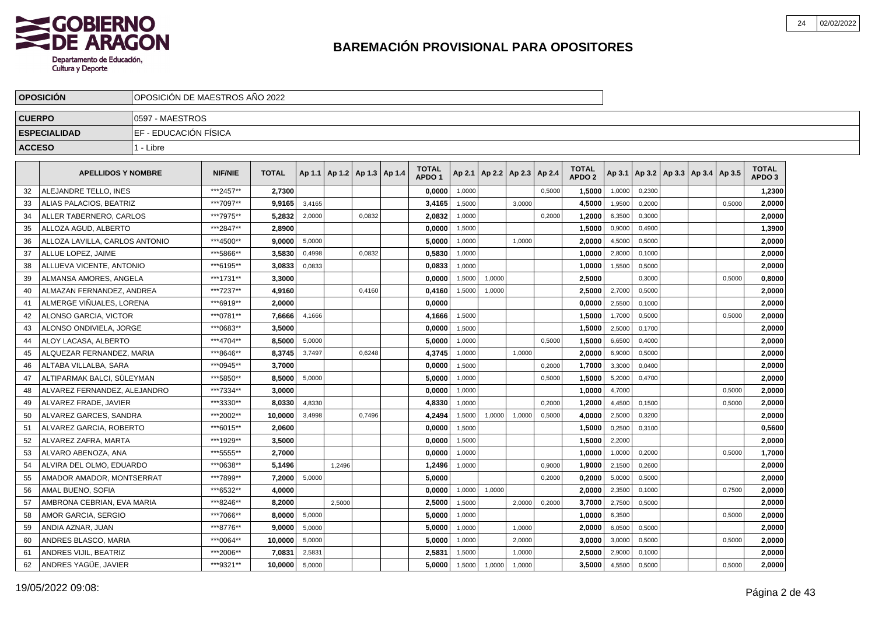

|               | <b>OPOSICION</b>                 | OPOSICION DE MAESTROS ANO 2022 |                |              |        |                                   |        |                                   |        |                          |        |        |                                   |        |        |                                   |        |                                   |  |
|---------------|----------------------------------|--------------------------------|----------------|--------------|--------|-----------------------------------|--------|-----------------------------------|--------|--------------------------|--------|--------|-----------------------------------|--------|--------|-----------------------------------|--------|-----------------------------------|--|
| <b>CUERPO</b> |                                  | 10597 - MAESTROS               |                |              |        |                                   |        |                                   |        |                          |        |        |                                   |        |        |                                   |        |                                   |  |
|               | <b>ESPECIALIDAD</b>              | EF - EDUCACIÓN FÍSICA          |                |              |        |                                   |        |                                   |        |                          |        |        |                                   |        |        |                                   |        |                                   |  |
| <b>ACCESO</b> |                                  | 1 - Libre                      |                |              |        |                                   |        |                                   |        |                          |        |        |                                   |        |        |                                   |        |                                   |  |
|               |                                  |                                |                |              |        |                                   |        |                                   |        |                          |        |        |                                   |        |        |                                   |        |                                   |  |
|               | <b>APELLIDOS Y NOMBRE</b>        |                                | <b>NIF/NIE</b> | <b>TOTAL</b> |        | Ap 1.1   Ap 1.2   Ap 1.3   Ap 1.4 |        | <b>TOTAL</b><br>APDO <sub>1</sub> | Ap 2.1 | Ap 2.2   Ap 2.3   Ap 2.4 |        |        | <b>TOTAL</b><br>APDO <sub>2</sub> | Ap 3.1 |        | Ap 3.2   Ap 3.3   Ap 3.4   Ap 3.5 |        | <b>TOTAL</b><br>APDO <sub>3</sub> |  |
| 32            | ALEJANDRE TELLO. INES            |                                | ***2457**      | 2.7300       |        |                                   |        | 0.0000                            | 1.0000 |                          |        | 0.5000 | 1,5000                            | 1,0000 | 0.2300 |                                   |        | 1,2300                            |  |
| 33            | ALIAS PALACIOS, BEATRIZ          |                                | ***7097**      | 9.9165       | 3,4165 |                                   |        | 3,4165                            | 1,5000 |                          | 3.0000 |        | 4,5000                            | 1,9500 | 0,2000 |                                   | 0.5000 | 2,0000                            |  |
| 34            | ALLER TABERNERO. CARLOS          |                                | ***7975**      | 5.2832       | 2.0000 |                                   | 0.0832 | 2.0832                            | 1,0000 |                          |        | 0,2000 | 1,2000                            | 6,3500 | 0,3000 |                                   |        | 2.0000                            |  |
| 35            | ALLOZA AGUD, ALBERTO             |                                | ***2847**      | 2.8900       |        |                                   |        | 0.0000                            | 1,5000 |                          |        |        | 1,5000                            | 0,9000 | 0,4900 |                                   |        | 1,3900                            |  |
| 36            | ALLOZA LAVILLA, CARLOS ANTONIO   |                                | ***4500**      | 9,0000       | 5,0000 |                                   |        | 5,0000                            | 1,0000 |                          | 1,0000 |        | 2,0000                            | 4,5000 | 0,5000 |                                   |        | 2,0000                            |  |
| 37            | ALLUE LOPEZ. JAIME               |                                | ***5866**      | 3,5830       | 0,4998 |                                   | 0,0832 | 0,5830                            | 1,0000 |                          |        |        | 1,0000                            | 2,8000 | 0,1000 |                                   |        | 2,0000                            |  |
| 38            | ALLUEVA VICENTE, ANTONIO         |                                | ***6195**      | 3,0833       | 0,0833 |                                   |        | 0,0833                            | 1,0000 |                          |        |        | 1,0000                            | 1,5500 | 0,5000 |                                   |        | 2,0000                            |  |
| 39            | ALMANSA AMORES. ANGELA           |                                | ***1731**      | 3,3000       |        |                                   |        | 0.0000                            | 1,5000 | 1,0000                   |        |        | 2,5000                            |        | 0.3000 |                                   | 0.5000 | 0,8000                            |  |
| 40            | ALMAZAN FERNANDEZ. ANDREA        |                                | ***7237**      | 4,9160       |        |                                   | 0.4160 | 0,4160                            | 1,5000 | 1,0000                   |        |        | 2,5000                            | 2,7000 | 0,5000 |                                   |        | 2,0000                            |  |
| 41            | <b>IALMERGE VIÑUALES. LORENA</b> |                                | ***6919**      | 2.0000       |        |                                   |        | 0.0000                            |        |                          |        |        | 0,0000                            | 2,5500 | 0,1000 |                                   |        | 2,0000                            |  |
| 42            | ALONSO GARCIA, VICTOR            |                                | ***0781**      | 7,6666       | 4,1666 |                                   |        | 4,1666                            | 1,5000 |                          |        |        | 1,5000                            | 1,7000 | 0,5000 |                                   | 0,5000 | 2,0000                            |  |
| 43            | ALONSO ONDIVIELA, JORGE          |                                | ***0683**      | 3,5000       |        |                                   |        | 0,0000                            | 1,5000 |                          |        |        | 1,5000                            | 2,5000 | 0,1700 |                                   |        | 2,0000                            |  |
| 44            | ALOY LACASA, ALBERTO             |                                | ***4704**      | 8,5000       | 5,0000 |                                   |        | 5,0000                            | 1,0000 |                          |        | 0,5000 | 1,5000                            | 6,6500 | 0,4000 |                                   |        | 2,0000                            |  |
| 45            | ALQUEZAR FERNANDEZ, MARIA        |                                | ***8646**      | 8,3745       | 3,7497 |                                   | 0,6248 | 4,3745                            | 1,0000 |                          | 1,0000 |        | 2,0000                            | 6,9000 | 0,5000 |                                   |        | 2,0000                            |  |
| 46            | ALTABA VILLALBA, SARA            |                                | ***0945**      | 3.7000       |        |                                   |        | 0.0000                            | 1,5000 |                          |        | 0.2000 | 1.7000                            | 3,3000 | 0.0400 |                                   |        | 2.0000                            |  |
| 47            | ALTIPARMAK BALCI, SÜLEYMAN       |                                | ***5850**      | 8.5000       | 5.0000 |                                   |        | 5.0000                            | 1.0000 |                          |        | 0.5000 | 1.5000                            | 5,2000 | 0.4700 |                                   |        | 2,0000                            |  |
| 48            | ALVAREZ FERNANDEZ. ALEJANDRO     |                                | ***7334**      | 3,0000       |        |                                   |        | 0.0000                            | 1,0000 |                          |        |        | 1.0000                            | 4,7000 |        |                                   | 0,5000 | 2,0000                            |  |
| 49            | ALVAREZ FRADE, JAVIER            |                                | ***3330**      | 8.0330       | 4,8330 |                                   |        | 4,8330                            | 1,0000 |                          |        | 0,2000 | 1,2000                            | 4,4500 | 0,1500 |                                   | 0,5000 | 2,0000                            |  |
| 50            | ALVAREZ GARCES, SANDRA           |                                | ***2002**      | 10,0000      | 3,4998 |                                   | 0,7496 | 4,2494                            | 1,5000 | 1,0000                   | 1,0000 | 0,5000 | 4,0000                            | 2,5000 | 0,3200 |                                   |        | 2,0000                            |  |
| 51            | ALVAREZ GARCIA, ROBERTO          |                                | ***6015**      | 2,0600       |        |                                   |        | 0,0000                            | 1,5000 |                          |        |        | 1,5000                            | 0,2500 | 0,3100 |                                   |        | 0,5600                            |  |
| 52            | ALVAREZ ZAFRA, MARTA             |                                | ***1929**      | 3,5000       |        |                                   |        | 0,0000                            | 1,5000 |                          |        |        | 1,5000                            | 2,2000 |        |                                   |        | 2,0000                            |  |
| 53            | ALVARO ABENOZA, ANA              |                                | ***5555**      | 2.7000       |        |                                   |        | 0.0000                            | 1,0000 |                          |        |        | 1.0000                            | 1,0000 | 0,2000 |                                   | 0,5000 | 1,7000                            |  |
| 54            | ALVIRA DEL OLMO. EDUARDO         |                                | ***0638**      | 5.1496       |        | 1.2496                            |        | 1,2496                            | 1,0000 |                          |        | 0.9000 | 1.9000                            | 2,1500 | 0,2600 |                                   |        | 2.0000                            |  |
| 55            | AMADOR AMADOR, MONTSERRAT        |                                | ***7899**      | 7.2000       | 5,0000 |                                   |        | 5.0000                            |        |                          |        | 0,2000 | 0,2000                            | 5,0000 | 0,5000 |                                   |        | 2,0000                            |  |
| 56            | AMAL BUENO, SOFIA                |                                | ***6532**      | 4,0000       |        |                                   |        | 0.0000                            | 1,0000 | 1,0000                   |        |        | 2.0000                            | 2,3500 | 0,1000 |                                   | 0,7500 | 2,0000                            |  |
| 57            | AMBRONA CEBRIAN, EVA MARIA       |                                | ***8246**      | 8,2000       |        | 2,5000                            |        | 2,5000                            | 1,5000 |                          | 2,0000 | 0,2000 | 3,7000                            | 2,7500 | 0,5000 |                                   |        | 2,0000                            |  |
| 58            | AMOR GARCIA, SERGIO              |                                | ***7066**      | 8,0000       | 5,0000 |                                   |        | 5,0000                            | 1,0000 |                          |        |        | 1,0000                            | 6,3500 |        |                                   | 0,5000 | 2,0000                            |  |
| 59            | ANDIA AZNAR, JUAN                |                                | ***8776**      | 9,0000       | 5,0000 |                                   |        | 5,0000                            | 1,0000 |                          | 1,0000 |        | 2,0000                            | 6,0500 | 0,5000 |                                   |        | 2,0000                            |  |
| 60            | ANDRES BLASCO, MARIA             |                                | ***0064**      | 10.0000      | 5,0000 |                                   |        | 5.0000                            | 1,0000 |                          | 2,0000 |        | 3.0000                            | 3,0000 | 0,5000 |                                   | 0,5000 | 2.0000                            |  |
| 61            | ANDRES VIJIL, BEATRIZ            |                                | ***2006**      | 7,0831       | 2,5831 |                                   |        | 2,5831                            | 1,5000 |                          | 1.0000 |        | 2,5000                            | 2,9000 | 0,1000 |                                   |        | 2,0000                            |  |
| 62            | ANDRES YAGÜE, JAVIER             |                                | ***9321**      | 10,0000      | 5,0000 |                                   |        | 5.0000                            | 1,5000 | 1,0000                   | 1,0000 |        | 3,5000                            | 4,5500 | 0,5000 |                                   | 0,5000 | 2,0000                            |  |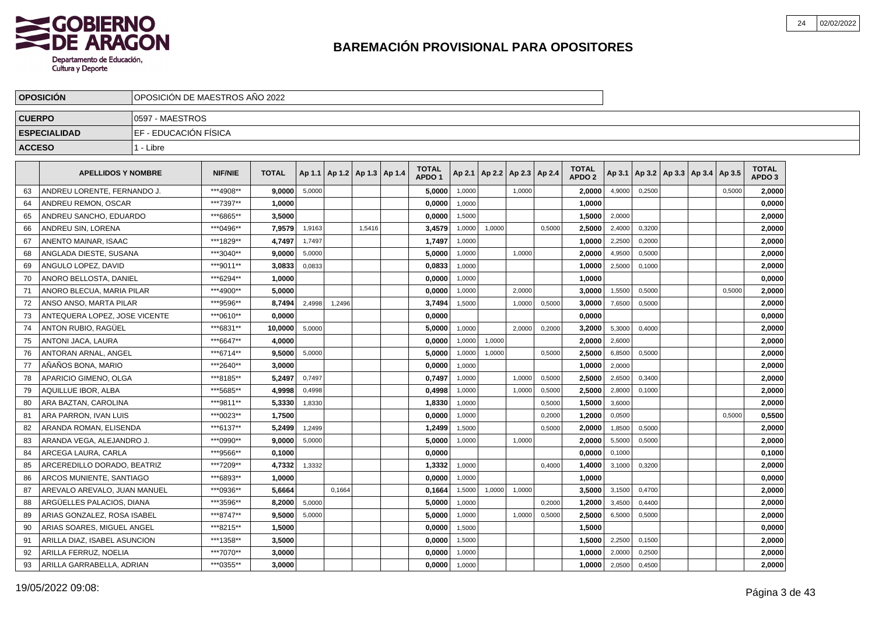

|               | <b>OPOSICION</b>              |                       | OPOSICION DE MAESTROS ANO 2022 |              |        |                                   |        |  |                                   |        |                          |        |        |                                   |        |        |                                   |        |                            |  |
|---------------|-------------------------------|-----------------------|--------------------------------|--------------|--------|-----------------------------------|--------|--|-----------------------------------|--------|--------------------------|--------|--------|-----------------------------------|--------|--------|-----------------------------------|--------|----------------------------|--|
| <b>CUERPO</b> |                               | 0597 - MAESTROS       |                                |              |        |                                   |        |  |                                   |        |                          |        |        |                                   |        |        |                                   |        |                            |  |
|               | <b>ESPECIALIDAD</b>           | EF - EDUCACIÓN FÍSICA |                                |              |        |                                   |        |  |                                   |        |                          |        |        |                                   |        |        |                                   |        |                            |  |
| <b>ACCESO</b> |                               | 1 - Libre             |                                |              |        |                                   |        |  |                                   |        |                          |        |        |                                   |        |        |                                   |        |                            |  |
|               | <b>APELLIDOS Y NOMBRE</b>     |                       | <b>NIF/NIE</b>                 | <b>TOTAL</b> |        | Ap 1.1   Ap 1.2   Ap 1.3   Ap 1.4 |        |  | <b>TOTAL</b><br>APDO <sub>1</sub> | Ap 2.1 | Ap 2.2   Ap 2.3   Ap 2.4 |        |        | <b>TOTAL</b><br>APDO <sub>2</sub> | Ap 3.1 |        | Ap 3.2   Ap 3.3   Ap 3.4   Ap 3.5 |        | TOTAL<br>APDO <sub>3</sub> |  |
| 63            | ANDREU LORENTE. FERNANDO J.   |                       | ***4908**                      | 9.0000       | 5,0000 |                                   |        |  | 5.0000                            | 1,0000 |                          | 1.0000 |        | 2.0000                            | 4,9000 | 0.2500 |                                   | 0,5000 | 2.0000                     |  |
| 64            | ANDREU REMON, OSCAR           |                       | ***7397**                      | 1,0000       |        |                                   |        |  | 0.0000                            | 1.0000 |                          |        |        | 1.0000                            |        |        |                                   |        | 0.0000                     |  |
| 65            | ANDREU SANCHO, EDUARDO        |                       | ***6865**                      | 3.5000       |        |                                   |        |  | 0.0000                            | 1,5000 |                          |        |        | 1,5000                            | 2,0000 |        |                                   |        | 2,0000                     |  |
| 66            | ANDREU SIN, LORENA            |                       | ***0496**                      | 7,9579       | 1,9163 |                                   | 1,5416 |  | 3,4579                            | 1,0000 | 1,0000                   |        | 0,5000 | 2,5000                            | 2,4000 | 0,3200 |                                   |        | 2,0000                     |  |
| 67            | ANENTO MAINAR, ISAAC          |                       | ***1829**                      | 4,7497       | 1,7497 |                                   |        |  | 1,7497                            | 1,0000 |                          |        |        | 1,0000                            | 2,2500 | 0,2000 |                                   |        | 2,0000                     |  |
| 68            | ANGLADA DIESTE, SUSANA        |                       | ***3040**                      | 9,0000       | 5,0000 |                                   |        |  | 5,0000                            | 1,0000 |                          | 1,0000 |        | 2,0000                            | 4,9500 | 0,5000 |                                   |        | 2,0000                     |  |
| 69            | ANGULO LOPEZ, DAVID           |                       | ***9011**                      | 3,0833       | 0,0833 |                                   |        |  | 0,0833                            | 1,0000 |                          |        |        | 1,0000                            | 2,5000 | 0,1000 |                                   |        | 2,0000                     |  |
| 70            | ANORO BELLOSTA, DANIEL        |                       | ***6294**                      | 1,0000       |        |                                   |        |  | 0.0000                            | 1,0000 |                          |        |        | 1.0000                            |        |        |                                   |        | 0,0000                     |  |
| 71            | ANORO BLECUA, MARIA PILAR     |                       | ***4900**                      | 5.0000       |        |                                   |        |  | 0.0000                            | 1,0000 |                          | 2.0000 |        | 3.0000                            | 1,5500 | 0,5000 |                                   | 0,5000 | 2,0000                     |  |
| 72            | ANSO ANSO, MARTA PILAR        |                       | ***9596**                      | 8,7494       | 2,4998 | 1,2496                            |        |  | 3,7494                            | 1,5000 |                          | 1,0000 | 0,5000 | 3,0000                            | 7,6500 | 0,5000 |                                   |        | 2,0000                     |  |
| 73            | ANTEQUERA LOPEZ. JOSE VICENTE |                       | ***0610**                      | 0,0000       |        |                                   |        |  | 0,0000                            |        |                          |        |        | 0,0000                            |        |        |                                   |        | 0,0000                     |  |
| 74            | ANTON RUBIO, RAGÜEL           |                       | ***6831**                      | 10,0000      | 5,0000 |                                   |        |  | 5,0000                            | 1,0000 |                          | 2,0000 | 0,2000 | 3,2000                            | 5,3000 | 0,4000 |                                   |        | 2,0000                     |  |
| 75            | <b>ANTONI JACA, LAURA</b>     |                       | ***6647**                      | 4,0000       |        |                                   |        |  | 0,0000                            | 1,0000 | 1,0000                   |        |        | 2,0000                            | 2,6000 |        |                                   |        | 2,0000                     |  |
| 76            | ANTORAN ARNAL, ANGEL          |                       | ***6714**                      | 9,5000       | 5,0000 |                                   |        |  | 5,0000                            | 1,0000 | 1,0000                   |        | 0,5000 | 2,5000                            | 6,8500 | 0,5000 |                                   |        | 2,0000                     |  |
| 77            | AÑAÑOS BONA, MARIO            |                       | ***2640**                      | 3.0000       |        |                                   |        |  | 0.0000                            | 1,0000 |                          |        |        | 1.0000                            | 2,0000 |        |                                   |        | 2.0000                     |  |
| 78            | APARICIO GIMENO, OLGA         |                       | ***8185**                      | 5.2497       | 0.7497 |                                   |        |  | 0.7497                            | 1,0000 |                          | 1,0000 | 0,5000 | 2.5000                            | 2,6500 | 0,3400 |                                   |        | 2,0000                     |  |
| 79            | <b>AQUILLUE IBOR. ALBA</b>    |                       | ***5685**                      | 4,9998       | 0,4998 |                                   |        |  | 0,4998                            | 1,0000 |                          | 1.0000 | 0,5000 | 2.5000                            | 2,8000 | 0.1000 |                                   |        | 2,0000                     |  |
| 80            | ARA BAZTAN, CAROLINA          |                       | ***9811**                      | 5,3330       | 1,8330 |                                   |        |  | 1,8330                            | 1,0000 |                          |        | 0,5000 | 1,5000                            | 3,6000 |        |                                   |        | 2,0000                     |  |
| 81            | ARA PARRON, IVAN LUIS         |                       | ***0023**                      | 1,7500       |        |                                   |        |  | 0,0000                            | 1,0000 |                          |        | 0,2000 | 1,2000                            | 0,0500 |        |                                   | 0,5000 | 0,5500                     |  |
| 82            | ARANDA ROMAN, ELISENDA        |                       | ***6137**                      | 5,2499       | 1,2499 |                                   |        |  | 1,2499                            | 1,5000 |                          |        | 0,5000 | 2.0000                            | 1,8500 | 0,5000 |                                   |        | 2,0000                     |  |
| 83            | ARANDA VEGA, ALEJANDRO J.     |                       | ***0990**                      | 9,0000       | 5,0000 |                                   |        |  | 5,0000                            | 1,0000 |                          | 1,0000 |        | 2,0000                            | 5,5000 | 0,5000 |                                   |        | 2,0000                     |  |
| 84            | ARCEGA LAURA. CARLA           |                       | ***9566**                      | 0.1000       |        |                                   |        |  | 0.0000                            |        |                          |        |        | 0.0000                            | 0,1000 |        |                                   |        | 0,1000                     |  |
| 85            | ARCEREDILLO DORADO. BEATRIZ   |                       | ***7209**                      | 4,7332       | 1,3332 |                                   |        |  | 1,3332                            | 1,0000 |                          |        | 0,4000 | 1,4000                            | 3,1000 | 0,3200 |                                   |        | 2,0000                     |  |
| 86            | ARCOS MUNIENTE, SANTIAGO      |                       | ***6893**                      | 1.0000       |        |                                   |        |  | 0,0000                            | 1,0000 |                          |        |        | 1.0000                            |        |        |                                   |        | 0,0000                     |  |
| 87            | AREVALO AREVALO, JUAN MANUEL  |                       | ***0936**                      | 5,6664       |        | 0,1664                            |        |  | 0,1664                            | 1,5000 | 1,0000                   | 1,0000 |        | 3.5000                            | 3,1500 | 0,4700 |                                   |        | 2,0000                     |  |
| 88            | ARGÜELLES PALACIOS, DIANA     |                       | ***3596**                      | 8,2000       | 5,0000 |                                   |        |  | 5,0000                            | 1,0000 |                          |        | 0,2000 | 1,2000                            | 3,4500 | 0,4400 |                                   |        | 2,0000                     |  |
| 89            | ARIAS GONZALEZ, ROSA ISABEL   |                       | ***8747**                      | 9,5000       | 5,0000 |                                   |        |  | 5,0000                            | 1,0000 |                          | 1,0000 | 0,5000 | 2,5000                            | 6,5000 | 0,5000 |                                   |        | 2,0000                     |  |
| 90            | ARIAS SOARES, MIGUEL ANGEL    |                       | ***8215**                      | 1,5000       |        |                                   |        |  | 0,0000                            | 1,5000 |                          |        |        | 1,5000                            |        |        |                                   |        | 0,0000                     |  |
| 91            | ARILLA DIAZ, ISABEL ASUNCION  |                       | ***1358**                      | 3.5000       |        |                                   |        |  | 0.0000                            | 1,5000 |                          |        |        | 1.5000                            | 2,2500 | 0,1500 |                                   |        | 2.0000                     |  |
| 92            | ARILLA FERRUZ, NOELIA         |                       | ***7070**                      | 3,0000       |        |                                   |        |  | 0,0000                            | 1,0000 |                          |        |        | 1,0000                            | 2,0000 | 0,2500 |                                   |        | 2,0000                     |  |
| 93            | ARILLA GARRABELLA, ADRIAN     |                       | ***0355**                      | 3,0000       |        |                                   |        |  | 0,0000                            | 1,0000 |                          |        |        | 1.0000                            | 2,0500 | 0,4500 |                                   |        | 2,0000                     |  |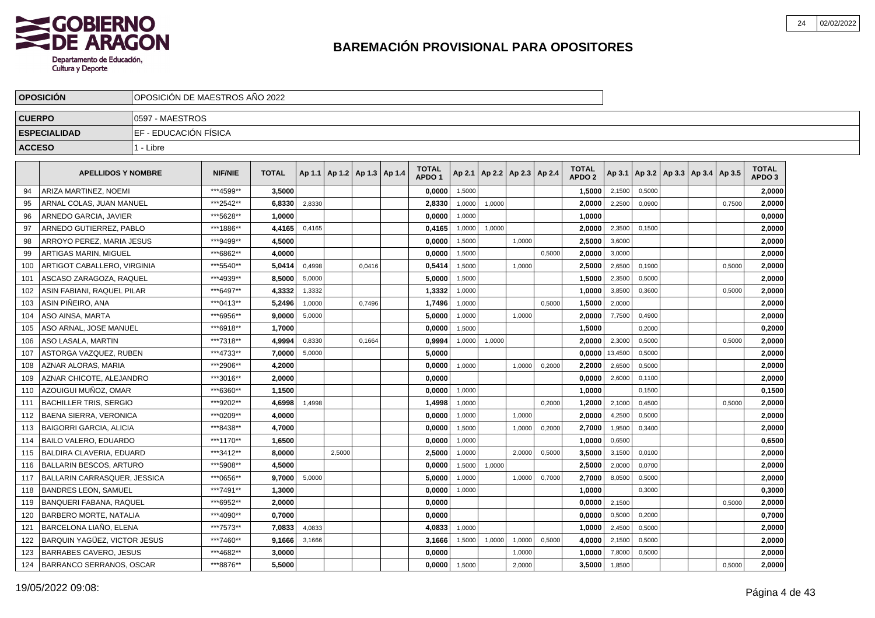

|               | <b>OPOSICION</b>                    |                       | OPOSICION DE MAESTROS ANO 2022 |              |        |                                   |        |  |                                   |        |        |                          |        |                                   |         |        |                                   |        |                                   |  |
|---------------|-------------------------------------|-----------------------|--------------------------------|--------------|--------|-----------------------------------|--------|--|-----------------------------------|--------|--------|--------------------------|--------|-----------------------------------|---------|--------|-----------------------------------|--------|-----------------------------------|--|
| <b>CUERPO</b> |                                     | 10597 - MAESTROS      |                                |              |        |                                   |        |  |                                   |        |        |                          |        |                                   |         |        |                                   |        |                                   |  |
|               | <b>ESPECIALIDAD</b>                 | EF - EDUCACIÓN FÍSICA |                                |              |        |                                   |        |  |                                   |        |        |                          |        |                                   |         |        |                                   |        |                                   |  |
| <b>ACCESO</b> |                                     | 1 - Libre             |                                |              |        |                                   |        |  |                                   |        |        |                          |        |                                   |         |        |                                   |        |                                   |  |
|               | <b>APELLIDOS Y NOMBRE</b>           |                       | <b>NIF/NIE</b>                 | <b>TOTAL</b> |        | Ap 1.1   Ap 1.2   Ap 1.3   Ap 1.4 |        |  | <b>TOTAL</b><br>APDO <sub>1</sub> | Ap 2.1 |        | Ap 2.2   Ap 2.3   Ap 2.4 |        | <b>TOTAL</b><br>APDO <sub>2</sub> | Ap 3.1  |        | Ap 3.2   Ap 3.3   Ap 3.4   Ap 3.5 |        | <b>TOTAL</b><br>APDO <sub>3</sub> |  |
| 94            | ARIZA MARTINEZ, NOEMI               |                       | ***4599**                      | 3.5000       |        |                                   |        |  | 0,0000                            | 1.5000 |        |                          |        | 1,5000                            | 2,1500  | 0.5000 |                                   |        | 2.0000                            |  |
| 95            | ARNAL COLAS, JUAN MANUEL            |                       | ***2542**                      | 6.8330       | 2,8330 |                                   |        |  | 2,8330                            | 1,0000 | 1,0000 |                          |        | 2,0000                            | 2,2500  | 0,0900 |                                   | 0.7500 | 2,0000                            |  |
| 96            | ARNEDO GARCIA, JAVIER               |                       | ***5628**                      | 1.0000       |        |                                   |        |  | 0.0000                            | 1,0000 |        |                          |        | 1,0000                            |         |        |                                   |        | 0.0000                            |  |
| 97            | ARNEDO GUTIERREZ. PABLO             |                       | ***1886**                      | 4,4165       | 0,4165 |                                   |        |  | 0,4165                            | 1,0000 | 1,0000 |                          |        | 2,0000                            | 2,3500  | 0,1500 |                                   |        | 2,0000                            |  |
| 98            | ARROYO PEREZ, MARIA JESUS           |                       | ***9499**                      | 4,5000       |        |                                   |        |  | 0,0000                            | 1,5000 |        | 1,0000                   |        | 2,5000                            | 3,6000  |        |                                   |        | 2,0000                            |  |
| 99            | <b>ARTIGAS MARIN, MIGUEL</b>        |                       | ***6862**                      | 4,0000       |        |                                   |        |  | 0,0000                            | 1,5000 |        |                          | 0,5000 | 2,0000                            | 3,0000  |        |                                   |        | 2,0000                            |  |
| 100           | ARTIGOT CABALLERO, VIRGINIA         |                       | *** 5540**                     | 5,0414       | 0,4998 |                                   | 0,0416 |  | 0,5414                            | 1,5000 |        | 1,0000                   |        | 2,5000                            | 2,6500  | 0,1900 |                                   | 0,5000 | 2,0000                            |  |
| 101           | ASCASO ZARAGOZA, RAQUEL             |                       | ***4939**                      | 8,5000       | 5,0000 |                                   |        |  | 5.0000                            | 1,5000 |        |                          |        | 1,5000                            | 2,3500  | 0.5000 |                                   |        | 2,0000                            |  |
| 102           | ASIN FABIANI. RAQUEL PILAR          |                       | ***6497**                      | 4,3332       | 1,3332 |                                   |        |  | 1,3332                            | 1,0000 |        |                          |        | 1,0000                            | 3,8500  | 0,3600 |                                   | 0,5000 | 2,0000                            |  |
| 103           | ASIN PIÑEIRO, ANA                   |                       | ***0413**                      | 5,2496       | 1,0000 |                                   | 0.7496 |  | 1,7496                            | 1,0000 |        |                          | 0,5000 | 1,5000                            | 2,0000  |        |                                   |        | 2,0000                            |  |
| 104           | ASO AINSA, MARTA                    |                       | ***6956**                      | 9,0000       | 5,0000 |                                   |        |  | 5,0000                            | 1,0000 |        | 1,0000                   |        | 2,0000                            | 7,7500  | 0,4900 |                                   |        | 2,0000                            |  |
| 105           | ASO ARNAL, JOSE MANUEL              |                       | ***6918**                      | 1,7000       |        |                                   |        |  | 0,0000                            | 1,5000 |        |                          |        | 1,5000                            |         | 0,2000 |                                   |        | 0,2000                            |  |
| 106           | <b>ASO LASALA, MARTIN</b>           |                       | ***7318**                      | 4,9994       | 0,8330 |                                   | 0,1664 |  | 0,9994                            | 1,0000 | 1,0000 |                          |        | 2,0000                            | 2,3000  | 0,5000 |                                   | 0,5000 | 2,0000                            |  |
| 107           | ASTORGA VAZQUEZ, RUBEN              |                       | ***4733**                      | 7,0000       | 5,0000 |                                   |        |  | 5,0000                            |        |        |                          |        | 0,0000                            | 13,4500 | 0,5000 |                                   |        | 2,0000                            |  |
| 108           | AZNAR ALORAS, MARIA                 |                       | ***2906**                      | 4.2000       |        |                                   |        |  | 0.0000                            | 1.0000 |        | 1.0000                   | 0.2000 | 2.2000                            | 2,6500  | 0,5000 |                                   |        | 2.0000                            |  |
| 109           | AZNAR CHICOTE. ALEJANDRO            |                       | ***3016**                      | 2.0000       |        |                                   |        |  | 0,0000                            |        |        |                          |        | 0,0000                            | 2,6000  | 0,1100 |                                   |        | 2,0000                            |  |
| 110           | AZOUIGUI MUÑOZ. OMAR                |                       | ***6360**                      | 1,1500       |        |                                   |        |  | 0.0000                            | 1,0000 |        |                          |        | 1,0000                            |         | 0,1500 |                                   |        | 0,1500                            |  |
| 111           | BACHILLER TRIS, SERGIO              |                       | ***9202**                      | 4,6998       | 1,4998 |                                   |        |  | 1,4998                            | 1,0000 |        |                          | 0,2000 | 1,2000                            | 2,1000  | 0,4500 |                                   | 0,5000 | 2,0000                            |  |
| 112           | BAENA SIERRA, VERONICA              |                       | ***0209**                      | 4,0000       |        |                                   |        |  | 0,0000                            | 1,0000 |        | 1,0000                   |        | 2,0000                            | 4,2500  | 0,5000 |                                   |        | 2,0000                            |  |
| 113           | <b>BAIGORRI GARCIA, ALICIA</b>      |                       | ***8438**                      | 4,7000       |        |                                   |        |  | 0,0000                            | 1,5000 |        | 1,0000                   | 0,2000 | 2,7000                            | 1,9500  | 0,3400 |                                   |        | 2,0000                            |  |
| 114           | BAILO VALERO, EDUARDO               |                       | ***1170**                      | 1,6500       |        |                                   |        |  | 0,0000                            | 1,0000 |        |                          |        | 1,0000                            | 0,6500  |        |                                   |        | 0,6500                            |  |
| 115           | BALDIRA CLAVERIA. EDUARD            |                       | ***3412**                      | 8.0000       |        | 2.5000                            |        |  | 2.5000                            | 1,0000 |        | 2.0000                   | 0,5000 | 3,5000                            | 3,1500  | 0,0100 |                                   |        | 2,0000                            |  |
| 116           | <b>BALLARIN BESCOS, ARTURO</b>      |                       | ***5908**                      | 4.5000       |        |                                   |        |  | 0.0000                            | 1,5000 | 1,0000 |                          |        | 2,5000                            | 2,0000  | 0,0700 |                                   |        | 2,0000                            |  |
| 117           | BALLARIN CARRASQUER, JESSICA        |                       | ***0656**                      | 9.7000       | 5,0000 |                                   |        |  | 5,0000                            | 1,0000 |        | 1,0000                   | 0,7000 | 2,7000                            | 8,0500  | 0,5000 |                                   |        | 2,0000                            |  |
|               | 118   BANDRES LEON, SAMUEL          |                       | ***7491**                      | 1,3000       |        |                                   |        |  | 0,0000                            | 1,0000 |        |                          |        | 1,0000                            |         | 0,3000 |                                   |        | 0,3000                            |  |
| 119           | <b>BANQUERI FABANA, RAQUEL</b>      |                       | ***6952**                      | 2,0000       |        |                                   |        |  | 0,0000                            |        |        |                          |        | 0,0000                            | 2,1500  |        |                                   | 0,5000 | 2,0000                            |  |
| 120           | <b>BARBERO MORTE, NATALIA</b>       |                       | ***4090**                      | 0,7000       |        |                                   |        |  | 0,0000                            |        |        |                          |        | 0,0000                            | 0,5000  | 0,2000 |                                   |        | 0,7000                            |  |
| 121           | BARCELONA LIAÑO, ELENA              |                       | ***7573**                      | 7,0833       | 4,0833 |                                   |        |  | 4,0833                            | 1,0000 |        |                          |        | 1,0000                            | 2,4500  | 0,5000 |                                   |        | 2,0000                            |  |
| 122           | <b>BARQUIN YAGÜEZ, VICTOR JESUS</b> |                       | ***7460**                      | 9,1666       | 3,1666 |                                   |        |  | 3,1666                            | 1,5000 | 1,0000 | 1,0000                   | 0,5000 | 4.0000                            | 2,1500  | 0,5000 |                                   |        | 2.0000                            |  |
| 123           | <b>BARRABES CAVERO, JESUS</b>       |                       | ***4682**                      | 3,0000       |        |                                   |        |  | 0,0000                            |        |        | 1,0000                   |        | 1,0000                            | 7,8000  | 0,5000 |                                   |        | 2,0000                            |  |
| 124           | BARRANCO SERRANOS, OSCAR            |                       | ***8876**                      | 5.5000       |        |                                   |        |  | 0,0000                            | 1,5000 |        | 2,0000                   |        | 3,5000                            | 1,8500  |        |                                   | 0,5000 | 2,0000                            |  |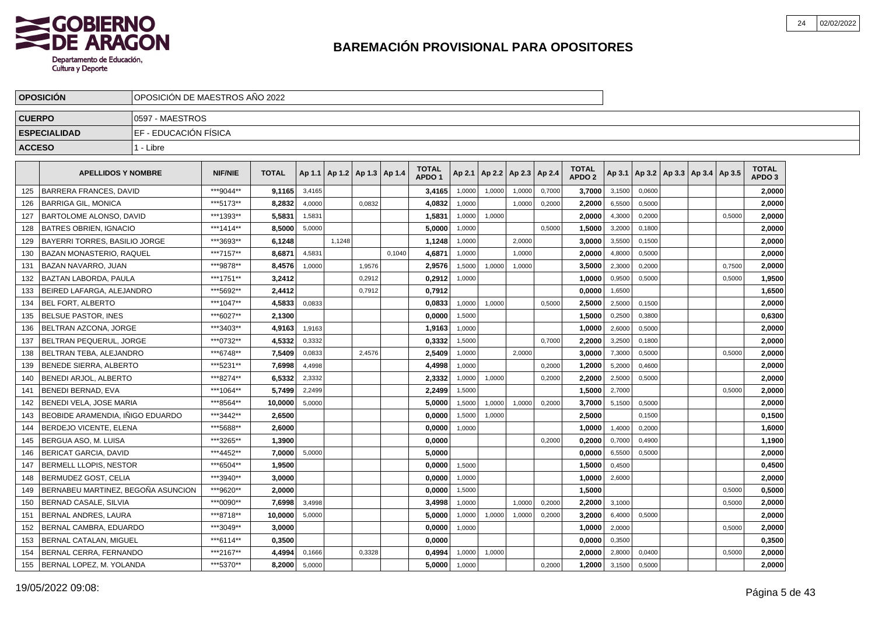

|               | <b>OPOSICION</b>                     |                       | OPOSICION DE MAESTROS ANO 2022 |              |        |        |                          |        |                                   |        |                          |        |        |                                   |        |        |                                   |        |                                   |  |
|---------------|--------------------------------------|-----------------------|--------------------------------|--------------|--------|--------|--------------------------|--------|-----------------------------------|--------|--------------------------|--------|--------|-----------------------------------|--------|--------|-----------------------------------|--------|-----------------------------------|--|
| <b>CUERPO</b> |                                      | 10597 - MAESTROS      |                                |              |        |        |                          |        |                                   |        |                          |        |        |                                   |        |        |                                   |        |                                   |  |
|               | <b>ESPECIALIDAD</b>                  | EF - EDUCACIÓN FÍSICA |                                |              |        |        |                          |        |                                   |        |                          |        |        |                                   |        |        |                                   |        |                                   |  |
| <b>ACCESO</b> |                                      | 1 - Libre             |                                |              |        |        |                          |        |                                   |        |                          |        |        |                                   |        |        |                                   |        |                                   |  |
|               | <b>APELLIDOS Y NOMBRE</b>            |                       | <b>NIF/NIE</b>                 | <b>TOTAL</b> | Ap 1.1 |        | Ap 1.2   Ap 1.3   Ap 1.4 |        | <b>TOTAL</b><br>APDO <sub>1</sub> | Ap 2.1 | Ap 2.2   Ap 2.3   Ap 2.4 |        |        | <b>TOTAL</b><br>APDO <sub>2</sub> | Ap 3.1 |        | Ap 3.2   Ap 3.3   Ap 3.4   Ap 3.5 |        | <b>TOTAL</b><br>APDO <sub>3</sub> |  |
| 125           | <b>BARRERA FRANCES. DAVID</b>        |                       | ***9044**                      | 9,1165       | 3,4165 |        |                          |        | 3,4165                            | 1,0000 | 1,0000                   | 1,0000 | 0,7000 | 3,7000                            | 3,1500 | 0,0600 |                                   |        | 2,0000                            |  |
| 126           | <b>BARRIGA GIL, MONICA</b>           |                       | ***5173**                      | 8,2832       | 4,0000 |        | 0.0832                   |        | 4,0832                            | 1.0000 |                          | 1.0000 | 0,2000 | 2,2000                            | 6,5500 | 0,5000 |                                   |        | 2,0000                            |  |
| 127           | BARTOLOME ALONSO, DAVID              |                       | ***1393**                      | 5,5831       | 1,5831 |        |                          |        | 1,5831                            | 1,0000 | 1,0000                   |        |        | 2,0000                            | 4,3000 | 0,2000 |                                   | 0,5000 | 2,0000                            |  |
| 128           | <b>BATRES OBRIEN, IGNACIO</b>        |                       | ***1414**                      | 8,5000       | 5,0000 |        |                          |        | 5,0000                            | 1,0000 |                          |        | 0,5000 | 1,5000                            | 3,2000 | 0,1800 |                                   |        | 2,0000                            |  |
| 129           | BAYERRI TORRES, BASILIO JORGE        |                       | ***3693**                      | 6,1248       |        | 1,1248 |                          |        | 1,1248                            | 1,0000 |                          | 2,0000 |        | 3,0000                            | 3,5500 | 0,1500 |                                   |        | 2,0000                            |  |
| 130           | <b>BAZAN MONASTERIO, RAQUEL</b>      |                       | ***7157**                      | 8.6871       | 4,5831 |        |                          | 0.1040 | 4.6871                            | 1.0000 |                          | 1.0000 |        | 2.0000                            | 4,8000 | 0.5000 |                                   |        | 2.0000                            |  |
| 131           | <b>BAZAN NAVARRO, JUAN</b>           |                       | ***9878**                      | 8,4576       | 1,0000 |        | 1,9576                   |        | 2,9576                            | 1,5000 | 1,0000                   | 1,0000 |        | 3,5000                            | 2,3000 | 0,2000 |                                   | 0,7500 | 2,0000                            |  |
| 132           | <b>BAZTAN LABORDA. PAULA</b>         |                       | ***1751**                      | 3,2412       |        |        | 0,2912                   |        | 0,2912                            | 1,0000 |                          |        |        | 1,0000                            | 0,9500 | 0,5000 |                                   | 0,5000 | 1,9500                            |  |
| 133           | BEIRED LAFARGA, ALEJANDRO            |                       | ***5692**                      | 2,4412       |        |        | 0,7912                   |        | 0,7912                            |        |                          |        |        | 0,0000                            | 1,6500 |        |                                   |        | 1,6500                            |  |
| 134           | <b>BEL FORT, ALBERTO</b>             |                       | ***1047**                      | 4,5833       | 0,0833 |        |                          |        | 0,0833                            | 1,0000 | 1,0000                   |        | 0,5000 | 2,5000                            | 2,5000 | 0,1500 |                                   |        | 2,0000                            |  |
| 135           | <b>BELSUE PASTOR, INES</b>           |                       | ***6027**                      | 2,1300       |        |        |                          |        | 0,0000                            | 1,5000 |                          |        |        | 1,5000                            | 0,2500 | 0,3800 |                                   |        | 0,6300                            |  |
| 136           | <b>IBELTRAN AZCONA. JORGE</b>        |                       | ***3403**                      | 4,9163       | 1,9163 |        |                          |        | 1,9163                            | 1,0000 |                          |        |        | 1.0000                            | 2,6000 | 0,5000 |                                   |        | 2,0000                            |  |
| 137           | BELTRAN PEQUERUL. JORGE              |                       | ***0732**                      | 4,5332       | 0,3332 |        |                          |        | 0,3332                            | 1,5000 |                          |        | 0.7000 | 2,2000                            | 3,2500 | 0,1800 |                                   |        | 2,0000                            |  |
| 138           | BELTRAN TEBA, ALEJANDRO              |                       | ***6748**                      | 7,5409       | 0,0833 |        | 2,4576                   |        | 2.5409                            | 1,0000 |                          | 2,0000 |        | 3,0000                            | 7,3000 | 0,5000 |                                   | 0,5000 | 2,0000                            |  |
| 139           | <b>BENEDE SIERRA, ALBERTO</b>        |                       | ***5231**                      | 7,6998       | 4,4998 |        |                          |        | 4,4998                            | 1,0000 |                          |        | 0,2000 | 1,2000                            | 5,2000 | 0,4600 |                                   |        | 2,0000                            |  |
| 140           | BENEDI ARJOL. ALBERTO                |                       | ***8274**                      | 6,5332       | 2,3332 |        |                          |        | 2,3332                            | 1,0000 | 1,0000                   |        | 0,2000 | 2,2000                            | 2,5000 | 0,5000 |                                   |        | 2,0000                            |  |
| 141           | <b>BENEDI BERNAD, EVA</b>            |                       | ***1064**                      | 5,7499       | 2,2499 |        |                          |        | 2,2499                            | 1,5000 |                          |        |        | 1,5000                            | 2,7000 |        |                                   | 0,5000 | 2,0000                            |  |
| 142           | BENEDI VELA, JOSE MARIA              |                       | ***8564**                      | 10,0000      | 5.0000 |        |                          |        | 5.0000                            | 1,5000 | 1,0000                   | 1,0000 | 0,2000 | 3,7000                            | 5,1500 | 0.5000 |                                   |        | 2,0000                            |  |
| 143           | BEOBIDE ARAMENDIA. IÑIGO EDUARDO     |                       | ***3442**                      | 2.6500       |        |        |                          |        | 0.0000                            | 1,5000 | 1,0000                   |        |        | 2,5000                            |        | 0,1500 |                                   |        | 0,1500                            |  |
| 144           | BERDEJO VICENTE, ELENA               |                       | ***5688**                      | 2.6000       |        |        |                          |        | 0,0000                            | 1,0000 |                          |        |        | 1.0000                            | 1,4000 | 0,2000 |                                   |        | 1,6000                            |  |
| 145           | BERGUA ASO, M. LUISA                 |                       | ***3265**                      | 1,3900       |        |        |                          |        | 0,0000                            |        |                          |        | 0,2000 | 0,2000                            | 0,7000 | 0,4900 |                                   |        | 1,1900                            |  |
| 146           | <b>BERICAT GARCIA, DAVID</b>         |                       | ***4452**                      | 7,0000       | 5,0000 |        |                          |        | 5,0000                            |        |                          |        |        | 0,0000                            | 6,5500 | 0,5000 |                                   |        | 2,0000                            |  |
| 147           | BERMELL LLOPIS, NESTOR               |                       | ***6504**                      | 1,9500       |        |        |                          |        | 0,0000                            | 1,5000 |                          |        |        | 1,5000                            | 0,4500 |        |                                   |        | 0,4500                            |  |
| 148           | BERMUDEZ GOST. CELIA                 |                       | ***3940**                      | 3.0000       |        |        |                          |        | 0.0000                            | 1,0000 |                          |        |        | 1.0000                            | 2,6000 |        |                                   |        | 2,0000                            |  |
| 149           | I BERNABEU MARTINEZ. BEGOÑA ASUNCION |                       | ***9620**                      | 2.0000       |        |        |                          |        | 0,0000                            | 1,5000 |                          |        |        | 1,5000                            |        |        |                                   | 0,5000 | 0,5000                            |  |
| 150           | BERNAD CASALE, SILVIA                |                       | ***0090**                      | 7.6998       | 3,4998 |        |                          |        | 3,4998                            | 1,0000 |                          | 1.0000 | 0,2000 | 2.2000                            | 3,1000 |        |                                   | 0,5000 | 2,0000                            |  |
| 151           | BERNAL ANDRES, LAURA                 |                       | ***8718**                      | 10,0000      | 5,0000 |        |                          |        | 5,0000                            | 1,0000 | 1,0000                   | 1,0000 | 0,2000 | 3,2000                            | 6,4000 | 0,5000 |                                   |        | 2,0000                            |  |
| 152           | BERNAL CAMBRA, EDUARDO               |                       | ***3049**                      | 3,0000       |        |        |                          |        | 0,0000                            | 1,0000 |                          |        |        | 1,0000                            | 2,0000 |        |                                   | 0,5000 | 2,0000                            |  |
| 153           | BERNAL CATALAN, MIGUEL               |                       | ***6114**                      | 0,3500       |        |        |                          |        | 0,0000                            |        |                          |        |        | 0,0000                            | 0,3500 |        |                                   |        | 0,3500                            |  |
| 154           | BERNAL CERRA, FERNANDO               |                       | ***2167**                      | 4,4994       | 0,1666 |        | 0,3328                   |        | 0,4994                            | 1,0000 | 1,0000                   |        |        | 2.0000                            | 2,8000 | 0,0400 |                                   | 0,5000 | 2.0000                            |  |
| 155           | BERNAL LOPEZ, M. YOLANDA             |                       | ***5370**                      | 8,2000       | 5,0000 |        |                          |        | 5,0000                            | 1,0000 |                          |        | 0,2000 | 1,2000                            | 3,1500 | 0,5000 |                                   |        | 2,0000                            |  |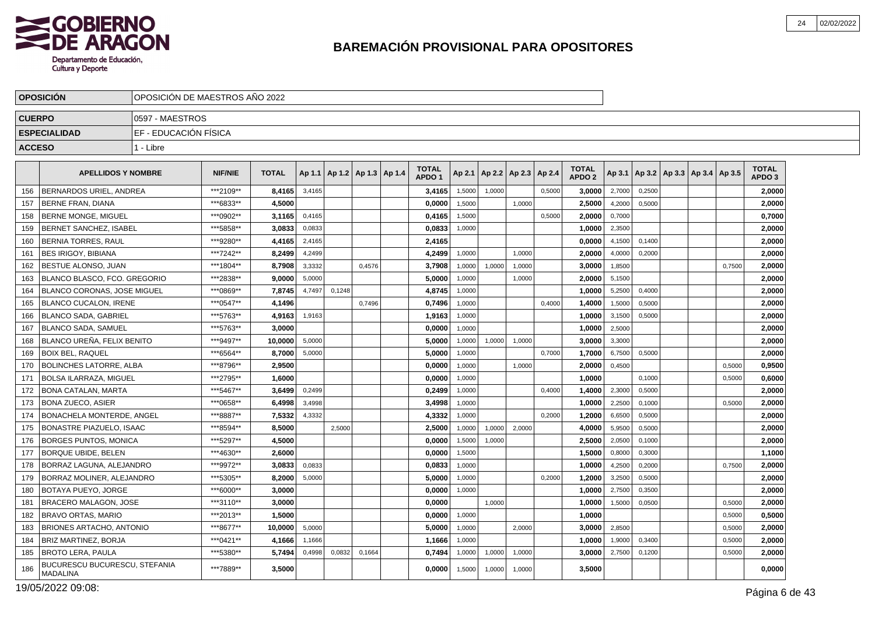

|               | <b>OPOSICION</b>                                 | OPOSICION DE MAESTROS ANO 2022 |                |              |        |        |                                   |                                   |        |        |                                   |        |                                   |        |        |                                            |        |                                   |  |
|---------------|--------------------------------------------------|--------------------------------|----------------|--------------|--------|--------|-----------------------------------|-----------------------------------|--------|--------|-----------------------------------|--------|-----------------------------------|--------|--------|--------------------------------------------|--------|-----------------------------------|--|
| <b>CUERPO</b> |                                                  | I0597 - MAESTROS               |                |              |        |        |                                   |                                   |        |        |                                   |        |                                   |        |        |                                            |        |                                   |  |
|               | <b>ESPECIALIDAD</b>                              | EF - EDUCACIÓN FÍSICA          |                |              |        |        |                                   |                                   |        |        |                                   |        |                                   |        |        |                                            |        |                                   |  |
| <b>ACCESO</b> |                                                  | 1 - Libre                      |                |              |        |        |                                   |                                   |        |        |                                   |        |                                   |        |        |                                            |        |                                   |  |
|               |                                                  |                                |                |              |        |        |                                   |                                   |        |        |                                   |        |                                   |        |        |                                            |        |                                   |  |
|               | <b>APELLIDOS Y NOMBRE</b>                        |                                | <b>NIF/NIE</b> | <b>TOTAL</b> |        |        | Ap 1.1   Ap 1.2   Ap 1.3   Ap 1.4 | <b>TOTAL</b><br>APDO <sub>1</sub> |        |        | Ap 2.1   Ap 2.2   Ap 2.3   Ap 2.4 |        | <b>TOTAL</b><br>APDO <sub>2</sub> |        |        | Ap 3.1   Ap 3.2   Ap 3.3   Ap 3.4   Ap 3.5 |        | <b>TOTAL</b><br>APDO <sub>3</sub> |  |
| 156           | <b>BERNARDOS URIEL, ANDREA</b>                   |                                | ***2109**      | 8,4165       | 3,4165 |        |                                   | 3,4165                            | 1,5000 | 1.0000 |                                   | 0,5000 | 3,0000                            | 2,7000 | 0,2500 |                                            |        | 2,0000                            |  |
| 157           | <b>IBERNE FRAN, DIANA</b>                        |                                | ***6833**      | 4,5000       |        |        |                                   | 0,0000                            | 1,5000 |        | 1,0000                            |        | 2,5000                            | 4,2000 | 0,5000 |                                            |        | 2,0000                            |  |
| 158           | <b>IBERNE MONGE, MIGUEL</b>                      |                                | ***0902**      | 3,1165       | 0,4165 |        |                                   | 0,4165                            | 1,5000 |        |                                   | 0,5000 | 2.0000                            | 0,7000 |        |                                            |        | 0,7000                            |  |
| 159           | <b>BERNET SANCHEZ. ISABEL</b>                    |                                | ***5858**      | 3,0833       | 0,0833 |        |                                   | 0,0833                            | 1,0000 |        |                                   |        | 1.0000                            | 2,3500 |        |                                            |        | 2,0000                            |  |
| 160           | <b>BERNIA TORRES, RAUL</b>                       |                                | ***9280**      | 4,4165       | 2,4165 |        |                                   | 2,4165                            |        |        |                                   |        | 0,0000                            | 4,1500 | 0,1400 |                                            |        | 2,0000                            |  |
| 161           | <b>BES IRIGOY, BIBIANA</b>                       |                                | ***7242**      | 8,2499       | 4,2499 |        |                                   | 4,2499                            | 1,0000 |        | 1,0000                            |        | 2,0000                            | 4,0000 | 0,2000 |                                            |        | 2,0000                            |  |
| 162           | <b>BESTUE ALONSO. JUAN</b>                       |                                | ***1804**      | 8.7908       | 3,3332 |        | 0,4576                            | 3.7908                            | 1,0000 | 1,0000 | 1,0000                            |        | 3.0000                            | 1,8500 |        |                                            | 0.7500 | 2.0000                            |  |
| 163           | BLANCO BLASCO, FCO. GREGORIO                     |                                | ***2838**      | 9,0000       | 5,0000 |        |                                   | 5,0000                            | 1,0000 |        | 1,0000                            |        | 2,0000                            | 5,1500 |        |                                            |        | 2,0000                            |  |
| 164           | BLANCO CORONAS, JOSE MIGUEL                      |                                | ***0869**      | 7,8745       | 4,7497 | 0,1248 |                                   | 4,8745                            | 1,0000 |        |                                   |        | 1,0000                            | 5,2500 | 0,4000 |                                            |        | 2,0000                            |  |
| 165           | <b>BLANCO CUCALON. IRENE</b>                     |                                | ***0547**      | 4,1496       |        |        | 0.7496                            | 0,7496                            | 1,0000 |        |                                   | 0,4000 | 1,4000                            | 1,5000 | 0,5000 |                                            |        | 2.0000                            |  |
| 166           | BLANCO SADA, GABRIEL                             |                                | ***5763**      | 4,9163       | 1,9163 |        |                                   | 1,9163                            | 1,0000 |        |                                   |        | 1,0000                            | 3,1500 | 0,5000 |                                            |        | 2,0000                            |  |
| 167           | BLANCO SADA, SAMUEL                              |                                | ***5763**      | 3.0000       |        |        |                                   | 0,0000                            | 1,0000 |        |                                   |        | 1,0000                            | 2,5000 |        |                                            |        | 2,0000                            |  |
| 168           | <b>BLANCO UREÑA, FELIX BENITO</b>                |                                | ***9497**      | 10.0000      | 5,0000 |        |                                   | 5.0000                            | 1,0000 | 1,0000 | 1.0000                            |        | 3.0000                            | 3,3000 |        |                                            |        | 2,0000                            |  |
| 169           | <b>BOIX BEL, RAQUEL</b>                          |                                | ***6564**      | 8,7000       | 5,0000 |        |                                   | 5,0000                            | 1,0000 |        |                                   | 0,7000 | 1,7000                            | 6,7500 | 0,5000 |                                            |        | 2,0000                            |  |
|               | 170 BOLINCHES LATORRE. ALBA                      |                                | ***8796**      | 2,9500       |        |        |                                   | 0,0000                            | 1,0000 |        | 1,0000                            |        | 2,0000                            | 0,4500 |        |                                            | 0,5000 | 0,9500                            |  |
| 171           | <b>BOLSA ILARRAZA, MIGUEL</b>                    |                                | ***2795**      | 1.6000       |        |        |                                   | 0,0000                            | 1,0000 |        |                                   |        | 1.0000                            |        | 0.1000 |                                            | 0,5000 | 0,6000                            |  |
| 172           | BONA CATALAN, MARTA                              |                                | ***5467**      | 3,6499       | 0,2499 |        |                                   | 0,2499                            | 1,0000 |        |                                   | 0,4000 | 1,4000                            | 2,3000 | 0,5000 |                                            |        | 2,0000                            |  |
| 173           | <b>BONA ZUECO, ASIER</b>                         |                                | ***0658**      | 6,4998       | 3,4998 |        |                                   | 3,4998                            | 1,0000 |        |                                   |        | 1,0000                            | 2,2500 | 0,1000 |                                            | 0,5000 | 2,0000                            |  |
| 174           | BONACHELA MONTERDE. ANGEL                        |                                | ***8887**      | 7.5332       | 4,3332 |        |                                   | 4,3332                            | 1,0000 |        |                                   | 0.2000 | 1.2000                            | 6,6500 | 0,5000 |                                            |        | 2.0000                            |  |
| 175           | <b>BONASTRE PIAZUELO, ISAAC</b>                  |                                | ***8594**      | 8,5000       |        | 2,5000 |                                   | 2,5000                            | 1,0000 | 1,0000 | 2,0000                            |        | 4,0000                            | 5,9500 | 0,5000 |                                            |        | 2,0000                            |  |
| 176           | <b>BORGES PUNTOS, MONICA</b>                     |                                | ***5297**      | 4,5000       |        |        |                                   | 0,0000                            | 1,5000 | 1,0000 |                                   |        | 2,5000                            | 2,0500 | 0,1000 |                                            |        | 2,0000                            |  |
| 177           | BORQUE UBIDE, BELEN                              |                                | ***4630**      | 2.6000       |        |        |                                   | 0,0000                            | 1,5000 |        |                                   |        | 1,5000                            | 0,8000 | 0,3000 |                                            |        | 1,1000                            |  |
| 178           | BORRAZ LAGUNA, ALEJANDRO                         |                                | ***9972**      | 3,0833       | 0.0833 |        |                                   | 0,0833                            | 1,0000 |        |                                   |        | 1,0000                            | 4,2500 | 0,2000 |                                            | 0.7500 | 2,0000                            |  |
| 179           | <b>BORRAZ MOLINER, ALEJANDRO</b>                 |                                | ***5305**      | 8,2000       | 5,0000 |        |                                   | 5,0000                            | 1,0000 |        |                                   | 0,2000 | 1,2000                            | 3,2500 | 0,5000 |                                            |        | 2,0000                            |  |
| 180           | <b>BOTAYA PUEYO, JORGE</b>                       |                                | ***6000**      | 3.0000       |        |        |                                   | 0,0000                            | 1,0000 |        |                                   |        | 1.0000                            | 2,7500 | 0,3500 |                                            |        | 2,0000                            |  |
| 181           | <b>BRACERO MALAGON, JOSE</b>                     |                                | ***3110**      | 3,0000       |        |        |                                   | 0,0000                            |        | 1.0000 |                                   |        | 1,0000                            | 1,5000 | 0,0500 |                                            | 0,5000 | 2,0000                            |  |
|               | 182   BRAVO ORTAS, MARIO                         |                                | ***2013**      | 1,5000       |        |        |                                   | 0,0000                            | 1,0000 |        |                                   |        | 1,0000                            |        |        |                                            | 0,5000 | 0,5000                            |  |
| 183           | <b>BRIONES ARTACHO, ANTONIO</b>                  |                                | ***8677**      | 10,0000      | 5,0000 |        |                                   | 5,0000                            | 1,0000 |        | 2.0000                            |        | 3,0000                            | 2,8500 |        |                                            | 0,5000 | 2,0000                            |  |
| 184           | BRIZ MARTINEZ, BORJA                             |                                | *** 0421**     | 4,1666       | 1.1666 |        |                                   | 1,1666                            | 1.0000 |        |                                   |        | 1,0000                            | 1,9000 | 0.3400 |                                            | 0,5000 | 2,0000                            |  |
| 185           | <b>BROTO LERA, PAULA</b>                         |                                | ***5380**      | 5,7494       | 0,4998 | 0,0832 | 0,1664                            | 0,7494                            | 1,0000 | 1,0000 | 1,0000                            |        | 3,0000                            | 2,7500 | 0,1200 |                                            | 0,5000 | 2,0000                            |  |
| 186           | BUCURESCU BUCURESCU, STEFANIA<br><b>MADALINA</b> |                                | ***7889**      | 3,5000       |        |        |                                   | 0,0000                            | 1,5000 | 1,0000 | 1,0000                            |        | 3,5000                            |        |        |                                            |        | 0,0000                            |  |

19/05/2022 09:08: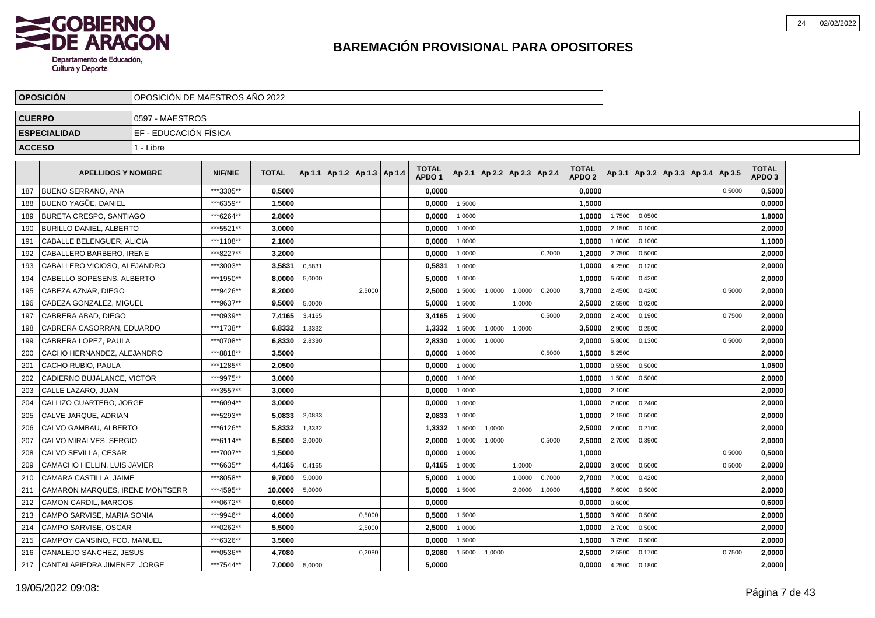

|               | <b>OPOSICION</b>                 | OPOSICION DE MAESTROS ANO 2022 |                |              |        |                                   |        |                                   |        |                          |        |        |                                   |        |        |                                   |        |                                   |  |
|---------------|----------------------------------|--------------------------------|----------------|--------------|--------|-----------------------------------|--------|-----------------------------------|--------|--------------------------|--------|--------|-----------------------------------|--------|--------|-----------------------------------|--------|-----------------------------------|--|
| <b>CUERPO</b> |                                  | 10597 - MAESTROS               |                |              |        |                                   |        |                                   |        |                          |        |        |                                   |        |        |                                   |        |                                   |  |
|               | <b>ESPECIALIDAD</b>              | EF - EDUCACIÓN FÍSICA          |                |              |        |                                   |        |                                   |        |                          |        |        |                                   |        |        |                                   |        |                                   |  |
| <b>ACCESO</b> |                                  | 1 - Libre                      |                |              |        |                                   |        |                                   |        |                          |        |        |                                   |        |        |                                   |        |                                   |  |
|               |                                  |                                |                |              |        |                                   |        |                                   |        |                          |        |        |                                   |        |        |                                   |        |                                   |  |
|               | <b>APELLIDOS Y NOMBRE</b>        |                                | <b>NIF/NIE</b> | <b>TOTAL</b> |        | Ap 1.1   Ap 1.2   Ap 1.3   Ap 1.4 |        | <b>TOTAL</b><br>APDO <sub>1</sub> | Ap 2.1 | Ap 2.2   Ap 2.3   Ap 2.4 |        |        | <b>TOTAL</b><br>APDO <sub>2</sub> | Ap 3.1 |        | Ap 3.2   Ap 3.3   Ap 3.4   Ap 3.5 |        | <b>TOTAL</b><br>APDO <sub>3</sub> |  |
| 187           | <b>BUENO SERRANO, ANA</b>        |                                | ***3305**      | 0.5000       |        |                                   |        | 0,0000                            |        |                          |        |        | 0,0000                            |        |        |                                   | 0,5000 | 0,5000                            |  |
| 188           | <b>BUENO YAGUE, DANIEL</b>       |                                | ***6359**      | 1,5000       |        |                                   |        | 0,0000                            | 1,5000 |                          |        |        | 1,5000                            |        |        |                                   |        | 0,0000                            |  |
| 189           | <b>BURETA CRESPO, SANTIAGO</b>   |                                | ***6264**      | 2.8000       |        |                                   |        | 0,0000                            | 1,0000 |                          |        |        | 1.0000                            | 1,7500 | 0,0500 |                                   |        | 1,8000                            |  |
| 190           | <b>BURILLO DANIEL, ALBERTO</b>   |                                | ***5521**      | 3.0000       |        |                                   |        | 0,0000                            | 1,0000 |                          |        |        | 1,0000                            | 2,1500 | 0,1000 |                                   |        | 2,0000                            |  |
| 191           | CABALLE BELENGUER, ALICIA        |                                | ***1108**      | 2,1000       |        |                                   |        | 0,0000                            | 1,0000 |                          |        |        | 1,0000                            | 1,0000 | 0,1000 |                                   |        | 1,1000                            |  |
| 192           | CABALLERO BARBERO. IRENE         |                                | ***8227**      | 3.2000       |        |                                   |        | 0.0000                            | 1,0000 |                          |        | 0,2000 | 1.2000                            | 2,7500 | 0,5000 |                                   |        | 2,0000                            |  |
| 193           | CABALLERO VICIOSO, ALEJANDRO     |                                | ***3003**      | 3,5831       | 0,5831 |                                   |        | 0,5831                            | 1,0000 |                          |        |        | 1.0000                            | 4,2500 | 0,1200 |                                   |        | 2,0000                            |  |
| 194           | CABELLO SOPESENS, ALBERTO        |                                | ***1950**      | 8,0000       | 5,0000 |                                   |        | 5,0000                            | 1,0000 |                          |        |        | 1,0000                            | 5,6000 | 0,4200 |                                   |        | 2,0000                            |  |
| 195           | CABEZA AZNAR, DIEGO              |                                | ***9426**      | 8,2000       |        |                                   | 2,5000 | 2,5000                            | 1,5000 | 1,0000                   | 1,0000 | 0,2000 | 3,7000                            | 2,4500 | 0,4200 |                                   | 0,5000 | 2,0000                            |  |
| 196           | CABEZA GONZALEZ, MIGUEL          |                                | ***9637**      | 9,5000       | 5,0000 |                                   |        | 5,0000                            | 1,5000 |                          | 1,0000 |        | 2,5000                            | 2,5500 | 0,0200 |                                   |        | 2,0000                            |  |
| 197           | CABRERA ABAD. DIEGO              |                                | ***0939**      | 7,4165       | 3,4165 |                                   |        | 3,4165                            | 1,5000 |                          |        | 0,5000 | 2,0000                            | 2,4000 | 0,1900 |                                   | 0,7500 | 2,0000                            |  |
| 198           | CABRERA CASORRAN, EDUARDO        |                                | ***1738**      | 6,8332       | 1,3332 |                                   |        | 1,3332                            | 1,5000 | 1,0000                   | 1.0000 |        | 3,5000                            | 2,9000 | 0,2500 |                                   |        | 2,0000                            |  |
| 199           | CABRERA LOPEZ, PAULA             |                                | ***0708**      | 6,8330       | 2,8330 |                                   |        | 2,8330                            | 1,0000 | 1,0000                   |        |        | 2,0000                            | 5,8000 | 0.1300 |                                   | 0.5000 | 2,0000                            |  |
| 200           | CACHO HERNANDEZ, ALEJANDRO       |                                | ***8818**      | 3,5000       |        |                                   |        | 0.0000                            | 1,0000 |                          |        | 0,5000 | 1,5000                            | 5,2500 |        |                                   |        | 2,0000                            |  |
| 201           | CACHO RUBIO, PAULA               |                                | ***1285**      | 2,0500       |        |                                   |        | 0,0000                            | 1,0000 |                          |        |        | 1,0000                            | 0,5500 | 0,5000 |                                   |        | 1,0500                            |  |
| 202           | CADIERNO BUJALANCE, VICTOR       |                                | ***9975**      | 3,0000       |        |                                   |        | 0,0000                            | 1,0000 |                          |        |        | 1,0000                            | 1,5000 | 0,5000 |                                   |        | 2,0000                            |  |
| 203           | CALLE LAZARO, JUAN               |                                | ***3557**      | 3,0000       |        |                                   |        | 0,0000                            | 1,0000 |                          |        |        | 1,0000                            | 2,1000 |        |                                   |        | 2,0000                            |  |
| 204           | CALLIZO CUARTERO. JORGE          |                                | ***6094**      | 3.0000       |        |                                   |        | 0.0000                            | 1.0000 |                          |        |        | 1.0000                            | 2,0000 | 0.2400 |                                   |        | 2,0000                            |  |
| 205           | CALVE JARQUE, ADRIAN             |                                | ***5293**      | 5.0833       | 2,0833 |                                   |        | 2.0833                            | 1,0000 |                          |        |        | 1.0000                            | 2,1500 | 0,5000 |                                   |        | 2,0000                            |  |
| 206           | CALVO GAMBAU, ALBERTO            |                                | ***6126**      | 5,8332       | 1,3332 |                                   |        | 1,3332                            | 1,5000 | 1,0000                   |        |        | 2,5000                            | 2,0000 | 0,2100 |                                   |        | 2,0000                            |  |
| 207           | CALVO MIRALVES, SERGIO           |                                | ***6114**      | 6,5000       | 2,0000 |                                   |        | 2,0000                            | 1,0000 | 1,0000                   |        | 0,5000 | 2,5000                            | 2,7000 | 0,3900 |                                   |        | 2,0000                            |  |
| 208           | CALVO SEVILLA, CESAR             |                                | ***7007**      | 1,5000       |        |                                   |        | 0,0000                            | 1,0000 |                          |        |        | 1,0000                            |        |        |                                   | 0,5000 | 0,5000                            |  |
| 209           | CAMACHO HELLIN, LUIS JAVIER      |                                | ***6635**      | 4,4165       | 0,4165 |                                   |        | 0,4165                            | 1,0000 |                          | 1,0000 |        | 2,0000                            | 3,0000 | 0,5000 |                                   | 0,5000 | 2,0000                            |  |
| 210           | CAMARA CASTILLA, JAIME           |                                | ***8058**      | 9.7000       | 5,0000 |                                   |        | 5.0000                            | 1,0000 |                          | 1.0000 | 0,7000 | 2.7000                            | 7,0000 | 0,4200 |                                   |        | 2.0000                            |  |
| 211           | CAMARON MARQUES, IRENE MONTSERR  |                                | ***4595**      | 10.0000      | 5,0000 |                                   |        | 5,0000                            | 1,5000 |                          | 2,0000 | 1,0000 | 4,5000                            | 7,6000 | 0,5000 |                                   |        | 2,0000                            |  |
| 212           | <b>CAMON CARDIL, MARCOS</b>      |                                | ***0672**      | 0.6000       |        |                                   |        | 0,0000                            |        |                          |        |        | 0.0000                            | 0,6000 |        |                                   |        | 0,6000                            |  |
| 213           | CAMPO SARVISE, MARIA SONIA       |                                | ***9946**      | 4,0000       |        |                                   | 0,5000 | 0,5000                            | 1,5000 |                          |        |        | 1,5000                            | 3,6000 | 0,5000 |                                   |        | 2,0000                            |  |
| 214           | CAMPO SARVISE, OSCAR             |                                | ***0262**      | 5,5000       |        |                                   | 2,5000 | 2,5000                            | 1,0000 |                          |        |        | 1,0000                            | 2,7000 | 0,5000 |                                   |        | 2,0000                            |  |
| 215           | CAMPOY CANSINO, FCO. MANUEL      |                                | ***6326**      | 3,5000       |        |                                   |        | 0,0000                            | 1,5000 |                          |        |        | 1,5000                            | 3,7500 | 0,5000 |                                   |        | 2,0000                            |  |
| 216           | CANALEJO SANCHEZ, JESUS          |                                | ***0536**      | 4,7080       |        |                                   | 0,2080 | 0.2080                            | 1,5000 | 1,0000                   |        |        | 2.5000                            | 2,5500 | 0,1700 |                                   | 0,7500 | 2,0000                            |  |
|               | 217 CANTALAPIEDRA JIMENEZ, JORGE |                                | ***7544**      | 7,0000       | 5,0000 |                                   |        | 5.0000                            |        |                          |        |        | 0.0000                            | 4,2500 | 0,1800 |                                   |        | 2,0000                            |  |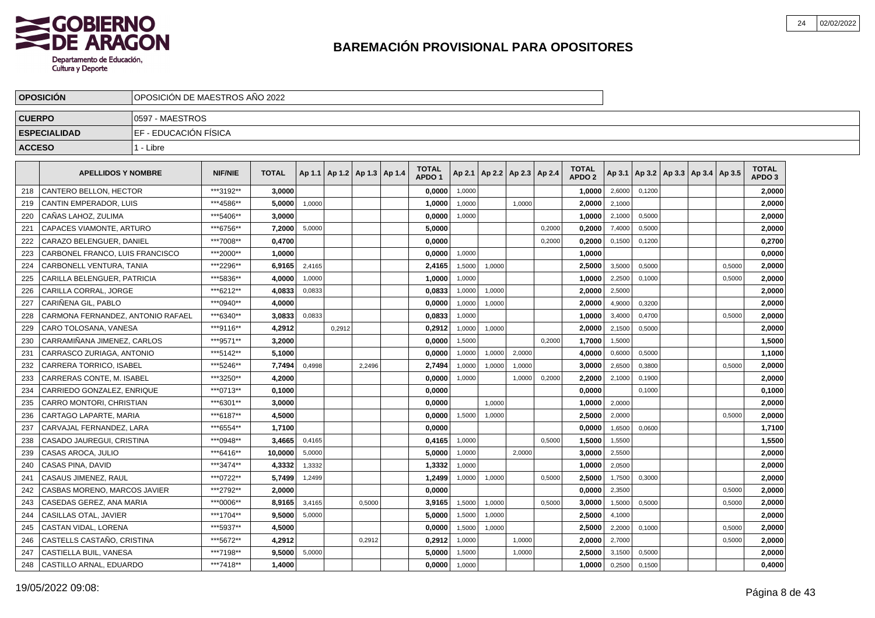

|               | <b>OPOSICION</b>                  | OPOSICION DE MAESTROS ANO 2022 |                |              |        |        |                                   |                                   |        |        |                                   |        |                                   |        |        |                                   |        |                                   |  |
|---------------|-----------------------------------|--------------------------------|----------------|--------------|--------|--------|-----------------------------------|-----------------------------------|--------|--------|-----------------------------------|--------|-----------------------------------|--------|--------|-----------------------------------|--------|-----------------------------------|--|
| <b>CUERPO</b> |                                   | 0597 - MAESTROS                |                |              |        |        |                                   |                                   |        |        |                                   |        |                                   |        |        |                                   |        |                                   |  |
|               | <b>ESPECIALIDAD</b>               | EF - EDUCACIÓN FÍSICA          |                |              |        |        |                                   |                                   |        |        |                                   |        |                                   |        |        |                                   |        |                                   |  |
| <b>ACCESO</b> |                                   | 1 - Libre                      |                |              |        |        |                                   |                                   |        |        |                                   |        |                                   |        |        |                                   |        |                                   |  |
|               | <b>APELLIDOS Y NOMBRE</b>         |                                | <b>NIF/NIE</b> | <b>TOTAL</b> |        |        | Ap 1.1   Ap 1.2   Ap 1.3   Ap 1.4 | <b>TOTAL</b><br>APDO <sub>1</sub> |        |        | Ap 2.1   Ap 2.2   Ap 2.3   Ap 2.4 |        | <b>TOTAL</b><br>APDO <sub>2</sub> | Ap 3.1 |        | Ap 3.2   Ap 3.3   Ap 3.4   Ap 3.5 |        | <b>TOTAL</b><br>APDO <sub>3</sub> |  |
| 218           | CANTERO BELLON, HECTOR            |                                | ***3192**      | 3,0000       |        |        |                                   | 0,0000                            | 1,0000 |        |                                   |        | 1,0000                            | 2,6000 | 0,1200 |                                   |        | 2,0000                            |  |
| 219           | CANTIN EMPERADOR, LUIS            |                                | ***4586**      | 5,0000       | 1,0000 |        |                                   | 1,0000                            | 1,0000 |        | 1,0000                            |        | 2,0000                            | 2,1000 |        |                                   |        | 2,0000                            |  |
| 220           | CAÑAS LAHOZ. ZULIMA               |                                | ***5406**      | 3.0000       |        |        |                                   | 0.0000                            | 1,0000 |        |                                   |        | 1.0000                            | 2,1000 | 0,5000 |                                   |        | 2.0000                            |  |
| 221           | <b>CAPACES VIAMONTE, ARTURO</b>   |                                | ***6756**      | 7.2000       | 5,0000 |        |                                   | 5.0000                            |        |        |                                   | 0,2000 | 0,2000                            | 7,4000 | 0,5000 |                                   |        | 2.0000                            |  |
| 222           | CARAZO BELENGUER, DANIEL          |                                | ***7008**      | 0.4700       |        |        |                                   | 0.0000                            |        |        |                                   | 0,2000 | 0,2000                            | 0,1500 | 0,1200 |                                   |        | 0,2700                            |  |
| 223           | CARBONEL FRANCO, LUIS FRANCISCO   |                                | ***2000**      | 1.0000       |        |        |                                   | 0,0000                            | 1,0000 |        |                                   |        | 1.0000                            |        |        |                                   |        | 0,0000                            |  |
| 224           | <b>CARBONELL VENTURA, TANIA</b>   |                                | ***2296**      | 6,9165       | 2,4165 |        |                                   | 2,4165                            | 1,5000 | 1,0000 |                                   |        | 2,5000                            | 3,5000 | 0,5000 |                                   | 0,5000 | 2,0000                            |  |
| 225           | CARILLA BELENGUER, PATRICIA       |                                | ***5836**      | 4,0000       | 1,0000 |        |                                   | 1,0000                            | 1,0000 |        |                                   |        | 1,0000                            | 2,2500 | 0,1000 |                                   | 0,5000 | 2,0000                            |  |
| 226           | CARILLA CORRAL, JORGE             |                                | ***6212**      | 4,0833       | 0,0833 |        |                                   | 0,0833                            | 1,0000 | 1,0000 |                                   |        | 2,0000                            | 2,5000 |        |                                   |        | 2,0000                            |  |
| 227           | CARIÑENA GIL. PABLO               |                                | ***0940**      | 4,0000       |        |        |                                   | 0,0000                            | 1,0000 | 1,0000 |                                   |        | 2,0000                            | 4,9000 | 0,3200 |                                   |        | 2,0000                            |  |
| 228           | CARMONA FERNANDEZ, ANTONIO RAFAEL |                                | ***6340**      | 3,0833       | 0.0833 |        |                                   | 0,0833                            | 1.0000 |        |                                   |        | 1.0000                            | 3,4000 | 0,4700 |                                   | 0,5000 | 2,0000                            |  |
| 229           | CARO TOLOSANA, VANESA             |                                | ***9116**      | 4,2912       |        | 0.2912 |                                   | 0,2912                            | 1,0000 | 1,0000 |                                   |        | 2,0000                            | 2,1500 | 0,5000 |                                   |        | 2,0000                            |  |
| 230           | CARRAMIÑANA JIMENEZ, CARLOS       |                                | ***9571**      | 3,2000       |        |        |                                   | 0.0000                            | 1,5000 |        |                                   | 0.2000 | 1,7000                            | 1,5000 |        |                                   |        | 1,5000                            |  |
| 231           | CARRASCO ZURIAGA, ANTONIO         |                                | ***5142**      | 5.1000       |        |        |                                   | 0,0000                            | 1,0000 | 1,0000 | 2,0000                            |        | 4,0000                            | 0,6000 | 0,5000 |                                   |        | 1,1000                            |  |
| 232           | <b>CARRERA TORRICO. ISABEL</b>    |                                | ***5246**      | 7.7494       | 0,4998 |        | 2,2496                            | 2,7494                            | 1,0000 | 1,0000 | 1,0000                            |        | 3.0000                            | 2,6500 | 0,3800 |                                   | 0,5000 | 2,0000                            |  |
| 233           | CARRERAS CONTE. M. ISABEL         |                                | ***3250**      | 4,2000       |        |        |                                   | 0,0000                            | 1,0000 |        | 1,0000                            | 0,2000 | 2,2000                            | 2,1000 | 0,1900 |                                   |        | 2,0000                            |  |
| 234           | CARRIEDO GONZALEZ. ENRIQUE        |                                | ***0713**      | 0,1000       |        |        |                                   | 0,0000                            |        |        |                                   |        | 0,0000                            |        | 0,1000 |                                   |        | 0,1000                            |  |
| 235           | CARRO MONTORI, CHRISTIAN          |                                | ***6301**      | 3,0000       |        |        |                                   | 0,0000                            |        | 1,0000 |                                   |        | 1,0000                            | 2,0000 |        |                                   |        | 2,0000                            |  |
| 236           | CARTAGO LAPARTE, MARIA            |                                | ***6187**      | 4,5000       |        |        |                                   | 0,0000                            | 1,5000 | 1,0000 |                                   |        | 2,5000                            | 2,0000 |        |                                   | 0,5000 | 2,0000                            |  |
| 237           | CARVAJAL FERNANDEZ, LARA          |                                | ***6554**      | 1.7100       |        |        |                                   | 0,0000                            |        |        |                                   |        | 0.0000                            | 1,6500 | 0.0600 |                                   |        | 1,7100                            |  |
| 238           | CASADO JAUREGUI, CRISTINA         |                                | ***0948**      | 3.4665       | 0.4165 |        |                                   | 0.4165                            | 1,0000 |        |                                   | 0.5000 | 1,5000                            | 1,5500 |        |                                   |        | 1,5500                            |  |
| 239           | CASAS AROCA, JULIO                |                                | ***6416**      | 10.0000      | 5,0000 |        |                                   | 5.0000                            | 1,0000 |        | 2,0000                            |        | 3,0000                            | 2,5500 |        |                                   |        | 2.0000                            |  |
| 240           | CASAS PINA, DAVID                 |                                | ***3474**      | 4,3332       | 1,3332 |        |                                   | 1,3332                            | 1,0000 |        |                                   |        | 1.0000                            | 2,0500 |        |                                   |        | 2,0000                            |  |
| 241           | CASAUS JIMENEZ, RAUL              |                                | ***0722**      | 5,7499       | 1,2499 |        |                                   | 1,2499                            | 1,0000 | 1,0000 |                                   | 0,5000 | 2,5000                            | 1,7500 | 0,3000 |                                   |        | 2,0000                            |  |
| 242           | CASBAS MORENO, MARCOS JAVIER      |                                | ***2792**      | 2,0000       |        |        |                                   | 0,0000                            |        |        |                                   |        | 0,0000                            | 2,3500 |        |                                   | 0,5000 | 2,0000                            |  |
| 243           | CASEDAS GEREZ. ANA MARIA          |                                | ***0006**      | 8,9165       | 3,4165 |        | 0,5000                            | 3,9165                            | 1,5000 | 1,0000 |                                   | 0,5000 | 3,0000                            | 1,5000 | 0,5000 |                                   | 0,5000 | 2,0000                            |  |
| 244           | CASILLAS OTAL, JAVIER             |                                | ***1704**      | 9,5000       | 5,0000 |        |                                   | 5,0000                            | 1,5000 | 1,0000 |                                   |        | 2,5000                            | 4,1000 |        |                                   |        | 2,0000                            |  |
| 245           | CASTAN VIDAL, LORENA              |                                | ***5937**      | 4,5000       |        |        |                                   | 0,0000                            | 1,5000 | 1,0000 |                                   |        | 2,5000                            | 2,2000 | 0.1000 |                                   | 0,5000 | 2,0000                            |  |
| 246           | CASTELLS CASTAÑO, CRISTINA        |                                | ***5672**      | 4,2912       |        |        | 0,2912                            | 0,2912                            | 1,0000 |        | 1.0000                            |        | 2,0000                            | 2,7000 |        |                                   | 0,5000 | 2,0000                            |  |
| 247           | CASTIELLA BUIL. VANESA            |                                | ***7198**      | 9,5000       | 5,0000 |        |                                   | 5,0000                            | 1,5000 |        | 1,0000                            |        | 2.5000                            | 3,1500 | 0,5000 |                                   |        | 2,0000                            |  |
| 248           | CASTILLO ARNAL, EDUARDO           |                                | ***7418**      | 1.4000       |        |        |                                   | 0,0000                            | 1,0000 |        |                                   |        | 1,0000                            | 0,2500 | 0,1500 |                                   |        | 0,4000                            |  |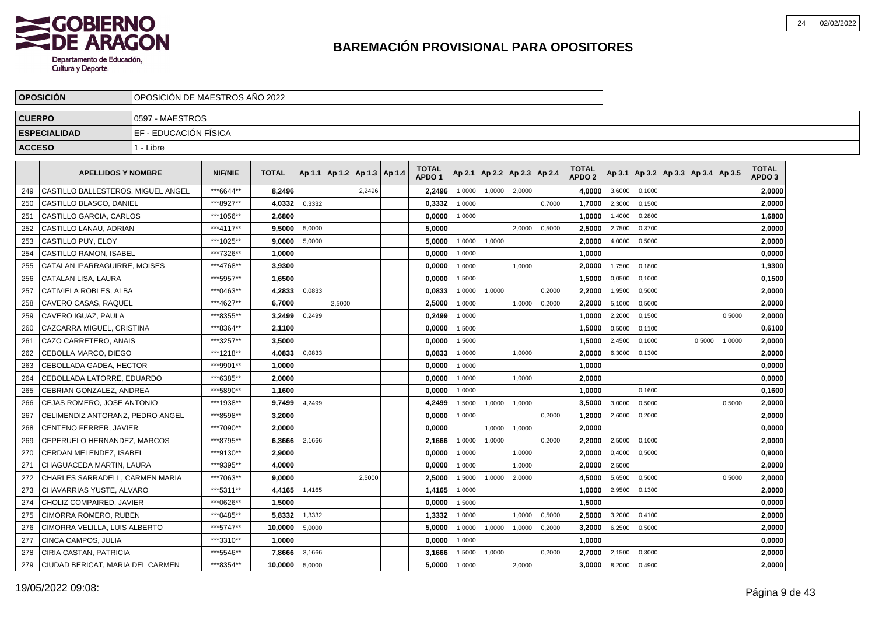

|               | <b>OPOSICION</b>                   | IOPOSICION DE MAESTROS ANO 2022 |                |              |        |                                   |        |  |                                   |        |                          |        |        |                                   |        |        |                                   |        |                            |  |
|---------------|------------------------------------|---------------------------------|----------------|--------------|--------|-----------------------------------|--------|--|-----------------------------------|--------|--------------------------|--------|--------|-----------------------------------|--------|--------|-----------------------------------|--------|----------------------------|--|
| <b>CUERPO</b> |                                    | 10597 - MAESTROS                |                |              |        |                                   |        |  |                                   |        |                          |        |        |                                   |        |        |                                   |        |                            |  |
|               | <b>ESPECIALIDAD</b>                | IEF - EDUCACIÓN FÍSICA          |                |              |        |                                   |        |  |                                   |        |                          |        |        |                                   |        |        |                                   |        |                            |  |
| <b>ACCESO</b> |                                    | 1 - Libre                       |                |              |        |                                   |        |  |                                   |        |                          |        |        |                                   |        |        |                                   |        |                            |  |
|               |                                    |                                 |                |              |        |                                   |        |  |                                   |        |                          |        |        |                                   |        |        |                                   |        |                            |  |
|               | <b>APELLIDOS Y NOMBRE</b>          |                                 | <b>NIF/NIE</b> | <b>TOTAL</b> |        | Ap 1.1   Ap 1.2   Ap 1.3   Ap 1.4 |        |  | <b>TOTAL</b><br>APDO <sub>1</sub> | Ap 2.1 | Ap 2.2   Ap 2.3   Ap 2.4 |        |        | <b>TOTAL</b><br>APDO <sub>2</sub> | Ap 3.1 |        | Ap 3.2   Ap 3.3   Ap 3.4   Ap 3.5 |        | TOTAL<br>APDO <sub>3</sub> |  |
| 249           | CASTILLO BALLESTEROS. MIGUEL ANGEL |                                 | ***6644**      | 8.2496       |        |                                   | 2.2496 |  | 2.2496                            | 1.0000 | 1.0000                   | 2.0000 |        | 4.0000                            | 3,6000 | 0.1000 |                                   |        | 2.0000                     |  |
| 250           | CASTILLO BLASCO, DANIEL            |                                 | ***8927**      | 4,0332       | 0,3332 |                                   |        |  | 0,3332                            | 1.0000 |                          |        | 0.7000 | 1,7000                            | 2,3000 | 0.1500 |                                   |        | 2,0000                     |  |
| 251           | CASTILLO GARCIA, CARLOS            |                                 | ***1056**      | 2.6800       |        |                                   |        |  | 0,0000                            | 1,0000 |                          |        |        | 1.0000                            | 1,4000 | 0.2800 |                                   |        | 1,6800                     |  |
| 252           | CASTILLO LANAU, ADRIAN             |                                 | ***4117**      | 9.5000       | 5,0000 |                                   |        |  | 5.0000                            |        |                          | 2,0000 | 0,5000 | 2,5000                            | 2,7500 | 0,3700 |                                   |        | 2,0000                     |  |
| 253           | CASTILLO PUY, ELOY                 |                                 | ***1025**      | 9,0000       | 5,0000 |                                   |        |  | 5,0000                            | 1,0000 | 1,0000                   |        |        | 2,0000                            | 4,0000 | 0,5000 |                                   |        | 2,0000                     |  |
| 254           | CASTILLO RAMON, ISABEL             |                                 | ***7326**      | 1,0000       |        |                                   |        |  | 0,0000                            | 1,0000 |                          |        |        | 1,0000                            |        |        |                                   |        | 0,0000                     |  |
| 255           | CATALAN IPARRAGUIRRE, MOISES       |                                 | ***4768**      | 3,9300       |        |                                   |        |  | 0,0000                            | 1,0000 |                          | 1,0000 |        | 2,0000                            | 1,7500 | 0,1800 |                                   |        | 1,9300                     |  |
| 256           | CATALAN LISA, LAURA                |                                 | ***5957**      | 1,6500       |        |                                   |        |  | 0.0000                            | 1,5000 |                          |        |        | 1.5000                            | 0,0500 | 0.1000 |                                   |        | 0,1500                     |  |
| 257           | CATIVIELA ROBLES. ALBA             |                                 | ***0463**      | 4,2833       | 0.0833 |                                   |        |  | 0.0833                            | 1,0000 | 1,0000                   |        | 0,2000 | 2,2000                            | 1,9500 | 0,5000 |                                   |        | 2,0000                     |  |
| 258           | CAVERO CASAS, RAQUEL               |                                 | ***4627**      | 6,7000       |        | 2,5000                            |        |  | 2,5000                            | 1,0000 |                          | 1,0000 | 0,2000 | 2,2000                            | 5,1000 | 0,5000 |                                   |        | 2,0000                     |  |
| 259           | CAVERO IGUAZ, PAULA                |                                 | ***8355**      | 3,2499       | 0,2499 |                                   |        |  | 0,2499                            | 1,0000 |                          |        |        | 1,0000                            | 2,2000 | 0,1500 |                                   | 0,5000 | 2,0000                     |  |
| 260           | CAZCARRA MIGUEL, CRISTINA          |                                 | ***8364**      | 2,1100       |        |                                   |        |  | 0,0000                            | 1,5000 |                          |        |        | 1,5000                            | 0,5000 | 0,1100 |                                   |        | 0,6100                     |  |
| 261           | CAZO CARRETERO, ANAIS              |                                 | ***3257**      | 3,5000       |        |                                   |        |  | 0,0000                            | 1,5000 |                          |        |        | 1,5000                            | 2,4500 | 0,1000 | 0,5000                            | 1,0000 | 2,0000                     |  |
| 262           | CEBOLLA MARCO, DIEGO               |                                 | ***1218**      | 4,0833       | 0,0833 |                                   |        |  | 0,0833                            | 1,0000 |                          | 1,0000 |        | 2,0000                            | 6,3000 | 0,1300 |                                   |        | 2,0000                     |  |
| 263           | CEBOLLADA GADEA, HECTOR            |                                 | ***9901**      | 1.0000       |        |                                   |        |  | 0.0000                            | 1,0000 |                          |        |        | 1.0000                            |        |        |                                   |        | 0,0000                     |  |
| 264           | CEBOLLADA LATORRE. EDUARDO         |                                 | ***6385**      | 2.0000       |        |                                   |        |  | 0.0000                            | 1,0000 |                          | 1,0000 |        | 2,0000                            |        |        |                                   |        | 0,0000                     |  |
| 265           | CEBRIAN GONZALEZ, ANDREA           |                                 | ***5890**      | 1,1600       |        |                                   |        |  | 0.0000                            | 1,0000 |                          |        |        | 1,0000                            |        | 0.1600 |                                   |        | 0,1600                     |  |
| 266           | CEJAS ROMERO, JOSE ANTONIO         |                                 | ***1938**      | 9.7499       | 4,2499 |                                   |        |  | 4,2499                            | 1,5000 | 1,0000                   | 1,0000 |        | 3.5000                            | 3,0000 | 0,5000 |                                   | 0,5000 | 2,0000                     |  |
| 267           | CELIMENDIZ ANTORANZ, PEDRO ANGEL   |                                 | ***8598**      | 3,2000       |        |                                   |        |  | 0,0000                            | 1,0000 |                          |        | 0,2000 | 1,2000                            | 2,6000 | 0,2000 |                                   |        | 2,0000                     |  |
| 268           | CENTENO FERRER, JAVIER             |                                 | ***7090**      | 2.0000       |        |                                   |        |  | 0,0000                            |        | 1,0000                   | 1,0000 |        | 2,0000                            |        |        |                                   |        | 0,0000                     |  |
| 269           | CEPERUELO HERNANDEZ, MARCOS        |                                 | ***8795**      | 6,3666       | 2,1666 |                                   |        |  | 2,1666                            | 1,0000 | 1,0000                   |        | 0,2000 | 2,2000                            | 2,5000 | 0,1000 |                                   |        | 2,0000                     |  |
| 270           | CERDAN MELENDEZ. ISABEL            |                                 | ***9130**      | 2.9000       |        |                                   |        |  | 0.0000                            | 1.0000 |                          | 1.0000 |        | 2.0000                            | 0,4000 | 0.5000 |                                   |        | 0.9000                     |  |
| 271           | CHAGUACEDA MARTIN, LAURA           |                                 | ***9395**      | 4.0000       |        |                                   |        |  | 0.0000                            | 1,0000 |                          | 1,0000 |        | 2.0000                            | 2,5000 |        |                                   |        | 2.0000                     |  |
| 272           | CHARLES SARRADELL, CARMEN MARIA    |                                 | ***7063**      | 9.0000       |        |                                   | 2,5000 |  | 2,5000                            | 1,5000 | 1,0000                   | 2,0000 |        | 4.5000                            | 5,6500 | 0,5000 |                                   | 0,5000 | 2,0000                     |  |
| 273           | CHAVARRIAS YUSTE, ALVARO           |                                 | ***5311**      | 4,4165       | 1,4165 |                                   |        |  | 1,4165                            | 1,0000 |                          |        |        | 1,0000                            | 2,9500 | 0,1300 |                                   |        | 2,0000                     |  |
| 274           | CHOLIZ COMPAIRED, JAVIER           |                                 | ***0626**      | 1,5000       |        |                                   |        |  | 0,0000                            | 1,5000 |                          |        |        | 1,5000                            |        |        |                                   |        | 0,0000                     |  |
| 275           | CIMORRA ROMERO, RUBEN              |                                 | ***0485**      | 5,8332       | 1,3332 |                                   |        |  | 1,3332                            | 1,0000 |                          | 1,0000 | 0,5000 | 2,5000                            | 3,2000 | 0,4100 |                                   |        | 2,0000                     |  |
| 276           | CIMORRA VELILLA, LUIS ALBERTO      |                                 | ***5747**      | 10,0000      | 5,0000 |                                   |        |  | 5,0000                            | 1,0000 | 1,0000                   | 1,0000 | 0,2000 | 3,2000                            | 6,2500 | 0,5000 |                                   |        | 2,0000                     |  |
| 277           | CINCA CAMPOS, JULIA                |                                 | ***3310**      | 1.0000       |        |                                   |        |  | 0.0000                            | 1,0000 |                          |        |        | 1.0000                            |        |        |                                   |        | 0,0000                     |  |
| 278           | CIRIA CASTAN, PATRICIA             |                                 | ***5546**      | 7,8666       | 3,1666 |                                   |        |  | 3,1666                            | 1,5000 | 1,0000                   |        | 0,2000 | 2,7000                            | 2,1500 | 0,3000 |                                   |        | 2,0000                     |  |
| 279           | CIUDAD BERICAT, MARIA DEL CARMEN   |                                 | ***8354**      | 10.0000      | 5,0000 |                                   |        |  | 5.0000                            | 1,0000 |                          | 2,0000 |        | 3,0000                            | 8,2000 | 0,4900 |                                   |        | 2.0000                     |  |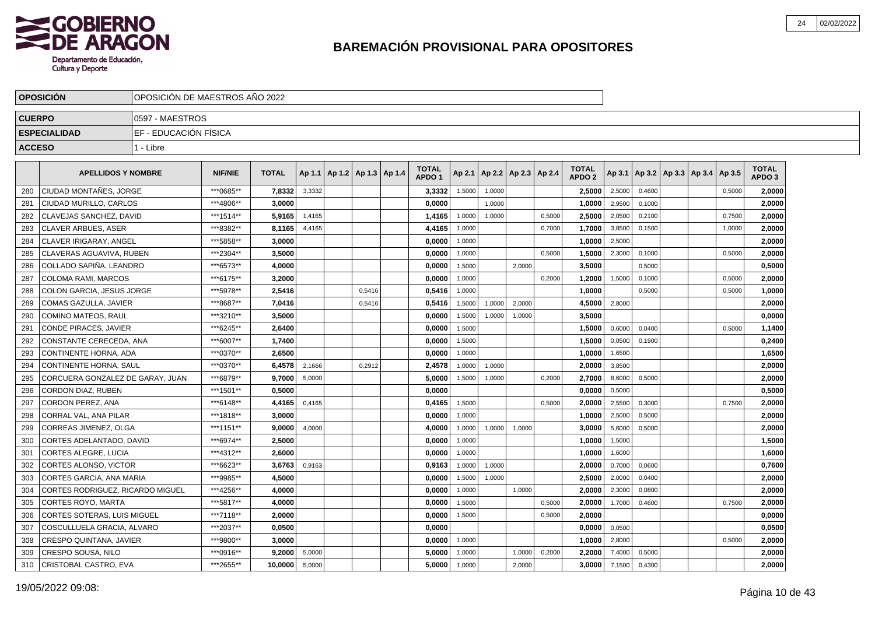

|               | <b>OPOSICIÓN</b>                   |                        | OPOSICIÓN DE MAESTROS AÑO 2022 |              |        |  |                                   |  |                                   |        |        |                          |        |                                   |        |        |                                            |        |                                   |  |
|---------------|------------------------------------|------------------------|--------------------------------|--------------|--------|--|-----------------------------------|--|-----------------------------------|--------|--------|--------------------------|--------|-----------------------------------|--------|--------|--------------------------------------------|--------|-----------------------------------|--|
| <b>CUERPO</b> |                                    | 0597 - MAESTROS        |                                |              |        |  |                                   |  |                                   |        |        |                          |        |                                   |        |        |                                            |        |                                   |  |
|               | <b>ESPECIALIDAD</b>                | IEF - EDUCACIÓN FÍSICA |                                |              |        |  |                                   |  |                                   |        |        |                          |        |                                   |        |        |                                            |        |                                   |  |
| <b>ACCESO</b> |                                    | 1 - Libre              |                                |              |        |  |                                   |  |                                   |        |        |                          |        |                                   |        |        |                                            |        |                                   |  |
|               | <b>APELLIDOS Y NOMBRE</b>          |                        | <b>NIF/NIE</b>                 | <b>TOTAL</b> |        |  | Ap 1.1   Ap 1.2   Ap 1.3   Ap 1.4 |  | <b>TOTAL</b><br>APDO <sub>1</sub> | Ap 2.1 |        | Ap 2.2   Ap 2.3   Ap 2.4 |        | <b>TOTAL</b><br>APDO <sub>2</sub> |        |        | Ap 3.1   Ap 3.2   Ap 3.3   Ap 3.4   Ap 3.5 |        | <b>TOTAL</b><br>APDO <sub>3</sub> |  |
| 280           | CIUDAD MONTAÑES, JORGE             |                        | ***0685**                      | 7,8332       | 3,3332 |  |                                   |  | 3,3332                            | 1,5000 | 1,0000 |                          |        | 2,5000                            | 2,5000 | 0.4600 |                                            | 0.5000 | 2,0000                            |  |
| 281           | CIUDAD MURILLO, CARLOS             |                        | ***4806**                      | 3,0000       |        |  |                                   |  | 0,0000                            |        | 1,0000 |                          |        | 1,0000                            | 2,9500 | 0,1000 |                                            |        | 2,0000                            |  |
| 282           | CLAVEJAS SANCHEZ, DAVID            |                        | *** 1514**                     | 5,9165       | 1,4165 |  |                                   |  | 1,4165                            | 1,0000 | 1,0000 |                          | 0,5000 | 2,5000                            | 2,0500 | 0,2100 |                                            | 0,7500 | 2,0000                            |  |
| 283           | <b>CLAVER ARBUES, ASER</b>         |                        | ***8382**                      | 8,1165       | 4,4165 |  |                                   |  | 4,4165                            | 1,0000 |        |                          | 0,7000 | 1,7000                            | 3,8500 | 0,1500 |                                            | 1,0000 | 2,0000                            |  |
| 284           | CLAVER IRIGARAY, ANGEL             |                        | ***5858**                      | 3,0000       |        |  |                                   |  | 0,0000                            | 1,0000 |        |                          |        | 1,0000                            | 2,5000 |        |                                            |        | 2,0000                            |  |
| 285           | CLAVERAS AGUAVIVA. RUBEN           |                        | ***2304**                      | 3.5000       |        |  |                                   |  | 0,0000                            | 1,0000 |        |                          | 0,5000 | 1.5000                            | 2,3000 | 0,1000 |                                            | 0,5000 | 2,0000                            |  |
| 286           | COLLADO SAPIÑA. LEANDRO            |                        | ***6573**                      | 4.0000       |        |  |                                   |  | 0,0000                            | 1,5000 |        | 2.0000                   |        | 3.5000                            |        | 0,5000 |                                            |        | 0,5000                            |  |
| 287           | COLOMA RAMI. MARCOS                |                        | ***6175**                      | 3.2000       |        |  |                                   |  | 0.0000                            | 1.0000 |        |                          | 0.2000 | 1.2000                            | 1,5000 | 0.1000 |                                            | 0.5000 | 2,0000                            |  |
| 288           | COLON GARCIA, JESUS JORGE          |                        | ***5978**                      | 2,5416       |        |  | 0,5416                            |  | 0,5416                            | 1,0000 |        |                          |        | 1,0000                            |        | 0,5000 |                                            | 0,5000 | 1,0000                            |  |
| 289           | COMAS GAZULLA, JAVIER              |                        | ***8687**                      | 7,0416       |        |  | 0,5416                            |  | 0,5416                            | 1,5000 | 1,0000 | 2,0000                   |        | 4,5000                            | 2,8000 |        |                                            |        | 2,0000                            |  |
| 290           | COMINO MATEOS, RAUL                |                        | ***3210**                      | 3.5000       |        |  |                                   |  | 0,0000                            | 1,5000 | 1,0000 | 1,0000                   |        | 3,5000                            |        |        |                                            |        | 0,0000                            |  |
| 291           | CONDE PIRACES. JAVIER              |                        | ***6245**                      | 2.6400       |        |  |                                   |  | 0,0000                            | 1,5000 |        |                          |        | 1.5000                            | 0,6000 | 0,0400 |                                            | 0,5000 | 1,1400                            |  |
| 292           | CONSTANTE CERECEDA. ANA            |                        | ***6007**                      | 1.7400       |        |  |                                   |  | 0,0000                            | 1,5000 |        |                          |        | 1.5000                            | 0,0500 | 0,1900 |                                            |        | 0,2400                            |  |
| 293           | <b>CONTINENTE HORNA, ADA</b>       |                        | ***0370**                      | 2.6500       |        |  |                                   |  | 0,0000                            | 1.0000 |        |                          |        | 1.0000                            | 1,6500 |        |                                            |        | 1,6500                            |  |
| 294           | <b>CONTINENTE HORNA, SAUL</b>      |                        | ***0370**                      | 6,4578       | 2,1666 |  | 0,2912                            |  | 2,4578                            | 1,0000 | 1,0000 |                          |        | 2,0000                            | 3,8500 |        |                                            |        | 2,0000                            |  |
| 295           | CORCUERA GONZALEZ DE GARAY, JUAN   |                        | ***6879**                      | 9,7000       | 5,0000 |  |                                   |  | 5,0000                            | 1,5000 | 1,0000 |                          | 0,2000 | 2,7000                            | 8,6000 | 0,5000 |                                            |        | 2,0000                            |  |
| 296           | CORDON DIAZ, RUBEN                 |                        | ***1501**                      | 0.5000       |        |  |                                   |  | 0,0000                            |        |        |                          |        | 0,0000                            | 0,5000 |        |                                            |        | 0,5000                            |  |
| 297           | CORDON PEREZ, ANA                  |                        | ***6148**                      | 4,4165       | 0,4165 |  |                                   |  | 0,4165                            | 1,5000 |        |                          | 0.5000 | 2,0000                            | 2,5500 | 0.3000 |                                            | 0,7500 | 2,0000                            |  |
| 298           | CORRAL VAL. ANA PILAR              |                        | ***1818**                      | 3.0000       |        |  |                                   |  | 0,0000                            | 1,0000 |        |                          |        | 1.0000                            | 2,5000 | 0,5000 |                                            |        | 2,0000                            |  |
| 299           | CORREAS JIMENEZ. OLGA              |                        | ***1151**                      | 9.0000       | 4,0000 |  |                                   |  | 4.0000                            | 1,0000 | 1,0000 | 1,0000                   |        | 3.0000                            | 5,6000 | 0,5000 |                                            |        | 2,0000                            |  |
| 300           | CORTES ADELANTADO, DAVID           |                        | ***6974**                      | 2,5000       |        |  |                                   |  | 0,0000                            | 1.0000 |        |                          |        | 1,0000                            | 1,5000 |        |                                            |        | 1,5000                            |  |
| 301           | CORTES ALEGRE, LUCIA               |                        | ***4312**                      | 2.6000       |        |  |                                   |  | 0,0000                            | 1,0000 |        |                          |        | 1,0000                            | 1,6000 |        |                                            |        | 1,6000                            |  |
| 302           | CORTES ALONSO, VICTOR              |                        | ***6623**                      | 3,6763       | 0,9163 |  |                                   |  | 0,9163                            | 1,0000 | 1,0000 |                          |        | 2,0000                            | 0,7000 | 0,0600 |                                            |        | 0,7600                            |  |
| 303           | CORTES GARCIA, ANA MARIA           |                        | ***9985**                      | 4.5000       |        |  |                                   |  | 0,0000                            | 1,5000 | 1,0000 |                          |        | 2.5000                            | 2,0000 | 0,0400 |                                            |        | 2,0000                            |  |
| 304           | CORTES RODRIGUEZ, RICARDO MIGUEL   |                        | ***4256**                      | 4.0000       |        |  |                                   |  | 0,0000                            | 1,0000 |        | 1.0000                   |        | 2.0000                            | 2,3000 | 0.0800 |                                            |        | 2,0000                            |  |
| 305           | <b>CORTES ROYO, MARTA</b>          |                        | ***5817**                      | 4.0000       |        |  |                                   |  | 0,0000                            | 1,5000 |        |                          | 0,5000 | 2.0000                            | 1,7000 | 0,4600 |                                            | 0,7500 | 2,0000                            |  |
| 306           | <b>CORTES SOTERAS. LUIS MIGUEL</b> |                        | ***7118**                      | 2.0000       |        |  |                                   |  | 0.0000                            | 1,5000 |        |                          | 0,5000 | 2.0000                            |        |        |                                            |        | 0,0000                            |  |
| 307           | COSCULLUELA GRACIA, ALVARO         |                        | ***2037**                      | 0,0500       |        |  |                                   |  | 0,0000                            |        |        |                          |        | 0,0000                            | 0,0500 |        |                                            |        | 0,0500                            |  |
| 308           | <b>CRESPO QUINTANA, JAVIER</b>     |                        | ***9800**                      | 3,0000       |        |  |                                   |  | 0,0000                            | 1,0000 |        |                          |        | 1,0000                            | 2,8000 |        |                                            | 0,5000 | 2,0000                            |  |
| 309           | CRESPO SOUSA, NILO                 |                        | ***0916**                      | 9,2000       | 5,0000 |  |                                   |  | 5,0000                            | 1,0000 |        | 1,0000                   | 0,2000 | 2,2000                            | 7,4000 | 0,5000 |                                            |        | 2,0000                            |  |
| 310           | CRISTOBAL CASTRO, EVA              |                        | ***2655**                      | 10,0000      | 5,0000 |  |                                   |  | 5,0000                            | 1,0000 |        | 2,0000                   |        | 3,0000                            | 7,1500 | 0,4300 |                                            |        | 2,0000                            |  |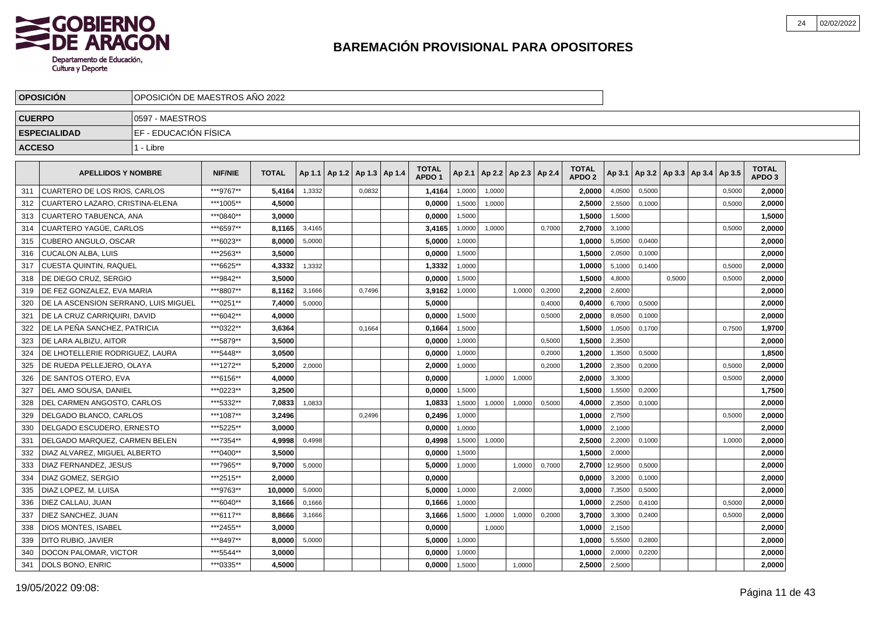

|               | <b>OPOSICIÓN</b>                     |                       | OPOSICIÓN DE MAESTROS AÑO 2022 |              |        |                                   |        |  |                                   |        |        |        |                          |                                   |         |        |        |                                   |                                   |  |
|---------------|--------------------------------------|-----------------------|--------------------------------|--------------|--------|-----------------------------------|--------|--|-----------------------------------|--------|--------|--------|--------------------------|-----------------------------------|---------|--------|--------|-----------------------------------|-----------------------------------|--|
| <b>CUERPO</b> |                                      | 0597 - MAESTROS       |                                |              |        |                                   |        |  |                                   |        |        |        |                          |                                   |         |        |        |                                   |                                   |  |
|               | <b>ESPECIALIDAD</b>                  | EF - EDUCACIÓN FÍSICA |                                |              |        |                                   |        |  |                                   |        |        |        |                          |                                   |         |        |        |                                   |                                   |  |
| <b>ACCESO</b> |                                      | 1 - Libre             |                                |              |        |                                   |        |  |                                   |        |        |        |                          |                                   |         |        |        |                                   |                                   |  |
|               | <b>APELLIDOS Y NOMBRE</b>            |                       | <b>NIF/NIE</b>                 | <b>TOTAL</b> |        | Ap 1.1   Ap 1.2   Ap 1.3   Ap 1.4 |        |  | <b>TOTAL</b><br>APDO <sub>1</sub> | Ap 2.1 |        |        | Ap 2.2   Ap 2.3   Ap 2.4 | <b>TOTAL</b><br>APDO <sub>2</sub> | Ap 3.1  |        |        | Ap 3.2   Ap 3.3   Ap 3.4   Ap 3.5 | <b>TOTAL</b><br>APDO <sub>3</sub> |  |
| 311           | <b>CUARTERO DE LOS RIOS, CARLOS</b>  |                       | ***9767**                      | 5,4164       | 1,3332 |                                   | 0,0832 |  | 1,4164                            | 1,0000 | 1,0000 |        |                          | 2,0000                            | 4,0500  | 0,5000 |        | 0,5000                            | 2,0000                            |  |
| 312           | CUARTERO LAZARO, CRISTINA-ELENA      |                       | ***1005**                      | 4,5000       |        |                                   |        |  | 0,0000                            | 1,5000 | 1,0000 |        |                          | 2,5000                            | 2,5500  | 0,1000 |        | 0,5000                            | 2,0000                            |  |
| 313           | CUARTERO TABUENCA, ANA               |                       | ***0840**                      | 3,0000       |        |                                   |        |  | 0,0000                            | 1,5000 |        |        |                          | 1,5000                            | 1,5000  |        |        |                                   | 1,5000                            |  |
| 314           | CUARTERO YAGÜE, CARLOS               |                       | ***6597**                      | 8,1165       | 3,4165 |                                   |        |  | 3,4165                            | 1,0000 | 1,0000 |        | 0.7000                   | 2,7000                            | 3,1000  |        |        | 0.5000                            | 2,0000                            |  |
| 315           | <b>CUBERO ANGULO, OSCAR</b>          |                       | ***6023**                      | 8.0000       | 5,0000 |                                   |        |  | 5.0000                            | 1,0000 |        |        |                          | 1.0000                            | 5,0500  | 0,0400 |        |                                   | 2,0000                            |  |
| 316           | CUCALON ALBA. LUIS                   |                       | ***2563**                      | 3.5000       |        |                                   |        |  | 0.0000                            | 1,5000 |        |        |                          | 1.5000                            | 2,0500  | 0,1000 |        |                                   | 2.0000                            |  |
| 317           | CUESTA QUINTIN, RAQUEL               |                       | ***6625**                      | 4,3332       | 1,3332 |                                   |        |  | 1,3332                            | 1,0000 |        |        |                          | 1,0000                            | 5,1000  | 0,1400 |        | 0,5000                            | 2,0000                            |  |
| 318           | DE DIEGO CRUZ. SERGIO                |                       | ***9842**                      | 3,5000       |        |                                   |        |  | 0,0000                            | 1,5000 |        |        |                          | 1,5000                            | 4,8000  |        | 0,5000 | 0,5000                            | 2,0000                            |  |
| 319           | DE FEZ GONZALEZ, EVA MARIA           |                       | ***8807**                      | 8,1162       | 3,1666 |                                   | 0,7496 |  | 3,9162                            | 1,0000 |        | 1.0000 | 0,2000                   | 2,2000                            | 2,6000  |        |        |                                   | 2,0000                            |  |
| 320           | DE LA ASCENSION SERRANO, LUIS MIGUEL |                       | ***0251**                      | 7.4000       | 5,0000 |                                   |        |  | 5.0000                            |        |        |        | 0,4000                   | 0.4000                            | 6,7000  | 0.5000 |        |                                   | 2,0000                            |  |
| 321           | DE LA CRUZ CARRIQUIRI. DAVID         |                       | ***6042**                      | 4.0000       |        |                                   |        |  | 0.0000                            | 1.5000 |        |        | 0.5000                   | 2.0000                            | 8,0500  | 0.1000 |        |                                   | 2,0000                            |  |
| 322           | DE LA PEÑA SANCHEZ, PATRICIA         |                       | ***0322**                      | 3,6364       |        |                                   | 0,1664 |  | 0,1664                            | 1,5000 |        |        |                          | 1,5000                            | 1,0500  | 0,1700 |        | 0,7500                            | 1,9700                            |  |
| 323           | DE LARA ALBIZU, AITOR                |                       | ***5879**                      | 3,5000       |        |                                   |        |  | 0,0000                            | 1,0000 |        |        | 0,5000                   | 1,5000                            | 2,3500  |        |        |                                   | 2,0000                            |  |
| 324           | DE LHOTELLERIE RODRIGUEZ. LAURA      |                       | *** 5448**                     | 3,0500       |        |                                   |        |  | 0,0000                            | 1,0000 |        |        | 0,2000                   | 1,2000                            | 1,3500  | 0,5000 |        |                                   | 1,8500                            |  |
| 325           | DE RUEDA PELLEJERO, OLAYA            |                       | ***1272**                      | 5,2000       | 2,0000 |                                   |        |  | 2,0000                            | 1,0000 |        |        | 0,2000                   | 1,2000                            | 2,3500  | 0,2000 |        | 0,5000                            | 2,0000                            |  |
| 326           | DE SANTOS OTERO. EVA                 |                       | ***6156**                      | 4.0000       |        |                                   |        |  | 0.0000                            |        | 1,0000 | 1,0000 |                          | 2.0000                            | 3,3000  |        |        | 0.5000                            | 2,0000                            |  |
| 327           | DEL AMO SOUSA, DANIEL                |                       | ***0223**                      | 3,2500       |        |                                   |        |  | 0,0000                            | 1.5000 |        |        |                          | 1,5000                            | 1,5500  | 0.2000 |        |                                   | 1,7500                            |  |
| 328           | DEL CARMEN ANGOSTO. CARLOS           |                       | ***5332**                      | 7,0833       | 1,0833 |                                   |        |  | 1,0833                            | 1,5000 | 1,0000 | 1,0000 | 0,5000                   | 4,0000                            | 2,3500  | 0,1000 |        |                                   | 2,0000                            |  |
| 329           | DELGADO BLANCO, CARLOS               |                       | ***1087**                      | 3,2496       |        |                                   | 0,2496 |  | 0,2496                            | 1,0000 |        |        |                          | 1,0000                            | 2,7500  |        |        | 0,5000                            | 2,0000                            |  |
| 330           | DELGADO ESCUDERO. ERNESTO            |                       | ***5225**                      | 3.0000       |        |                                   |        |  | 0,0000                            | 1,0000 |        |        |                          | 1.0000                            | 2,1000  |        |        |                                   | 2,0000                            |  |
| 331           | DELGADO MARQUEZ. CARMEN BELEN        |                       | ***7354**                      | 4.9998       | 0,4998 |                                   |        |  | 0.4998                            | 1.5000 | 1,0000 |        |                          | 2.5000                            | 2.2000  | 0.1000 |        | 1.0000                            | 2,0000                            |  |
| 332           | DIAZ ALVAREZ. MIGUEL ALBERTO         |                       | ***0400**                      | 3.5000       |        |                                   |        |  | 0.0000                            | 1,5000 |        |        |                          | 1.5000                            | 2,0000  |        |        |                                   | 2,0000                            |  |
| 333           | DIAZ FERNANDEZ, JESUS                |                       | ***7965**                      | 9,7000       | 5,0000 |                                   |        |  | 5,0000                            | 1,0000 |        | 1,0000 | 0,7000                   | 2,7000                            | 12,9500 | 0,5000 |        |                                   | 2,0000                            |  |
| 334           | DIAZ GOMEZ, SERGIO                   |                       | ***2515**                      | 2,0000       |        |                                   |        |  | 0,0000                            |        |        |        |                          | 0,0000                            | 3,2000  | 0,1000 |        |                                   | 2,0000                            |  |
| 335           | DIAZ LOPEZ, M. LUISA                 |                       | ***9763**                      | 10.0000      | 5,0000 |                                   |        |  | 5.0000                            | 1,0000 |        | 2,0000 |                          | 3,0000                            | 7,3500  | 0,5000 |        |                                   | 2,0000                            |  |
| 336           | DIEZ CALLAU, JUAN                    |                       | ***6040**                      | 3.1666       | 0,1666 |                                   |        |  | 0,1666                            | 1,0000 |        |        |                          | 1.0000                            | 2,2500  | 0,4100 |        | 0,5000                            | 2,0000                            |  |
| 337           | DIEZ SANCHEZ, JUAN                   |                       | ***6117**                      | 8.8666       | 3,1666 |                                   |        |  | 3,1666                            | 1,5000 | 1,0000 | 1.0000 | 0,2000                   | 3.7000                            | 3,3000  | 0.2400 |        | 0,5000                            | 2,0000                            |  |
| 338           | <b>DIOS MONTES, ISABEL</b>           |                       | ***2455**                      | 3.0000       |        |                                   |        |  | 0.0000                            |        | 1,0000 |        |                          | 1.0000                            | 2,1500  |        |        |                                   | 2,0000                            |  |
| 339           | DITO RUBIO, JAVIER                   |                       | ***8497**                      | 8,0000       | 5,0000 |                                   |        |  | 5,0000                            | 1,0000 |        |        |                          | 1,0000                            | 5,5500  | 0,2800 |        |                                   | 2,0000                            |  |
| 340           | DOCON PALOMAR, VICTOR                |                       | *** 5544**                     | 3,0000       |        |                                   |        |  | 0,0000                            | 1,0000 |        |        |                          | 1,0000                            | 2,0000  | 0,2200 |        |                                   | 2,0000                            |  |
| 341           | DOLS BONO, ENRIC                     |                       | ***0335**                      | 4.5000       |        |                                   |        |  | 0,0000                            | 1,5000 |        | 1,0000 |                          | 2,5000                            | 2,5000  |        |        |                                   | 2,0000                            |  |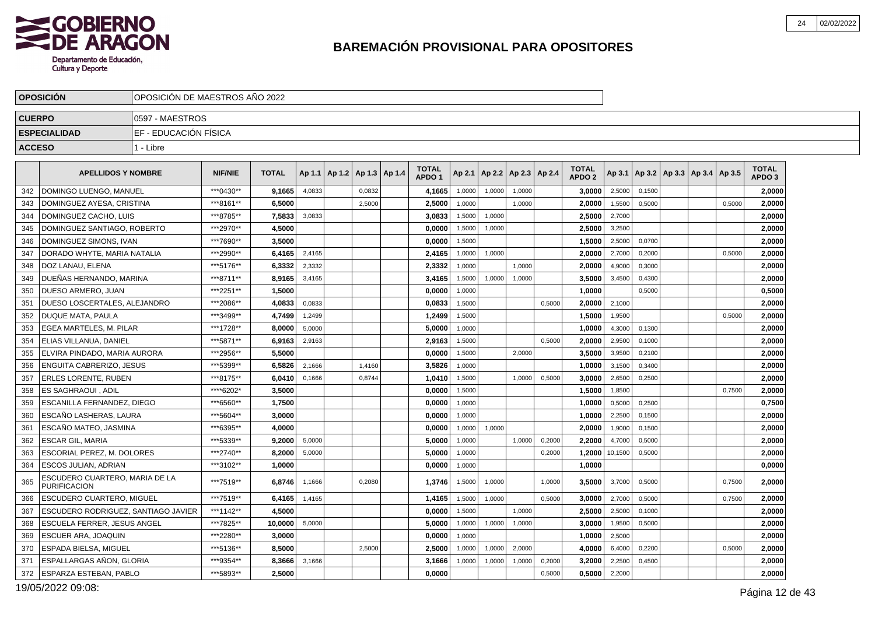

|               | <b>OPOSICION</b>                                      | OPOSICION DE MAESTROS ANO 2022 |                |              |        |                                   |        |                                   |        |                          |        |        |                                   |         |        |                                            |        |                                   |  |
|---------------|-------------------------------------------------------|--------------------------------|----------------|--------------|--------|-----------------------------------|--------|-----------------------------------|--------|--------------------------|--------|--------|-----------------------------------|---------|--------|--------------------------------------------|--------|-----------------------------------|--|
| <b>CUERPO</b> |                                                       | I0597 - MAESTROS               |                |              |        |                                   |        |                                   |        |                          |        |        |                                   |         |        |                                            |        |                                   |  |
|               | <b>ESPECIALIDAD</b>                                   | EF - EDUCACIÓN FÍSICA          |                |              |        |                                   |        |                                   |        |                          |        |        |                                   |         |        |                                            |        |                                   |  |
| <b>ACCESO</b> |                                                       | 1 - Libre                      |                |              |        |                                   |        |                                   |        |                          |        |        |                                   |         |        |                                            |        |                                   |  |
|               | <b>APELLIDOS Y NOMBRE</b>                             |                                | <b>NIF/NIE</b> | <b>TOTAL</b> |        | Ap 1.1   Ap 1.2   Ap 1.3   Ap 1.4 |        | <b>TOTAL</b><br>APDO <sub>1</sub> | Ap 2.1 | Ap 2.2   Ap 2.3   Ap 2.4 |        |        | <b>TOTAL</b><br>APDO <sub>2</sub> |         |        | Ap 3.1   Ap 3.2   Ap 3.3   Ap 3.4   Ap 3.5 |        | <b>TOTAL</b><br>APDO <sub>3</sub> |  |
|               | 342   DOMINGO LUENGO, MANUEL                          |                                | ***0430**      | 9,1665       | 4,0833 |                                   | 0,0832 | 4,1665                            | 1,0000 | 1,0000                   | 1,0000 |        | 3,0000                            | 2,5000  | 0,1500 |                                            |        | 2,0000                            |  |
| 343           | I DOMINGUEZ AYESA. CRISTINA                           |                                | ***8161**      | 6,5000       |        |                                   | 2.5000 | 2.5000                            | 1.0000 |                          | 1.0000 |        | 2,0000                            | 1,5500  | 0.5000 |                                            | 0.5000 | 2,0000                            |  |
| 344           | DOMINGUEZ CACHO, LUIS                                 |                                | ***8785**      | 7,5833       | 3,0833 |                                   |        | 3,0833                            | 1,5000 | 1,0000                   |        |        | 2,5000                            | 2,7000  |        |                                            |        | 2,0000                            |  |
| 345           | DOMINGUEZ SANTIAGO. ROBERTO                           |                                | ***2970**      | 4,5000       |        |                                   |        | 0,0000                            | 1,5000 | 1,0000                   |        |        | 2,5000                            | 3,2500  |        |                                            |        | 2,0000                            |  |
| 346           | DOMINGUEZ SIMONS, IVAN                                |                                | ***7690**      | 3,5000       |        |                                   |        | 0,0000                            | 1.5000 |                          |        |        | 1,5000                            | 2,5000  | 0.0700 |                                            |        | 2,0000                            |  |
| 347           | DORADO WHYTE, MARIA NATALIA                           |                                | ***2990**      | 6,4165       | 2,4165 |                                   |        | 2,4165                            | 1,0000 | 1,0000                   |        |        | 2,0000                            | 2,7000  | 0,2000 |                                            | 0,5000 | 2,0000                            |  |
| 348           | DOZ LANAU, ELENA                                      |                                | ***5176**      | 6.3332       | 2,3332 |                                   |        | 2,3332                            | 1.0000 |                          | 1.0000 |        | 2.0000                            | 4,9000  | 0,3000 |                                            |        | 2,0000                            |  |
| 349           | DUEÑAS HERNANDO, MARINA                               |                                | ***8711**      | 8,9165       | 3,4165 |                                   |        | 3,4165                            | 1,5000 | 1,0000                   | 1,0000 |        | 3,5000                            | 3,4500  | 0,4300 |                                            |        | 2,0000                            |  |
| 350           | DUESO ARMERO, JUAN                                    |                                | ***2251**      | 1,5000       |        |                                   |        | 0.0000                            | 1,0000 |                          |        |        | 1.0000                            |         | 0,5000 |                                            |        | 0,5000                            |  |
| 351           | DUESO LOSCERTALES, ALEJANDRO                          |                                | ***2086**      | 4,0833       | 0.0833 |                                   |        | 0,0833                            | 1.5000 |                          |        | 0.5000 | 2,0000                            | 2,1000  |        |                                            |        | 2,0000                            |  |
| 352           | <b>DUQUE MATA, PAULA</b>                              |                                | ***3499**      | 4.7499       | 1,2499 |                                   |        | 1,2499                            | 1,5000 |                          |        |        | 1,5000                            | 1,9500  |        |                                            | 0,5000 | 2,0000                            |  |
| 353           | l EGEA MARTELES. M. PILAR                             |                                | ***1728**      | 8.0000       | 5,0000 |                                   |        | 5.0000                            | 1,0000 |                          |        |        | 1.0000                            | 4,3000  | 0,1300 |                                            |        | 2.0000                            |  |
| 354           | <b>ELIAS VILLANUA, DANIEL</b>                         |                                | ***5871**      | 6,9163       | 2,9163 |                                   |        | 2,9163                            | 1,5000 |                          |        | 0,5000 | 2,0000                            | 2,9500  | 0,1000 |                                            |        | 2,0000                            |  |
| 355           | ELVIRA PINDADO, MARIA AURORA                          |                                | ***2956**      | 5,5000       |        |                                   |        | 0.0000                            | 1,5000 |                          | 2.0000 |        | 3,5000                            | 3,9500  | 0,2100 |                                            |        | 2,0000                            |  |
| 356           | <b>ENGUITA CABRERIZO, JESUS</b>                       |                                | ***5399**      | 6,5826       | 2,1666 |                                   | 1.4160 | 3,5826                            | 1,0000 |                          |        |        | 1,0000                            | 3,1500  | 0.3400 |                                            |        | 2,0000                            |  |
| 357           | <b>ERLES LORENTE, RUBEN</b>                           |                                | ***8175**      | 6,0410       | 0,1666 |                                   | 0,8744 | 1,0410                            | 1,5000 |                          | 1.0000 | 0,5000 | 3,0000                            | 2,6500  | 0,2500 |                                            |        | 2,0000                            |  |
| 358           | <b>ES SAGHRAOUI . ADIL</b>                            |                                | ****6202*      | 3.5000       |        |                                   |        | 0.0000                            | 1,5000 |                          |        |        | 1,5000                            | 1,8500  |        |                                            | 0,7500 | 2,0000                            |  |
| 359           | ESCANILLA FERNANDEZ, DIEGO                            |                                | ***6560**      | 1,7500       |        |                                   |        | 0,0000                            | 1,0000 |                          |        |        | 1,0000                            | 0,5000  | 0,2500 |                                            |        | 0,7500                            |  |
| 360           | ESCAÑO LASHERAS. LAURA                                |                                | ***5604**      | 3,0000       |        |                                   |        | 0.0000                            | 1,0000 |                          |        |        | 1.0000                            | 2,2500  | 0.1500 |                                            |        | 2,0000                            |  |
| 361           | ESCAÑO MATEO, JASMINA                                 |                                | ***6395**      | 4,0000       |        |                                   |        | 0,0000                            | 1,0000 | 1,0000                   |        |        | 2,0000                            | 1,9000  | 0,1500 |                                            |        | 2,0000                            |  |
| 362           | <b>ESCAR GIL, MARIA</b>                               |                                | ***5339**      | 9.2000       | 5,0000 |                                   |        | 5,0000                            | 1,0000 |                          | 1.0000 | 0,2000 | 2.2000                            | 4,7000  | 0,5000 |                                            |        | 2,0000                            |  |
| 363           | ESCORIAL PEREZ, M. DOLORES                            |                                | ***2740**      | 8.2000       | 5.0000 |                                   |        | 5.0000                            | 1.0000 |                          |        | 0.2000 | 1,2000                            | 10,1500 | 0.5000 |                                            |        | 2,0000                            |  |
| 364           | ESCOS JULIAN, ADRIAN                                  |                                | ***3102**      | 1,0000       |        |                                   |        | 0,0000                            | 1,0000 |                          |        |        | 1,0000                            |         |        |                                            |        | 0,0000                            |  |
| 365           | ESCUDERO CUARTERO, MARIA DE LA<br><b>PURIFICACION</b> |                                | ***7519**      | 6,8746       | 1,1666 |                                   | 0,2080 | 1,3746                            | 1,5000 | 1,0000                   |        | 1,0000 | 3,5000                            | 3,7000  | 0,5000 |                                            | 0,7500 | 2,0000                            |  |
| 366           | l ESCUDERO CUARTERO. MIGUEL                           |                                | ***7519**      | 6.4165       | 1.4165 |                                   |        | 1.4165                            | 1,5000 | 1.0000                   |        | 0.5000 | 3.0000                            | 2,7000  | 0.5000 |                                            | 0,7500 | 2.0000                            |  |
| 367           | ESCUDERO RODRIGUEZ, SANTIAGO JAVIER                   |                                | ***1142**      | 4,5000       |        |                                   |        | 0,0000                            | 1,5000 |                          | 1,0000 |        | 2,5000                            | 2,5000  | 0,1000 |                                            |        | 2,0000                            |  |
| 368           | ESCUELA FERRER, JESUS ANGEL                           |                                | ***7825**      | 10.0000      | 5,0000 |                                   |        | 5.0000                            | 1,0000 | 1,0000                   | 1,0000 |        | 3.0000                            | 1,9500  | 0,5000 |                                            |        | 2,0000                            |  |
| 369           | ESCUER ARA, JOAQUIN                                   |                                | ***2280**      | 3,0000       |        |                                   |        | 0,0000                            | 1,0000 |                          |        |        | 1,0000                            | 2,5000  |        |                                            |        | 2,0000                            |  |
| 370           | ESPADA BIELSA, MIGUEL                                 |                                | ***5136**      | 8,5000       |        |                                   | 2,5000 | 2,5000                            | 1,0000 | 1,0000                   | 2,0000 |        | 4,0000                            | 6,4000  | 0,2200 |                                            | 0,5000 | 2,0000                            |  |
| 371           | ESPALLARGAS AÑON, GLORIA                              |                                | ***9354**      | 8,3666       | 3,1666 |                                   |        | 3,1666                            | 1,0000 | 1,0000                   | 1,0000 | 0,2000 | 3.2000                            | 2,2500  | 0,4500 |                                            |        | 2,0000                            |  |
| 372           | ESPARZA ESTEBAN, PABLO                                |                                | ***5893**      | 2,5000       |        |                                   |        | 0.0000                            |        |                          |        | 0,5000 | 0,5000                            | 2,2000  |        |                                            |        | 2,0000                            |  |

19/05/2022 09:08: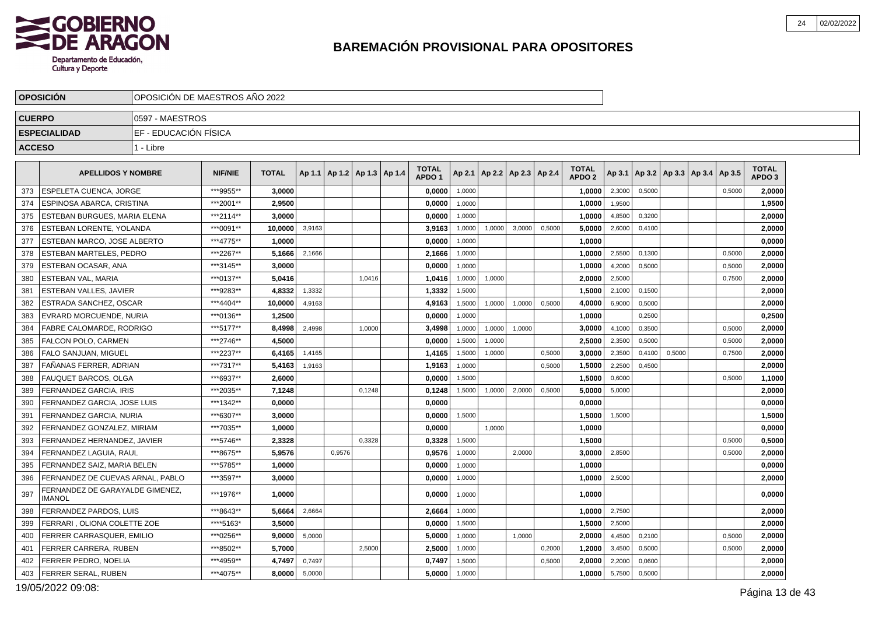

|               | <b>OPOSICION</b>                                 | OPOSICION DE MAESTROS ANO 2022 |                |              |        |                                   |        |                                   |        |                                   |        |        |                               |        |        |                                            |        |                                   |  |
|---------------|--------------------------------------------------|--------------------------------|----------------|--------------|--------|-----------------------------------|--------|-----------------------------------|--------|-----------------------------------|--------|--------|-------------------------------|--------|--------|--------------------------------------------|--------|-----------------------------------|--|
| <b>CUERPO</b> |                                                  | 0597 - MAESTROS                |                |              |        |                                   |        |                                   |        |                                   |        |        |                               |        |        |                                            |        |                                   |  |
|               | <b>ESPECIALIDAD</b>                              | EF - EDUCACIÓN FÍSICA          |                |              |        |                                   |        |                                   |        |                                   |        |        |                               |        |        |                                            |        |                                   |  |
| <b>ACCESO</b> |                                                  | 1 - Libre                      |                |              |        |                                   |        |                                   |        |                                   |        |        |                               |        |        |                                            |        |                                   |  |
|               | <b>APELLIDOS Y NOMBRE</b>                        |                                | <b>NIF/NIE</b> | <b>TOTAL</b> |        | Ap 1.1   Ap 1.2   Ap 1.3   Ap 1.4 |        | <b>TOTAL</b><br>APDO <sub>1</sub> |        | Ap 2.1   Ap 2.2   Ap 2.3   Ap 2.4 |        |        | <b>TOTAL</b><br><b>APDO 2</b> |        |        | Ap 3.1   Ap 3.2   Ap 3.3   Ap 3.4   Ap 3.5 |        | <b>TOTAL</b><br>APDO <sub>3</sub> |  |
| 373           | ESPELETA CUENCA, JORGE                           |                                | ***9955**      | 3,0000       |        |                                   |        | 0,0000                            | 1,0000 |                                   |        |        | 1,0000                        | 2,3000 | 0,5000 |                                            | 0,5000 | 2,0000                            |  |
| 374           | ESPINOSA ABARCA, CRISTINA                        |                                | ***2001**      | 2,9500       |        |                                   |        | 0,0000                            | 1.0000 |                                   |        |        | 1,0000                        | 1.9500 |        |                                            |        | 1,9500                            |  |
| 375           | ESTEBAN BURGUES, MARIA ELENA                     |                                | ***2114**      | 3.0000       |        |                                   |        | 0,0000                            | 1,0000 |                                   |        |        | 1,0000                        | 4,8500 | 0,3200 |                                            |        | 2,0000                            |  |
| 376           | ESTEBAN LORENTE, YOLANDA                         |                                | ***0091**      | 10,0000      | 3,9163 |                                   |        | 3,9163                            | 1,0000 | 1,0000                            | 3.0000 | 0.5000 | 5,0000                        | 2,6000 | 0.4100 |                                            |        | 2,0000                            |  |
| 377           | ESTEBAN MARCO, JOSE ALBERTO                      |                                | ***4775**      | 1,0000       |        |                                   |        | 0,0000                            | 1,0000 |                                   |        |        | 1,0000                        |        |        |                                            |        | 0,0000                            |  |
| 378           | ESTEBAN MARTELES, PEDRO                          |                                | ***2267**      | 5.1666       | 2,1666 |                                   |        | 2,1666                            | 1,0000 |                                   |        |        | 1.0000                        | 2,5500 | 0,1300 |                                            | 0,5000 | 2.0000                            |  |
| 379           | ESTEBAN OCASAR, ANA                              |                                | ***3145**      | 3,0000       |        |                                   |        | 0,0000                            | 1,0000 |                                   |        |        | 1,0000                        | 4,2000 | 0,5000 |                                            | 0,5000 | 2,0000                            |  |
| 380           | <b>ESTEBAN VAL. MARIA</b>                        |                                | ***0137**      | 5.0416       |        |                                   | 1,0416 | 1,0416                            | 1,0000 | 1,0000                            |        |        | 2,0000                        | 2,5000 |        |                                            | 0,7500 | 2,0000                            |  |
| 381           | ESTEBAN VALLES, JAVIER                           |                                | ***9283**      | 4,8332       | 1,3332 |                                   |        | 1,3332                            | 1.5000 |                                   |        |        | 1,5000                        | 2.1000 | 0.1500 |                                            |        | 2,0000                            |  |
| 382           | ESTRADA SANCHEZ, OSCAR                           |                                | ***4404**      | 10.0000      | 4,9163 |                                   |        | 4,9163                            | 1,5000 | 1,0000                            | 1,0000 | 0,5000 | 4,0000                        | 6,9000 | 0,5000 |                                            |        | 2,0000                            |  |
| 383           | EVRARD MORCUENDE, NURIA                          |                                | ***0136**      | 1.2500       |        |                                   |        | 0.0000                            | 1,0000 |                                   |        |        | 1.0000                        |        | 0,2500 |                                            |        | 0.2500                            |  |
| 384           | FABRE CALOMARDE, RODRIGO                         |                                | ***5177**      | 8,4998       | 2,4998 |                                   | 1,0000 | 3,4998                            | 1,0000 | 1,0000                            | 1,0000 |        | 3,0000                        | 4,1000 | 0,3500 |                                            | 0,5000 | 2,0000                            |  |
| 385           | FALCON POLO, CARMEN                              |                                | ***2746**      | 4,5000       |        |                                   |        | 0,0000                            | 1,5000 | 1,0000                            |        |        | 2,5000                        | 2,3500 | 0.5000 |                                            | 0,5000 | 2,0000                            |  |
| 386           | FALO SANJUAN, MIGUEL                             |                                | ***2237**      | 6,4165       | 1,4165 |                                   |        | 1,4165                            | 1,5000 | 1,0000                            |        | 0,5000 | 3,0000                        | 2,3500 | 0,4100 | 0,5000                                     | 0,7500 | 2,0000                            |  |
| 387           | FAÑANAS FERRER, ADRIAN                           |                                | ***7317**      | 5,4163       | 1,9163 |                                   |        | 1,9163                            | 1,0000 |                                   |        | 0,5000 | 1,5000                        | 2,2500 | 0,4500 |                                            |        | 2,0000                            |  |
| 388           | <b>FAUQUET BARCOS, OLGA</b>                      |                                | ***6937**      | 2.6000       |        |                                   |        | 0.0000                            | 1,5000 |                                   |        |        | 1,5000                        | 0,6000 |        |                                            | 0.5000 | 1,1000                            |  |
| 389           | FERNANDEZ GARCIA, IRIS                           |                                | ***2035**      | 7,1248       |        |                                   | 0,1248 | 0,1248                            | 1,5000 | 1,0000                            | 2,0000 | 0,5000 | 5,0000                        | 5,0000 |        |                                            |        | 2,0000                            |  |
| 390           | FERNANDEZ GARCIA, JOSE LUIS                      |                                | ***1342**      | 0.0000       |        |                                   |        | 0.0000                            |        |                                   |        |        | 0.0000                        |        |        |                                            |        | 0,0000                            |  |
| 391           | FERNANDEZ GARCIA, NURIA                          |                                | ***6307**      | 3.0000       |        |                                   |        | 0,0000                            | 1,5000 |                                   |        |        | 1,5000                        | 1,5000 |        |                                            |        | 1,5000                            |  |
| 392           | FERNANDEZ GONZALEZ, MIRIAM                       |                                | ***7035**      | 1.0000       |        |                                   |        | 0,0000                            |        | 1,0000                            |        |        | 1,0000                        |        |        |                                            |        | 0,0000                            |  |
| 393           | FERNANDEZ HERNANDEZ, JAVIER                      |                                | ***5746**      | 2,3328       |        |                                   | 0,3328 | 0,3328                            | 1,5000 |                                   |        |        | 1,5000                        |        |        |                                            | 0,5000 | 0,5000                            |  |
| 394           | FERNANDEZ LAGUIA, RAUL                           |                                | ***8675**      | 5.9576       |        | 0,9576                            |        | 0,9576                            | 1,0000 |                                   | 2,0000 |        | 3,0000                        | 2,8500 |        |                                            | 0,5000 | 2,0000                            |  |
| 395           | FERNANDEZ SAIZ. MARIA BELEN                      |                                | ***5785**      | 1.0000       |        |                                   |        | 0.0000                            | 1,0000 |                                   |        |        | 1.0000                        |        |        |                                            |        | 0,0000                            |  |
| 396           | FERNANDEZ DE CUEVAS ARNAL, PABLO                 |                                | ***3597**      | 3,0000       |        |                                   |        | 0,0000                            | 1,0000 |                                   |        |        | 1,0000                        | 2,5000 |        |                                            |        | 2,0000                            |  |
| 397           | FERNANDEZ DE GARAYALDE GIMENEZ.<br><b>IMANOL</b> |                                | ***1976**      | 1,0000       |        |                                   |        | 0,0000                            | 1,0000 |                                   |        |        | 1,0000                        |        |        |                                            |        | 0,0000                            |  |
| 398           | FERRANDEZ PARDOS, LUIS                           |                                | ***8643**      | 5,6664       | 2,6664 |                                   |        | 2,6664                            | 1,0000 |                                   |        |        | 1,0000                        | 2,7500 |        |                                            |        | 2,0000                            |  |
| 399           | FERRARI, OLIONA COLETTE ZOE                      |                                | ****5163*      | 3,5000       |        |                                   |        | 0,0000                            | 1,5000 |                                   |        |        | 1,5000                        | 2,5000 |        |                                            |        | 2,0000                            |  |
| 400           | FERRER CARRASQUER, EMILIO                        |                                | ***0256**      | 9,0000       | 5,0000 |                                   |        | 5,0000                            | 1,0000 |                                   | 1,0000 |        | 2,0000                        | 4,4500 | 0,2100 |                                            | 0,5000 | 2,0000                            |  |
| 401           | FERRER CARRERA, RUBEN                            |                                | ***8502**      | 5,7000       |        |                                   | 2,5000 | 2,5000                            | 1,0000 |                                   |        | 0,2000 | 1,2000                        | 3,4500 | 0,5000 |                                            | 0,5000 | 2,0000                            |  |
| 402           | FERRER PEDRO, NOELIA                             |                                | ***4959**      | 4,7497       | 0,7497 |                                   |        | 0,7497                            | 1,5000 |                                   |        | 0,5000 | 2.0000                        | 2,2000 | 0,0600 |                                            |        | 2,0000                            |  |
| 403           | FERRER SERAL, RUBEN                              |                                | ***4075**      | 8,0000       | 5,0000 |                                   |        | 5,0000                            | 1,0000 |                                   |        |        | 1,0000                        | 5,7500 | 0,5000 |                                            |        | 2,0000                            |  |
|               |                                                  |                                |                |              |        |                                   |        |                                   |        |                                   |        |        |                               |        |        |                                            |        |                                   |  |

19/05/2022 09:08: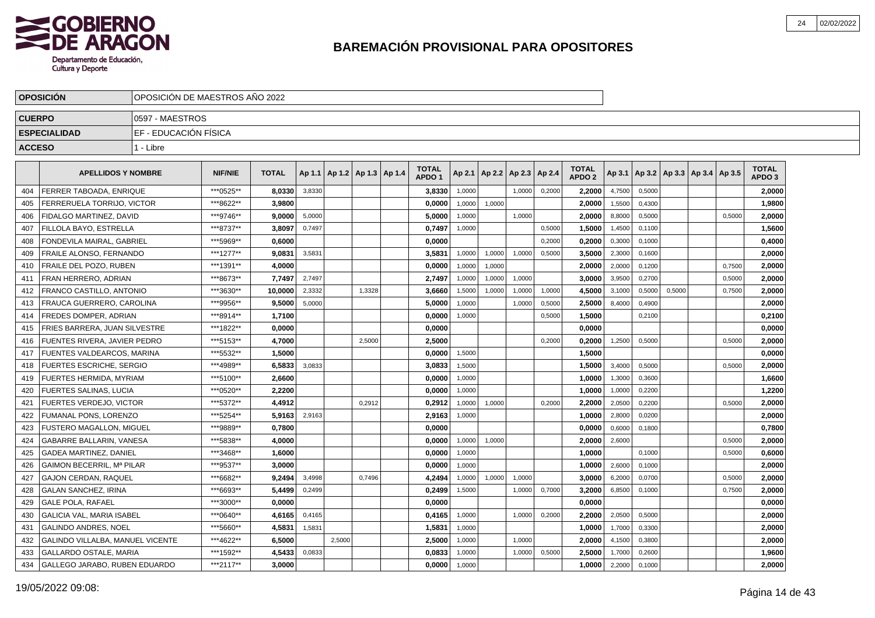

|               | <b>OPOSICION</b>                 | OPOSICION DE MAESTROS ANO 2022 |                |              |        |        |                                   |                                   |        |                                   |        |        |                                   |        |        |                                   |        |                                   |  |
|---------------|----------------------------------|--------------------------------|----------------|--------------|--------|--------|-----------------------------------|-----------------------------------|--------|-----------------------------------|--------|--------|-----------------------------------|--------|--------|-----------------------------------|--------|-----------------------------------|--|
| <b>CUERPO</b> |                                  | 10597 - MAESTROS               |                |              |        |        |                                   |                                   |        |                                   |        |        |                                   |        |        |                                   |        |                                   |  |
|               | <b>ESPECIALIDAD</b>              | EF - EDUCACIÓN FÍSICA          |                |              |        |        |                                   |                                   |        |                                   |        |        |                                   |        |        |                                   |        |                                   |  |
| <b>ACCESO</b> |                                  | 1 - Libre                      |                |              |        |        |                                   |                                   |        |                                   |        |        |                                   |        |        |                                   |        |                                   |  |
|               | <b>APELLIDOS Y NOMBRE</b>        |                                | <b>NIF/NIE</b> | <b>TOTAL</b> |        |        | Ap 1.1   Ap 1.2   Ap 1.3   Ap 1.4 | <b>TOTAL</b><br>APDO <sub>1</sub> |        | Ap 2.1   Ap 2.2   Ap 2.3   Ap 2.4 |        |        | <b>TOTAL</b><br>APDO <sub>2</sub> | Ap 3.1 |        | Ap 3.2   Ap 3.3   Ap 3.4   Ap 3.5 |        | <b>TOTAL</b><br>APDO <sub>3</sub> |  |
| 404           | FERRER TABOADA, ENRIQUE          |                                | ***0525**      | 8,0330       | 3,8330 |        |                                   | 3,8330                            | 1,0000 |                                   | 1,0000 | 0,2000 | 2,2000                            | 4,7500 | 0,5000 |                                   |        | 2,0000                            |  |
| 405           | FERRERUELA TORRIJO, VICTOR       |                                | ***8622**      | 3,9800       |        |        |                                   | 0,0000                            | 1,0000 | 1,0000                            |        |        | 2,0000                            | 1,5500 | 0,4300 |                                   |        | 1,9800                            |  |
| 406           | FIDALGO MARTINEZ. DAVID          |                                | ***9746**      | 9.0000       | 5,0000 |        |                                   | 5.0000                            | 1,0000 |                                   | 1,0000 |        | 2.0000                            | 8,8000 | 0.5000 |                                   | 0.5000 | 2.0000                            |  |
| 407           | FILLOLA BAYO. ESTRELLA           |                                | ***8737**      | 3.8097       | 0.7497 |        |                                   | 0,7497                            | 1,0000 |                                   |        | 0,5000 | 1,5000                            | 1,4500 | 0,1100 |                                   |        | 1,5600                            |  |
| 408           | FONDEVILA MAIRAL, GABRIEL        |                                | ***5969**      | 0.6000       |        |        |                                   | 0,0000                            |        |                                   |        | 0,2000 | 0.2000                            | 0,3000 | 0,1000 |                                   |        | 0,4000                            |  |
| 409           | FRAILE ALONSO, FERNANDO          |                                | ***1277**      | 9,0831       | 3,5831 |        |                                   | 3,5831                            | 1,0000 | 1,0000                            | 1,0000 | 0,5000 | 3,5000                            | 2,3000 | 0,1600 |                                   |        | 2,0000                            |  |
| 410           | <b>FRAILE DEL POZO, RUBEN</b>    |                                | ***1391**      | 4,0000       |        |        |                                   | 0,0000                            | 1,0000 | 1,0000                            |        |        | 2,0000                            | 2,0000 | 0,1200 |                                   | 0,7500 | 2,0000                            |  |
| 411           | <b>FRAN HERRERO, ADRIAN</b>      |                                | ***8673**      | 7,7497       | 2,7497 |        |                                   | 2,7497                            | 1,0000 | 1,0000                            | 1,0000 |        | 3,0000                            | 3,9500 | 0,2700 |                                   | 0,5000 | 2,0000                            |  |
| 412           | FRANCO CASTILLO, ANTONIO         |                                | ***3630**      | 10,0000      | 2,3332 |        | 1,3328                            | 3,6660                            | 1,5000 | 1,0000                            | 1,0000 | 1,0000 | 4,5000                            | 3,1000 | 0,5000 | 0,5000                            | 0,7500 | 2,0000                            |  |
| 413           | FRAUCA GUERRERO, CAROLINA        |                                | ***9956**      | 9,5000       | 5,0000 |        |                                   | 5,0000                            | 1,0000 |                                   | 1,0000 | 0,5000 | 2,5000                            | 8,4000 | 0,4900 |                                   |        | 2,0000                            |  |
| 414           | <b>FREDES DOMPER, ADRIAN</b>     |                                | ***8914**      | 1,7100       |        |        |                                   | 0,0000                            | 1,0000 |                                   |        | 0,5000 | 1,5000                            |        | 0,2100 |                                   |        | 0,2100                            |  |
| 415           | FRIES BARRERA. JUAN SILVESTRE    |                                | ***1822**      | 0,0000       |        |        |                                   | 0,0000                            |        |                                   |        |        | 0.0000                            |        |        |                                   |        | 0,0000                            |  |
| 416           | FUENTES RIVERA. JAVIER PEDRO     |                                | ***5153**      | 4,7000       |        |        | 2.5000                            | 2.5000                            |        |                                   |        | 0.2000 | 0,2000                            | 1,2500 | 0,5000 |                                   | 0.5000 | 2,0000                            |  |
| 417           | FUENTES VALDEARCOS. MARINA       |                                | ***5532**      | 1.5000       |        |        |                                   | 0,0000                            | 1,5000 |                                   |        |        | 1,5000                            |        |        |                                   |        | 0,0000                            |  |
| 418           | <b>FUERTES ESCRICHE, SERGIO</b>  |                                | ***4989**      | 6.5833       | 3,0833 |        |                                   | 3,0833                            | 1,5000 |                                   |        |        | 1,5000                            | 3,4000 | 0,5000 |                                   | 0,5000 | 2,0000                            |  |
| 419           | FUERTES HERMIDA, MYRIAM          |                                | ***5100**      | 2,6600       |        |        |                                   | 0,0000                            | 1,0000 |                                   |        |        | 1,0000                            | 1,3000 | 0,3600 |                                   |        | 1,6600                            |  |
| 420           | <b>FUERTES SALINAS, LUCIA</b>    |                                | ***0520**      | 2,2200       |        |        |                                   | 0,0000                            | 1,0000 |                                   |        |        | 1,0000                            | 1,0000 | 0,2200 |                                   |        | 1,2200                            |  |
| 421           | FUERTES VERDEJO, VICTOR          |                                | ***5372**      | 4,4912       |        |        | 0,2912                            | 0,2912                            | 1,0000 | 1,0000                            |        | 0,2000 | 2,2000                            | 2,0500 | 0,2200 |                                   | 0,5000 | 2,0000                            |  |
| 422           | FUMANAL PONS, LORENZO            |                                | ***5254**      | 5,9163       | 2,9163 |        |                                   | 2,9163                            | 1,0000 |                                   |        |        | 1,0000                            | 2,8000 | 0,0200 |                                   |        | 2,0000                            |  |
| 423           | FUSTERO MAGALLON, MIGUEL         |                                | ***9889**      | 0.7800       |        |        |                                   | 0,0000                            |        |                                   |        |        | 0.0000                            | 0,6000 | 0.1800 |                                   |        | 0,7800                            |  |
| 424           | GABARRE BALLARIN, VANESA         |                                | ***5838**      | 4,0000       |        |        |                                   | 0.0000                            | 1,0000 | 1.0000                            |        |        | 2,0000                            | 2,6000 |        |                                   | 0.5000 | 2,0000                            |  |
| 425           | <b>GADEA MARTINEZ, DANIEL</b>    |                                | ***3468**      | 1.6000       |        |        |                                   | 0.0000                            | 1,0000 |                                   |        |        | 1.0000                            |        | 0,1000 |                                   | 0,5000 | 0,6000                            |  |
| 426           | GAIMON BECERRIL, Mª PILAR        |                                | ***9537**      | 3.0000       |        |        |                                   | 0,0000                            | 1,0000 |                                   |        |        | 1.0000                            | 2,6000 | 0,1000 |                                   |        | 2,0000                            |  |
| 427           | GAJON CERDAN, RAQUEL             |                                | ***6682**      | 9,2494       | 3,4998 |        | 0.7496                            | 4,2494                            | 1,0000 | 1,0000                            | 1,0000 |        | 3,0000                            | 6,2000 | 0,0700 |                                   | 0,5000 | 2,0000                            |  |
| 428           | <b>GALAN SANCHEZ, IRINA</b>      |                                | ***6693**      | 5,4499       | 0,2499 |        |                                   | 0,2499                            | 1,5000 |                                   | 1,0000 | 0,7000 | 3,2000                            | 6,8500 | 0,1000 |                                   | 0,7500 | 2,0000                            |  |
| 429           | <b>GALE POLA, RAFAEL</b>         |                                | ***3000**      | 0,0000       |        |        |                                   | 0,0000                            |        |                                   |        |        | 0,0000                            |        |        |                                   |        | 0,0000                            |  |
| 430           | GALICIA VAL, MARIA ISABEL        |                                | ***0640**      | 4,6165       | 0,4165 |        |                                   | 0,4165                            | 1,0000 |                                   | 1,0000 | 0,2000 | 2,2000                            | 2,0500 | 0,5000 |                                   |        | 2,0000                            |  |
| 431           | GALINDO ANDRES, NOEL             |                                | ***5660**      | 4,5831       | 1,5831 |        |                                   | 1,5831                            | 1,0000 |                                   |        |        | 1.0000                            | 1,7000 | 0,3300 |                                   |        | 2,0000                            |  |
| 432           | GALINDO VILLALBA, MANUEL VICENTE |                                | ***4622**      | 6,5000       |        | 2.5000 |                                   | 2,5000                            | 1,0000 |                                   | 1.0000 |        | 2,0000                            | 4,1500 | 0,3800 |                                   |        | 2,0000                            |  |
| 433           | <b>GALLARDO OSTALE, MARIA</b>    |                                | ***1592**      | 4,5433       | 0,0833 |        |                                   | 0,0833                            | 1,0000 |                                   | 1,0000 | 0,5000 | 2,5000                            | 1,7000 | 0,2600 |                                   |        | 1,9600                            |  |
| 434           | GALLEGO JARABO. RUBEN EDUARDO    |                                | ***2117**      | 3.0000       |        |        |                                   | 0,0000                            | 1,0000 |                                   |        |        | 1,0000                            | 2,2000 | 0,1000 |                                   |        | 2,0000                            |  |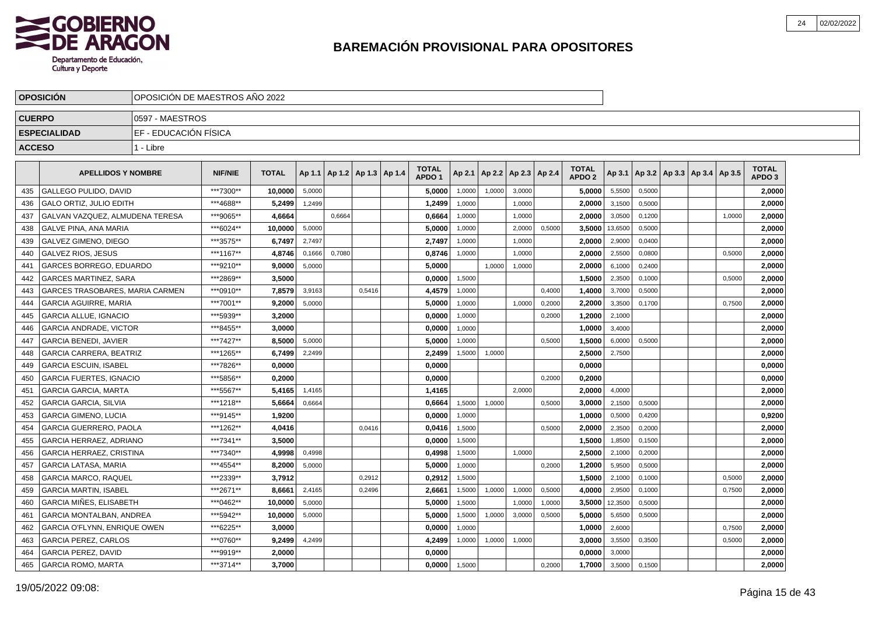

|               | <b>OPOSICION</b>                | OPOSICIÓN DE MAESTROS AÑO 2022 |                |              |        |                                   |        |                                   |        |        |                          |        |                                   |                |        |                                   |        |                                   |  |
|---------------|---------------------------------|--------------------------------|----------------|--------------|--------|-----------------------------------|--------|-----------------------------------|--------|--------|--------------------------|--------|-----------------------------------|----------------|--------|-----------------------------------|--------|-----------------------------------|--|
| <b>CUERPO</b> |                                 | 0597 - MAESTROS                |                |              |        |                                   |        |                                   |        |        |                          |        |                                   |                |        |                                   |        |                                   |  |
|               | <b>ESPECIALIDAD</b>             | EF - EDUCACIÓN FÍSICA          |                |              |        |                                   |        |                                   |        |        |                          |        |                                   |                |        |                                   |        |                                   |  |
| <b>ACCESO</b> |                                 | 1 - Libre                      |                |              |        |                                   |        |                                   |        |        |                          |        |                                   |                |        |                                   |        |                                   |  |
|               | <b>APELLIDOS Y NOMBRE</b>       |                                | <b>NIF/NIE</b> | <b>TOTAL</b> |        | Ap 1.1   Ap 1.2   Ap 1.3   Ap 1.4 |        | <b>TOTAL</b><br>APDO <sub>1</sub> | Ap 2.1 |        | Ap 2.2   Ap 2.3   Ap 2.4 |        | <b>TOTAL</b><br>APDO <sub>2</sub> | Ap 3.1         |        | Ap 3.2   Ap 3.3   Ap 3.4   Ap 3.5 |        | <b>TOTAL</b><br>APDO <sub>3</sub> |  |
| 435           | <b>GALLEGO PULIDO, DAVID</b>    |                                | ***7300**      | 10,0000      | 5,0000 |                                   |        | 5,0000                            | 1,0000 | 1.0000 | 3.0000                   |        | 5,0000                            | 5,5500         | 0,5000 |                                   |        | 2,0000                            |  |
| 436           | <b>GALO ORTIZ, JULIO EDITH</b>  |                                | ***4688**      | 5,2499       | 1,2499 |                                   |        | 1,2499                            | 1,0000 |        | 1.0000                   |        | 2,0000                            | 3,1500         | 0,5000 |                                   |        | 2,0000                            |  |
| 437           | GALVAN VAZQUEZ, ALMUDENA TERESA |                                | ***9065**      | 4,6664       |        | 0,6664                            |        | 0,6664                            | 1,0000 |        | 1,0000                   |        | 2.00001                           | 3,0500         | 0,1200 |                                   | 1,0000 | 2,0000                            |  |
| 438           | <b>GALVE PINA, ANA MARIA</b>    |                                | ***6024**      | 10.0000      | 5,0000 |                                   |        | 5,0000                            | 1,0000 |        | 2,0000                   | 0,5000 |                                   | 3,5000 13,6500 | 0,5000 |                                   |        | 2,0000                            |  |
| 439           | GALVEZ GIMENO, DIEGO            |                                | ***3575**      | 6,7497       | 2,7497 |                                   |        | 2,7497                            | 1,0000 |        | 1,0000                   |        | 2,0000                            | 2,9000         | 0,0400 |                                   |        | 2,0000                            |  |
| 440           | <b>GALVEZ RIOS, JESUS</b>       |                                | ***1167**      | 4.8746       | 0.1666 | 0.7080                            |        | 0.8746                            | 1.0000 |        | 1.0000                   |        | 2.0000                            | 2,5500         | 0.0800 |                                   | 0,5000 | 2,0000                            |  |
| 441           | GARCES BORREGO, EDUARDO         |                                | ***9210**      | 9.0000       | 5,0000 |                                   |        | 5.0000                            |        | 1,0000 | 1,0000                   |        | 2.0000                            | 6,1000         | 0,2400 |                                   |        | 2,0000                            |  |
| 442           | <b>GARCES MARTINEZ, SARA</b>    |                                | ***2869**      | 3,5000       |        |                                   |        | 0,0000                            | 1,5000 |        |                          |        | 1,5000                            | 2,3500         | 0,1000 |                                   | 0,5000 | 2,0000                            |  |
| 443           | GARCES TRASOBARES, MARIA CARMEN |                                | ***0910**      | 7,8579       | 3,9163 |                                   | 0,5416 | 4,4579                            | 1,0000 |        |                          | 0,4000 | 1,4000                            | 3,7000         | 0,5000 |                                   |        | 2,0000                            |  |
| 444           | <b>GARCIA AGUIRRE, MARIA</b>    |                                | ***7001**      | 9,2000       | 5,0000 |                                   |        | 5,0000                            | 1,0000 |        | 1,0000                   | 0,2000 | 2,2000                            | 3,3500         | 0,1700 |                                   | 0,7500 | 2,0000                            |  |
| 445           | <b>GARCIA ALLUE, IGNACIO</b>    |                                | ***5939**      | 3,2000       |        |                                   |        | 0,0000                            | 1,0000 |        |                          | 0,2000 | 1,2000                            | 2,1000         |        |                                   |        | 2,0000                            |  |
| 446           | <b>GARCIA ANDRADE, VICTOR</b>   |                                | ***8455**      | 3.0000       |        |                                   |        | 0,0000                            | 1,0000 |        |                          |        | 1.0000                            | 3,4000         |        |                                   |        | 2,0000                            |  |
| 447           | <b>GARCIA BENEDI, JAVIER</b>    |                                | ***7427**      | 8.5000       | 5.0000 |                                   |        | 5,0000                            | 1.0000 |        |                          | 0.5000 | 1,5000                            | 6,0000         | 0.5000 |                                   |        | 2,0000                            |  |
| 448           | <b>GARCIA CARRERA, BEATRIZ</b>  |                                | ***1265**      | 6,7499       | 2,2499 |                                   |        | 2,2499                            | 1,5000 | 1,0000 |                          |        | 2.5000                            | 2,7500         |        |                                   |        | 2,0000                            |  |
| 449           | <b>GARCIA ESCUIN, ISABEL</b>    |                                | ***7826**      | 0,0000       |        |                                   |        | 0,0000                            |        |        |                          |        | 0,0000                            |                |        |                                   |        | 0,0000                            |  |
| 450           | <b>GARCIA FUERTES, IGNACIO</b>  |                                | ***5856**      | 0,2000       |        |                                   |        | 0,0000                            |        |        |                          | 0,2000 | 0,2000                            |                |        |                                   |        | 0,0000                            |  |
| 451           | <b>GARCIA GARCIA, MARTA</b>     |                                | ***5567**      | 5,4165       | 1,4165 |                                   |        | 1,4165                            |        |        | 2.0000                   |        | 2,0000                            | 4,0000         |        |                                   |        | 2,0000                            |  |
| 452           | <b>GARCIA GARCIA, SILVIA</b>    |                                | ***1218**      | 5.6664       | 0.6664 |                                   |        | 0.6664                            | 1,5000 | 1,0000 |                          | 0,5000 | 3.0000                            | 2,1500         | 0.5000 |                                   |        | 2,0000                            |  |
| 453           | <b>GARCIA GIMENO, LUCIA</b>     |                                | ***9145**      | 1.9200       |        |                                   |        | 0.0000                            | 1,0000 |        |                          |        | 1.0000                            | 0,5000         | 0,4200 |                                   |        | 0,9200                            |  |
| 454           | <b>GARCIA GUERRERO, PAOLA</b>   |                                | ***1262**      | 4,0416       |        |                                   | 0,0416 | 0,0416                            | 1,5000 |        |                          | 0,5000 | 2,0000                            | 2,3500         | 0,2000 |                                   |        | 2,0000                            |  |
| 455           | GARCIA HERRAEZ, ADRIANO         |                                | ***7341**      | 3.5000       |        |                                   |        | 0,0000                            | 1,5000 |        |                          |        | 1,5000                            | 1,8500         | 0,1500 |                                   |        | 2,0000                            |  |
| 456           | <b>GARCIA HERRAEZ, CRISTINA</b> |                                | ***7340**      | 4,9998       | 0,4998 |                                   |        | 0,4998                            | 1,5000 |        | 1,0000                   |        | 2,5000                            | 2,1000         | 0,2000 |                                   |        | 2,0000                            |  |
| 457           | <b>GARCIA LATASA, MARIA</b>     |                                | ***4554**      | 8,2000       | 5,0000 |                                   |        | 5,0000                            | 1,0000 |        |                          | 0,2000 | 1,2000                            | 5,9500         | 0,5000 |                                   |        | 2,0000                            |  |
| 458           | <b>GARCIA MARCO, RAQUEL</b>     |                                | ***2339**      | 3.7912       |        |                                   | 0.2912 | 0.2912                            | 1,5000 |        |                          |        | 1.5000                            | 2,1000         | 0,1000 |                                   | 0,5000 | 2,0000                            |  |
| 459           | <b>GARCIA MARTIN, ISABEL</b>    |                                | ***2671**      | 8.6661       | 2,4165 |                                   | 0.2496 | 2,6661                            | 1,5000 | 1,0000 | 1,0000                   | 0,5000 | 4.0000                            | 2,9500         | 0,1000 |                                   | 0,7500 | 2,0000                            |  |
| 460           | <b>GARCIA MIÑES, ELISABETH</b>  |                                | ***0462**      | 10.0000      | 5,0000 |                                   |        | 5,0000                            | 1,5000 |        | 1,0000                   | 1,0000 | 3,5000                            | 12,3500        | 0,5000 |                                   |        | 2,0000                            |  |
| 461           | <b>GARCIA MONTALBAN, ANDREA</b> |                                | *** 5942**     | 10,0000      | 5,0000 |                                   |        | 5,0000                            | 1,5000 | 1,0000 | 3,0000                   | 0,5000 | 5,0000                            | 5,6500         | 0,5000 |                                   |        | 2,0000                            |  |
| 462           | GARCIA O'FLYNN, ENRIQUE OWEN    |                                | ***6225**      | 3,0000       |        |                                   |        | 0,0000                            | 1,0000 |        |                          |        | 1,0000                            | 2,6000         |        |                                   | 0,7500 | 2,0000                            |  |
| 463           | <b>GARCIA PEREZ, CARLOS</b>     |                                | ***0760**      | 9,2499       | 4,2499 |                                   |        | 4,2499                            | 1,0000 | 1,0000 | 1,0000                   |        | 3,0000                            | 3,5500         | 0,3500 |                                   | 0,5000 | 2,0000                            |  |
| 464           | <b>GARCIA PEREZ. DAVID</b>      |                                | ***9919**      | 2.0000       |        |                                   |        | 0.0000                            |        |        |                          |        | 0.0000                            | 3,0000         |        |                                   |        | 2,0000                            |  |
| 465           | <b>GARCIA ROMO, MARTA</b>       |                                | ***3714**      | 3.7000       |        |                                   |        | 0,0000                            | 1,5000 |        |                          | 0,2000 | 1,7000                            | 3,5000         | 0,1500 |                                   |        | 2,0000                            |  |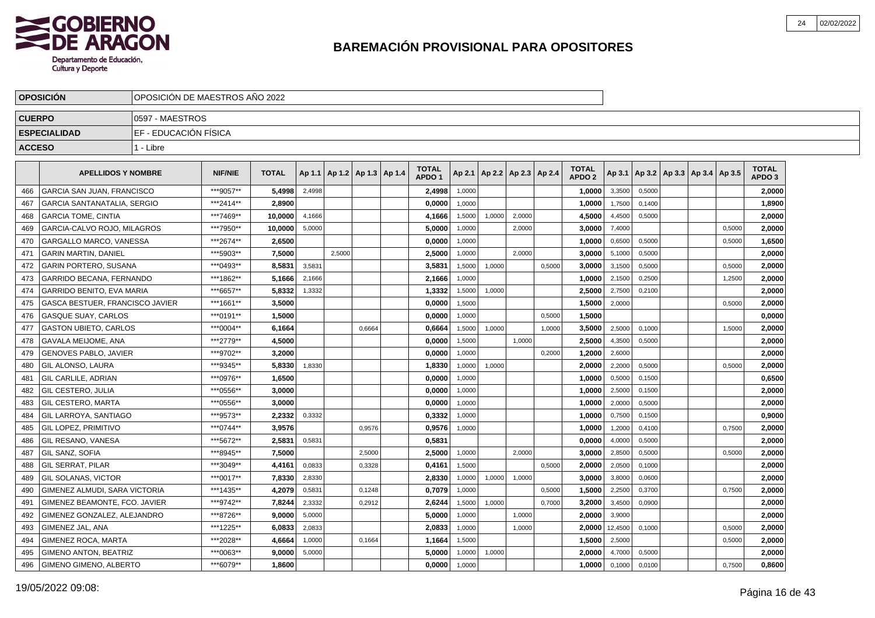

|               | <b>OPOSICION</b>                   | OPOSICION DE MAESTROS ANO 2022 |                |              |        |        |                              |                                   |        |                                   |        |        |                                   |         |        |                                   |        |                                   |  |
|---------------|------------------------------------|--------------------------------|----------------|--------------|--------|--------|------------------------------|-----------------------------------|--------|-----------------------------------|--------|--------|-----------------------------------|---------|--------|-----------------------------------|--------|-----------------------------------|--|
| <b>CUERPO</b> |                                    | 0597 - MAESTROS                |                |              |        |        |                              |                                   |        |                                   |        |        |                                   |         |        |                                   |        |                                   |  |
|               | <b>ESPECIALIDAD</b>                | EF - EDUCACIÓN FÍSICA          |                |              |        |        |                              |                                   |        |                                   |        |        |                                   |         |        |                                   |        |                                   |  |
| <b>ACCESO</b> |                                    | 1 - Libre                      |                |              |        |        |                              |                                   |        |                                   |        |        |                                   |         |        |                                   |        |                                   |  |
|               |                                    |                                |                |              |        |        |                              |                                   |        |                                   |        |        |                                   |         |        |                                   |        |                                   |  |
|               | <b>APELLIDOS Y NOMBRE</b>          |                                | <b>NIF/NIE</b> | <b>TOTAL</b> | Ap 1.1 |        | $ $ Ap 1.2   Ap 1.3   Ap 1.4 | <b>TOTAL</b><br>APDO <sub>1</sub> |        | Ap 2.1   Ap 2.2   Ap 2.3   Ap 2.4 |        |        | <b>TOTAL</b><br>APDO <sub>2</sub> | Ap 3.1  |        | Ap 3.2   Ap 3.3   Ap 3.4   Ap 3.5 |        | <b>TOTAL</b><br>APDO <sub>3</sub> |  |
| 466           | GARCIA SAN JUAN, FRANCISCO         |                                | ***9057**      | 5,4998       | 2,4998 |        |                              | 2,4998                            | 1,0000 |                                   |        |        | 1,0000                            | 3,3500  | 0,5000 |                                   |        | 2,0000                            |  |
| 467           | <b>GARCIA SANTANATALIA, SERGIO</b> |                                | ***2414**      | 2,8900       |        |        |                              | 0,0000                            | 1,0000 |                                   |        |        | 1,0000                            | 1,7500  | 0,1400 |                                   |        | 1,8900                            |  |
| 468           | <b>GARCIA TOME, CINTIA</b>         |                                | ***7469**      | 10.0000      | 4,1666 |        |                              | 4.1666                            | 1,5000 | 1,0000                            | 2,0000 |        | 4,5000                            | 4,4500  | 0.5000 |                                   |        | 2.0000                            |  |
| 469           | GARCIA-CALVO ROJO. MILAGROS        |                                | ***7950**      | 10.0000      | 5,0000 |        |                              | 5.0000                            | 1,0000 |                                   | 2,0000 |        | 3.0000                            | 7,4000  |        |                                   | 0,5000 | 2,0000                            |  |
| 470           | GARGALLO MARCO, VANESSA            |                                | ***2674**      | 2,6500       |        |        |                              | 0,0000                            | 1,0000 |                                   |        |        | 1,0000                            | 0,6500  | 0,5000 |                                   | 0,5000 | 1,6500                            |  |
| 471           | <b>GARIN MARTIN, DANIEL</b>        |                                | ***5903**      | 7,5000       |        | 2,5000 |                              | 2,5000                            | 1,0000 |                                   | 2.0000 |        | 3,0000                            | 5,1000  | 0,5000 |                                   |        | 2,0000                            |  |
| 472           | GARIN PORTERO, SUSANA              |                                | ***0493**      | 8,5831       | 3,5831 |        |                              | 3,5831                            | 1,5000 | 1,0000                            |        | 0,5000 | 3,0000                            | 3,1500  | 0,5000 |                                   | 0,5000 | 2,0000                            |  |
| 473           | GARRIDO BECANA, FERNANDO           |                                | ***1862**      | 5,1666       | 2,1666 |        |                              | 2,1666                            | 1,0000 |                                   |        |        | 1,0000                            | 2,1500  | 0,2500 |                                   | 1,2500 | 2,0000                            |  |
| 474           | GARRIDO BENITO, EVA MARIA          |                                | ***6657**      | 5,8332       | 1,3332 |        |                              | 1,3332                            | 1,5000 | 1,0000                            |        |        | 2,5000                            | 2,7500  | 0,2100 |                                   |        | 2,0000                            |  |
| 475           | GASCA BESTUER, FRANCISCO JAVIER    |                                | ***1661**      | 3,5000       |        |        |                              | 0,0000                            | 1,5000 |                                   |        |        | 1,5000                            | 2,0000  |        |                                   | 0,5000 | 2,0000                            |  |
| 476           | <b>GASQUE SUAY. CARLOS</b>         |                                | ***0191**      | 1,5000       |        |        |                              | 0,0000                            | 1.0000 |                                   |        | 0,5000 | 1.5000                            |         |        |                                   |        | 0,0000                            |  |
| 477           | <b>GASTON UBIETO, CARLOS</b>       |                                | ***0004**      | 6,1664       |        |        | 0.6664                       | 0.6664                            | 1,5000 | 1.0000                            |        | 1,0000 | 3,5000                            | 2,5000  | 0,1000 |                                   | 1.5000 | 2,0000                            |  |
| 478           | <b>GAVALA MEIJOME, ANA</b>         |                                | ***2779**      | 4,5000       |        |        |                              | 0.0000                            | 1,5000 |                                   | 1.0000 |        | 2,5000                            | 4,3500  | 0,5000 |                                   |        | 2,0000                            |  |
| 479           | <b>GENOVES PABLO, JAVIER</b>       |                                | ***9702**      | 3.2000       |        |        |                              | 0,0000                            | 1,0000 |                                   |        | 0,2000 | 1,2000                            | 2,6000  |        |                                   |        | 2,0000                            |  |
| 480           | <b>GIL ALONSO, LAURA</b>           |                                | ***9345**      | 5.8330       | 1,8330 |        |                              | 1,8330                            | 1,0000 | 1,0000                            |        |        | 2,0000                            | 2,2000  | 0,5000 |                                   | 0,5000 | 2,0000                            |  |
| 481           | <b>GIL CARLILE, ADRIAN</b>         |                                | ***0976**      | 1,6500       |        |        |                              | 0,0000                            | 1,0000 |                                   |        |        | 1,0000                            | 0,5000  | 0,1500 |                                   |        | 0,6500                            |  |
| 482           | GIL CESTERO, JULIA                 |                                | ***0556**      | 3,0000       |        |        |                              | 0,0000                            | 1,0000 |                                   |        |        | 1,0000                            | 2,5000  | 0,1500 |                                   |        | 2,0000                            |  |
| 483           | <b>GIL CESTERO, MARTA</b>          |                                | ***0556**      | 3,0000       |        |        |                              | 0,0000                            | 1,0000 |                                   |        |        | 1,0000                            | 2,0000  | 0,5000 |                                   |        | 2,0000                            |  |
| 484           | <b>GIL LARROYA, SANTIAGO</b>       |                                | ***9573**      | 2,2332       | 0,3332 |        |                              | 0,3332                            | 1,0000 |                                   |        |        | 1,0000                            | 0,7500  | 0,1500 |                                   |        | 0,9000                            |  |
| 485           | <b>GIL LOPEZ, PRIMITIVO</b>        |                                | ***0744**      | 3,9576       |        |        | 0.9576                       | 0,9576                            | 1,0000 |                                   |        |        | 1.0000                            | 1,2000  | 0.4100 |                                   | 0.7500 | 2,0000                            |  |
| 486           | <b>GIL RESANO, VANESA</b>          |                                | ***5672**      | 2,5831       | 0.5831 |        |                              | 0,5831                            |        |                                   |        |        | 0,0000                            | 4,0000  | 0.5000 |                                   |        | 2,0000                            |  |
| 487           | <b>GIL SANZ, SOFIA</b>             |                                | ***8945**      | 7.5000       |        |        | 2,5000                       | 2.5000                            | 1,0000 |                                   | 2,0000 |        | 3.0000                            | 2,8500  | 0,5000 |                                   | 0,5000 | 2,0000                            |  |
| 488           | <b>GIL SERRAT, PILAR</b>           |                                | ***3049**      | 4,4161       | 0,0833 |        | 0,3328                       | 0,4161                            | 1,5000 |                                   |        | 0,5000 | 2,0000                            | 2,0500  | 0,1000 |                                   |        | 2,0000                            |  |
| 489           | <b>GIL SOLANAS, VICTOR</b>         |                                | ***0017**      | 7,8330       | 2,8330 |        |                              | 2,8330                            | 1,0000 | 1,0000                            | 1,0000 |        | 3,0000                            | 3,8000  | 0,0600 |                                   |        | 2,0000                            |  |
| 490           | GIMENEZ ALMUDI, SARA VICTORIA      |                                | ***1435**      | 4,2079       | 0,5831 |        | 0,1248                       | 0,7079                            | 1,0000 |                                   |        | 0,5000 | 1,5000                            | 2,2500  | 0,3700 |                                   | 0,7500 | 2,0000                            |  |
| 491           | GIMENEZ BEAMONTE, FCO. JAVIER      |                                | ***9742**      | 7,8244       | 2,3332 |        | 0,2912                       | 2,6244                            | 1,5000 | 1,0000                            |        | 0,7000 | 3,2000                            | 3,4500  | 0,0900 |                                   |        | 2,0000                            |  |
| 492           | GIMENEZ GONZALEZ, ALEJANDRO        |                                | ***8726**      | 9,0000       | 5,0000 |        |                              | 5,0000                            | 1,0000 |                                   | 1,0000 |        | 2,0000                            | 3,9000  |        |                                   |        | 2,0000                            |  |
| 493           | l GIMENEZ JAL. ANA                 |                                | ***1225**      | 6,0833       | 2,0833 |        |                              | 2,0833                            | 1,0000 |                                   | 1.0000 |        | 2.0000                            | 12,4500 | 0.1000 |                                   | 0.5000 | 2,0000                            |  |
| 494           | GIMENEZ ROCA, MARTA                |                                | ***2028**      | 4,6664       | 1,0000 |        | 0.1664                       | 1,1664                            | 1,5000 |                                   |        |        | 1,5000                            | 2,5000  |        |                                   | 0,5000 | 2,0000                            |  |
| 495           | <b>GIMENO ANTON, BEATRIZ</b>       |                                | ***0063**      | 9,0000       | 5,0000 |        |                              | 5,0000                            | 1,0000 | 1,0000                            |        |        | 2.0000                            | 4,7000  | 0,5000 |                                   |        | 2,0000                            |  |
| 496           | I GIMENO GIMENO. ALBERTO           |                                | ***6079**      | 1,8600       |        |        |                              | 0,0000                            | 1,0000 |                                   |        |        | 1,0000                            | 0,1000  | 0,0100 |                                   | 0,7500 | 0,8600                            |  |
|               |                                    |                                |                |              |        |        |                              |                                   |        |                                   |        |        |                                   |         |        |                                   |        |                                   |  |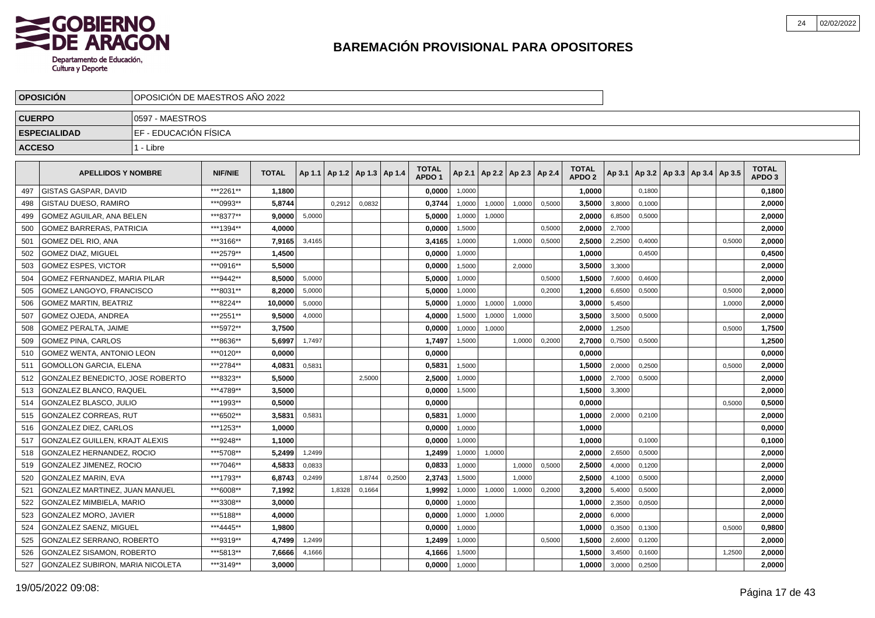

|               | <b>OPOSICION</b>                 | OPOSICION DE MAESTROS ANO 2022 |                |              |        |                                   |        |        |                                   |        |                          |        |        |                                   |        |        |                                   |        |                                   |  |
|---------------|----------------------------------|--------------------------------|----------------|--------------|--------|-----------------------------------|--------|--------|-----------------------------------|--------|--------------------------|--------|--------|-----------------------------------|--------|--------|-----------------------------------|--------|-----------------------------------|--|
| <b>CUERPO</b> |                                  | 10597 - MAESTROS               |                |              |        |                                   |        |        |                                   |        |                          |        |        |                                   |        |        |                                   |        |                                   |  |
|               | <b>ESPECIALIDAD</b>              | EF - EDUCACIÓN FÍSICA          |                |              |        |                                   |        |        |                                   |        |                          |        |        |                                   |        |        |                                   |        |                                   |  |
| <b>ACCESO</b> |                                  | 1 - Libre                      |                |              |        |                                   |        |        |                                   |        |                          |        |        |                                   |        |        |                                   |        |                                   |  |
|               |                                  |                                |                |              |        |                                   |        |        |                                   |        |                          |        |        |                                   |        |        |                                   |        |                                   |  |
|               | <b>APELLIDOS Y NOMBRE</b>        |                                | <b>NIF/NIE</b> | <b>TOTAL</b> |        | Ap 1.1   Ap 1.2   Ap 1.3   Ap 1.4 |        |        | <b>TOTAL</b><br>APDO <sub>1</sub> | Ap 2.1 | Ap 2.2   Ap 2.3   Ap 2.4 |        |        | <b>TOTAL</b><br>APDO <sub>2</sub> | Ap 3.1 |        | Ap 3.2   Ap 3.3   Ap 3.4   Ap 3.5 |        | <b>TOTAL</b><br>APDO <sub>3</sub> |  |
| 497           | l GISTAS GASPAR. DAVID           |                                | ***2261**      | 1,1800       |        |                                   |        |        | 0,0000                            | 1,0000 |                          |        |        | 1,0000                            |        | 0.1800 |                                   |        | 0,1800                            |  |
| 498           | <b>GISTAU DUESO, RAMIRO</b>      |                                | ***0993**      | 5,8744       |        | 0.2912                            | 0,0832 |        | 0,3744                            | 1,0000 | 1,0000                   | 1.0000 | 0,5000 | 3,5000                            | 3,8000 | 0.1000 |                                   |        | 2,0000                            |  |
| 499           | GOMEZ AGUILAR, ANA BELEN         |                                | ***8377**      | 9.0000       | 5,0000 |                                   |        |        | 5.0000                            | 1,0000 | 1,0000                   |        |        | 2.0000                            | 6,8500 | 0,5000 |                                   |        | 2,0000                            |  |
| 500           | <b>GOMEZ BARRERAS, PATRICIA</b>  |                                | ***1394**      | 4.0000       |        |                                   |        |        | 0,0000                            | 1,5000 |                          |        | 0,5000 | 2,0000                            | 2,7000 |        |                                   |        | 2,0000                            |  |
| 501           | GOMEZ DEL RIO, ANA               |                                | ***3166**      | 7,9165       | 3,4165 |                                   |        |        | 3,4165                            | 1,0000 |                          | 1,0000 | 0,5000 | 2,5000                            | 2,2500 | 0,4000 |                                   | 0,5000 | 2,0000                            |  |
| 502           | <b>GOMEZ DIAZ. MIGUEL</b>        |                                | ***2579**      | 1.4500       |        |                                   |        |        | 0.0000                            | 1,0000 |                          |        |        | 1.0000                            |        | 0.4500 |                                   |        | 0,4500                            |  |
| 503           | <b>GOMEZ ESPES, VICTOR</b>       |                                | ***0916**      | 5.5000       |        |                                   |        |        | 0,0000                            | 1,5000 |                          | 2.0000 |        | 3,5000                            | 3,3000 |        |                                   |        | 2,0000                            |  |
| 504           | GOMEZ FERNANDEZ. MARIA PILAR     |                                | ***9442**      | 8,5000       | 5,0000 |                                   |        |        | 5,0000                            | 1,0000 |                          |        | 0,5000 | 1,5000                            | 7,6000 | 0,4600 |                                   |        | 2,0000                            |  |
| 505           | GOMEZ LANGOYO, FRANCISCO         |                                | ***8031**      | 8,2000       | 5,0000 |                                   |        |        | 5,0000                            | 1,0000 |                          |        | 0,2000 | 1,2000                            | 6,6500 | 0,5000 |                                   | 0,5000 | 2,0000                            |  |
| 506           | <b>GOMEZ MARTIN, BEATRIZ</b>     |                                | ***8224**      | 10,0000      | 5,0000 |                                   |        |        | 5,0000                            | 1,0000 | 1,0000                   | 1,0000 |        | 3,0000                            | 5,4500 |        |                                   | 1,0000 | 2,0000                            |  |
| 507           | GOMEZ OJEDA, ANDREA              |                                | ***2551**      | 9,5000       | 4,0000 |                                   |        |        | 4,0000                            | 1,5000 | 1,0000                   | 1,0000 |        | 3,5000                            | 3,5000 | 0,5000 |                                   |        | 2,0000                            |  |
| 508           | <b>GOMEZ PERALTA, JAIME</b>      |                                | ***5972**      | 3,7500       |        |                                   |        |        | 0.0000                            | 1,0000 | 1,0000                   |        |        | 2.0000                            | 1,2500 |        |                                   | 0,5000 | 1,7500                            |  |
| 509           | <b>GOMEZ PINA, CARLOS</b>        |                                | ***8636**      | 5,6997       | 1.7497 |                                   |        |        | 1,7497                            | 1,5000 |                          | 1.0000 | 0,2000 | 2,7000                            | 0,7500 | 0,5000 |                                   |        | 1,2500                            |  |
| 510           | <b>GOMEZ WENTA, ANTONIO LEON</b> |                                | ***0120**      | 0.0000       |        |                                   |        |        | 0.0000                            |        |                          |        |        | 0.0000                            |        |        |                                   |        | 0,0000                            |  |
| 511           | <b>GOMOLLON GARCIA, ELENA</b>    |                                | ***2784**      | 4,0831       | 0,5831 |                                   |        |        | 0,5831                            | 1,5000 |                          |        |        | 1,5000                            | 2,0000 | 0,2500 |                                   | 0,5000 | 2,0000                            |  |
| 512           | GONZALEZ BENEDICTO. JOSE ROBERTO |                                | ***8323**      | 5,5000       |        |                                   | 2,5000 |        | 2,5000                            | 1,0000 |                          |        |        | 1,0000                            | 2,7000 | 0,5000 |                                   |        | 2,0000                            |  |
| 513           | GONZALEZ BLANCO, RAQUEL          |                                | ***4789**      | 3,5000       |        |                                   |        |        | 0,0000                            | 1,5000 |                          |        |        | 1,5000                            | 3,3000 |        |                                   |        | 2,0000                            |  |
| 514           | GONZALEZ BLASCO, JULIO           |                                | ***1993**      | 0.5000       |        |                                   |        |        | 0.0000                            |        |                          |        |        | 0.0000                            |        |        |                                   | 0,5000 | 0,5000                            |  |
| 515           | <b>GONZALEZ CORREAS, RUT</b>     |                                | ***6502**      | 3.5831       | 0,5831 |                                   |        |        | 0.5831                            | 1,0000 |                          |        |        | 1.0000                            | 2,0000 | 0,2100 |                                   |        | 2,0000                            |  |
| 516           | GONZALEZ DIEZ, CARLOS            |                                | ***1253**      | 1,0000       |        |                                   |        |        | 0,0000                            | 1,0000 |                          |        |        | 1,0000                            |        |        |                                   |        | 0,0000                            |  |
| 517           | GONZALEZ GUILLEN, KRAJT ALEXIS   |                                | ***9248**      | 1,1000       |        |                                   |        |        | 0,0000                            | 1,0000 |                          |        |        | 1.0000                            |        | 0,1000 |                                   |        | 0,1000                            |  |
| 518           | GONZALEZ HERNANDEZ, ROCIO        |                                | ***5708**      | 5,2499       | 1,2499 |                                   |        |        | 1,2499                            | 1,0000 | 1,0000                   |        |        | 2.0000                            | 2,6500 | 0,5000 |                                   |        | 2,0000                            |  |
| 519           | GONZALEZ JIMENEZ, ROCIO          |                                | ***7046**      | 4,5833       | 0,0833 |                                   |        |        | 0,0833                            | 1,0000 |                          | 1,0000 | 0,5000 | 2,5000                            | 4,0000 | 0,1200 |                                   |        | 2,0000                            |  |
| 520           | <b>GONZALEZ MARIN, EVA</b>       |                                | ***1793**      | 6.8743       | 0.2499 |                                   | 1.8744 | 0,2500 | 2.3743                            | 1,5000 |                          | 1.0000 |        | 2,5000                            | 4,1000 | 0,5000 |                                   |        | 2.0000                            |  |
| 521           | GONZALEZ MARTINEZ, JUAN MANUEL   |                                | ***6008**      | 7,1992       |        | 1,8328                            | 0,1664 |        | 1.9992                            | 1,0000 | 1,0000                   | 1,0000 | 0,2000 | 3,2000                            | 5,4000 | 0,5000 |                                   |        | 2,0000                            |  |
| 522           | <b>GONZALEZ MIMBIELA, MARIO</b>  |                                | ***3308**      | 3.0000       |        |                                   |        |        | 0,0000                            | 1,0000 |                          |        |        | 1,0000                            | 2,3500 | 0,0500 |                                   |        | 2,0000                            |  |
| 523           | GONZALEZ MORO, JAVIER            |                                | ***5188**      | 4,0000       |        |                                   |        |        | 0,0000                            | 1,0000 | 1,0000                   |        |        | 2,0000                            | 6,0000 |        |                                   |        | 2,0000                            |  |
| 524           | <b>GONZALEZ SAENZ, MIGUEL</b>    |                                | ***4445**      | 1,9800       |        |                                   |        |        | 0,0000                            | 1,0000 |                          |        |        | 1,0000                            | 0,3500 | 0,1300 |                                   | 0,5000 | 0,9800                            |  |
| 525           | GONZALEZ SERRANO, ROBERTO        |                                | ***9319**      | 4,7499       | 1,2499 |                                   |        |        | 1,2499                            | 1,0000 |                          |        | 0,5000 | 1,5000                            | 2,6000 | 0,1200 |                                   |        | 2,0000                            |  |
| 526           | <b>GONZALEZ SISAMON, ROBERTO</b> |                                | ***5813**      | 7,6666       | 4,1666 |                                   |        |        | 4,1666                            | 1,5000 |                          |        |        | 1.5000                            | 3,4500 | 0,1600 |                                   | 1,2500 | 2.0000                            |  |
| 527           | GONZALEZ SUBIRON, MARIA NICOLETA |                                | ***3149**      | 3,0000       |        |                                   |        |        | 0,0000                            | 1,0000 |                          |        |        | 1.0000                            | 3,0000 | 0,2500 |                                   |        | 2,0000                            |  |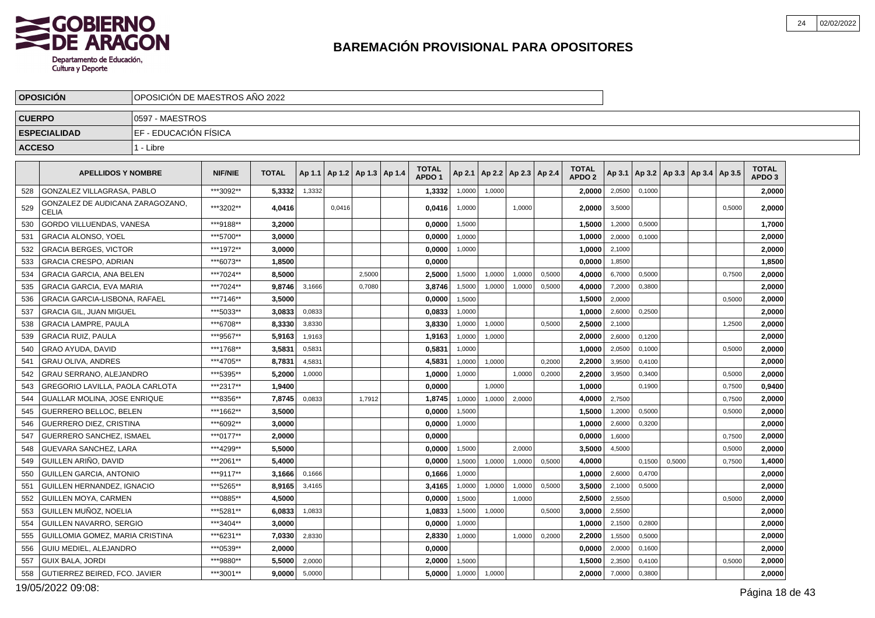

|               | <b>OPOSICION</b>                                 | OPOSICION DE MAESTROS ANO 2022 |                |              |        |                                   |        |                                   |        |                          |        |        |                                   |        |                                            |        |        |                                   |  |
|---------------|--------------------------------------------------|--------------------------------|----------------|--------------|--------|-----------------------------------|--------|-----------------------------------|--------|--------------------------|--------|--------|-----------------------------------|--------|--------------------------------------------|--------|--------|-----------------------------------|--|
| <b>CUERPO</b> |                                                  | 0597 - MAESTROS                |                |              |        |                                   |        |                                   |        |                          |        |        |                                   |        |                                            |        |        |                                   |  |
|               | <b>ESPECIALIDAD</b>                              | EF - EDUCACIÓN FÍSICA          |                |              |        |                                   |        |                                   |        |                          |        |        |                                   |        |                                            |        |        |                                   |  |
| <b>ACCESO</b> |                                                  | 1 - Libre                      |                |              |        |                                   |        |                                   |        |                          |        |        |                                   |        |                                            |        |        |                                   |  |
|               | <b>APELLIDOS Y NOMBRE</b>                        |                                | <b>NIF/NIE</b> | <b>TOTAL</b> |        | Ap 1.1   Ap 1.2   Ap 1.3   Ap 1.4 |        | <b>TOTAL</b><br>APDO <sub>1</sub> | Ap 2.1 | Ap 2.2   Ap 2.3   Ap 2.4 |        |        | <b>TOTAL</b><br>APDO <sub>2</sub> |        | Ap 3.1   Ap 3.2   Ap 3.3   Ap 3.4   Ap 3.5 |        |        | <b>TOTAL</b><br>APDO <sub>3</sub> |  |
| 528           | GONZALEZ VILLAGRASA, PABLO                       |                                | ***3092**      | 5,3332       | 1,3332 |                                   |        | 1,3332                            | 1,0000 | 1,0000                   |        |        | 2,0000                            | 2,0500 | 0,1000                                     |        |        | 2,0000                            |  |
| 529           | GONZALEZ DE AUDICANA ZARAGOZANO.<br><b>CELIA</b> |                                | ***3202**      | 4,0416       |        | 0,0416                            |        | 0,0416                            | 1,0000 |                          | 1,0000 |        | 2.0000                            | 3,5000 |                                            |        | 0,5000 | 2,0000                            |  |
| 530           | GORDO VILLUENDAS, VANESA                         |                                | ***9188**      | 3,2000       |        |                                   |        | 0,0000                            | 1,5000 |                          |        |        | 1,5000                            | 1,2000 | 0,5000                                     |        |        | 1,7000                            |  |
| 531           | <b>GRACIA ALONSO, YOEL</b>                       |                                | ***5700**      | 3.0000       |        |                                   |        | 0,0000                            | 1,0000 |                          |        |        | 1,0000                            | 2,0000 | 0,1000                                     |        |        | 2,0000                            |  |
| 532           | <b>GRACIA BERGES, VICTOR</b>                     |                                | ***1972**      | 3.0000       |        |                                   |        | 0,0000                            | 1,0000 |                          |        |        | 1.0000                            | 2,1000 |                                            |        |        | 2,0000                            |  |
| 533           | <b>GRACIA CRESPO, ADRIAN</b>                     |                                | ***6073**      | 1,8500       |        |                                   |        | 0.0000                            |        |                          |        |        | 0,0000                            | 1,8500 |                                            |        |        | 1,8500                            |  |
| 534           | <b>GRACIA GARCIA, ANA BELEN</b>                  |                                | ***7024**      | 8.5000       |        |                                   | 2,5000 | 2,5000                            | 1,5000 | 1,0000                   | 1.0000 | 0,5000 | 4.0000                            | 6,7000 | 0,5000                                     |        | 0.7500 | 2,0000                            |  |
| 535           | <b>GRACIA GARCIA, EVA MARIA</b>                  |                                | ***7024**      | 9,8746       | 3,1666 |                                   | 0,7080 | 3,8746                            | 1,5000 | 1,0000                   | 1,0000 | 0,5000 | 4,0000                            | 7,2000 | 0,3800                                     |        |        | 2,0000                            |  |
| 536           | <b>GRACIA GARCIA-LISBONA, RAFAEL</b>             |                                | ***7146**      | 3.5000       |        |                                   |        | 0,0000                            | 1,5000 |                          |        |        | 1.5000                            | 2,0000 |                                            |        | 0,5000 | 2,0000                            |  |
| 537           | <b>GRACIA GIL. JUAN MIGUEL</b>                   |                                | ***5033**      | 3.0833       | 0,0833 |                                   |        | 0.0833                            | 1,0000 |                          |        |        | 1.0000                            | 2,6000 | 0,2500                                     |        |        | 2,0000                            |  |
| 538           | <b>GRACIA LAMPRE, PAULA</b>                      |                                | ***6708**      | 8,3330       | 3,8330 |                                   |        | 3,8330                            | 1,0000 | 1,0000                   |        | 0,5000 | 2,5000                            | 2,1000 |                                            |        | 1,2500 | 2,0000                            |  |
| 539           | <b>GRACIA RUIZ, PAULA</b>                        |                                | ***9567**      | 5,9163       | 1,9163 |                                   |        | 1,9163                            | 1,0000 | 1,0000                   |        |        | 2.0000                            | 2,6000 | 0,1200                                     |        |        | 2,0000                            |  |
| 540           | <b>GRAO AYUDA, DAVID</b>                         |                                | ***1768**      | 3,5831       | 0,5831 |                                   |        | 0,5831                            | 1,0000 |                          |        |        | 1,0000                            | 2,0500 | 0,1000                                     |        | 0,5000 | 2,0000                            |  |
| 541           | <b>GRAU OLIVA. ANDRES</b>                        |                                | ***4705**      | 8,7831       | 4,5831 |                                   |        | 4,5831                            | 1,0000 | 1,0000                   |        | 0,2000 | 2.2000                            | 3,9500 | 0.4100                                     |        |        | 2,0000                            |  |
| 542           | <b>GRAU SERRANO, ALEJANDRO</b>                   |                                | ***5395**      | 5.2000       | 1,0000 |                                   |        | 1.0000                            | 1,0000 |                          | 1,0000 | 0,2000 | 2.2000                            | 3,9500 | 0,3400                                     |        | 0,5000 | 2,0000                            |  |
| 543           | GREGORIO LAVILLA, PAOLA CARLOTA                  |                                | ***2317**      | 1,9400       |        |                                   |        | 0,0000                            |        | 1,0000                   |        |        | 1,0000                            |        | 0,1900                                     |        | 0,7500 | 0,9400                            |  |
| 544           | <b>GUALLAR MOLINA. JOSE ENRIQUE</b>              |                                | ***8356**      | 7,8745       | 0,0833 |                                   | 1.7912 | 1,8745                            | 1,0000 | 1,0000                   | 2.0000 |        | 4,0000                            | 2,7500 |                                            |        | 0,7500 | 2,0000                            |  |
| 545           | <b>GUERRERO BELLOC, BELEN</b>                    |                                | ***1662**      | 3,5000       |        |                                   |        | 0,0000                            | 1,5000 |                          |        |        | 1,5000                            | 1,2000 | 0,5000                                     |        | 0,5000 | 2,0000                            |  |
| 546           | <b>GUERRERO DIEZ, CRISTINA</b>                   |                                | ***6092**      | 3,0000       |        |                                   |        | 0,0000                            | 1,0000 |                          |        |        | 1.0000                            | 2,6000 | 0,3200                                     |        |        | 2,0000                            |  |
| 547           | <b>GUERRERO SANCHEZ, ISMAEL</b>                  |                                | ***0177**      | 2,0000       |        |                                   |        | 0,0000                            |        |                          |        |        | 0,0000                            | 1,6000 |                                            |        | 0.7500 | 2,0000                            |  |
| 548           | GUEVARA SANCHEZ, LARA                            |                                | ***4299**      | 5,5000       |        |                                   |        | 0,0000                            | 1,5000 |                          | 2.0000 |        | 3,5000                            | 4,5000 |                                            |        | 0,5000 | 2,0000                            |  |
| 549           | GUILLEN ARIÑO, DAVID                             |                                | ***2061**      | 5.4000       |        |                                   |        | 0.0000                            | 1.5000 | 1,0000                   | 1,0000 | 0,5000 | 4.0000                            |        | 0.1500                                     | 0.5000 | 0.7500 | 1,4000                            |  |
| 550           | <b>GUILLEN GARCIA, ANTONIO</b>                   |                                | ***9117**      | 3,1666       | 0,1666 |                                   |        | 0,1666                            | 1,0000 |                          |        |        | 1,0000                            | 2,6000 | 0,4700                                     |        |        | 2,0000                            |  |
| 551           | GUILLEN HERNANDEZ, IGNACIO                       |                                | ***5265**      | 8,9165       | 3,4165 |                                   |        | 3,4165                            | 1,0000 | 1,0000                   | 1,0000 | 0,5000 | 3.5000                            | 2,1000 | 0,5000                                     |        |        | 2,0000                            |  |
| 552           | <b>GUILLEN MOYA, CARMEN</b>                      |                                | ***0885**      | 4,5000       |        |                                   |        | 0,0000                            | 1.5000 |                          | 1.0000 |        | 2,5000                            | 2,5500 |                                            |        | 0.5000 | 2,0000                            |  |
| 553           | GUILLEN MUÑOZ, NOELIA                            |                                | ***5281**      | 6,0833       | 1,0833 |                                   |        | 1,0833                            | 1,5000 | 1,0000                   |        | 0,5000 | 3.0000                            | 2,5500 |                                            |        |        | 2,0000                            |  |
| 554           | I GUILLEN NAVARRO. SERGIO                        |                                | ***3404**      | 3.0000       |        |                                   |        | 0.0000                            | 1,0000 |                          |        |        | 1.0000                            | 2,1500 | 0,2800                                     |        |        | 2,0000                            |  |
| 555           | GUILLOMIA GOMEZ, MARIA CRISTINA                  |                                | ***6231**      | 7,0330       | 2,8330 |                                   |        | 2,8330                            | 1,0000 |                          | 1,0000 | 0,2000 | 2,2000                            | 1,5500 | 0,5000                                     |        |        | 2,0000                            |  |
| 556           | GUIU MEDIEL, ALEJANDRO                           |                                | ***0539**      | 2,0000       |        |                                   |        | 0.0000                            |        |                          |        |        | 0,0000                            | 2,0000 | 0,1600                                     |        |        | 2,0000                            |  |
| 557           | <b>GUIX BALA, JORDI</b>                          |                                | ***9880**      | 5,5000       | 2,0000 |                                   |        | 2,0000                            | 1.5000 |                          |        |        | 1,5000                            | 2,3500 | 0,4100                                     |        | 0.5000 | 2,0000                            |  |
| 558           | GUTIERREZ BEIRED, FCO. JAVIER                    |                                | ***3001**      | 9,0000       | 5,0000 |                                   |        | 5,0000                            | 1,0000 | 1,0000                   |        |        | 2.0000                            | 7,0000 | 0,3800                                     |        |        | 2,0000                            |  |

19/05/2022 09:08: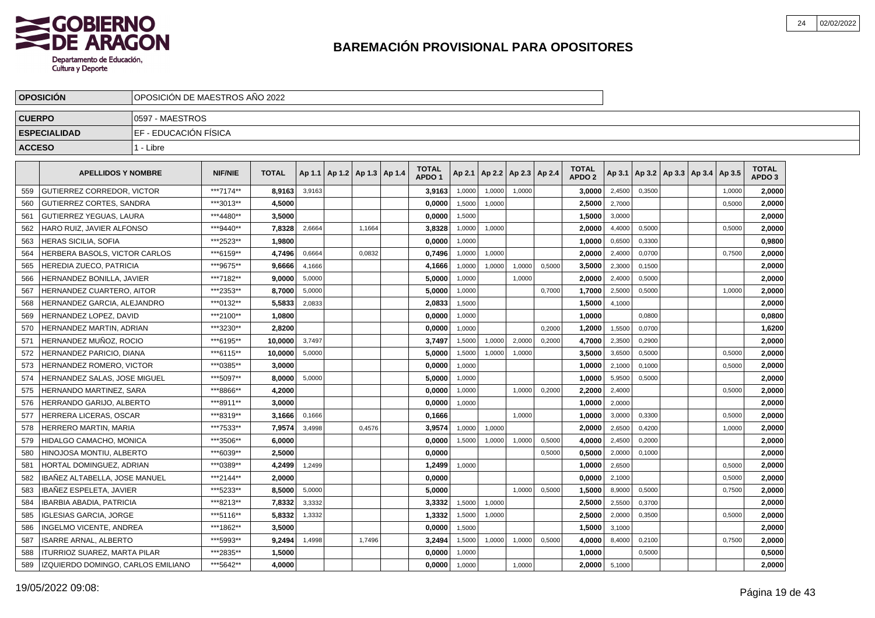

|               | <b>OPOSICIÓN</b>                   | OPOSICIÓN DE MAESTROS AÑO 2022 |                |              |        |                          |        |                                   |        |                          |        |        |                                   |               |        |                                   |        |                                   |
|---------------|------------------------------------|--------------------------------|----------------|--------------|--------|--------------------------|--------|-----------------------------------|--------|--------------------------|--------|--------|-----------------------------------|---------------|--------|-----------------------------------|--------|-----------------------------------|
| <b>CUERPO</b> |                                    | 0597 - MAESTROS                |                |              |        |                          |        |                                   |        |                          |        |        |                                   |               |        |                                   |        |                                   |
|               | <b>ESPECIALIDAD</b>                | EF - EDUCACIÓN FÍSICA          |                |              |        |                          |        |                                   |        |                          |        |        |                                   |               |        |                                   |        |                                   |
| <b>ACCESO</b> |                                    | 1 - Libre                      |                |              |        |                          |        |                                   |        |                          |        |        |                                   |               |        |                                   |        |                                   |
|               |                                    |                                |                |              |        |                          |        |                                   |        |                          |        |        |                                   |               |        |                                   |        |                                   |
|               | <b>APELLIDOS Y NOMBRE</b>          |                                | <b>NIF/NIE</b> | <b>TOTAL</b> | Ap 1.1 | Ap 1.2   Ap 1.3   Ap 1.4 |        | <b>TOTAL</b><br>APDO <sub>1</sub> | Ap 2.1 | Ap 2.2   Ap 2.3   Ap 2.4 |        |        | <b>TOTAL</b><br>APDO <sub>2</sub> | Ap 3.1        |        | Ap 3.2   Ap 3.3   Ap 3.4   Ap 3.5 |        | <b>TOTAL</b><br>APDO <sub>3</sub> |
| 559           | GUTIERREZ CORREDOR, VICTOR         |                                | ***7174**      | 8,9163       | 3,9163 |                          |        | 3,9163                            | 1,0000 | 1,0000                   | 1,0000 |        | 3,0000                            | 2,4500        | 0,3500 |                                   | 1,0000 | 2,0000                            |
| 560           | <b>GUTIERREZ CORTES, SANDRA</b>    |                                | ***3013**      | 4,5000       |        |                          |        | 0,0000                            | 1,5000 | 1,0000                   |        |        | 2,5000                            | 2,7000        |        |                                   | 0,5000 | 2,0000                            |
| 561           | GUTIERREZ YEGUAS, LAURA            |                                | ***4480**      | 3,5000       |        |                          |        | 0,0000                            | 1,5000 |                          |        |        | 1,5000                            | 3,0000        |        |                                   |        | 2,0000                            |
| 562           | HARO RUIZ. JAVIER ALFONSO          |                                | ***9440**      | 7,8328       | 2,6664 |                          | 1.1664 | 3,8328                            | 1,0000 | 1,0000                   |        |        | 2.0000                            | 4,4000        | 0.5000 |                                   | 0,5000 | 2,0000                            |
| 563           | <b>HERAS SICILIA, SOFIA</b>        |                                | ***2523**      | 1,9800       |        |                          |        | 0,0000                            | 1,0000 |                          |        |        | 1,0000                            | 0,6500        | 0,3300 |                                   |        | 0,9800                            |
| 564           | HERBERA BASOLS, VICTOR CARLOS      |                                | ***6159**      | 4,7496       | 0,6664 |                          | 0,0832 | 0,7496                            | 1,0000 | 1,0000                   |        |        | 2.0000                            | 2,4000        | 0,0700 |                                   | 0,7500 | 2,0000                            |
| 565           | HEREDIA ZUECO, PATRICIA            |                                | ***9675**      | 9,6666       | 4,1666 |                          |        | 4,1666                            | 1,0000 | 1,0000                   | 1,0000 | 0,5000 | 3,5000                            | 2,3000        | 0,1500 |                                   |        | 2,0000                            |
| 566           | HERNANDEZ BONILLA, JAVIER          |                                | ***7182**      | 9.0000       | 5,0000 |                          |        | 5,0000                            | 1,0000 |                          | 1,0000 |        | 2.0000                            | 2,4000        | 0,5000 |                                   |        | 2,0000                            |
| 567           | HERNANDEZ CUARTERO. AITOR          |                                | ***2353**      | 8.7000       | 5,0000 |                          |        | 5.0000                            | 1.0000 |                          |        | 0,7000 | 1.7000                            | 2,5000        | 0.5000 |                                   | 1,0000 | 2.0000                            |
| 568           | HERNANDEZ GARCIA, ALEJANDRO        |                                | ***0132**      | 5,5833       | 2,0833 |                          |        | 2,0833                            | 1,5000 |                          |        |        | 1,5000                            | 4,1000        |        |                                   |        | 2,0000                            |
| 569           | HERNANDEZ LOPEZ, DAVID             |                                | ***2100**      | 1,0800       |        |                          |        | 0,0000                            | 1,0000 |                          |        |        | 1.0000                            |               | 0,0800 |                                   |        | 0,0800                            |
| 570           | HERNANDEZ MARTIN, ADRIAN           |                                | ***3230**      | 2.8200       |        |                          |        | 0,0000                            | 1,0000 |                          |        | 0,2000 | 1,2000                            | 1,5500        | 0,0700 |                                   |        | 1,6200                            |
| 571           | HERNANDEZ MUÑOZ, ROCIO             |                                | ***6195**      | 10.0000      | 3,7497 |                          |        | 3,7497                            | 1,5000 | 1,0000                   | 2,0000 | 0,2000 | 4.7000                            | 2,3500        | 0,2900 |                                   |        | 2,0000                            |
| 572           | HERNANDEZ PARICIO. DIANA           |                                | ***6115**      | 10.0000      | 5,0000 |                          |        | 5.0000                            | 1,5000 | 1,0000                   | 1.0000 |        | 3.5000                            | 3,6500        | 0.5000 |                                   | 0,5000 | 2,0000                            |
| 573           | HERNANDEZ ROMERO, VICTOR           |                                | ***0385**      | 3,0000       |        |                          |        | 0,0000                            | 1,0000 |                          |        |        | 1,0000                            | 2,1000        | 0,1000 |                                   | 0,5000 | 2,0000                            |
| 574           | HERNANDEZ SALAS, JOSE MIGUEL       |                                | ***5097**      | 8,0000       | 5,0000 |                          |        | 5,0000                            | 1,0000 |                          |        |        | 1,0000                            | 5,9500        | 0,5000 |                                   |        | 2,0000                            |
| 575           | HERNANDO MARTINEZ, SARA            |                                | ***8866**      | 4,2000       |        |                          |        | 0,0000                            | 1,0000 |                          | 1.0000 | 0,2000 | 2.2000                            | 2,4000        |        |                                   | 0,5000 | 2,0000                            |
| 576           | HERRANDO GARIJO. ALBERTO           |                                | ***8911**      | 3.0000       |        |                          |        | 0.0000                            | 1,0000 |                          |        |        | 1.0000                            | 2,0000        |        |                                   |        | 2,0000                            |
| 577           | <b>HERRERA LICERAS, OSCAR</b>      |                                | ***8319**      | 3.1666       | 0,1666 |                          |        | 0.1666                            |        |                          | 1.0000 |        | 1.0000                            | 3,0000        | 0.3300 |                                   | 0.5000 | 2.0000                            |
| 578           | HERRERO MARTIN, MARIA              |                                | ***7533**      | 7,9574       | 3,4998 |                          | 0,4576 | 3,9574                            | 1,0000 | 1,0000                   |        |        | 2,0000                            | 2,6500        | 0,4200 |                                   | 1,0000 | 2,0000                            |
| 579           | HIDALGO CAMACHO, MONICA            |                                | ***3506**      | 6,0000       |        |                          |        | 0.0000                            | 1,5000 | 1,0000                   | 1,0000 | 0,5000 | 4.0000                            | 2,4500        | 0,2000 |                                   |        | 2,0000                            |
| 580           | HINOJOSA MONTIU, ALBERTO           |                                | ***6039**      | 2,5000       |        |                          |        | 0,0000                            |        |                          |        | 0,5000 | 0,5000                            | 2,0000        | 0,1000 |                                   |        | 2,0000                            |
| 581           | HORTAL DOMINGUEZ, ADRIAN           |                                | ***0389**      | 4,2499       | 1,2499 |                          |        | 1,2499                            | 1,0000 |                          |        |        | 1.0000                            | 2,6500        |        |                                   | 0,5000 | 2.0000                            |
| 582           | IBAÑEZ ALTABELLA, JOSE MANUEL      |                                | ***2144**      | 2,0000       |        |                          |        | 0,0000                            |        |                          |        |        | 0,0000                            | 2,1000        |        |                                   | 0,5000 | 2,0000                            |
| 583           | IBAÑEZ ESPELETA, JAVIER            |                                | ***5233**      | 8,5000       | 5,0000 |                          |        | 5,0000                            |        |                          | 1,0000 | 0,5000 | 1,5000                            | 8,9000        | 0,5000 |                                   | 0,7500 | 2,0000                            |
| 584           | <b>IBARBIA ABADIA, PATRICIA</b>    |                                | ***8213**      | 7,8332       | 3,3332 |                          |        | 3,3332                            | 1,5000 | 1,0000                   |        |        | 2,5000                            | 2,5500        | 0,3700 |                                   |        | 2,0000                            |
| 585           | <b>IGLESIAS GARCIA, JORGE</b>      |                                | ***5116**      | 5,8332       | 1,3332 |                          |        | 1,3332                            | 1,5000 | 1,0000                   |        |        | 2,5000                            | 2,0000        | 0,3500 |                                   | 0,5000 | 2,0000                            |
| 586           | <b>INGELMO VICENTE, ANDREA</b>     |                                | ***1862**      | 3,5000       |        |                          |        | 0.0000                            | 1,5000 |                          |        |        | 1.5000                            | 3,1000        |        |                                   |        | 2,0000                            |
| 587           | <b>ISARRE ARNAL, ALBERTO</b>       |                                | ***5993**      | 9,2494       | 1,4998 |                          | 1,7496 | 3,2494                            | 1,5000 | 1,0000                   | 1,0000 | 0,5000 | 4,0000                            | 8,4000        | 0,2100 |                                   | 0,7500 | 2,0000                            |
| 588           | ITURRIOZ SUAREZ, MARTA PILAR       |                                | ***2835**      | 1,5000       |        |                          |        | 0,0000                            | 1,0000 |                          |        |        | 1,0000                            |               | 0,5000 |                                   |        | 0,5000                            |
| 589           | IZQUIERDO DOMINGO, CARLOS EMILIANO |                                | ***5642**      | 4,0000       |        |                          |        | 0,0000                            | 1,0000 |                          | 1,0000 |        |                                   | 2,0000 5,1000 |        |                                   |        | 2,0000                            |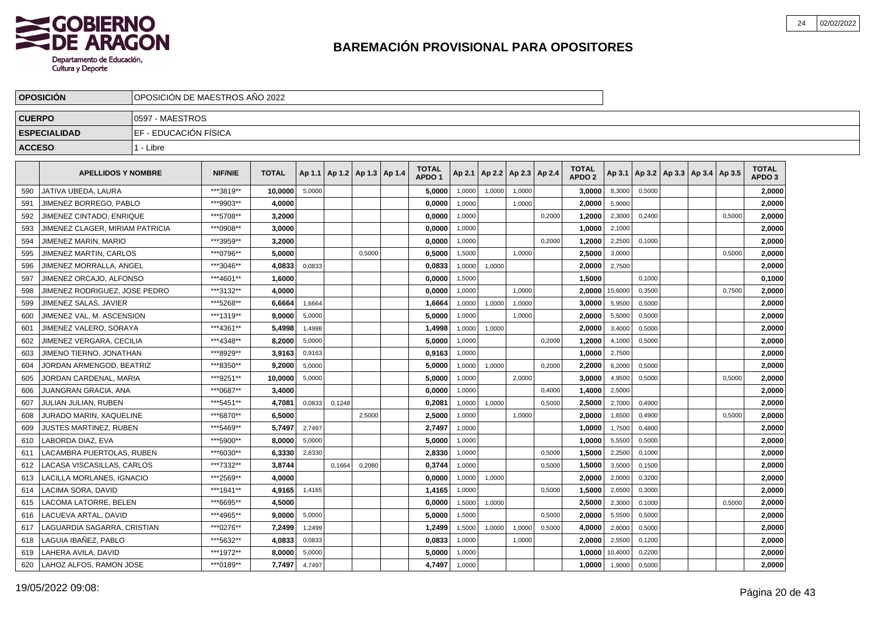

|               | <b>OPOSICION</b>                | OPOSICION DE MAESTROS ANO 2022 |                |              |        |                                   |        |                                   |        |                          |        |        |                                   |         |        |                                   |        |                                   |  |
|---------------|---------------------------------|--------------------------------|----------------|--------------|--------|-----------------------------------|--------|-----------------------------------|--------|--------------------------|--------|--------|-----------------------------------|---------|--------|-----------------------------------|--------|-----------------------------------|--|
| <b>CUERPO</b> |                                 | 10597 - MAESTROS               |                |              |        |                                   |        |                                   |        |                          |        |        |                                   |         |        |                                   |        |                                   |  |
|               | <b>ESPECIALIDAD</b>             | EF - EDUCACIÓN FÍSICA          |                |              |        |                                   |        |                                   |        |                          |        |        |                                   |         |        |                                   |        |                                   |  |
| <b>ACCESO</b> |                                 | 1 - Libre                      |                |              |        |                                   |        |                                   |        |                          |        |        |                                   |         |        |                                   |        |                                   |  |
|               |                                 |                                |                |              |        |                                   |        |                                   |        |                          |        |        |                                   |         |        |                                   |        |                                   |  |
|               | <b>APELLIDOS Y NOMBRE</b>       |                                | <b>NIF/NIE</b> | <b>TOTAL</b> |        | Ap 1.1   Ap 1.2   Ap 1.3   Ap 1.4 |        | <b>TOTAL</b><br>APDO <sub>1</sub> | Ap 2.1 | Ap 2.2   Ap 2.3   Ap 2.4 |        |        | <b>TOTAL</b><br>APDO <sub>2</sub> | Ap 3.1  |        | Ap 3.2   Ap 3.3   Ap 3.4   Ap 3.5 |        | <b>TOTAL</b><br>APDO <sub>3</sub> |  |
| 590           | JATIVA UBEDA. LAURA             |                                | ***3819**      | 10.0000      | 5,0000 |                                   |        | 5,0000                            | 1,0000 | 1.0000                   | 1.0000 |        | 3.0000                            | 8,3000  | 0.5000 |                                   |        | 2,0000                            |  |
| 591           | JIMENEZ BORREGO, PABLO          |                                | ***9903**      | 4,0000       |        |                                   |        | 0,0000                            | 1,0000 |                          | 1.0000 |        | 2.0000                            | 5,9000  |        |                                   |        | 2,0000                            |  |
| 592           | JIMENEZ CINTADO, ENRIQUE        |                                | ***5708**      | 3,2000       |        |                                   |        | 0,0000                            | 1,0000 |                          |        | 0,2000 | 1,2000                            | 2,3000  | 0,2400 |                                   | 0,5000 | 2,0000                            |  |
| 593           | JIMENEZ CLAGER, MIRIAM PATRICIA |                                | ***0908**      | 3.0000       |        |                                   |        | 0,0000                            | 1,0000 |                          |        |        | 1,0000                            | 2,1000  |        |                                   |        | 2,0000                            |  |
| 594           | JIMENEZ MARIN, MARIO            |                                | ***3959**      | 3,2000       |        |                                   |        | 0,0000                            | 1,0000 |                          |        | 0,2000 | 1,2000                            | 2,2500  | 0,1000 |                                   |        | 2,0000                            |  |
| 595           | <b>JIMENEZ MARTIN, CARLOS</b>   |                                | ***0796**      | 5.0000       |        |                                   | 0.5000 | 0.5000                            | 1,5000 |                          | 1.0000 |        | 2.5000                            | 3,0000  |        |                                   | 0,5000 | 2,0000                            |  |
| 596           | JIMENEZ MORRALLA. ANGEL         |                                | ***3046**      | 4,0833       | 0,0833 |                                   |        | 0,0833                            | 1,0000 | 1,0000                   |        |        | 2.0000                            | 2,7500  |        |                                   |        | 2,0000                            |  |
| 597           | JIMENEZ ORCAJO. ALFONSO         |                                | ***4601**      | 1,6000       |        |                                   |        | 0,0000                            | 1,5000 |                          |        |        | 1,5000                            |         | 0,1000 |                                   |        | 0,1000                            |  |
| 598           | JIMENEZ RODRIGUEZ, JOSE PEDRO   |                                | ***3132**      | 4,0000       |        |                                   |        | 0,0000                            | 1,0000 |                          | 1,0000 |        | 2,0000                            | 15,6000 | 0,3500 |                                   | 0,7500 | 2,0000                            |  |
| 599           | JIMENEZ SALAS, JAVIER           |                                | ***5268**      | 6,6664       | 1,6664 |                                   |        | 1,6664                            | 1,0000 | 1,0000                   | 1,0000 |        | 3,0000                            | 5,9500  | 0,5000 |                                   |        | 2,0000                            |  |
| 600           | JIMENEZ VAL, M. ASCENSION       |                                | ***1319**      | 9,0000       | 5,0000 |                                   |        | 5,0000                            | 1,0000 |                          | 1,0000 |        | 2,0000                            | 5,5000  | 0,5000 |                                   |        | 2,0000                            |  |
| 601           | JIMENEZ VALERO, SORAYA          |                                | ***4361**      | 5,4998       | 1,4998 |                                   |        | 1,4998                            | 1,0000 | 1,0000                   |        |        | 2.0000                            | 3,4000  | 0,5000 |                                   |        | 2,0000                            |  |
| 602           | JIMENEZ VERGARA, CECILIA        |                                | ***4348**      | 8,2000       | 5,0000 |                                   |        | 5,0000                            | 1,0000 |                          |        | 0.2000 | 1,2000                            | 4,1000  | 0,5000 |                                   |        | 2,0000                            |  |
| 603           | JIMENO TIERNO, JONATHAN         |                                | ***8929**      | 3,9163       | 0,9163 |                                   |        | 0,9163                            | 1,0000 |                          |        |        | 1,0000                            | 2,7500  |        |                                   |        | 2,0000                            |  |
| 604           | JORDAN ARMENGOD, BEATRIZ        |                                | ***8350**      | 9,2000       | 5,0000 |                                   |        | 5,0000                            | 1,0000 | 1,0000                   |        | 0,2000 | 2,2000                            | 6,2000  | 0,5000 |                                   |        | 2,0000                            |  |
| 605           | JORDAN CARDENAL, MARIA          |                                | ***9251**      | 10,0000      | 5,0000 |                                   |        | 5,0000                            | 1,0000 |                          | 2.0000 |        | 3,0000                            | 4,9500  | 0,5000 |                                   | 0,5000 | 2,0000                            |  |
| 606           | JUANGRAN GRACIA, ANA            |                                | ***0687**      | 3,4000       |        |                                   |        | 0,0000                            | 1,0000 |                          |        | 0,4000 | 1,4000                            | 2,5000  |        |                                   |        | 2,0000                            |  |
| 607           | JULIAN JULIAN. RUBEN            |                                | ***5451**      | 4.7081       | 0.0833 | 0,1248                            |        | 0.2081                            | 1,0000 | 1.0000                   |        | 0.5000 | 2.5000                            | 2,7000  | 0.4900 |                                   |        | 2,0000                            |  |
| 608           | JURADO MARIN, XAQUELINE         |                                | ***6870**      | 6.5000       |        |                                   | 2,5000 | 2,5000                            | 1,0000 |                          | 1,0000 |        | 2.0000                            | 1,6500  | 0,4900 |                                   | 0,5000 | 2.0000                            |  |
| 609           | JUSTES MARTINEZ, RUBEN          |                                | ***5469**      | 5,7497       | 2,7497 |                                   |        | 2,7497                            | 1,0000 |                          |        |        | 1,0000                            | 1,7500  | 0,4800 |                                   |        | 2,0000                            |  |
| 610           | LABORDA DIAZ, EVA               |                                | ***5900**      | 8,0000       | 5,0000 |                                   |        | 5,0000                            | 1,0000 |                          |        |        | 1.0000                            | 5,5500  | 0,5000 |                                   |        | 2,0000                            |  |
| 611           | LACAMBRA PUERTOLAS, RUBEN       |                                | ***6030**      | 6,3330       | 2,8330 |                                   |        | 2,8330                            | 1,0000 |                          |        | 0,5000 | 1,5000                            | 2,2500  | 0,1000 |                                   |        | 2,0000                            |  |
| 612           | LACASA VISCASILLAS, CARLOS      |                                | ***7332**      | 3,8744       |        | 0,1664                            | 0,2080 | 0,3744                            | 1,0000 |                          |        | 0,5000 | 1,5000                            | 3,5000  | 0,1500 |                                   |        | 2,0000                            |  |
| 613           | LACILLA MORLANES. IGNACIO       |                                | ***2569**      | 4.0000       |        |                                   |        | 0.0000                            | 1,0000 | 1,0000                   |        |        | 2.0000                            | 2,0000  | 0,3200 |                                   |        | 2.0000                            |  |
| 614           | LACIMA SORA, DAVID              |                                | ***1841**      | 4.9165       | 1,4165 |                                   |        | 1,4165                            | 1,0000 |                          |        | 0,5000 | 1,5000                            | 2,6500  | 0,3000 |                                   |        | 2,0000                            |  |
| 615           | LACOMA LATORRE. BELEN           |                                | ***6695**      | 4,5000       |        |                                   |        | 0,0000                            | 1,5000 | 1,0000                   |        |        | 2.5000                            | 2,3000  | 0,1000 |                                   | 0,5000 | 2,0000                            |  |
| 616           | LACUEVA ARTAL, DAVID            |                                | ***4965**      | 9,0000       | 5,0000 |                                   |        | 5,0000                            | 1,5000 |                          |        | 0,5000 | 2,0000                            | 5,5500  | 0,5000 |                                   |        | 2,0000                            |  |
| 617           | LAGUARDIA SAGARRA, CRISTIAN     |                                | ***0276**      | 7,2499       | 1,2499 |                                   |        | 1,2499                            | 1,5000 | 1,0000                   | 1,0000 | 0,5000 | 4,0000                            | 2,8000  | 0,5000 |                                   |        | 2,0000                            |  |
| 618           | LAGUIA IBAÑEZ, PABLO            |                                | ***5632**      | 4,0833       | 0,0833 |                                   |        | 0,0833                            | 1,0000 |                          | 1,0000 |        | 2,0000                            | 2,5500  | 0,1200 |                                   |        | 2,0000                            |  |
| 619           | LAHERA AVILA, DAVID             |                                | ***1972**      | 8,0000       | 5,0000 |                                   |        | 5.0000                            | 1,0000 |                          |        |        | 1.0000                            | 10,4000 | 0,2200 |                                   |        | 2.0000                            |  |
| 620           | LAHOZ ALFOS, RAMON JOSE         |                                | ***0189**      | 7,7497       | 4,7497 |                                   |        | 4,7497                            | 1,0000 |                          |        |        | 1.0000                            | 1,9000  | 0,5000 |                                   |        | 2,0000                            |  |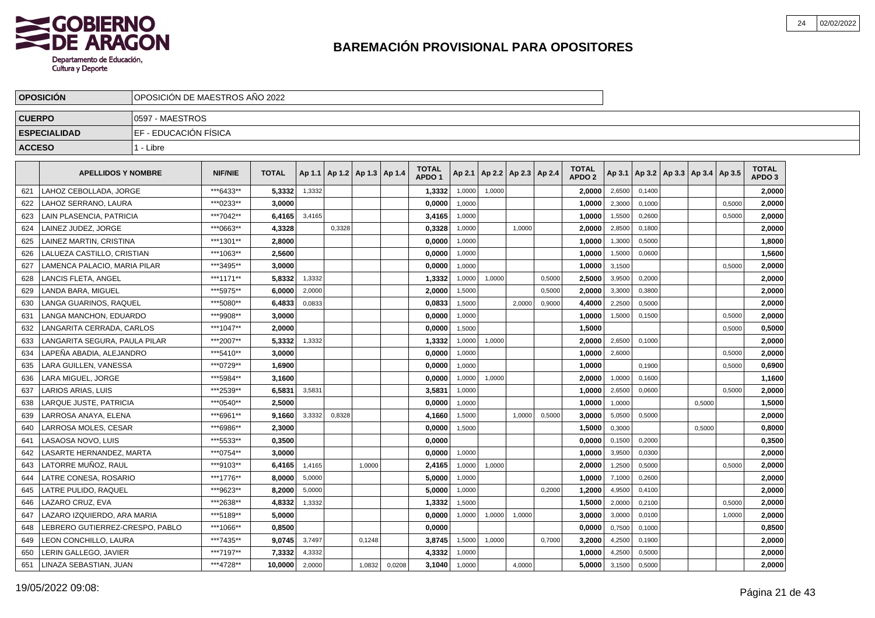

|               | <b>OPOSICIÓN</b>               | OPOSICIÓN DE MAESTROS AÑO 2022 |                |              |        |        |                                   |        |                                   |        |        |        |                          |                                   |        |        |                                   |        |        |                                   |
|---------------|--------------------------------|--------------------------------|----------------|--------------|--------|--------|-----------------------------------|--------|-----------------------------------|--------|--------|--------|--------------------------|-----------------------------------|--------|--------|-----------------------------------|--------|--------|-----------------------------------|
| <b>CUERPO</b> |                                | 0597 - MAESTROS                |                |              |        |        |                                   |        |                                   |        |        |        |                          |                                   |        |        |                                   |        |        |                                   |
|               | <b>ESPECIALIDAD</b>            | EF - EDUCACIÓN FÍSICA          |                |              |        |        |                                   |        |                                   |        |        |        |                          |                                   |        |        |                                   |        |        |                                   |
| <b>ACCESO</b> |                                | 1 - Libre                      |                |              |        |        |                                   |        |                                   |        |        |        |                          |                                   |        |        |                                   |        |        |                                   |
|               | <b>APELLIDOS Y NOMBRE</b>      |                                | <b>NIF/NIE</b> | <b>TOTAL</b> |        |        | Ap 1.1   Ap 1.2   Ap 1.3   Ap 1.4 |        | <b>TOTAL</b><br>APDO <sub>1</sub> | Ap 2.1 |        |        | Ap 2.2   Ap 2.3   Ap 2.4 | <b>TOTAL</b><br>APDO <sub>2</sub> | Ap 3.1 |        | Ap 3.2   Ap 3.3   Ap 3.4   Ap 3.5 |        |        | <b>TOTAL</b><br>APDO <sub>3</sub> |
| 621           | LAHOZ CEBOLLADA, JORGE         |                                | ***6433**      | 5,3332       | 1,3332 |        |                                   |        | 1,3332                            | 1,0000 | 1,0000 |        |                          | 2,0000                            | 2,6500 | 0,1400 |                                   |        |        | 2,0000                            |
| 622           | LAHOZ SERRANO, LAURA           |                                | ***0233**      | 3,0000       |        |        |                                   |        | 0,0000                            | 1,0000 |        |        |                          | 1,0000                            | 2,3000 | 0,1000 |                                   |        | 0,5000 | 2,0000                            |
| 623           | LAIN PLASENCIA, PATRICIA       |                                | ***7042**      | 6,4165       | 3,4165 |        |                                   |        | 3,4165                            | 1,0000 |        |        |                          | 1,0000                            | 1,5500 | 0,2600 |                                   |        | 0,5000 | 2,0000                            |
| 624           | LAINEZ JUDEZ, JORGE            |                                | ***0663**      | 4,3328       |        | 0,3328 |                                   |        | 0,3328                            | 1,0000 |        | 1.0000 |                          | 2,0000                            | 2,8500 | 0.1800 |                                   |        |        | 2,0000                            |
| 625           | AINEZ MARTIN. CRISTINA         |                                | ***1301**      | 2.8000       |        |        |                                   |        | 0.0000                            | 1,0000 |        |        |                          | 1,0000                            | 1,3000 | 0,5000 |                                   |        |        | 1,8000                            |
| 626           | LALUEZA CASTILLO. CRISTIAN     |                                | ***1063**      | 2.5600       |        |        |                                   |        | 0.0000                            | 1,0000 |        |        |                          | 1.0000                            | 1,5000 | 0,0600 |                                   |        |        | 1,5600                            |
| 627           | AMENCA PALACIO, MARIA PILAR    |                                | ***3495**      | 3,0000       |        |        |                                   |        | 0,0000                            | 1,0000 |        |        |                          | 1,0000                            | 3,1500 |        |                                   |        | 0,5000 | 2,0000                            |
| 628           | <b>ANCIS FLETA, ANGEL</b>      |                                | ***1171**      | 5,8332       | 1,3332 |        |                                   |        | 1,3332                            | 1,0000 | 1,0000 |        | 0,5000                   | 2,5000                            | 3,9500 | 0,2000 |                                   |        |        | 2,0000                            |
| 629           | ANDA BARA, MIGUEL              |                                | ***5975**      | 6,0000       | 2,0000 |        |                                   |        | 2,0000                            | 1,5000 |        |        | 0,5000                   | 2.0000                            | 3,3000 | 0,3800 |                                   |        |        | 2,0000                            |
| 630           | LANGA GUARINOS, RAQUEL         |                                | ***5080**      | 6,4833       | 0,0833 |        |                                   |        | 0,0833                            | 1,5000 |        | 2,0000 | 0,9000                   | 4.4000                            | 2,2500 | 0,5000 |                                   |        |        | 2.0000                            |
| 631           | LANGA MANCHON. EDUARDO         |                                | ***9908**      | 3.0000       |        |        |                                   |        | 0.0000                            | 1.0000 |        |        |                          | 1.0000                            | 1,5000 | 0.1500 |                                   |        | 0,5000 | 2,0000                            |
| 632           | ANGARITA CERRADA, CARLOS       |                                | ***1047**      | 2,0000       |        |        |                                   |        | 0,0000                            | 1,5000 |        |        |                          | 1,5000                            |        |        |                                   |        | 0,5000 | 0,5000                            |
| 633           | LANGARITA SEGURA, PAULA PILAR  |                                | ***2007**      | 5,3332       | 1,3332 |        |                                   |        | 1,3332                            | 1,0000 | 1,0000 |        |                          | 2,0000                            | 2,6500 | 0,1000 |                                   |        |        | 2,0000                            |
| 634           | LAPEÑA ABADIA, ALEJANDRO       |                                | ***5410**      | 3,0000       |        |        |                                   |        | 0,0000                            | 1,0000 |        |        |                          | 1,0000                            | 2,6000 |        |                                   |        | 0,5000 | 2,0000                            |
| 635           | LARA GUILLEN, VANESSA          |                                | ***0729**      | 1,6900       |        |        |                                   |        | 0,0000                            | 1,0000 |        |        |                          | 1,0000                            |        | 0,1900 |                                   |        | 0,5000 | 0,6900                            |
| 636           | LARA MIGUEL. JORGE             |                                | ***5984**      | 3,1600       |        |        |                                   |        | 0.0000                            | 1,0000 | 1,0000 |        |                          | 2.0000                            | 1,0000 | 0,1600 |                                   |        |        | 1,1600                            |
| 637           | LARIOS ARIAS. LUIS             |                                | ***2539**      | 6,5831       | 3,5831 |        |                                   |        | 3,5831                            | 1.0000 |        |        |                          | 1.0000                            | 2,6500 | 0.0600 |                                   |        | 0.5000 | 2,0000                            |
| 638           | LARQUE JUSTE, PATRICIA         |                                | ***0540**      | 2,5000       |        |        |                                   |        | 0,0000                            | 1,0000 |        |        |                          | 1,0000                            | 1,0000 |        |                                   | 0,5000 |        | 1,5000                            |
| 639           | <b>ARROSA ANAYA, ELENA</b>     |                                | ***6961**      | 9,1660       | 3,3332 | 0,8328 |                                   |        | 4,1660                            | 1,5000 |        | 1,0000 | 0,5000                   | 3,0000                            | 5,0500 | 0,5000 |                                   |        |        | 2,0000                            |
| 640           | ARROSA MOLES, CESAR            |                                | ***6986**      | 2,3000       |        |        |                                   |        | 0,0000                            | 1,5000 |        |        |                          | 1,5000                            | 0,3000 |        |                                   | 0,5000 |        | 0,8000                            |
| 641           | LASAOSA NOVO. LUIS             |                                | ***5533**      | 0,3500       |        |        |                                   |        | 0,0000                            |        |        |        |                          | 0.0000                            | 0,1500 | 0.2000 |                                   |        |        | 0,3500                            |
| 642           | ASARTE HERNANDEZ. MARTA        |                                | ***0754**      | 3.0000       |        |        |                                   |        | 0.0000                            | 1,0000 |        |        |                          | 1.0000                            | 3,9500 | 0,0300 |                                   |        |        | 2,0000                            |
| 643           | LATORRE MUÑOZ, RAUL            |                                | ***9103**      | 6,4165       | 1,4165 |        | 1,0000                            |        | 2,4165                            | 1,0000 | 1,0000 |        |                          | 2,0000                            | 1,2500 | 0,5000 |                                   |        | 0,5000 | 2,0000                            |
| 644           | ATRE CONESA, ROSARIO           |                                | ***1776**      | 8,0000       | 5,0000 |        |                                   |        | 5,0000                            | 1,0000 |        |        |                          | 1,0000                            | 7,1000 | 0,2600 |                                   |        |        | 2,0000                            |
| 645           | LATRE PULIDO, RAQUEL           |                                | ***9623**      | 8.2000       | 5,0000 |        |                                   |        | 5,0000                            | 1,0000 |        |        | 0,2000                   | 1,2000                            | 4,9500 | 0,4100 |                                   |        |        | 2,0000                            |
| 646           | LAZARO CRUZ, EVA               |                                | ***2638**      | 4,8332       | 1,3332 |        |                                   |        | 1,3332                            | 1,5000 |        |        |                          | 1,5000                            | 2,0000 | 0,2100 |                                   |        | 0,5000 | 2,0000                            |
| 647           | LAZARO IZQUIERDO, ARA MARIA    |                                | ***5189**      | 5.0000       |        |        |                                   |        | 0,0000                            | 1,0000 | 1,0000 | 1,0000 |                          | 3,0000                            | 3,0000 | 0,0100 |                                   |        | 1,0000 | 2,0000                            |
| 648           | EBRERO GUTIERREZ-CRESPO. PABLO |                                | ***1066**      | 0,8500       |        |        |                                   |        | 0,0000                            |        |        |        |                          | 0.0000                            | 0,7500 | 0.1000 |                                   |        |        | 0,8500                            |
| 649           | EON CONCHILLO, LAURA           |                                | ***7435**      | 9,0745       | 3,7497 |        | 0,1248                            |        | 3,8745                            | 1,5000 | 1,0000 |        | 0,7000                   | 3,2000                            | 4,2500 | 0,1900 |                                   |        |        | 2,0000                            |
| 650           | ERIN GALLEGO, JAVIER           |                                | ***7197**      | 7,3332       | 4,3332 |        |                                   |        | 4,3332                            | 1,0000 |        |        |                          | 1,0000                            | 4,2500 | 0,5000 |                                   |        |        | 2,0000                            |
| 651           | LINAZA SEBASTIAN, JUAN         |                                | ***4728**      | 10,0000      | 2,0000 |        | 1,0832                            | 0,0208 | 3,1040                            | 1,0000 |        | 4,0000 |                          | 5.0000                            | 3,1500 | 0,5000 |                                   |        |        | 2,0000                            |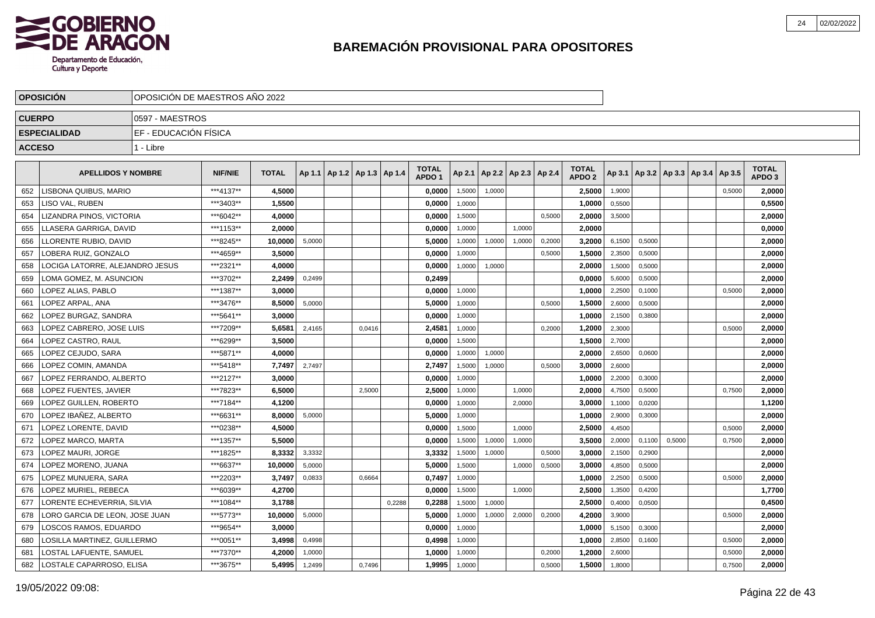

|               | <b>OPOSICION</b>                | OPOSICION DE MAESTROS ANO 2022 |                |              |        |                                   |        |        |                                   |        |        |                          |        |                                   |        |        |        |                                   |        |                                   |  |
|---------------|---------------------------------|--------------------------------|----------------|--------------|--------|-----------------------------------|--------|--------|-----------------------------------|--------|--------|--------------------------|--------|-----------------------------------|--------|--------|--------|-----------------------------------|--------|-----------------------------------|--|
| <b>CUERPO</b> |                                 | 10597 - MAESTROS               |                |              |        |                                   |        |        |                                   |        |        |                          |        |                                   |        |        |        |                                   |        |                                   |  |
|               | <b>ESPECIALIDAD</b>             | EF - EDUCACIÓN FÍSICA          |                |              |        |                                   |        |        |                                   |        |        |                          |        |                                   |        |        |        |                                   |        |                                   |  |
| <b>ACCESO</b> |                                 | 1 - Libre                      |                |              |        |                                   |        |        |                                   |        |        |                          |        |                                   |        |        |        |                                   |        |                                   |  |
|               |                                 |                                |                |              |        |                                   |        |        |                                   |        |        |                          |        |                                   |        |        |        |                                   |        |                                   |  |
|               | <b>APELLIDOS Y NOMBRE</b>       |                                | <b>NIF/NIE</b> | <b>TOTAL</b> |        | Ap 1.1   Ap 1.2   Ap 1.3   Ap 1.4 |        |        | <b>TOTAL</b><br>APDO <sub>1</sub> | Ap 2.1 |        | Ap 2.2   Ap 2.3   Ap 2.4 |        | <b>TOTAL</b><br>APDO <sub>2</sub> | Ap 3.1 |        |        | Ap 3.2   Ap 3.3   Ap 3.4   Ap 3.5 |        | <b>TOTAL</b><br>APDO <sub>3</sub> |  |
| 652           | LISBONA QUIBUS, MARIO           |                                | ***4137**      | 4,5000       |        |                                   |        |        | 0,0000                            | 1,5000 | 1,0000 |                          |        | 2,5000                            | 1,9000 |        |        |                                   | 0,5000 | 2,0000                            |  |
| 653           | LISO VAL, RUBEN                 |                                | ***3403**      | 1,5500       |        |                                   |        |        | 0,0000                            | 1,0000 |        |                          |        | 1.0000                            | 0,5500 |        |        |                                   |        | 0,5500                            |  |
| 654           | LIZANDRA PINOS, VICTORIA        |                                | ***6042**      | 4,0000       |        |                                   |        |        | 0,0000                            | 1,5000 |        |                          | 0,5000 | 2,0000                            | 3,5000 |        |        |                                   |        | 2,0000                            |  |
| 655           | LLASERA GARRIGA, DAVID          |                                | ***1153**      | 2,0000       |        |                                   |        |        | 0,0000                            | 1,0000 |        | 1,0000                   |        | 2,0000                            |        |        |        |                                   |        | 0,0000                            |  |
| 656           | LLORENTE RUBIO, DAVID           |                                | ***8245**      | 10,0000      | 5,0000 |                                   |        |        | 5,0000                            | 1,0000 | 1,0000 | 1,0000                   | 0,2000 | 3,2000                            | 6,1500 | 0,5000 |        |                                   |        | 2,0000                            |  |
| 657           | LOBERA RUIZ. GONZALO            |                                | ***4659**      | 3.5000       |        |                                   |        |        | 0.0000                            | 1.0000 |        |                          | 0,5000 | 1.5000                            | 2,3500 | 0.5000 |        |                                   |        | 2,0000                            |  |
| 658           | LOCIGA LATORRE. ALEJANDRO JESUS |                                | ***2321**      | 4,0000       |        |                                   |        |        | 0,0000                            | 1,0000 | 1,0000 |                          |        | 2,0000                            | 1,5000 | 0,5000 |        |                                   |        | 2,0000                            |  |
| 659           | LOMA GOMEZ. M. ASUNCION         |                                | ***3702**      | 2,2499       | 0,2499 |                                   |        |        | 0,2499                            |        |        |                          |        | 0,0000                            | 5,6000 | 0,5000 |        |                                   |        | 2,0000                            |  |
| 660           | LOPEZ ALIAS. PABLO              |                                | ***1387**      | 3,0000       |        |                                   |        |        | 0,0000                            | 1,0000 |        |                          |        | 1,0000                            | 2,2500 | 0,1000 |        |                                   | 0,5000 | 2,0000                            |  |
| 661           | LOPEZ ARPAL, ANA                |                                | ***3476**      | 8,5000       | 5,0000 |                                   |        |        | 5,0000                            | 1,0000 |        |                          | 0,5000 | 1,5000                            | 2,6000 | 0,5000 |        |                                   |        | 2,0000                            |  |
| 662           | LOPEZ BURGAZ, SANDRA            |                                | ***5641**      | 3,0000       |        |                                   |        |        | 0,0000                            | 1,0000 |        |                          |        | 1,0000                            | 2,1500 | 0,3800 |        |                                   |        | 2,0000                            |  |
| 663           | LOPEZ CABRERO. JOSE LUIS        |                                | ***7209**      | 5,6581       | 2.4165 |                                   | 0.0416 |        | 2,4581                            | 1,0000 |        |                          | 0,2000 | 1,2000                            | 2,3000 |        |        |                                   | 0.5000 | 2,0000                            |  |
| 664           | LOPEZ CASTRO. RAUL              |                                | ***6299**      | 3,5000       |        |                                   |        |        | 0,0000                            | 1,5000 |        |                          |        | 1,5000                            | 2,7000 |        |        |                                   |        | 2,0000                            |  |
| 665           | LOPEZ CEJUDO. SARA              |                                | ***5871**      | 4,0000       |        |                                   |        |        | 0,0000                            | 1,0000 | 1,0000 |                          |        | 2,0000                            | 2,6500 | 0,0600 |        |                                   |        | 2,0000                            |  |
| 666           | LOPEZ COMIN, AMANDA             |                                | ***5418**      | 7,7497       | 2,7497 |                                   |        |        | 2,7497                            | 1,5000 | 1,0000 |                          | 0,5000 | 3,0000                            | 2,6000 |        |        |                                   |        | 2,0000                            |  |
| 667           | LOPEZ FERRANDO, ALBERTO         |                                | ***2127**      | 3,0000       |        |                                   |        |        | 0,0000                            | 1,0000 |        |                          |        | 1,0000                            | 2,2000 | 0,3000 |        |                                   |        | 2,0000                            |  |
| 668           | LOPEZ FUENTES, JAVIER           |                                | ***7823**      | 6,5000       |        |                                   | 2,5000 |        | 2,5000                            | 1,0000 |        | 1,0000                   |        | 2,0000                            | 4,7500 | 0,5000 |        |                                   | 0,7500 | 2,0000                            |  |
| 669           | LOPEZ GUILLEN. ROBERTO          |                                | ***7184**      | 4,1200       |        |                                   |        |        | 0.0000                            | 1,0000 |        | 2.0000                   |        | 3.0000                            | 1,1000 | 0.0200 |        |                                   |        | 1,1200                            |  |
| 670           | LOPEZ IBAÑEZ. ALBERTO           |                                | ***6631**      | 8.0000       | 5,0000 |                                   |        |        | 5,0000                            | 1,0000 |        |                          |        | 1.0000                            | 2,9000 | 0,3000 |        |                                   |        | 2,0000                            |  |
| 671           | LOPEZ LORENTE. DAVID            |                                | ***0238**      | 4,5000       |        |                                   |        |        | 0,0000                            | 1,5000 |        | 1,0000                   |        | 2,5000                            | 4,4500 |        |        |                                   | 0,5000 | 2,0000                            |  |
| 672           | LOPEZ MARCO, MARTA              |                                | ***1357**      | 5,5000       |        |                                   |        |        | 0,0000                            | 1,5000 | 1,0000 | 1,0000                   |        | 3,5000                            | 2,0000 | 0,1100 | 0,5000 |                                   | 0,7500 | 2,0000                            |  |
| 673           | LOPEZ MAURI, JORGE              |                                | ***1825**      | 8,3332       | 3,3332 |                                   |        |        | 3,3332                            | 1,5000 | 1,0000 |                          | 0,5000 | 3,0000                            | 2,1500 | 0,2900 |        |                                   |        | 2,0000                            |  |
| 674           | LOPEZ MORENO, JUANA             |                                | ***6637**      | 10,0000      | 5,0000 |                                   |        |        | 5,0000                            | 1,5000 |        | 1,0000                   | 0,5000 | 3,0000                            | 4,8500 | 0,5000 |        |                                   |        | 2,0000                            |  |
| 675           | LOPEZ MUNUERA, SARA             |                                | ***2203**      | 3.7497       | 0,0833 |                                   | 0.6664 |        | 0,7497                            | 1,0000 |        |                          |        | 1,0000                            | 2,2500 | 0,5000 |        |                                   | 0,5000 | 2,0000                            |  |
| 676           | LOPEZ MURIEL, REBECA            |                                | ***6039**      | 4,2700       |        |                                   |        |        | 0,0000                            | 1,5000 |        | 1,0000                   |        | 2,5000                            | 1,3500 | 0,4200 |        |                                   |        | 1,7700                            |  |
| 677           | LORENTE ECHEVERRIA, SILVIA      |                                | ***1084**      | 3.1788       |        |                                   |        | 0,2288 | 0,2288                            | 1,5000 | 1,0000 |                          |        | 2,5000                            | 0,4000 | 0,0500 |        |                                   |        | 0,4500                            |  |
| 678           | LORO GARCIA DE LEON, JOSE JUAN  |                                | ***5773**      | 10,0000      | 5,0000 |                                   |        |        | 5,0000                            | 1,0000 | 1,0000 | 2,0000                   | 0,2000 | 4,2000                            | 3,9000 |        |        |                                   | 0,5000 | 2,0000                            |  |
| 679           | LOSCOS RAMOS, EDUARDO           |                                | ***9654**      | 3,0000       |        |                                   |        |        | 0,0000                            | 1,0000 |        |                          |        | 1,0000                            | 5,1500 | 0,3000 |        |                                   |        | 2,0000                            |  |
| 680           | LOSILLA MARTINEZ, GUILLERMO     |                                | ***0051**      | 3,4998       | 0,4998 |                                   |        |        | 0,4998                            | 1,0000 |        |                          |        | 1,0000                            | 2,8500 | 0,1600 |        |                                   | 0,5000 | 2,0000                            |  |
| 681           | LOSTAL LAFUENTE. SAMUEL         |                                | ***7370**      | 4,2000       | 1,0000 |                                   |        |        | 1,0000                            | 1,0000 |        |                          | 0,2000 | 1,2000                            | 2,6000 |        |        |                                   | 0,5000 | 2.0000                            |  |
| 682           | LOSTALE CAPARROSO, ELISA        |                                | ***3675**      | 5,4995       | 1,2499 |                                   | 0,7496 |        | 1,9995                            | 1,0000 |        |                          | 0,5000 | 1,5000                            | 1,8000 |        |        |                                   | 0,7500 | 2,0000                            |  |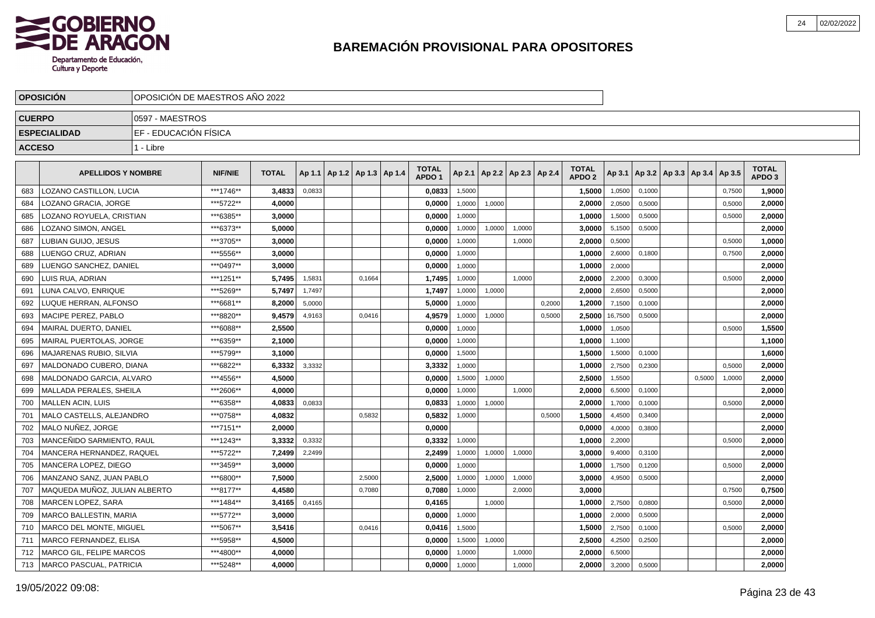

|               | <b>OPOSICION</b>                | IOPOSICION DE MAESTROS ANO 2022 |                |              |        |                                   |        |                                   |        |        |                          |        |                                   |         |        |                          |        |        |                                   |  |
|---------------|---------------------------------|---------------------------------|----------------|--------------|--------|-----------------------------------|--------|-----------------------------------|--------|--------|--------------------------|--------|-----------------------------------|---------|--------|--------------------------|--------|--------|-----------------------------------|--|
| <b>CUERPO</b> |                                 | 10597 - MAESTROS                |                |              |        |                                   |        |                                   |        |        |                          |        |                                   |         |        |                          |        |        |                                   |  |
|               | <b>ESPECIALIDAD</b>             | IEF - EDUCACIÓN FÍSICA          |                |              |        |                                   |        |                                   |        |        |                          |        |                                   |         |        |                          |        |        |                                   |  |
| <b>ACCESO</b> |                                 | 1 - Libre                       |                |              |        |                                   |        |                                   |        |        |                          |        |                                   |         |        |                          |        |        |                                   |  |
|               |                                 |                                 |                |              |        |                                   |        |                                   |        |        |                          |        |                                   |         |        |                          |        |        |                                   |  |
|               | <b>APELLIDOS Y NOMBRE</b>       |                                 | <b>NIF/NIE</b> | <b>TOTAL</b> |        | Ap 1.1   Ap 1.2   Ap 1.3   Ap 1.4 |        | <b>TOTAL</b><br>APDO <sub>1</sub> | Ap 2.1 |        | Ap 2.2   Ap 2.3   Ap 2.4 |        | <b>TOTAL</b><br>APDO <sub>2</sub> | Ap 3.1  |        | Ap 3.2   Ap 3.3   Ap 3.4 |        | Ap 3.5 | <b>TOTAL</b><br>APDO <sub>3</sub> |  |
| 683           | LOZANO CASTILLON, LUCIA         |                                 | ***1746**      | 3,4833       | 0,0833 |                                   |        | 0,0833                            | 1,5000 |        |                          |        | 1,5000                            | 1,0500  | 0.1000 |                          |        | 0,7500 | 1,9000                            |  |
| 684           | LOZANO GRACIA, JORGE            |                                 | ***5722**      | 4,0000       |        |                                   |        | 0,0000                            | 1,0000 | 1,0000 |                          |        | 2,0000                            | 2,0500  | 0,5000 |                          |        | 0,5000 | 2.0000                            |  |
| 685           | LOZANO ROYUELA, CRISTIAN        |                                 | ***6385**      | 3.0000       |        |                                   |        | 0.0000                            | 1,0000 |        |                          |        | 1,0000                            | 1,5000  | 0,5000 |                          |        | 0,5000 | 2,0000                            |  |
| 686           | LOZANO SIMON, ANGEL             |                                 | ***6373**      | 5.0000       |        |                                   |        | 0,0000                            | 1,0000 | 1,0000 | 1,0000                   |        | 3,0000                            | 5,1500  | 0,5000 |                          |        |        | 2,0000                            |  |
| 687           | LUBIAN GUIJO, JESUS             |                                 | ***3705**      | 3,0000       |        |                                   |        | 0,0000                            | 1,0000 |        | 1,0000                   |        | 2,0000                            | 0,5000  |        |                          |        | 0,5000 | 1,0000                            |  |
| 688           | LUENGO CRUZ. ADRIAN             |                                 | ***5556**      | 3.0000       |        |                                   |        | 0.0000                            | 1,0000 |        |                          |        | 1.0000                            | 2,6000  | 0.1800 |                          |        | 0,7500 | 2.0000                            |  |
| 689           | LUENGO SANCHEZ, DANIEL          |                                 | ***0497**      | 3.0000       |        |                                   |        | 0,0000                            | 1,0000 |        |                          |        | 1,0000                            | 2,0000  |        |                          |        |        | 2,0000                            |  |
| 690           | LUIS RUA, ADRIAN                |                                 | ***1251**      | 5,7495       | 1,5831 |                                   | 0,1664 | 1,7495                            | 1,0000 |        | 1,0000                   |        | 2,0000                            | 2,2000  | 0,3000 |                          |        | 0,5000 | 2,0000                            |  |
| 691           | LUNA CALVO. ENRIQUE             |                                 | ***5269**      | 5,7497       | 1,7497 |                                   |        | 1,7497                            | 1,0000 | 1,0000 |                          |        | 2,0000                            | 2,6500  | 0,5000 |                          |        |        | 2,0000                            |  |
| 692           | LUQUE HERRAN, ALFONSO           |                                 | ***6681**      | 8,2000       | 5,0000 |                                   |        | 5,0000                            | 1,0000 |        |                          | 0,2000 | 1,2000                            | 7,1500  | 0,1000 |                          |        |        | 2,0000                            |  |
| 693           | MACIPE PEREZ, PABLO             |                                 | ***8820**      | 9,4579       | 4,9163 |                                   | 0,0416 | 4,9579                            | 1,0000 | 1,0000 |                          | 0,5000 | 2,5000                            | 16,7500 | 0,5000 |                          |        |        | 2,0000                            |  |
| 694           | MAIRAL DUERTO, DANIEL           |                                 | ***6088**      | 2,5500       |        |                                   |        | 0,0000                            | 1.0000 |        |                          |        | 1,0000                            | 1,0500  |        |                          |        | 0.5000 | 1,5500                            |  |
| 695           | <b>MAIRAL PUERTOLAS, JORGE</b>  |                                 | ***6359**      | 2,1000       |        |                                   |        | 0,0000                            | 1,0000 |        |                          |        | 1,0000                            | 1,1000  |        |                          |        |        | 1,1000                            |  |
| 696           | <b>MAJARENAS RUBIO, SILVIA</b>  |                                 | ***5799**      | 3.1000       |        |                                   |        | 0,0000                            | 1,5000 |        |                          |        | 1,5000                            | 1,5000  | 0,1000 |                          |        |        | 1,6000                            |  |
| 697           | MALDONADO CUBERO, DIANA         |                                 | ***6822**      | 6,3332       | 3,3332 |                                   |        | 3,3332                            | 1,0000 |        |                          |        | 1,0000                            | 2,7500  | 0,2300 |                          |        | 0,5000 | 2,0000                            |  |
| 698           | MALDONADO GARCIA, ALVARO        |                                 | ***4556**      | 4,5000       |        |                                   |        | 0,0000                            | 1,5000 | 1,0000 |                          |        | 2,5000                            | 1,5500  |        |                          | 0,5000 | 1,0000 | 2,0000                            |  |
| 699           | MALLADA PERALES, SHEILA         |                                 | ***2606**      | 4,0000       |        |                                   |        | 0,0000                            | 1,0000 |        | 1,0000                   |        | 2,0000                            | 6,5000  | 0,1000 |                          |        |        | 2,0000                            |  |
| 700           | <b>MALLEN ACIN. LUIS</b>        |                                 | ***6358**      | 4.0833       | 0,0833 |                                   |        | 0.0833                            | 1.0000 | 1,0000 |                          |        | 2.0000                            | 1,7000  | 0.1000 |                          |        | 0.5000 | 2,0000                            |  |
| 701           | MALO CASTELLS, ALEJANDRO        |                                 | ***0758**      | 4.0832       |        |                                   | 0,5832 | 0,5832                            | 1,0000 |        |                          | 0,5000 | 1,5000                            | 4,4500  | 0,3400 |                          |        |        | 2,0000                            |  |
| 702           | MALO NUÑEZ. JORGE               |                                 | ***7151**      | 2.0000       |        |                                   |        | 0,0000                            |        |        |                          |        | 0,0000                            | 4,0000  | 0,3800 |                          |        |        | 2,0000                            |  |
| 703           | MANCENIDO SARMIENTO, RAUL       |                                 | ***1243**      | 3,3332       | 0,3332 |                                   |        | 0,3332                            | 1,0000 |        |                          |        | 1,0000                            | 2,2000  |        |                          |        | 0,5000 | 2,0000                            |  |
| 704           | MANCERA HERNANDEZ, RAQUEL       |                                 | ***5722**      | 7,2499       | 2,2499 |                                   |        | 2,2499                            | 1,0000 | 1,0000 | 1,0000                   |        | 3,0000                            | 9,4000  | 0,3100 |                          |        |        | 2,0000                            |  |
| 705           | MANCERA LOPEZ, DIEGO            |                                 | ***3459**      | 3.0000       |        |                                   |        | 0,0000                            | 1,0000 |        |                          |        | 1,0000                            | 1,7500  | 0,1200 |                          |        | 0,5000 | 2,0000                            |  |
| 706           | MANZANO SANZ. JUAN PABLO        |                                 | ***6800**      | 7.5000       |        |                                   | 2,5000 | 2.5000                            | 1,0000 | 1,0000 | 1,0000                   |        | 3,0000                            | 4,9500  | 0,5000 |                          |        |        | 2.0000                            |  |
| 707           | MAQUEDA MUÑOZ, JULIAN ALBERTO   |                                 | ***8177**      | 4.4580       |        |                                   | 0,7080 | 0,7080                            | 1,0000 |        | 2,0000                   |        | 3.0000                            |         |        |                          |        | 0,7500 | 0,7500                            |  |
| 708           | MARCEN LOPEZ, SARA              |                                 | ***1484**      | 3.4165       | 0,4165 |                                   |        | 0,4165                            |        | 1,0000 |                          |        | 1.0000                            | 2,7500  | 0,0800 |                          |        | 0,5000 | 2,0000                            |  |
| 709           | MARCO BALLESTIN, MARIA          |                                 | ***5772**      | 3,0000       |        |                                   |        | 0,0000                            | 1,0000 |        |                          |        | 1,0000                            | 2,0000  | 0,5000 |                          |        |        | 2,0000                            |  |
| 710           | <b>MARCO DEL MONTE, MIGUEL</b>  |                                 | ***5067**      | 3,5416       |        |                                   | 0,0416 | 0,0416                            | 1,5000 |        |                          |        | 1,5000                            | 2,7500  | 0,1000 |                          |        | 0,5000 | 2,0000                            |  |
| 711           | MARCO FERNANDEZ, ELISA          |                                 | ***5958**      | 4,5000       |        |                                   |        | 0,0000                            | 1,5000 | 1,0000 |                          |        | 2,5000                            | 4,2500  | 0,2500 |                          |        |        | 2,0000                            |  |
| 712           | <b>MARCO GIL. FELIPE MARCOS</b> |                                 | ***4800**      | 4,0000       |        |                                   |        | 0.0000                            | 1,0000 |        | 1,0000                   |        | 2.0000                            | 6,5000  |        |                          |        |        | 2.0000                            |  |
| 713           | <b>MARCO PASCUAL, PATRICIA</b>  |                                 | ***5248**      | 4.0000       |        |                                   |        | 0,0000                            | 1,0000 |        | 1,0000                   |        | 2,0000                            | 3,2000  | 0,5000 |                          |        |        | 2,0000                            |  |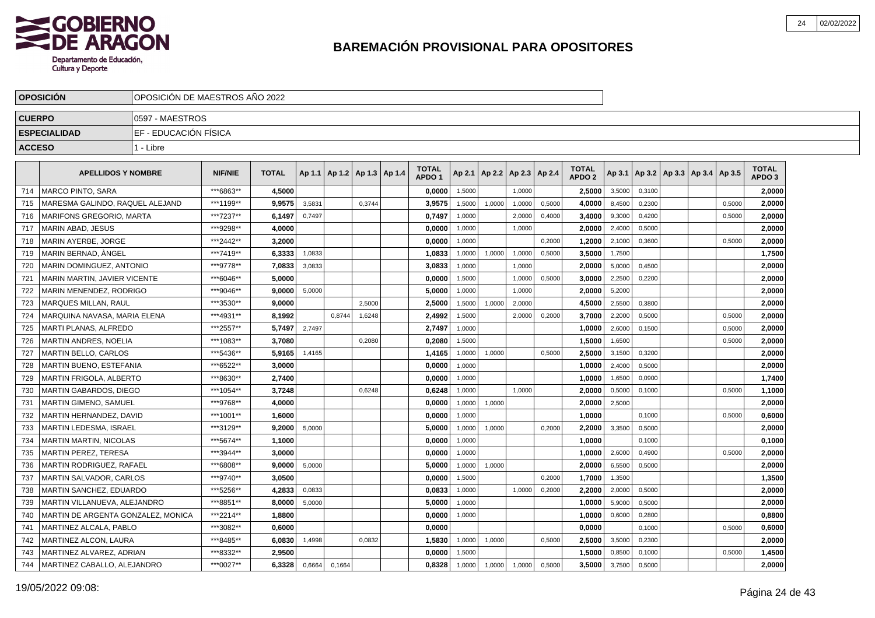

|               | <b>OPOSICION</b>                   | IOPOSICION DE MAESTROS ANO 2022 |                |              |        |                                   |        |                                   |        |                          |        |        |                                   |        |        |                                   |        |                            |  |
|---------------|------------------------------------|---------------------------------|----------------|--------------|--------|-----------------------------------|--------|-----------------------------------|--------|--------------------------|--------|--------|-----------------------------------|--------|--------|-----------------------------------|--------|----------------------------|--|
| <b>CUERPO</b> |                                    | 0597 - MAESTROS                 |                |              |        |                                   |        |                                   |        |                          |        |        |                                   |        |        |                                   |        |                            |  |
|               | <b>ESPECIALIDAD</b>                | IEF - EDUCACIÓN FÍSICA          |                |              |        |                                   |        |                                   |        |                          |        |        |                                   |        |        |                                   |        |                            |  |
| <b>ACCESO</b> |                                    | 1 - Libre                       |                |              |        |                                   |        |                                   |        |                          |        |        |                                   |        |        |                                   |        |                            |  |
|               | <b>APELLIDOS Y NOMBRE</b>          |                                 | <b>NIF/NIE</b> | <b>TOTAL</b> |        | Ap 1.1   Ap 1.2   Ap 1.3   Ap 1.4 |        | <b>TOTAL</b><br>APDO <sub>1</sub> | Ap 2.1 | Ap 2.2   Ap 2.3   Ap 2.4 |        |        | <b>TOTAL</b><br>APDO <sub>2</sub> | Ap 3.1 |        | Ap 3.2   Ap 3.3   Ap 3.4   Ap 3.5 |        | TOTAL<br>APDO <sub>3</sub> |  |
| 714           | <b>MARCO PINTO, SARA</b>           |                                 | ***6863**      | 4,5000       |        |                                   |        | 0,0000                            | 1,5000 |                          | 1,0000 |        | 2,5000                            | 3,5000 | 0,3100 |                                   |        | 2,0000                     |  |
| 715           | MARESMA GALINDO, RAQUEL ALEJAND    |                                 | ***1199**      | 9,9575       | 3,5831 |                                   | 0,3744 | 3,9575                            | 1,5000 | 1,0000                   | 1,0000 | 0,5000 | 4,0000                            | 8,4500 | 0,2300 |                                   | 0,5000 | 2,0000                     |  |
| 716           | <b>MARIFONS GREGORIO, MARTA</b>    |                                 | ***7237**      | 6.1497       | 0.7497 |                                   |        | 0.7497                            | 1,0000 |                          | 2,0000 | 0,4000 | 3.4000                            | 9,3000 | 0.4200 |                                   | 0,5000 | 2.0000                     |  |
| 717           | İ MARIN ABAD. JESUS                |                                 | ***9298**      | 4.0000       |        |                                   |        | 0.0000                            | 1,0000 |                          | 1,0000 |        | 2.0000                            | 2,4000 | 0,5000 |                                   |        | 2.0000                     |  |
| 718           | MARIN AYERBE, JORGE                |                                 | ***2442**      | 3.2000       |        |                                   |        | 0,0000                            | 1,0000 |                          |        | 0,2000 | 1.2000                            | 2,1000 | 0,3600 |                                   | 0,5000 | 2,0000                     |  |
| 719           | l MARIN BERNAD. ÀNGEL              |                                 | ***7419**      | 6,3333       | 1,0833 |                                   |        | 1,0833                            | 1,0000 | 1,0000                   | 1,0000 | 0,5000 | 3,5000                            | 1,7500 |        |                                   |        | 1,7500                     |  |
| 720           | <b>MARIN DOMINGUEZ, ANTONIO</b>    |                                 | ***9778**      | 7,0833       | 3,0833 |                                   |        | 3,0833                            | 1,0000 |                          | 1,0000 |        | 2,0000                            | 5,0000 | 0,4500 |                                   |        | 2,0000                     |  |
| 721           | MARIN MARTIN, JAVIER VICENTE       |                                 | ***6046**      | 5,0000       |        |                                   |        | 0,0000                            | 1,5000 |                          | 1,0000 | 0,5000 | 3,0000                            | 2,2500 | 0,2200 |                                   |        | 2,0000                     |  |
| 722           | MARIN MENENDEZ, RODRIGO            |                                 | ***9046**      | 9,0000       | 5,0000 |                                   |        | 5,0000                            | 1,0000 |                          | 1,0000 |        | 2,0000                            | 5,2000 |        |                                   |        | 2,0000                     |  |
| 723           | MARQUES MILLAN, RAUL               |                                 | ***3530**      | 9,0000       |        |                                   | 2,5000 | 2,5000                            | 1,5000 | 1,0000                   | 2,0000 |        | 4,5000                            | 2,5500 | 0,3800 |                                   |        | 2,0000                     |  |
| 724           | MARQUINA NAVASA, MARIA ELENA       |                                 | ***4931**      | 8.1992       |        | 0.8744                            | 1,6248 | 2,4992                            | 1.5000 |                          | 2,0000 | 0,2000 | 3.7000                            | 2,2000 | 0,5000 |                                   | 0,5000 | 2,0000                     |  |
| 725           | <b>MARTI PLANAS, ALFREDO</b>       |                                 | ***2557**      | 5.7497       | 2.7497 |                                   |        | 2,7497                            | 1,0000 |                          |        |        | 1,0000                            | 2,6000 | 0.1500 |                                   | 0,5000 | 2,0000                     |  |
| 726           | <b>MARTIN ANDRES, NOELIA</b>       |                                 | ***1083**      | 3.7080       |        |                                   | 0.2080 | 0.2080                            | 1,5000 |                          |        |        | 1,5000                            | 1,6500 |        |                                   | 0,5000 | 2,0000                     |  |
| 727           | <b>MARTIN BELLO, CARLOS</b>        |                                 | ***5436**      | 5.9165       | 1,4165 |                                   |        | 1,4165                            | 1,0000 | 1,0000                   |        | 0,5000 | 2.5000                            | 3,1500 | 0,3200 |                                   |        | 2,0000                     |  |
| 728           | <b>MARTIN BUENO, ESTEFANIA</b>     |                                 | ***6522**      | 3.0000       |        |                                   |        | 0,0000                            | 1,0000 |                          |        |        | 1,0000                            | 2,4000 | 0,5000 |                                   |        | 2,0000                     |  |
| 729           | <b>MARTIN FRIGOLA, ALBERTO</b>     |                                 | ***8630**      | 2,7400       |        |                                   |        | 0,0000                            | 1,0000 |                          |        |        | 1,0000                            | 1,6500 | 0,0900 |                                   |        | 1,7400                     |  |
| 730           | <b>MARTIN GABARDOS, DIEGO</b>      |                                 | ***1054**      | 3,7248       |        |                                   | 0,6248 | 0,6248                            | 1,0000 |                          | 1,0000 |        | 2,0000                            | 0,5000 | 0,1000 |                                   | 0,5000 | 1,1000                     |  |
| 731           | MARTIN GIMENO, SAMUEL              |                                 | ***9768**      | 4,0000       |        |                                   |        | 0,0000                            | 1,0000 | 1,0000                   |        |        | 2,0000                            | 2,5000 |        |                                   |        | 2,0000                     |  |
| 732           | MARTIN HERNANDEZ, DAVID            |                                 | ***1001**      | 1,6000       |        |                                   |        | 0,0000                            | 1,0000 |                          |        |        | 1,0000                            |        | 0,1000 |                                   | 0,5000 | 0,6000                     |  |
| 733           | <b>MARTIN LEDESMA, ISRAEL</b>      |                                 | ***3129**      | 9.2000       | 5.0000 |                                   |        | 5.0000                            | 1.0000 | 1,0000                   |        | 0.2000 | 2.2000                            | 3,3500 | 0.5000 |                                   |        | 2,0000                     |  |
| 734           | MARTIN MARTIN, NICOLAS             |                                 | ***5674**      | 1,1000       |        |                                   |        | 0.0000                            | 1.0000 |                          |        |        | 1.0000                            |        | 0.1000 |                                   |        | 0,1000                     |  |
| 735           | <b>MARTIN PEREZ, TERESA</b>        |                                 | ***3944**      | 3.0000       |        |                                   |        | 0.0000                            | 1,0000 |                          |        |        | 1,0000                            | 2,6000 | 0,4900 |                                   | 0,5000 | 2,0000                     |  |
| 736           | <b>MARTIN RODRIGUEZ, RAFAEL</b>    |                                 | ***6808**      | 9.0000       | 5,0000 |                                   |        | 5,0000                            | 1,0000 | 1,0000                   |        |        | 2,0000                            | 6,5500 | 0,5000 |                                   |        | 2,0000                     |  |
| 737           | MARTIN SALVADOR, CARLOS            |                                 | ***9740**      | 3,0500       |        |                                   |        | 0,0000                            | 1,5000 |                          |        | 0,2000 | 1,7000                            | 1,3500 |        |                                   |        | 1,3500                     |  |
| 738           | MARTIN SANCHEZ, EDUARDO            |                                 | ***5256**      | 4,2833       | 0,0833 |                                   |        | 0,0833                            | 1,0000 |                          | 1,0000 | 0,2000 | 2,2000                            | 2,0000 | 0,5000 |                                   |        | 2,0000                     |  |
| 739           | MARTIN VILLANUEVA, ALEJANDRO       |                                 | ***8851**      | 8,0000       | 5,0000 |                                   |        | 5,0000                            | 1,0000 |                          |        |        | 1,0000                            | 5,9000 | 0,5000 |                                   |        | 2,0000                     |  |
| 740           | MARTIN DE ARGENTA GONZALEZ, MONICA |                                 | ***2214**      | 1,8800       |        |                                   |        | 0,0000                            | 1,0000 |                          |        |        | 1,0000                            | 0,6000 | 0,2800 |                                   |        | 0,8800                     |  |
| 741           | MARTINEZ ALCALA, PABLO             |                                 | ***3082**      | 0.6000       |        |                                   |        | 0.0000                            |        |                          |        |        | 0.0000                            |        | 0.1000 |                                   | 0.5000 | 0,6000                     |  |
| 742           | MARTINEZ ALCON, LAURA              |                                 | ***8485**      | 6,0830       | 1,4998 |                                   | 0.0832 | 1,5830                            | 1,0000 | 1,0000                   |        | 0.5000 | 2,5000                            | 3,5000 | 0,2300 |                                   |        | 2,0000                     |  |
| 743           | MARTINEZ ALVAREZ. ADRIAN           |                                 | ***8332**      | 2,9500       |        |                                   |        | 0.0000                            | 1,5000 |                          |        |        | 1.5000                            | 0,8500 | 0,1000 |                                   | 0,5000 | 1,4500                     |  |
| 744           | MARTINEZ CABALLO, ALEJANDRO        |                                 | ***0027**      | 6.3328       | 0,6664 | 0,1664                            |        | 0.8328                            | 1,0000 | 1,0000                   | 1,0000 | 0,5000 | 3.5000                            | 3,7500 | 0,5000 |                                   |        | 2,0000                     |  |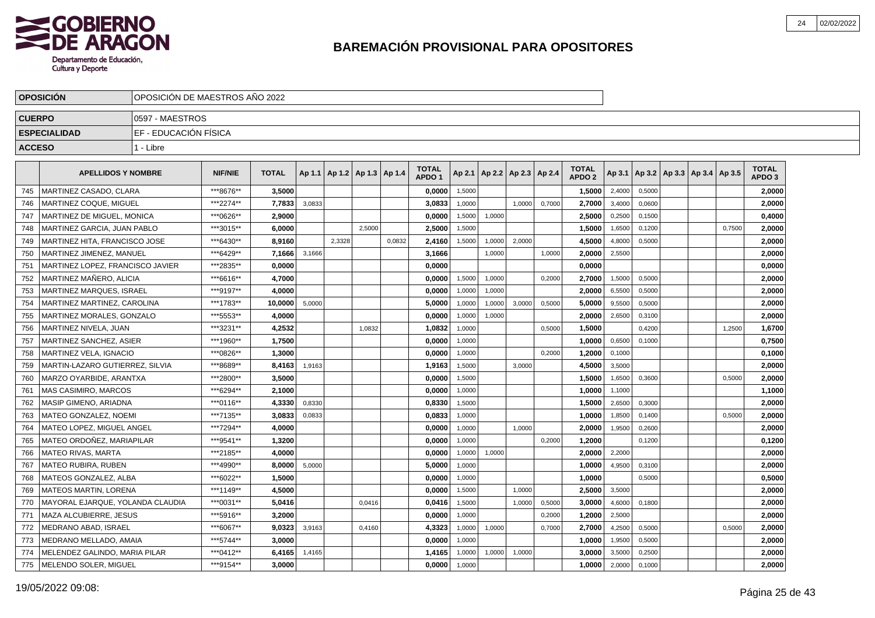

|               | <b>OPOSICION</b>                 | OPOSICION DE MAESTROS ANO 2022 |                |              |        |                                   |        |        |                                   |        |                          |        |        |                                   |        |        |                                   |        |                                   |
|---------------|----------------------------------|--------------------------------|----------------|--------------|--------|-----------------------------------|--------|--------|-----------------------------------|--------|--------------------------|--------|--------|-----------------------------------|--------|--------|-----------------------------------|--------|-----------------------------------|
| <b>CUERPO</b> |                                  | 10597 - MAESTROS               |                |              |        |                                   |        |        |                                   |        |                          |        |        |                                   |        |        |                                   |        |                                   |
|               | <b>ESPECIALIDAD</b>              | IEF - EDUCACIÓN FÍSICA         |                |              |        |                                   |        |        |                                   |        |                          |        |        |                                   |        |        |                                   |        |                                   |
| <b>ACCESO</b> |                                  | 1 - Libre                      |                |              |        |                                   |        |        |                                   |        |                          |        |        |                                   |        |        |                                   |        |                                   |
|               |                                  |                                |                |              |        |                                   |        |        |                                   |        |                          |        |        |                                   |        |        |                                   |        |                                   |
|               | <b>APELLIDOS Y NOMBRE</b>        |                                | <b>NIF/NIE</b> | <b>TOTAL</b> |        | Ap 1.1   Ap 1.2   Ap 1.3   Ap 1.4 |        |        | <b>TOTAL</b><br>APDO <sub>1</sub> | Ap 2.1 | Ap 2.2   Ap 2.3   Ap 2.4 |        |        | <b>TOTAL</b><br>APDO <sub>2</sub> | Ap 3.1 |        | Ap 3.2   Ap 3.3   Ap 3.4   Ap 3.5 |        | <b>TOTAL</b><br>APDO <sub>3</sub> |
| 745           | MARTINEZ CASADO, CLARA           |                                | ***8676**      | 3,5000       |        |                                   |        |        | 0,0000                            | 1,5000 |                          |        |        | 1,5000                            | 2,4000 | 0,5000 |                                   |        | 2,0000                            |
| 746           | <b>MARTINEZ COQUE, MIGUEL</b>    |                                | ***2274**      | 7.7833       | 3,0833 |                                   |        |        | 3,0833                            | 1.0000 |                          | 1.0000 | 0.7000 | 2.7000                            | 3,4000 | 0.0600 |                                   |        | 2.0000                            |
| 747           | MARTINEZ DE MIGUEL, MONICA       |                                | ***0626**      | 2.9000       |        |                                   |        |        | 0,0000                            | 1,5000 | 1,0000                   |        |        | 2.5000                            | 0,2500 | 0,1500 |                                   |        | 0,4000                            |
| 748           | MARTINEZ GARCIA, JUAN PABLO      |                                | ***3015**      | 6,0000       |        |                                   | 2.5000 |        | 2,5000                            | 1,5000 |                          |        |        | 1,5000                            | 1,6500 | 0,1200 |                                   | 0,7500 | 2,0000                            |
| 749           | MARTINEZ HITA, FRANCISCO JOSE    |                                | ***6430**      | 8.9160       |        | 2,3328                            |        | 0,0832 | 2,4160                            | 1,5000 | 1,0000                   | 2,0000 |        | 4,5000                            | 4,8000 | 0,5000 |                                   |        | 2,0000                            |
| 750           | MARTINEZ JIMENEZ. MANUEL         |                                | ***6429**      | 7.1666       | 3,1666 |                                   |        |        | 3.1666                            |        | 1,0000                   |        | 1,0000 | 2.0000                            | 2,5500 |        |                                   |        | 2.0000                            |
| 751           | MARTINEZ LOPEZ, FRANCISCO JAVIER |                                | ***2835**      | 0.0000       |        |                                   |        |        | 0.0000                            |        |                          |        |        | 0.0000                            |        |        |                                   |        | 0,0000                            |
| 752           | MARTINEZ MAÑERO, ALICIA          |                                | ***6616**      | 4,7000       |        |                                   |        |        | 0,0000                            | 1,5000 | 1,0000                   |        | 0,2000 | 2,7000                            | 1,5000 | 0,5000 |                                   |        | 2,0000                            |
| 753           | <b>MARTINEZ MARQUES, ISRAEL</b>  |                                | ***9197**      | 4,0000       |        |                                   |        |        | 0,0000                            | 1,0000 | 1,0000                   |        |        | 2,0000                            | 6,5500 | 0,5000 |                                   |        | 2,0000                            |
| 754           | MARTINEZ MARTINEZ, CAROLINA      |                                | ***1783**      | 10.0000      | 5,0000 |                                   |        |        | 5.0000                            | 1,0000 | 1,0000                   | 3,0000 | 0,5000 | 5.0000                            | 9,5500 | 0.5000 |                                   |        | 2,0000                            |
| 755           | MARTINEZ MORALES. GONZALO        |                                | ***5553**      | 4,0000       |        |                                   |        |        | 0.0000                            | 1,0000 | 1,0000                   |        |        | 2,0000                            | 2,6500 | 0,3100 |                                   |        | 2,0000                            |
| 756           | MARTINEZ NIVELA, JUAN            |                                | ***3231**      | 4,2532       |        |                                   | 1,0832 |        | 1,0832                            | 1,0000 |                          |        | 0,5000 | 1,5000                            |        | 0,4200 |                                   | 1,2500 | 1,6700                            |
| 757           | MARTINEZ SANCHEZ, ASIER          |                                | ***1960**      | 1,7500       |        |                                   |        |        | 0,0000                            | 1,0000 |                          |        |        | 1,0000                            | 0,6500 | 0,1000 |                                   |        | 0,7500                            |
| 758           | <b>MARTINEZ VELA. IGNACIO</b>    |                                | ***0826**      | 1,3000       |        |                                   |        |        | 0.0000                            | 1,0000 |                          |        | 0.2000 | 1,2000                            | 0,1000 |        |                                   |        | 0,1000                            |
| 759           | MARTIN-LAZARO GUTIERREZ. SILVIA  |                                | ***8689**      | 8,4163       | 1,9163 |                                   |        |        | 1,9163                            | 1,5000 |                          | 3.0000 |        | 4,5000                            | 3,5000 |        |                                   |        | 2,0000                            |
| 760           | MARZO OYARBIDE, ARANTXA          |                                | ***2800**      | 3.5000       |        |                                   |        |        | 0,0000                            | 1,5000 |                          |        |        | 1,5000                            | 1,6500 | 0,3600 |                                   | 0,5000 | 2,0000                            |
| 761           | MAS CASIMIRO, MARCOS             |                                | ***6294**      | 2,1000       |        |                                   |        |        | 0,0000                            | 1,0000 |                          |        |        | 1,0000                            | 1,1000 |        |                                   |        | 1,1000                            |
| 762           | MASIP GIMENO, ARIADNA            |                                | ***0116**      | 4.3330       | 0,8330 |                                   |        |        | 0.8330                            | 1,5000 |                          |        |        | 1.5000                            | 2,6500 | 0,3000 |                                   |        | 2.0000                            |
| 763           | MATEO GONZALEZ. NOEMI            |                                | ***7135**      | 3.0833       | 0,0833 |                                   |        |        | 0.0833                            | 1,0000 |                          |        |        | 1.0000                            | 1,8500 | 0.1400 |                                   | 0,5000 | 2,0000                            |
| 764           | <b>MATEO LOPEZ. MIGUEL ANGEL</b> |                                | ***7294**      | 4,0000       |        |                                   |        |        | 0,0000                            | 1,0000 |                          | 1.0000 |        | 2,0000                            | 1,9500 | 0,2600 |                                   |        | 2,0000                            |
| 765           | MATEO ORDOÑEZ, MARIAPILAR        |                                | ***9541**      | 1,3200       |        |                                   |        |        | 0,0000                            | 1,0000 |                          |        | 0,2000 | 1,2000                            |        | 0,1200 |                                   |        | 0,1200                            |
| 766           | <b>MATEO RIVAS, MARTA</b>        |                                | ***2185**      | 4.0000       |        |                                   |        |        | 0.0000                            | 1,0000 | 1,0000                   |        |        | 2.0000                            | 2,2000 |        |                                   |        | 2.0000                            |
| 767           | <b>MATEO RUBIRA, RUBEN</b>       |                                | ***4990**      | 8.0000       | 5,0000 |                                   |        |        | 5.0000                            | 1,0000 |                          |        |        | 1.0000                            | 4,9500 | 0,3100 |                                   |        | 2.0000                            |
| 768           | MATEOS GONZALEZ, ALBA            |                                | ***6022**      | 1,5000       |        |                                   |        |        | 0,0000                            | 1,0000 |                          |        |        | 1.0000                            |        | 0,5000 |                                   |        | 0,5000                            |
| 769           | <b>MATEOS MARTIN, LORENA</b>     |                                | ***1149**      | 4,5000       |        |                                   |        |        | 0,0000                            | 1,5000 |                          | 1.0000 |        | 2,5000                            | 3,5000 |        |                                   |        | 2,0000                            |
| 770           | MAYORAL EJARQUE, YOLANDA CLAUDIA |                                | ***0031**      | 5,0416       |        |                                   | 0.0416 |        | 0,0416                            | 1,5000 |                          | 1.0000 | 0,5000 | 3,0000                            | 4,6000 | 0.1800 |                                   |        | 2,0000                            |
| 771           | MAZA ALCUBIERRE, JESUS           |                                | ***5916**      | 3.2000       |        |                                   |        |        | 0.0000                            | 1,0000 |                          |        | 0,2000 | 1.2000                            | 2,5000 |        |                                   |        | 2.0000                            |
| 772           | MEDRANO ABAD, ISRAEL             |                                | ***6067**      | 9,0323       | 3,9163 |                                   | 0,4160 |        | 4,3323                            | 1,0000 | 1,0000                   |        | 0,7000 | 2,7000                            | 4,2500 | 0,5000 |                                   | 0,5000 | 2,0000                            |
| 773           | MEDRANO MELLADO, AMAIA           |                                | ***5744**      | 3,0000       |        |                                   |        |        | 0,0000                            | 1,0000 |                          |        |        | 1,0000                            | 1,9500 | 0,5000 |                                   |        | 2,0000                            |
| 774           | MELENDEZ GALINDO, MARIA PILAR    |                                | ***0412**      | 6,4165       | 1,4165 |                                   |        |        | 1,4165                            | 1,0000 | 1,0000                   | 1,0000 |        | 3,0000                            | 3,5000 | 0,2500 |                                   |        | 2,0000                            |
| 775           | <b>IMELENDO SOLER. MIGUEL</b>    |                                | ***9154**      | 3,0000       |        |                                   |        |        | 0.0000                            | 1,0000 |                          |        |        | 1.0000                            | 2,0000 | 0.1000 |                                   |        | 2.0000                            |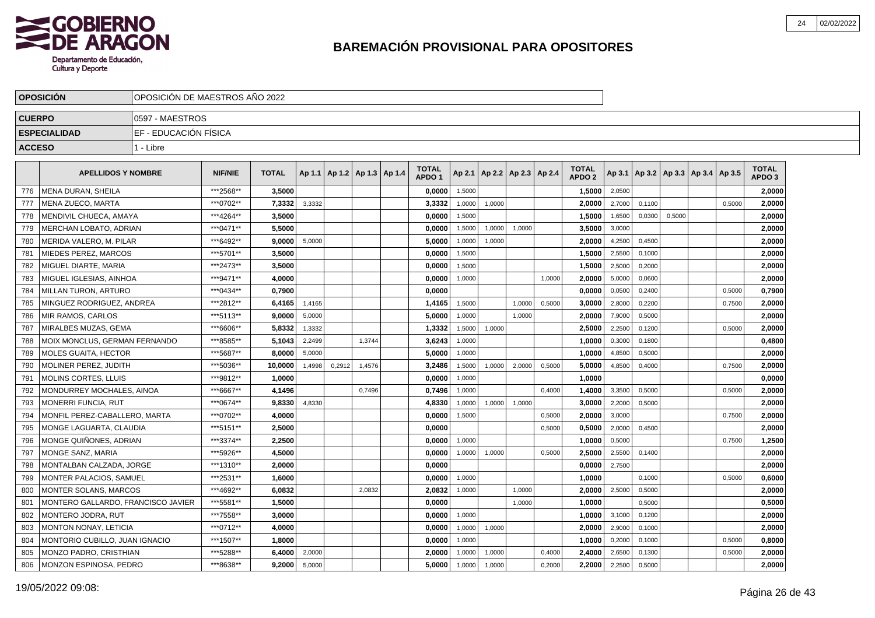

|               | <b>OPOSICION</b>                     | OPOSICION DE MAESTROS ANO 2022 |                |              |        |                                   |        |                                   |        |                          |        |        |                                   |        |        |        |                                   |        |                                   |  |
|---------------|--------------------------------------|--------------------------------|----------------|--------------|--------|-----------------------------------|--------|-----------------------------------|--------|--------------------------|--------|--------|-----------------------------------|--------|--------|--------|-----------------------------------|--------|-----------------------------------|--|
| <b>CUERPO</b> |                                      | 0597 - MAESTROS                |                |              |        |                                   |        |                                   |        |                          |        |        |                                   |        |        |        |                                   |        |                                   |  |
|               | <b>ESPECIALIDAD</b>                  | EF - EDUCACIÓN FÍSICA          |                |              |        |                                   |        |                                   |        |                          |        |        |                                   |        |        |        |                                   |        |                                   |  |
| <b>ACCESO</b> |                                      | 1 - Libre                      |                |              |        |                                   |        |                                   |        |                          |        |        |                                   |        |        |        |                                   |        |                                   |  |
|               |                                      |                                |                |              |        |                                   |        |                                   |        |                          |        |        |                                   |        |        |        |                                   |        |                                   |  |
|               | <b>APELLIDOS Y NOMBRE</b>            |                                | <b>NIF/NIE</b> | <b>TOTAL</b> |        | Ap 1.1   Ap 1.2   Ap 1.3   Ap 1.4 |        | <b>TOTAL</b><br>APDO <sub>1</sub> | Ap 2.1 | Ap 2.2   Ap 2.3   Ap 2.4 |        |        | <b>TOTAL</b><br>APDO <sub>2</sub> | Ap 3.1 |        |        | Ap 3.2   Ap 3.3   Ap 3.4   Ap 3.5 |        | <b>TOTAL</b><br>APDO <sub>3</sub> |  |
| 776           | MENA DURAN, SHEILA                   |                                | ***2568**      | 3,5000       |        |                                   |        | 0,0000                            | 1,5000 |                          |        |        | 1,5000                            | 2,0500 |        |        |                                   |        | 2,0000                            |  |
| 777           | MENA ZUECO, MARTA                    |                                | ***0702**      | 7,3332       | 3,3332 |                                   |        | 3,3332                            | 1,0000 | 1,0000                   |        |        | 2,0000                            | 2,7000 | 0,1100 |        |                                   | 0,5000 | 2,0000                            |  |
| 778           | MENDIVIL CHUECA, AMAYA               |                                | ***4264**      | 3.5000       |        |                                   |        | 0.0000                            | 1,5000 |                          |        |        | 1.5000                            | 1,6500 | 0,0300 | 0,5000 |                                   |        | 2.0000                            |  |
| 779           | <b>MERCHAN LOBATO, ADRIAN</b>        |                                | ***0471**      | 5.5000       |        |                                   |        | 0.0000                            | 1,5000 | 1,0000                   | 1,0000 |        | 3,5000                            | 3,0000 |        |        |                                   |        | 2.0000                            |  |
| 780           | MERIDA VALERO, M. PILAR              |                                | ***6492**      | 9.0000       | 5,0000 |                                   |        | 5.0000                            | 1,0000 | 1,0000                   |        |        | 2.0000                            | 4,2500 | 0,4500 |        |                                   |        | 2,0000                            |  |
| 781           | <b>MIEDES PEREZ. MARCOS</b>          |                                | ***5701**      | 3,5000       |        |                                   |        | 0,0000                            | 1,5000 |                          |        |        | 1,5000                            | 2,5500 | 0,1000 |        |                                   |        | 2,0000                            |  |
| 782           | MIGUEL DIARTE, MARIA                 |                                | ***2473**      | 3,5000       |        |                                   |        | 0,0000                            | 1,5000 |                          |        |        | 1,5000                            | 2,5000 | 0,2000 |        |                                   |        | 2,0000                            |  |
| 783           | MIGUEL IGLESIAS, AINHOA              |                                | ***9471**      | 4,0000       |        |                                   |        | 0,0000                            | 1,0000 |                          |        | 1,0000 | 2,0000                            | 5,0000 | 0,0600 |        |                                   |        | 2,0000                            |  |
| 784           | MILLAN TURON, ARTURO                 |                                | ***0434**      | 0,7900       |        |                                   |        | 0,0000                            |        |                          |        |        | 0,0000                            | 0,0500 | 0,2400 |        |                                   | 0,5000 | 0,7900                            |  |
| 785           | MINGUEZ RODRIGUEZ, ANDREA            |                                | ***2812**      | 6,4165       | 1,4165 |                                   |        | 1,4165                            | 1,5000 |                          | 1,0000 | 0,5000 | 3,0000                            | 2,8000 | 0,2200 |        |                                   | 0,7500 | 2,0000                            |  |
| 786           | <b>MIR RAMOS, CARLOS</b>             |                                | ***5113**      | 9,0000       | 5,0000 |                                   |        | 5.0000                            | 1.0000 |                          | 1,0000 |        | 2,0000                            | 7,9000 | 0,5000 |        |                                   |        | 2,0000                            |  |
| 787           | MIRALBES MUZAS, GEMA                 |                                | ***6606**      | 5,8332       | 1,3332 |                                   |        | 1,3332                            | 1,5000 | 1,0000                   |        |        | 2,5000                            | 2,2500 | 0,1200 |        |                                   | 0,5000 | 2,0000                            |  |
| 788           | <b>MOIX MONCLUS, GERMAN FERNANDO</b> |                                | ***8585**      | 5.1043       | 2,2499 |                                   | 1,3744 | 3,6243                            | 1,0000 |                          |        |        | 1,0000                            | 0,3000 | 0,1800 |        |                                   |        | 0,4800                            |  |
| 789           | <b>MOLES GUAITA, HECTOR</b>          |                                | ***5687**      | 8.0000       | 5,0000 |                                   |        | 5.0000                            | 1,0000 |                          |        |        | 1.0000                            | 4,8500 | 0,5000 |        |                                   |        | 2,0000                            |  |
| 790           | MOLINER PEREZ. JUDITH                |                                | ***5036**      | 10.0000      | 1,4998 | 0,2912                            | 1,4576 | 3,2486                            | 1,5000 | 1,0000                   | 2,0000 | 0,5000 | 5.0000                            | 4,8500 | 0,4000 |        |                                   | 0,7500 | 2,0000                            |  |
| 791           | <b>MOLINS CORTES, LLUIS</b>          |                                | ***9812**      | 1,0000       |        |                                   |        | 0,0000                            | 1,0000 |                          |        |        | 1,0000                            |        |        |        |                                   |        | 0,0000                            |  |
| 792           | MONDURREY MOCHALES, AINOA            |                                | ***6667**      | 4,1496       |        |                                   | 0,7496 | 0,7496                            | 1,0000 |                          |        | 0,4000 | 1,4000                            | 3,3500 | 0,5000 |        |                                   | 0,5000 | 2,0000                            |  |
| 793           | MONERRI FUNCIA, RUT                  |                                | ***0674**      | 9,8330       | 4,8330 |                                   |        | 4,8330                            | 1,0000 | 1,0000                   | 1,0000 |        | 3,0000                            | 2,2000 | 0,5000 |        |                                   |        | 2,0000                            |  |
| 794           | MONFIL PEREZ-CABALLERO, MARTA        |                                | ***0702**      | 4,0000       |        |                                   |        | 0,0000                            | 1,5000 |                          |        | 0,5000 | 2,0000                            | 3,0000 |        |        |                                   | 0,7500 | 2,0000                            |  |
| 795           | MONGE LAGUARTA, CLAUDIA              |                                | ***5151**      | 2,5000       |        |                                   |        | 0.0000                            |        |                          |        | 0,5000 | 0.5000                            | 2,0000 | 0.4500 |        |                                   |        | 2,0000                            |  |
| 796           | MONGE QUIÑONES. ADRIAN               |                                | ***3374**      | 2.2500       |        |                                   |        | 0.0000                            | 1.0000 |                          |        |        | 1.0000                            | 0,5000 |        |        |                                   | 0,7500 | 1,2500                            |  |
| 797           | <b>MONGE SANZ, MARIA</b>             |                                | ***5926**      | 4.5000       |        |                                   |        | 0.0000                            | 1,0000 | 1,0000                   |        | 0,5000 | 2,5000                            | 2,5500 | 0,1400 |        |                                   |        | 2.0000                            |  |
| 798           | MONTALBAN CALZADA, JORGE             |                                | ***1310**      | 2.0000       |        |                                   |        | 0,0000                            |        |                          |        |        | 0,0000                            | 2,7500 |        |        |                                   |        | 2,0000                            |  |
| 799           | MONTER PALACIOS, SAMUEL              |                                | ***2531**      | 1,6000       |        |                                   |        | 0,0000                            | 1,0000 |                          |        |        | 1,0000                            |        | 0,1000 |        |                                   | 0,5000 | 0,6000                            |  |
| 800           | <b>MONTER SOLANS, MARCOS</b>         |                                | ***4692**      | 6,0832       |        |                                   | 2,0832 | 2,0832                            | 1,0000 |                          | 1,0000 |        | 2,0000                            | 2,5000 | 0,5000 |        |                                   |        | 2,0000                            |  |
| 801           | MONTERO GALLARDO, FRANCISCO JAVIER   |                                | ***5581**      | 1,5000       |        |                                   |        | 0,0000                            |        |                          | 1,0000 |        | 1,0000                            |        | 0,5000 |        |                                   |        | 0,5000                            |  |
| 802           | MONTERO JODRA, RUT                   |                                | ***7558**      | 3,0000       |        |                                   |        | 0,0000                            | 1,0000 |                          |        |        | 1,0000                            | 3,1000 | 0,1200 |        |                                   |        | 2,0000                            |  |
| 803           | <b>MONTON NONAY, LETICIA</b>         |                                | ***0712**      | 4,0000       |        |                                   |        | 0.0000                            | 1,0000 | 1,0000                   |        |        | 2.0000                            | 2,9000 | 0.1000 |        |                                   |        | 2,0000                            |  |
| 804           | MONTORIO CUBILLO, JUAN IGNACIO       |                                | ***1507**      | 1,8000       |        |                                   |        | 0,0000                            | 1.0000 |                          |        |        | 1,0000                            | 0,2000 | 0,1000 |        |                                   | 0,5000 | 0,8000                            |  |
| 805           | MONZO PADRO, CRISTHIAN               |                                | *** 5288**     | 6,4000       | 2,0000 |                                   |        | 2.0000                            | 1,0000 | 1,0000                   |        | 0.4000 | 2.4000                            | 2,6500 | 0,1300 |        |                                   | 0,5000 | 2,0000                            |  |
| 806           | I MONZON ESPINOSA. PEDRO             |                                | ***8638**      | 9,2000       | 5,0000 |                                   |        | 5.0000                            | 1,0000 | 1,0000                   |        | 0,2000 | 2,2000                            | 2,2500 | 0,5000 |        |                                   |        | 2,0000                            |  |
|               |                                      |                                |                |              |        |                                   |        |                                   |        |                          |        |        |                                   |        |        |        |                                   |        |                                   |  |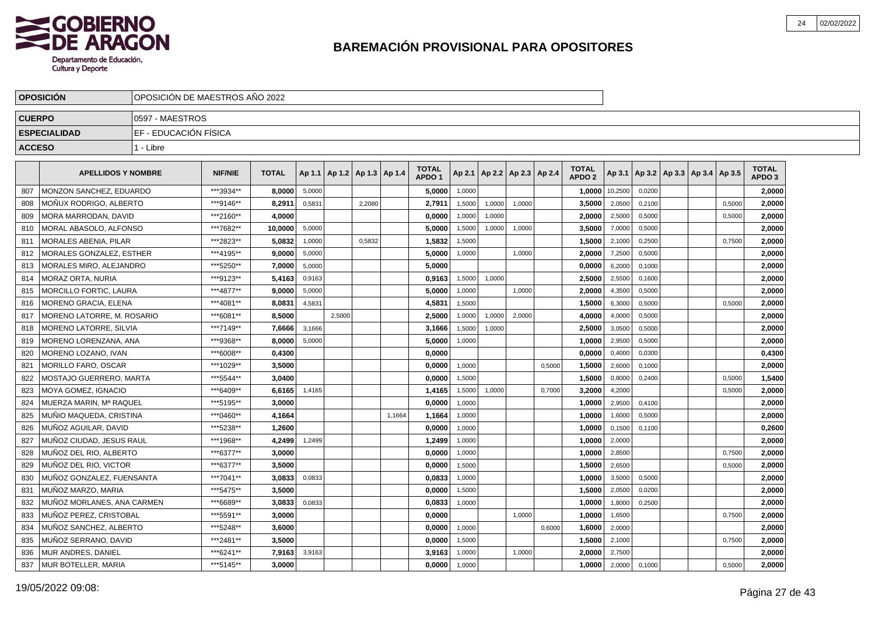

|               | <b>OPOSICION</b>               | IOPOSICION DE MAESTROS ANO 2022 |                |              |        |                                   |        |        |                                   |        |                          |        |        |                                   |         |        |                                   |        |                                   |  |
|---------------|--------------------------------|---------------------------------|----------------|--------------|--------|-----------------------------------|--------|--------|-----------------------------------|--------|--------------------------|--------|--------|-----------------------------------|---------|--------|-----------------------------------|--------|-----------------------------------|--|
| <b>CUERPO</b> |                                | 10597 - MAESTROS                |                |              |        |                                   |        |        |                                   |        |                          |        |        |                                   |         |        |                                   |        |                                   |  |
|               | <b>ESPECIALIDAD</b>            | IEF - EDUCACIÓN FÍSICA          |                |              |        |                                   |        |        |                                   |        |                          |        |        |                                   |         |        |                                   |        |                                   |  |
| <b>ACCESO</b> |                                | 1 - Libre                       |                |              |        |                                   |        |        |                                   |        |                          |        |        |                                   |         |        |                                   |        |                                   |  |
|               |                                |                                 |                |              |        |                                   |        |        |                                   |        |                          |        |        |                                   |         |        |                                   |        |                                   |  |
|               | <b>APELLIDOS Y NOMBRE</b>      |                                 | <b>NIF/NIE</b> | <b>TOTAL</b> |        | Ap 1.1   Ap 1.2   Ap 1.3   Ap 1.4 |        |        | <b>TOTAL</b><br>APDO <sub>1</sub> | Ap 2.1 | Ap 2.2   Ap 2.3   Ap 2.4 |        |        | <b>TOTAL</b><br>APDO <sub>2</sub> | Ap 3.1  |        | Ap 3.2   Ap 3.3   Ap 3.4   Ap 3.5 |        | <b>TOTAL</b><br>APDO <sub>3</sub> |  |
| 807           | MONZON SANCHEZ, EDUARDO        |                                 | ***3934**      | 8.0000       | 5,0000 |                                   |        |        | 5,0000                            | 1,0000 |                          |        |        | 1,0000                            | 10,2500 | 0.0200 |                                   |        | 2.0000                            |  |
| 808           | MONUX RODRIGO, ALBERTO         |                                 | ***9146**      | 8,2911       | 0,5831 |                                   | 2,2080 |        | 2,7911                            | 1,5000 | 1,0000                   | 1.0000 |        | 3,5000                            | 2,0500  | 0,2100 |                                   | 0,5000 | 2.0000                            |  |
| 809           | MORA MARRODAN. DAVID           |                                 | ***2160**      | 4,0000       |        |                                   |        |        | 0,0000                            | 1,0000 | 1,0000                   |        |        | 2,0000                            | 2,5000  | 0,5000 |                                   | 0,5000 | 2,0000                            |  |
| 810           | MORAL ABASOLO, ALFONSO         |                                 | ***7682**      | 10.0000      | 5,0000 |                                   |        |        | 5,0000                            | 1,5000 | 1,0000                   | 1,0000 |        | 3,5000                            | 7,0000  | 0,5000 |                                   |        | 2,0000                            |  |
| 811           | <b>MORALES ABENIA, PILAR</b>   |                                 | ***2823**      | 5,0832       | 1,0000 |                                   | 0,5832 |        | 1,5832                            | 1,5000 |                          |        |        | 1,5000                            | 2,1000  | 0,2500 |                                   | 0,7500 | 2,0000                            |  |
| 812           | MORALES GONZALEZ, ESTHER       |                                 | ***4195**      | 9.0000       | 5,0000 |                                   |        |        | 5.0000                            | 1,0000 |                          | 1.0000 |        | 2.0000                            | 7,2500  | 0.5000 |                                   |        | 2.0000                            |  |
| 813           | <b>MORALES MIRO, ALEJANDRO</b> |                                 | ***5250**      | 7.0000       | 5,0000 |                                   |        |        | 5.0000                            |        |                          |        |        | 0,0000                            | 6,2000  | 0,1000 |                                   |        | 2,0000                            |  |
| 814           | <b>MORAZ ORTA, NURIA</b>       |                                 | ***9123**      | 5,4163       | 0,9163 |                                   |        |        | 0,9163                            | 1,5000 | 1,0000                   |        |        | 2,5000                            | 2,5500  | 0,1600 |                                   |        | 2,0000                            |  |
| 815           | MORCILLO FORTIC, LAURA         |                                 | ***4877**      | 9,0000       | 5,0000 |                                   |        |        | 5.0000                            | 1,0000 |                          | 1,0000 |        | 2,0000                            | 4,3500  | 0,5000 |                                   |        | 2,0000                            |  |
| 816           | MORENO GRACIA, ELENA           |                                 | ***4081**      | 8,0831       | 4,5831 |                                   |        |        | 4,5831                            | 1,5000 |                          |        |        | 1,5000                            | 6,3000  | 0,5000 |                                   | 0,5000 | 2,0000                            |  |
| 817           | MORENO LATORRE, M. ROSARIO     |                                 | ***6081**      | 8,5000       |        | 2,5000                            |        |        | 2,5000                            | 1,0000 | 1,0000                   | 2,0000 |        | 4,0000                            | 4,0000  | 0,5000 |                                   |        | 2,0000                            |  |
| 818           | <b>MORENO LATORRE, SILVIA</b>  |                                 | ***7149**      | 7,6666       | 3,1666 |                                   |        |        | 3,1666                            | 1,5000 | 1,0000                   |        |        | 2,5000                            | 3,0500  | 0,5000 |                                   |        | 2,0000                            |  |
| 819           | MORENO LORENZANA, ANA          |                                 | ***9368**      | 8,0000       | 5,0000 |                                   |        |        | 5,0000                            | 1,0000 |                          |        |        | 1,0000                            | 2,9500  | 0,5000 |                                   |        | 2,0000                            |  |
| 820           | MORENO LOZANO, IVAN            |                                 | ***6008**      | 0.4300       |        |                                   |        |        | 0.0000                            |        |                          |        |        | 0.0000                            | 0,4000  | 0,0300 |                                   |        | 0,4300                            |  |
| 821           | MORILLO FARO, OSCAR            |                                 | ***1029**      | 3,5000       |        |                                   |        |        | 0,0000                            | 1,0000 |                          |        | 0,5000 | 1,5000                            | 2,6000  | 0,1000 |                                   |        | 2,0000                            |  |
| 822           | MOSTAJO GUERRERO. MARTA        |                                 | *** 5544**     | 3,0400       |        |                                   |        |        | 0,0000                            | 1,5000 |                          |        |        | 1,5000                            | 0,8000  | 0,2400 |                                   | 0,5000 | 1,5400                            |  |
| 823           | MOYA GOMEZ, IGNACIO            |                                 | ***6409**      | 6,6165       | 1,4165 |                                   |        |        | 1,4165                            | 1,5000 | 1,0000                   |        | 0,7000 | 3,2000                            | 4,2000  |        |                                   | 0,5000 | 2,0000                            |  |
| 824           | MUERZA MARIN. Mª RAQUEL        |                                 | ***5195**      | 3.0000       |        |                                   |        |        | 0.0000                            | 1.0000 |                          |        |        | 1,0000                            | 2,9500  | 0.4100 |                                   |        | 2,0000                            |  |
| 825           | MUÑIO MAQUEDA, CRISTINA        |                                 | ***0460**      | 4,1664       |        |                                   |        | 1,1664 | 1,1664                            | 1,0000 |                          |        |        | 1.0000                            | 1,6000  | 0,5000 |                                   |        | 2,0000                            |  |
| 826           | MUÑOZ AGUILAR. DAVID           |                                 | ***5238**      | 1.2600       |        |                                   |        |        | 0,0000                            | 1,0000 |                          |        |        | 1,0000                            | 0,1500  | 0,1100 |                                   |        | 0,2600                            |  |
| 827           | MUÑOZ CIUDAD, JESUS RAUL       |                                 | ***1968**      | 4,2499       | 1,2499 |                                   |        |        | 1,2499                            | 1,0000 |                          |        |        | 1,0000                            | 2,0000  |        |                                   |        | 2,0000                            |  |
| 828           | MUÑOZ DEL RIO, ALBERTO         |                                 | ***6377**      | 3,0000       |        |                                   |        |        | 0,0000                            | 1,0000 |                          |        |        | 1,0000                            | 2,8500  |        |                                   | 0,7500 | 2,0000                            |  |
| 829           | MUÑOZ DEL RIO, VICTOR          |                                 | ***6377**      | 3.5000       |        |                                   |        |        | 0,0000                            | 1,5000 |                          |        |        | 1,5000                            | 2,6500  |        |                                   | 0,5000 | 2,0000                            |  |
| 830           | MUÑOZ GONZALEZ. FUENSANTA      |                                 | ***7041**      | 3.0833       | 0,0833 |                                   |        |        | 0.0833                            | 1,0000 |                          |        |        | 1.0000                            | 3,5000  | 0,5000 |                                   |        | 2.0000                            |  |
| 831           | MUÑOZ MARZO, MARIA             |                                 | ***5475**      | 3.5000       |        |                                   |        |        | 0,0000                            | 1,5000 |                          |        |        | 1,5000                            | 2,0500  | 0,0200 |                                   |        | 2,0000                            |  |
| 832           | MUÑOZ MORLANES. ANA CARMEN     |                                 | ***6689**      | 3.0833       | 0,0833 |                                   |        |        | 0,0833                            | 1,0000 |                          |        |        | 1.0000                            | 1,8000  | 0,2500 |                                   |        | 2,0000                            |  |
| 833           | MUÑOZ PEREZ, CRISTOBAL         |                                 | ***5591**      | 3,0000       |        |                                   |        |        | 0,0000                            |        |                          | 1,0000 |        | 1,0000                            | 1,6500  |        |                                   | 0,7500 | 2,0000                            |  |
| 834           | MUÑOZ SANCHEZ, ALBERTO         |                                 | *** 5248**     | 3,6000       |        |                                   |        |        | 0,0000                            | 1,0000 |                          |        | 0,6000 | 1,6000                            | 2,0000  |        |                                   |        | 2,0000                            |  |
| 835           | MUÑOZ SERRANO, DAVID           |                                 | ***2481**      | 3,5000       |        |                                   |        |        | 0,0000                            | 1,5000 |                          |        |        | 1,5000                            | 2,1000  |        |                                   | 0,7500 | 2,0000                            |  |
| 836           | MUR ANDRES, DANIEL             |                                 | ***6241**      | 7.9163       | 3,9163 |                                   |        |        | 3.9163                            | 1,0000 |                          | 1,0000 |        | 2.0000                            | 2,7500  |        |                                   |        | 2.0000                            |  |
| 837           | <b>IMUR BOTELLER, MARIA</b>    |                                 | ***5145**      | 3.0000       |        |                                   |        |        | 0,0000                            | 1,0000 |                          |        |        | 1,0000                            | 2,0000  | 0,1000 |                                   | 0,5000 | 2,0000                            |  |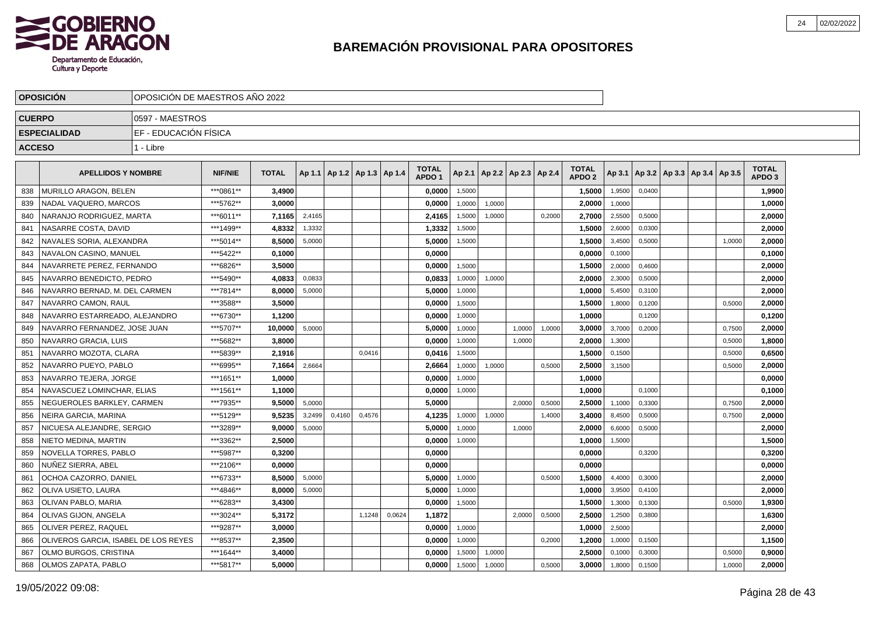

|               | <b>OPOSICION</b>                                    | OPOSICION DE MAESTROS ANO 2022 |                        |                  |        |                                   |        |        |                   |                  |                          |        |        |                   |                  |        |                                   |        |                   |  |
|---------------|-----------------------------------------------------|--------------------------------|------------------------|------------------|--------|-----------------------------------|--------|--------|-------------------|------------------|--------------------------|--------|--------|-------------------|------------------|--------|-----------------------------------|--------|-------------------|--|
| <b>CUERPO</b> |                                                     | 0597 - MAESTROS                |                        |                  |        |                                   |        |        |                   |                  |                          |        |        |                   |                  |        |                                   |        |                   |  |
|               | <b>ESPECIALIDAD</b>                                 | EF - EDUCACIÓN FÍSICA          |                        |                  |        |                                   |        |        |                   |                  |                          |        |        |                   |                  |        |                                   |        |                   |  |
| <b>ACCESO</b> |                                                     | 1 - Libre                      |                        |                  |        |                                   |        |        |                   |                  |                          |        |        |                   |                  |        |                                   |        |                   |  |
|               | <b>APELLIDOS Y NOMBRE</b>                           |                                | <b>NIF/NIE</b>         | <b>TOTAL</b>     |        | Ap 1.1   Ap 1.2   Ap 1.3   Ap 1.4 |        |        | <b>TOTAL</b>      | Ap 2.1           | Ap 2.2   Ap 2.3   Ap 2.4 |        |        | <b>TOTAL</b>      | Ap 3.1           |        | Ap 3.2   Ap 3.3   Ap 3.4   Ap 3.5 |        | <b>TOTAL</b>      |  |
|               |                                                     |                                |                        |                  |        |                                   |        |        | APDO <sub>1</sub> |                  |                          |        |        | APDO <sub>2</sub> |                  |        |                                   |        | APDO <sub>3</sub> |  |
| 838           | MURILLO ARAGON, BELEN                               |                                | ***0861**              | 3,4900           |        |                                   |        |        | 0,0000            | 1,5000           |                          |        |        | 1,5000            | 1,9500           | 0,0400 |                                   |        | 1,9900            |  |
| 839           | NADAL VAQUERO, MARCOS                               |                                | ***5762**              | 3,0000           |        |                                   |        |        | 0,0000            | 1,0000           | 1,0000                   |        |        | 2,0000            | 1,0000           |        |                                   |        | 1,0000            |  |
| 840           | NARANJO RODRIGUEZ, MARTA                            |                                | ***6011**              | 7.1165           | 2,4165 |                                   |        |        | 2.4165<br>1.3332  | 1,5000           | 1.0000                   |        | 0.2000 | 2.7000            | 2,5500           | 0.5000 |                                   |        | 2.0000            |  |
| 841           | NASARRE COSTA, DAVID                                |                                | ***1499**<br>***5014** | 4.8332<br>8.5000 | 1,3332 |                                   |        |        |                   | 1,5000<br>1,5000 |                          |        |        | 1.5000            | 2,6000<br>3,4500 | 0,0300 |                                   |        | 2.0000            |  |
| 842<br>843    | NAVALES SORIA, ALEXANDRA                            |                                | ***5422**              | 0.1000           | 5,0000 |                                   |        |        | 5,0000            |                  |                          |        |        | 1,5000<br>0.0000  | 0,1000           | 0,5000 |                                   | 1,0000 | 2,0000<br>0,1000  |  |
| 844           | NAVALON CASINO, MANUEL<br>NAVARRETE PEREZ. FERNANDO |                                | ***6826**              | 3,5000           |        |                                   |        |        | 0,0000<br>0,0000  | 1,5000           |                          |        |        | 1,5000            | 2,0000           | 0,4600 |                                   |        | 2,0000            |  |
| 845           | NAVARRO BENEDICTO, PEDRO                            |                                | *** 5490**             | 4,0833           | 0,0833 |                                   |        |        | 0,0833            | 1,0000           | 1,0000                   |        |        | 2,0000            | 2,3000           | 0,5000 |                                   |        | 2,0000            |  |
| 846           | NAVARRO BERNAD, M. DEL CARMEN                       |                                | ***7814**              | 8,0000           | 5,0000 |                                   |        |        | 5,0000            | 1,0000           |                          |        |        | 1,0000            | 5,4500           | 0,3100 |                                   |        | 2,0000            |  |
| 847           | NAVARRO CAMON, RAUL                                 |                                | ***3588**              | 3,5000           |        |                                   |        |        | 0,0000            | 1,5000           |                          |        |        | 1,5000            | 1,8000           | 0,1200 |                                   | 0,5000 | 2,0000            |  |
| 848           | NAVARRO ESTARREADO, ALEJANDRO                       |                                | ***6730**              | 1.1200           |        |                                   |        |        | 0.0000            | 1,0000           |                          |        |        | 1.0000            |                  | 0,1200 |                                   |        | 0,1200            |  |
| 849           | NAVARRO FERNANDEZ. JOSE JUAN                        |                                | ***5707**              | 10.0000          | 5,0000 |                                   |        |        | 5.0000            | 1,0000           |                          | 1.0000 | 1.0000 | 3.0000            | 3,7000           | 0,2000 |                                   | 0,7500 | 2,0000            |  |
| 850           | NAVARRO GRACIA, LUIS                                |                                | ***5682**              | 3.8000           |        |                                   |        |        | 0.0000            | 1,0000           |                          | 1.0000 |        | 2,0000            | 1,3000           |        |                                   | 0,5000 | 1,8000            |  |
| 851           | NAVARRO MOZOTA, CLARA                               |                                | ***5839**              | 2.1916           |        |                                   | 0,0416 |        | 0.0416            | 1,5000           |                          |        |        | 1.5000            | 0,1500           |        |                                   | 0,5000 | 0,6500            |  |
| 852           | NAVARRO PUEYO. PABLO                                |                                | ***6995**              | 7.1664           | 2,6664 |                                   |        |        | 2,6664            | 1,0000           | 1,0000                   |        | 0,5000 | 2.5000            | 3,1500           |        |                                   | 0,5000 | 2,0000            |  |
| 853           | NAVARRO TEJERA, JORGE                               |                                | ***1651**              | 1,0000           |        |                                   |        |        | 0,0000            | 1,0000           |                          |        |        | 1,0000            |                  |        |                                   |        | 0,0000            |  |
| 854           | NAVASCUEZ LOMINCHAR. ELIAS                          |                                | ***1561**              | 1,1000           |        |                                   |        |        | 0,0000            | 1,0000           |                          |        |        | 1,0000            |                  | 0,1000 |                                   |        | 0,1000            |  |
| 855           | NEGUEROLES BARKLEY, CARMEN                          |                                | ***7935**              | 9,5000           | 5,0000 |                                   |        |        | 5,0000            |                  |                          | 2.0000 | 0,5000 | 2,5000            | 1,1000           | 0,3300 |                                   | 0,7500 | 2,0000            |  |
| 856           | NEIRA GARCIA, MARINA                                |                                | ***5129**              | 9,5235           | 3,2499 | 0,4160                            | 0,4576 |        | 4,1235            | 1,0000           | 1,0000                   |        | 1,4000 | 3,4000            | 8,4500           | 0,5000 |                                   | 0,7500 | 2,0000            |  |
| 857           | NICUESA ALEJANDRE, SERGIO                           |                                | ***3289**              | 9.0000           | 5,0000 |                                   |        |        | 5.0000            | 1.0000           |                          | 1.0000 |        | 2.0000            | 6,6000           | 0.5000 |                                   |        | 2,0000            |  |
| 858           | NIETO MEDINA, MARTIN                                |                                | ***3362**              | 2,5000           |        |                                   |        |        | 0.0000            | 1,0000           |                          |        |        | 1,0000            | 1,5000           |        |                                   |        | 1,5000            |  |
| 859           | NOVELLA TORRES, PABLO                               |                                | ***5987**              | 0.3200           |        |                                   |        |        | 0.0000            |                  |                          |        |        | 0.0000            |                  | 0,3200 |                                   |        | 0,3200            |  |
| 860           | NUNEZ SIERRA, ABEL                                  |                                | ***2106**              | 0.0000           |        |                                   |        |        | 0.0000            |                  |                          |        |        | 0.0000            |                  |        |                                   |        | 0,0000            |  |
| 861           | OCHOA CAZORRO, DANIEL                               |                                | ***6733**              | 8,5000           | 5,0000 |                                   |        |        | 5.0000            | 1,0000           |                          |        | 0,5000 | 1,5000            | 4,4000           | 0,3000 |                                   |        | 2,0000            |  |
| 862           | OLIVA USIETO, LAURA                                 |                                | ***4846**              | 8,0000           | 5,0000 |                                   |        |        | 5,0000            | 1,0000           |                          |        |        | 1,0000            | 3,9500           | 0,4100 |                                   |        | 2,0000            |  |
| 863           | <b>OLIVAN PABLO, MARIA</b>                          |                                | ***6283**              | 3,4300           |        |                                   |        |        | 0,0000            | 1,5000           |                          |        |        | 1,5000            | 1,3000           | 0,1300 |                                   | 0,5000 | 1,9300            |  |
| 864           | OLIVAS GIJON, ANGELA                                |                                | ***3024**              | 5,3172           |        |                                   | 1,1248 | 0,0624 | 1,1872            |                  |                          | 2,0000 | 0,5000 | 2,5000            | 1,2500           | 0,3800 |                                   |        | 1,6300            |  |
| 865           | <b>OLIVER PEREZ, RAQUEL</b>                         |                                | ***9287**              | 3.0000           |        |                                   |        |        | 0.0000            | 1.0000           |                          |        |        | 1.0000            | 2,5000           |        |                                   |        | 2,0000            |  |
| 866           | OLIVEROS GARCIA, ISABEL DE LOS REYES                |                                | ***8537**              | 2,3500           |        |                                   |        |        | 0,0000            | 1.0000           |                          |        | 0,2000 | 1,2000            | 1,0000           | 0,1500 |                                   |        | 1,1500            |  |
| 867           | OLMO BURGOS, CRISTINA                               |                                | ***1644**              | 3,4000           |        |                                   |        |        | 0.0000            | 1,5000           | 1,0000                   |        |        | 2.5000            | 0,1000           | 0,3000 |                                   | 0,5000 | 0,9000            |  |
| 868           | <b>OLMOS ZAPATA, PABLO</b>                          |                                | ***5817**              | 5.0000           |        |                                   |        |        | 0.0000            | 1,5000           | 1,0000                   |        | 0,5000 | 3.0000            | 1,8000           | 0,1500 |                                   | 1,0000 | 2,0000            |  |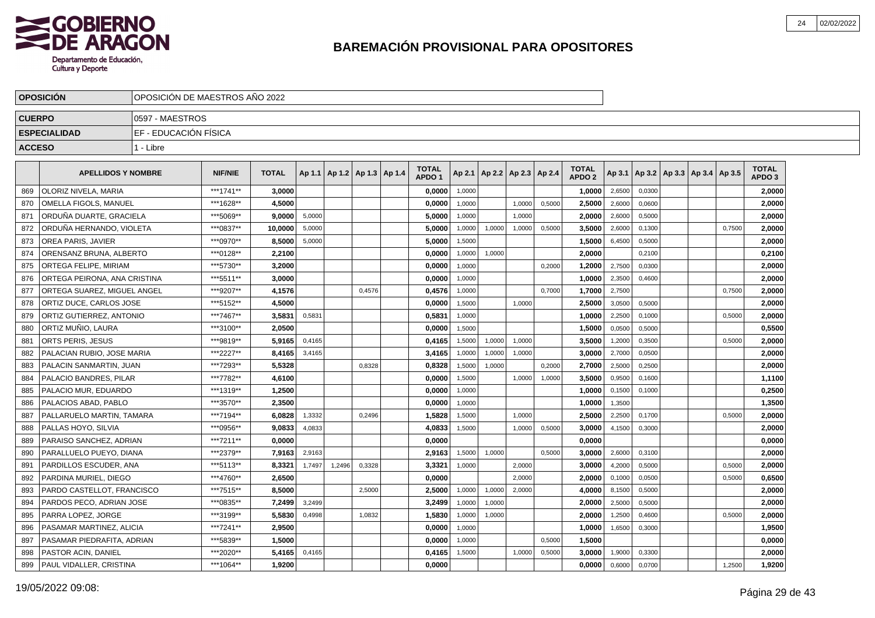

| <b>OPOSICION</b>             | OPOSICION DE MAESTROS ANO 2022 |                |              |        |                                   |        |                                   |        |                          |        |        |                                   |        |        |                             |        |                                   |  |
|------------------------------|--------------------------------|----------------|--------------|--------|-----------------------------------|--------|-----------------------------------|--------|--------------------------|--------|--------|-----------------------------------|--------|--------|-----------------------------|--------|-----------------------------------|--|
| <b>CUERPO</b>                | 0597 - MAESTROS                |                |              |        |                                   |        |                                   |        |                          |        |        |                                   |        |        |                             |        |                                   |  |
| <b>ESPECIALIDAD</b>          | EF - EDUCACIÓN FÍSICA          |                |              |        |                                   |        |                                   |        |                          |        |        |                                   |        |        |                             |        |                                   |  |
| <b>ACCESO</b>                | 1 - Libre                      |                |              |        |                                   |        |                                   |        |                          |        |        |                                   |        |        |                             |        |                                   |  |
|                              |                                |                |              |        |                                   |        |                                   |        |                          |        |        |                                   |        |        |                             |        |                                   |  |
| <b>APELLIDOS Y NOMBRE</b>    |                                | <b>NIF/NIE</b> | <b>TOTAL</b> |        | Ap 1.1   Ap 1.2   Ap 1.3   Ap 1.4 |        | <b>TOTAL</b><br>APDO <sub>1</sub> | Ap 2.1 | Ap 2.2   Ap 2.3   Ap 2.4 |        |        | <b>TOTAL</b><br>APDO <sub>2</sub> | Ap 3.1 |        | Ap 3.2 Ap 3.3 Ap 3.4 Ap 3.5 |        | <b>TOTAL</b><br>APDO <sub>3</sub> |  |
| OLORIZ NIVELA, MARIA         |                                | ***1741**      | 3,0000       |        |                                   |        | 0,0000                            | 1,0000 |                          |        |        | 1,0000                            | 2,6500 | 0,0300 |                             |        | 2,0000                            |  |
| OMELLA FIGOLS, MANUEL        |                                | ***1628**      | 4,5000       |        |                                   |        | 0,0000                            | 1,0000 |                          | 1,0000 | 0,5000 | 2,5000                            | 2,6000 | 0,0600 |                             |        | 2,0000                            |  |
| ORDUNA DUARTE, GRACIELA      |                                | ***5069**      | 9.0000       | 5,0000 |                                   |        | 5,0000                            | 1,0000 |                          | 1.0000 |        | 2,0000                            | 2,6000 | 0,5000 |                             |        | 2,0000                            |  |
| ORDUÑA HERNANDO, VIOLETA     |                                | ***0837**      | 10.0000      | 5,0000 |                                   |        | 5,0000                            | 1,0000 | 1,0000                   | 1,0000 | 0,5000 | 3,5000                            | 2,6000 | 0,1300 |                             | 0,7500 | 2,0000                            |  |
| OREA PARIS, JAVIER           |                                | ***0970**      | 8,5000       | 5,0000 |                                   |        | 5,0000                            | 1,5000 |                          |        |        | 1,5000                            | 6,4500 | 0,5000 |                             |        | 2,0000                            |  |
| ORENSANZ BRUNA, ALBERTO      |                                | ***0128**      | 2.2100       |        |                                   |        | 0.0000                            | 1,0000 | 1,0000                   |        |        | 2.0000                            |        | 0.2100 |                             |        | 0,2100                            |  |
| ORTEGA FELIPE, MIRIAM        |                                | ***5730**      | 3.2000       |        |                                   |        | 0,0000                            | 1,0000 |                          |        | 0,2000 | 1,2000                            | 2,7500 | 0,0300 |                             |        | 2,0000                            |  |
| ORTEGA PEIRONA, ANA CRISTINA |                                | ***5511**      | 3,0000       |        |                                   |        | 0,0000                            | 1,0000 |                          |        |        | 1,0000                            | 2,3500 | 0.4600 |                             |        | 2,0000                            |  |
| ORTEGA SUAREZ. MIGUEL ANGEL  |                                | ***9207**      | 4,1576       |        |                                   | 0,4576 | 0,4576                            | 1,0000 |                          |        | 0,7000 | 1,7000                            | 2,7500 |        |                             | 0,7500 | 2,0000                            |  |
| ORTIZ DUCE, CARLOS JOSE      |                                | ***5152**      | 4,5000       |        |                                   |        | 0,0000                            | 1,5000 |                          | 1,0000 |        | 2,5000                            | 3,0500 | 0,5000 |                             |        | 2,0000                            |  |
| ORTIZ GUTIERREZ, ANTONIO     |                                | ***7467**      | 3,5831       | 0,5831 |                                   |        | 0,5831                            | 1,0000 |                          |        |        | 1,0000                            | 2,2500 | 0,1000 |                             | 0,5000 | 2,0000                            |  |
| ORTIZ MUÑIO, LAURA           |                                | ***3100**      | 2,0500       |        |                                   |        | 0,0000                            | 1.5000 |                          |        |        | 1,5000                            | 0,0500 | 0,5000 |                             |        | 0,5500                            |  |
| ORTS PERIS, JESUS            |                                | ***9819**      | 5.9165       | 0,4165 |                                   |        | 0,4165                            | 1,5000 | 1,0000                   | 1,0000 |        | 3,5000                            | 1,2000 | 0,3500 |                             | 0,5000 | 2,0000                            |  |
| PALACIAN RUBIO, JOSE MARIA   |                                | ***2227**      | 8,4165       | 3,4165 |                                   |        | 3,4165                            | 1,0000 | 1,0000                   | 1,0000 |        | 3,0000                            | 2,7000 | 0,0500 |                             |        | 2,0000                            |  |
| PALACIN SANMARTIN, JUAN      |                                | ***7293**      | 5,5328       |        |                                   | 0,8328 | 0,8328                            | 1,5000 | 1,0000                   |        | 0,2000 | 2,7000                            | 2,5000 | 0,2500 |                             |        | 2,0000                            |  |
| PALACIO BANDRES, PILAR       |                                | ***7782**      | 4,6100       |        |                                   |        | 0,0000                            | 1,5000 |                          | 1,0000 | 1,0000 | 3,5000                            | 0,9500 | 0,1600 |                             |        | 1,1100                            |  |
| PALACIO MUR. EDUARDO         |                                | ***1319**      | 1,2500       |        |                                   |        | 0,0000                            | 1,0000 |                          |        |        | 1,0000                            | 0,1500 | 0,1000 |                             |        | 0,2500                            |  |
| PALACIOS ABAD. PABLO         |                                | ***3570**      | 2.3500       |        |                                   |        | 0.0000                            | 1.0000 |                          |        |        | 1,0000                            | 1,3500 |        |                             |        | 1,3500                            |  |
| PALLARUELO MARTIN, TAMARA    |                                | ***7194**      | 6.0828       | 1,3332 |                                   | 0,2496 | 1,5828                            | 1,5000 |                          | 1.0000 |        | 2,5000                            | 2,2500 | 0,1700 |                             | 0,5000 | 2,0000                            |  |
| PALLAS HOYO, SILVIA          |                                | ***0956**      | 9.0833       | 4,0833 |                                   |        | 4,0833                            | 1,5000 |                          | 1,0000 | 0,5000 | 3,0000                            | 4,1500 | 0,3000 |                             |        | 2,0000                            |  |
| PARAISO SANCHEZ, ADRIAN      |                                | ***7211**      | 0.0000       |        |                                   |        | 0,0000                            |        |                          |        |        | 0,0000                            |        |        |                             |        | 0,0000                            |  |
| PARALLUELO PUEYO, DIANA      |                                | ***2379**      | 7,9163       | 2,9163 |                                   |        | 2,9163                            | 1,5000 | 1,0000                   |        | 0,5000 | 3,0000                            | 2,6000 | 0,3100 |                             |        | 2,0000                            |  |
| PARDILLOS ESCUDER, ANA       |                                | ***5113**      | 8,3321       | 1,7497 | 1,2496                            | 0,3328 | 3,3321                            | 1,0000 |                          | 2,0000 |        | 3,0000                            | 4,2000 | 0,5000 |                             | 0,5000 | 2,0000                            |  |
| PARDINA MURIEL, DIEGO        |                                | ***4760**      | 2.6500       |        |                                   |        | 0.0000                            |        |                          | 2.0000 |        | 2.0000                            | 0,1000 | 0,0500 |                             | 0,5000 | 0,6500                            |  |
| PARDO CASTELLOT, FRANCISCO   |                                | ***7515**      | 8.5000       |        |                                   | 2,5000 | 2.5000                            | 1,0000 | 1,0000                   | 2,0000 |        | 4.0000                            | 8,1500 | 0,5000 |                             |        | 2,0000                            |  |
| PARDOS PECO, ADRIAN JOSE     |                                | ***0835**      | 7,2499       | 3,2499 |                                   |        | 3,2499                            | 1,0000 | 1,0000                   |        |        | 2.0000                            | 2,5000 | 0,5000 |                             |        | 2,0000                            |  |
| PARRA LOPEZ, JORGE           |                                | ***3199**      | 5,5830       | 0,4998 |                                   | 1,0832 | 1,5830                            | 1,0000 | 1,0000                   |        |        | 2,0000                            | 1,2500 | 0,4600 |                             | 0,5000 | 2,0000                            |  |
| PASAMAR MARTINEZ, ALICIA     |                                | ***7241**      | 2,9500       |        |                                   |        | 0,0000                            | 1,0000 |                          |        |        | 1,0000                            | 1,6500 | 0,3000 |                             |        | 1,9500                            |  |
| PASAMAR PIEDRAFITA, ADRIAN   |                                | ***5839**      | 1,5000       |        |                                   |        | 0,0000                            | 1,0000 |                          |        | 0,5000 | 1,5000                            |        |        |                             |        | 0,0000                            |  |
| PASTOR ACIN, DANIEL          |                                | ***2020**      | 5,4165       | 0,4165 |                                   |        | 0,4165                            | 1,5000 |                          | 1,0000 | 0,5000 | 3.0000                            | 1,9000 | 0,3300 |                             |        | 2.0000                            |  |
| PAUL VIDALLER, CRISTINA      |                                | ***1064**      | 1,9200       |        |                                   |        | 0.0000                            |        |                          |        |        | 0,0000                            | 0,6000 | 0,0700 |                             | 1,2500 | 1,9200                            |  |
|                              |                                |                |              |        |                                   |        |                                   |        |                          |        |        |                                   |        |        |                             |        |                                   |  |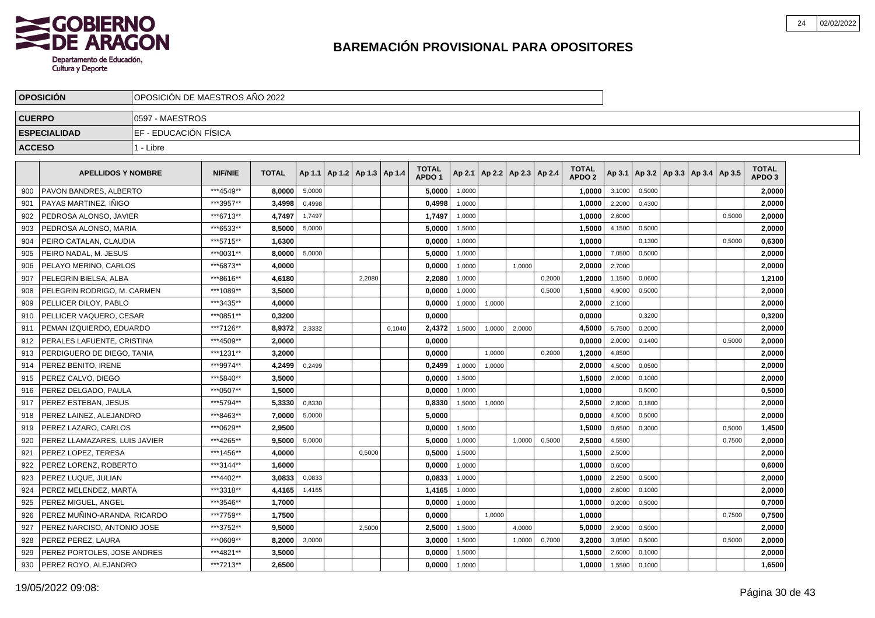

|               | <b>OPOSICION</b>              | OPOSICION DE MAESTROS ANO 2022 |                |              |        |                                   |        |        |                                   |        |                          |        |        |                                   |        |        |                                   |        |                            |  |
|---------------|-------------------------------|--------------------------------|----------------|--------------|--------|-----------------------------------|--------|--------|-----------------------------------|--------|--------------------------|--------|--------|-----------------------------------|--------|--------|-----------------------------------|--------|----------------------------|--|
| <b>CUERPO</b> |                               | 0597 - MAESTROS                |                |              |        |                                   |        |        |                                   |        |                          |        |        |                                   |        |        |                                   |        |                            |  |
|               | <b>ESPECIALIDAD</b>           | EF - EDUCACIÓN FÍSICA          |                |              |        |                                   |        |        |                                   |        |                          |        |        |                                   |        |        |                                   |        |                            |  |
| <b>ACCESO</b> |                               | 1 - Libre                      |                |              |        |                                   |        |        |                                   |        |                          |        |        |                                   |        |        |                                   |        |                            |  |
|               | <b>APELLIDOS Y NOMBRE</b>     |                                | <b>NIF/NIE</b> | <b>TOTAL</b> |        | Ap 1.1   Ap 1.2   Ap 1.3   Ap 1.4 |        |        | <b>TOTAL</b><br>APDO <sub>1</sub> | Ap 2.1 | Ap 2.2   Ap 2.3   Ap 2.4 |        |        | <b>TOTAL</b><br>APDO <sub>2</sub> | Ap 3.1 |        | Ap 3.2   Ap 3.3   Ap 3.4   Ap 3.5 |        | TOTAL<br>APDO <sub>3</sub> |  |
| 900           | PAVON BANDRES, ALBERTO        |                                | ***4549**      | 8,0000       | 5,0000 |                                   |        |        | 5,0000                            | 1,0000 |                          |        |        | 1,0000                            | 3,1000 | 0,5000 |                                   |        | 2,0000                     |  |
| 901           | PAYAS MARTINEZ, INIGO         |                                | ***3957**      | 3,4998       | 0,4998 |                                   |        |        | 0,4998                            | 1,0000 |                          |        |        | 1,0000                            | 2,2000 | 0,4300 |                                   |        | 2,0000                     |  |
| 902           | PEDROSA ALONSO, JAVIER        |                                | ***6713**      | 4.7497       | 1,7497 |                                   |        |        | 1,7497                            | 1,0000 |                          |        |        | 1.0000                            | 2,6000 |        |                                   | 0,5000 | 2.0000                     |  |
| 903           | PEDROSA ALONSO, MARIA         |                                | ***6533**      | 8.5000       | 5,0000 |                                   |        |        | 5.0000                            | 1,5000 |                          |        |        | 1,5000                            | 4,1500 | 0,5000 |                                   |        | 2.0000                     |  |
| 904           | PEIRO CATALAN, CLAUDIA        |                                | ***5715**      | 1,6300       |        |                                   |        |        | 0,0000                            | 1,0000 |                          |        |        | 1.0000                            |        | 0,1300 |                                   | 0,5000 | 0,6300                     |  |
| 905           | PEIRO NADAL, M. JESUS         |                                | ***0031**      | 8,0000       | 5,0000 |                                   |        |        | 5,0000                            | 1,0000 |                          |        |        | 1,0000                            | 7,0500 | 0,5000 |                                   |        | 2,0000                     |  |
| 906           | PELAYO MERINO, CARLOS         |                                | ***6873**      | 4,0000       |        |                                   |        |        | 0,0000                            | 1,0000 |                          | 1,0000 |        | 2,0000                            | 2,7000 |        |                                   |        | 2,0000                     |  |
| 907           | PELEGRIN BIELSA, ALBA         |                                | ***8616**      | 4,6180       |        |                                   | 2,2080 |        | 2,2080                            | 1,0000 |                          |        | 0,2000 | 1,2000                            | 1,1500 | 0,0600 |                                   |        | 1,2100                     |  |
| 908           | PELEGRIN RODRIGO, M. CARMEN   |                                | ***1089**      | 3,5000       |        |                                   |        |        | 0,0000                            | 1,0000 |                          |        | 0,5000 | 1,5000                            | 4,9000 | 0,5000 |                                   |        | 2,0000                     |  |
| 909           | PELLICER DILOY, PABLO         |                                | ***3435**      | 4,0000       |        |                                   |        |        | 0,0000                            | 1,0000 | 1,0000                   |        |        | 2,0000                            | 2,1000 |        |                                   |        | 2,0000                     |  |
| 910           | PELLICER VAQUERO, CESAR       |                                | ***0851**      | 0.3200       |        |                                   |        |        | 0.0000                            |        |                          |        |        | 0.0000                            |        | 0,3200 |                                   |        | 0,3200                     |  |
| 911           | PEMAN IZQUIERDO. EDUARDO      |                                | ***7126**      | 8.9372       | 2,3332 |                                   |        | 0.1040 | 2,4372                            | 1,5000 | 1,0000                   | 2,0000 |        | 4,5000                            | 5,7500 | 0,2000 |                                   |        | 2,0000                     |  |
| 912           | PERALES LAFUENTE, CRISTINA    |                                | ***4509**      | 2.0000       |        |                                   |        |        | 0.0000                            |        |                          |        |        | 0.0000                            | 2,0000 | 0,1400 |                                   | 0.5000 | 2,0000                     |  |
| 913           | PERDIGUERO DE DIEGO. TANIA    |                                | ***1231**      | 3.2000       |        |                                   |        |        | 0.0000                            |        | 1,0000                   |        | 0,2000 | 1.2000                            | 4,8500 |        |                                   |        | 2,0000                     |  |
| 914           | PEREZ BENITO. IRENE           |                                | ***9974**      | 4,2499       | 0,2499 |                                   |        |        | 0,2499                            | 1,0000 | 1,0000                   |        |        | 2,0000                            | 4,5000 | 0,0500 |                                   |        | 2,0000                     |  |
| 915           | PEREZ CALVO, DIEGO            |                                | ***5840**      | 3,5000       |        |                                   |        |        | 0,0000                            | 1,5000 |                          |        |        | 1,5000                            | 2,0000 | 0,1000 |                                   |        | 2,0000                     |  |
| 916           | PEREZ DELGADO. PAULA          |                                | ***0507**      | 1,5000       |        |                                   |        |        | 0,0000                            | 1,0000 |                          |        |        | 1,0000                            |        | 0,5000 |                                   |        | 0,5000                     |  |
| 917           | PEREZ ESTEBAN, JESUS          |                                | ***5794**      | 5,3330       | 0,8330 |                                   |        |        | 0,8330                            | 1,5000 | 1,0000                   |        |        | 2,5000                            | 2,8000 | 0,1800 |                                   |        | 2,0000                     |  |
| 918           | PEREZ LAINEZ, ALEJANDRO       |                                | ***8463**      | 7,0000       | 5,0000 |                                   |        |        | 5,0000                            |        |                          |        |        | 0,0000                            | 4,5000 | 0,5000 |                                   |        | 2,0000                     |  |
| 919           | PEREZ LAZARO, CARLOS          |                                | ***0629**      | 2.9500       |        |                                   |        |        | 0.0000                            | 1.5000 |                          |        |        | 1,5000                            | 0,6500 | 0.3000 |                                   | 0.5000 | 1,4500                     |  |
| 920           | PEREZ LLAMAZARES. LUIS JAVIER |                                | ***4265**      | 9.5000       | 5,0000 |                                   |        |        | 5.0000                            | 1.0000 |                          | 1.0000 | 0,5000 | 2,5000                            | 4,5500 |        |                                   | 0,7500 | 2.0000                     |  |
| 921           | PEREZ LOPEZ, TERESA           |                                | ***1456**      | 4.0000       |        |                                   | 0,5000 |        | 0,5000                            | 1,5000 |                          |        |        | 1,5000                            | 2,5000 |        |                                   |        | 2,0000                     |  |
| 922           | PEREZ LORENZ, ROBERTO         |                                | ***3144**      | 1.6000       |        |                                   |        |        | 0,0000                            | 1,0000 |                          |        |        | 1,0000                            | 0,6000 |        |                                   |        | 0,6000                     |  |
| 923           | PEREZ LUQUE, JULIAN           |                                | ***4402**      | 3.0833       | 0,0833 |                                   |        |        | 0,0833                            | 1,0000 |                          |        |        | 1,0000                            | 2,2500 | 0,5000 |                                   |        | 2,0000                     |  |
| 924           | PEREZ MELENDEZ, MARTA         |                                | ***3318**      | 4,4165       | 1,4165 |                                   |        |        | 1,4165                            | 1,0000 |                          |        |        | 1,0000                            | 2,6000 | 0,1000 |                                   |        | 2,0000                     |  |
| 925           | PEREZ MIGUEL, ANGEL           |                                | ***3546**      | 1,7000       |        |                                   |        |        | 0,0000                            | 1,0000 |                          |        |        | 1,0000                            | 0,2000 | 0,5000 |                                   |        | 0,7000                     |  |
| 926           | PEREZ MUÑINO-ARANDA, RICARDO  |                                | ***7759**      | 1,7500       |        |                                   |        |        | 0,0000                            |        | 1,0000                   |        |        | 1,0000                            |        |        |                                   | 0,7500 | 0,7500                     |  |
| 927           | PEREZ NARCISO, ANTONIO JOSE   |                                | ***3752**      | 9.5000       |        |                                   | 2,5000 |        | 2.5000                            | 1,5000 |                          | 4.0000 |        | 5.0000                            | 2,9000 | 0.5000 |                                   |        | 2,0000                     |  |
| 928           | PEREZ PEREZ, LAURA            |                                | ***0609**      | 8,2000       | 3,0000 |                                   |        |        | 3,0000                            | 1,5000 |                          | 1,0000 | 0,7000 | 3,2000                            | 3,0500 | 0,5000 |                                   | 0,5000 | 2,0000                     |  |
| 929           | PEREZ PORTOLES. JOSE ANDRES   |                                | ***4821**      | 3,5000       |        |                                   |        |        | 0,0000                            | 1,5000 |                          |        |        | 1.5000                            | 2,6000 | 0,1000 |                                   |        | 2,0000                     |  |
| 930           | PEREZ ROYO, ALEJANDRO         |                                | ***7213**      | 2.6500       |        |                                   |        |        | 0,0000                            | 1,0000 |                          |        |        | 1.0000                            | 1,5500 | 0,1000 |                                   |        | 1,6500                     |  |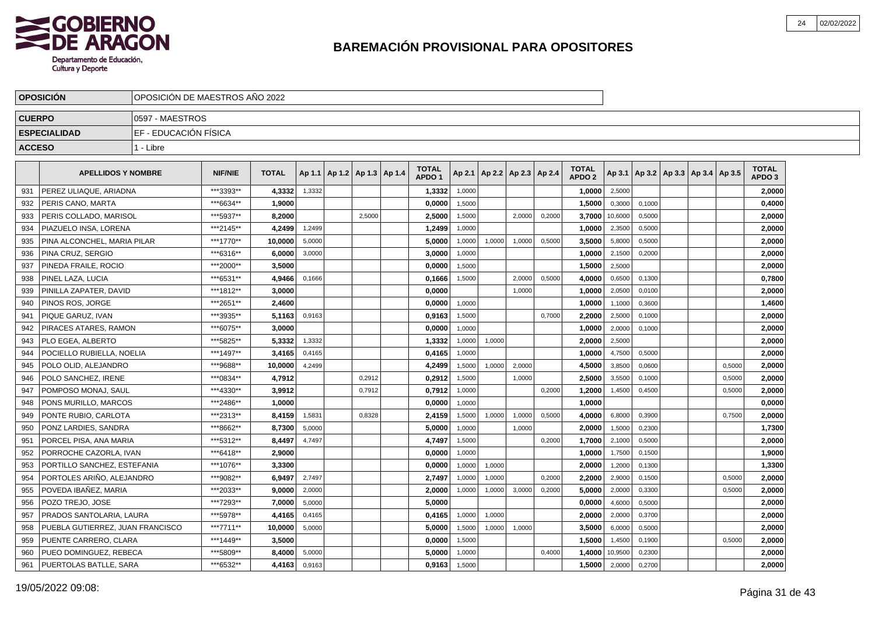

|               | <b>OPOSICIÓN</b>                 |                        | OPOSICIÓN DE MAESTROS AÑO 2022 |              |        |  |                                   |  |                                   |        |        |                          |        |                                   |         |        |  |                                            |                                   |  |
|---------------|----------------------------------|------------------------|--------------------------------|--------------|--------|--|-----------------------------------|--|-----------------------------------|--------|--------|--------------------------|--------|-----------------------------------|---------|--------|--|--------------------------------------------|-----------------------------------|--|
| <b>CUERPO</b> |                                  | 0597 - MAESTROS        |                                |              |        |  |                                   |  |                                   |        |        |                          |        |                                   |         |        |  |                                            |                                   |  |
|               | <b>ESPECIALIDAD</b>              | IEF - EDUCACIÓN FÍSICA |                                |              |        |  |                                   |  |                                   |        |        |                          |        |                                   |         |        |  |                                            |                                   |  |
| <b>ACCESO</b> |                                  | 1 - Libre              |                                |              |        |  |                                   |  |                                   |        |        |                          |        |                                   |         |        |  |                                            |                                   |  |
|               | <b>APELLIDOS Y NOMBRE</b>        |                        | <b>NIF/NIE</b>                 | <b>TOTAL</b> |        |  | Ap 1.1   Ap 1.2   Ap 1.3   Ap 1.4 |  | <b>TOTAL</b><br>APDO <sub>1</sub> | Ap 2.1 |        | Ap 2.2   Ap 2.3   Ap 2.4 |        | <b>TOTAL</b><br>APDO <sub>2</sub> |         |        |  | Ap 3.1   Ap 3.2   Ap 3.3   Ap 3.4   Ap 3.5 | <b>TOTAL</b><br>APDO <sub>3</sub> |  |
| 931           | PEREZ ULIAQUE, ARIADNA           |                        | ***3393**                      | 4,3332       | 1,3332 |  |                                   |  | 1,3332                            | 1,0000 |        |                          |        | 1,0000                            | 2,5000  |        |  |                                            | 2,0000                            |  |
| 932           | PERIS CANO, MARTA                |                        | ***6634**                      | 1,9000       |        |  |                                   |  | 0,0000                            | 1,5000 |        |                          |        | 1,5000                            | 0,3000  | 0.1000 |  |                                            | 0,4000                            |  |
| 933           | PERIS COLLADO, MARISOL           |                        | ***5937**                      | 8,2000       |        |  | 2,5000                            |  | 2,5000                            | 1,5000 |        | 2,0000                   | 0,2000 | 3,7000                            | 10,6000 | 0,5000 |  |                                            | 2,0000                            |  |
| 934           | PIAZUELO INSA, LORENA            |                        | ***2145**                      | 4,2499       | 1,2499 |  |                                   |  | 1,2499                            | 1,0000 |        |                          |        | 1,0000                            | 2,3500  | 0,5000 |  |                                            | 2,0000                            |  |
| 935           | PINA ALCONCHEL, MARIA PILAR      |                        | ***1770**                      | 10.0000      | 5,0000 |  |                                   |  | 5,0000                            | 1,0000 | 1,0000 | 1,0000                   | 0,5000 | 3.5000                            | 5,8000  | 0,5000 |  |                                            | 2,0000                            |  |
| 936           | PINA CRUZ. SERGIO                |                        | ***6316**                      | 6,0000       | 3,0000 |  |                                   |  | 3,0000                            | 1,0000 |        |                          |        | 1.0000                            | 2,1500  | 0,2000 |  |                                            | 2,0000                            |  |
| 937           | PINEDA FRAILE, ROCIO             |                        | ***2000**                      | 3.5000       |        |  |                                   |  | 0,0000                            | 1,5000 |        |                          |        | 1,5000                            | 2,5000  |        |  |                                            | 2,0000                            |  |
| 938           | PINEL LAZA. LUCIA                |                        | ***6531**                      | 4.9466       | 0,1666 |  |                                   |  | 0,1666                            | 1.5000 |        | 2.0000                   | 0.5000 | 4.0000                            | 0,6500  | 0.1300 |  |                                            | 0,7800                            |  |
| 939           | PINILLA ZAPATER, DAVID           |                        | ***1812**                      | 3,0000       |        |  |                                   |  | 0,0000                            |        |        | 1,0000                   |        | 1,0000                            | 2,0500  | 0,0100 |  |                                            | 2,0000                            |  |
| 940           | PINOS ROS, JORGE                 |                        | ***2651**                      | 2,4600       |        |  |                                   |  | 0,0000                            | 1,0000 |        |                          |        | 1,0000                            | 1,1000  | 0,3600 |  |                                            | 1,4600                            |  |
| 941           | PIQUE GARUZ, IVAN                |                        | ***3935**                      | 5,1163       | 0,9163 |  |                                   |  | 0,9163                            | 1,5000 |        |                          | 0,7000 | 2,2000                            | 2,5000  | 0,1000 |  |                                            | 2,0000                            |  |
| 942           | PIRACES ATARES, RAMON            |                        | ***6075**                      | 3.0000       |        |  |                                   |  | 0,0000                            | 1,0000 |        |                          |        | 1.0000                            | 2,0000  | 0,1000 |  |                                            | 2,0000                            |  |
| 943           | PLO EGEA. ALBERTO                |                        | ***5825**                      | 5.3332       | 1,3332 |  |                                   |  | 1,3332                            | 1,0000 | 1,0000 |                          |        | 2.0000                            | 2,5000  |        |  |                                            | 2,0000                            |  |
| 944           | POCIELLO RUBIELLA. NOELIA        |                        | ***1497**                      | 3.4165       | 0,4165 |  |                                   |  | 0,4165                            | 1.0000 |        |                          |        | 1.0000                            | 4,7500  | 0,5000 |  |                                            | 2,0000                            |  |
| 945           | POLO OLID, ALEJANDRO             |                        | ***9688**                      | 10,0000      | 4,2499 |  |                                   |  | 4,2499                            | 1,5000 | 1,0000 | 2,0000                   |        | 4,5000                            | 3,8500  | 0,0600 |  | 0,5000                                     | 2,0000                            |  |
| 946           | POLO SANCHEZ, IRENE              |                        | ***0834**                      | 4,7912       |        |  | 0,2912                            |  | 0,2912                            | 1,5000 |        | 1,0000                   |        | 2,5000                            | 3,5500  | 0,1000 |  | 0,5000                                     | 2,0000                            |  |
| 947           | POMPOSO MONAJ, SAUL              |                        | ***4330**                      | 3,9912       |        |  | 0,7912                            |  | 0,7912                            | 1,0000 |        |                          | 0,2000 | 1,2000                            | 1,4500  | 0,4500 |  | 0,5000                                     | 2,0000                            |  |
| 948           | PONS MURILLO, MARCOS             |                        | ***2486**                      | 1,0000       |        |  |                                   |  | 0,0000                            | 1,0000 |        |                          |        | 1,0000                            |         |        |  |                                            | 0,0000                            |  |
| 949           | PONTE RUBIO, CARLOTA             |                        | ***2313**                      | 8,4159       | 1,5831 |  | 0.8328                            |  | 2,4159                            | 1,5000 | 1,0000 | 1,0000                   | 0,5000 | 4.0000                            | 6,8000  | 0,3900 |  | 0,7500                                     | 2,0000                            |  |
| 950           | PONZ LARDIES. SANDRA             |                        | ***8662**                      | 8.7300       | 5,0000 |  |                                   |  | 5.0000                            | 1,0000 |        | 1,0000                   |        | 2.0000                            | 1,5000  | 0,2300 |  |                                            | 1,7300                            |  |
| 951           | PORCEL PISA, ANA MARIA           |                        | ***5312**                      | 8,4497       | 4.7497 |  |                                   |  | 4,7497                            | 1,5000 |        |                          | 0,2000 | 1,7000                            | 2,1000  | 0.5000 |  |                                            | 2,0000                            |  |
| 952           | PORROCHE CAZORLA. IVAN           |                        | ***6418**                      | 2,9000       |        |  |                                   |  | 0,0000                            | 1,0000 |        |                          |        | 1,0000                            | 1,7500  | 0,1500 |  |                                            | 1,9000                            |  |
| 953           | PORTILLO SANCHEZ, ESTEFANIA      |                        | ***1076**                      | 3,3300       |        |  |                                   |  | 0,0000                            | 1,0000 | 1,0000 |                          |        | 2,0000                            | 1,2000  | 0,1300 |  |                                            | 1,3300                            |  |
| 954           | PORTOLES ARIÑO, ALEJANDRO        |                        | ***9082**                      | 6,9497       | 2,7497 |  |                                   |  | 2,7497                            | 1,0000 | 1,0000 |                          | 0,2000 | 2.2000                            | 2,9000  | 0,1500 |  | 0,5000                                     | 2,0000                            |  |
| 955           | POVEDA IBAÑEZ. MARIA             |                        | ***2033**                      | 9.0000       | 2,0000 |  |                                   |  | 2,0000                            | 1,0000 | 1,0000 | 3,0000                   | 0,2000 | 5,0000                            | 2,0000  | 0.3300 |  | 0,5000                                     | 2,0000                            |  |
| 956           | POZO TREJO, JOSE                 |                        | ***7293**                      | 7.0000       | 5,0000 |  |                                   |  | 5,0000                            |        |        |                          |        | 0.0000                            | 4,6000  | 0,5000 |  |                                            | 2,0000                            |  |
| 957           | PRADOS SANTOLARIA, LAURA         |                        | ***5978**                      | 4.4165       | 0,4165 |  |                                   |  | 0.4165                            | 1,0000 | 1,0000 |                          |        | 2.0000                            | 2,0000  | 0,3700 |  |                                            | 2,0000                            |  |
| 958           | PUEBLA GUTIERREZ, JUAN FRANCISCO |                        | ***7711**                      | 10,0000      | 5,0000 |  |                                   |  | 5,0000                            | 1,5000 | 1,0000 | 1,0000                   |        | 3,5000                            | 6,0000  | 0,5000 |  |                                            | 2,0000                            |  |
| 959           | PUENTE CARRERO, CLARA            |                        | ***1449**                      | 3,5000       |        |  |                                   |  | 0,0000                            | 1,5000 |        |                          |        | 1,5000                            | 1,4500  | 0,1900 |  | 0,5000                                     | 2,0000                            |  |
| 960           | PUEO DOMINGUEZ, REBECA           |                        | ***5809**                      | 8,4000       | 5,0000 |  |                                   |  | 5,0000                            | 1,0000 |        |                          | 0,4000 | 1,4000                            | 10,9500 | 0,2300 |  |                                            | 2,0000                            |  |
| 961           | PUERTOLAS BATLLE, SARA           |                        | ***6532**                      | 4,4163       | 0,9163 |  |                                   |  | 0,9163                            | 1,5000 |        |                          |        | 1,5000                            | 2,0000  | 0,2700 |  |                                            | 2,0000                            |  |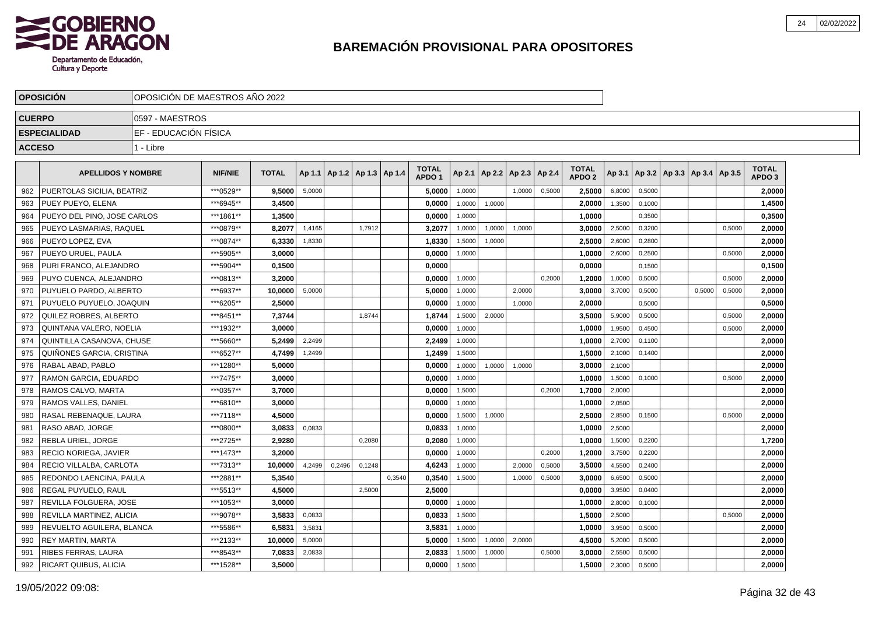

|               | <b>OPOSICION</b>            | OPOSICION DE MAESTROS ANO 2022 |                |              |        |                                   |        |        |                                   |        |                          |        |        |                                   |        |        |                                   |        |                                   |  |
|---------------|-----------------------------|--------------------------------|----------------|--------------|--------|-----------------------------------|--------|--------|-----------------------------------|--------|--------------------------|--------|--------|-----------------------------------|--------|--------|-----------------------------------|--------|-----------------------------------|--|
| <b>CUERPO</b> |                             | 0597 - MAESTROS                |                |              |        |                                   |        |        |                                   |        |                          |        |        |                                   |        |        |                                   |        |                                   |  |
|               | <b>ESPECIALIDAD</b>         | EF - EDUCACIÓN FÍSICA          |                |              |        |                                   |        |        |                                   |        |                          |        |        |                                   |        |        |                                   |        |                                   |  |
| <b>ACCESO</b> |                             | 1 - Libre                      |                |              |        |                                   |        |        |                                   |        |                          |        |        |                                   |        |        |                                   |        |                                   |  |
|               |                             |                                |                |              |        |                                   |        |        |                                   |        |                          |        |        |                                   |        |        |                                   |        |                                   |  |
|               | <b>APELLIDOS Y NOMBRE</b>   |                                | <b>NIF/NIE</b> | <b>TOTAL</b> |        | Ap 1.1   Ap 1.2   Ap 1.3   Ap 1.4 |        |        | <b>TOTAL</b><br>APDO <sub>1</sub> | Ap 2.1 | Ap 2.2   Ap 2.3   Ap 2.4 |        |        | <b>TOTAL</b><br>APDO <sub>2</sub> | Ap 3.1 |        | Ap 3.2   Ap 3.3   Ap 3.4   Ap 3.5 |        | <b>TOTAL</b><br>APDO <sub>3</sub> |  |
| 962           | PUERTOLAS SICILIA, BEATRIZ  |                                | ***0529**      | 9.5000       | 5,0000 |                                   |        |        | 5,0000                            | 1,0000 |                          | 1.0000 | 0,5000 | 2,5000                            | 6,8000 | 0,5000 |                                   |        | 2,0000                            |  |
| 963           | PUEY PUEYO, ELENA           |                                | ***6945**      | 3,4500       |        |                                   |        |        | 0,0000                            | 1,0000 | 1,0000                   |        |        | 2,0000                            | 1,3500 | 0,1000 |                                   |        | 1,4500                            |  |
| 964           | PUEYO DEL PINO, JOSE CARLOS |                                | ***1861**      | 1,3500       |        |                                   |        |        | 0,0000                            | 1,0000 |                          |        |        | 1,0000                            |        | 0,3500 |                                   |        | 0,3500                            |  |
| 965           | PUEYO LASMARIAS, RAQUEL     |                                | ***0879**      | 8,2077       | 1,4165 |                                   | 1,7912 |        | 3,2077                            | 1,0000 | 1,0000                   | 1,0000 |        | 3,0000                            | 2,5000 | 0,3200 |                                   | 0,5000 | 2,0000                            |  |
| 966           | PUEYO LOPEZ, EVA            |                                | ***0874**      | 6,3330       | 1,8330 |                                   |        |        | 1,8330                            | 1,5000 | 1,0000                   |        |        | 2,5000                            | 2,6000 | 0,2800 |                                   |        | 2,0000                            |  |
| 967           | PUEYO URUEL, PAULA          |                                | ***5905**      | 3.0000       |        |                                   |        |        | 0.0000                            | 1,0000 |                          |        |        | 1.0000                            | 2,6000 | 0,2500 |                                   | 0,5000 | 2,0000                            |  |
| 968           | PURI FRANCO, ALEJANDRO      |                                | *** 5904**     | 0.1500       |        |                                   |        |        | 0,0000                            |        |                          |        |        | 0.0000                            |        | 0,1500 |                                   |        | 0,1500                            |  |
| 969           | PUYO CUENCA, ALEJANDRO      |                                | ***0813**      | 3,2000       |        |                                   |        |        | 0,0000                            | 1,0000 |                          |        | 0,2000 | 1,2000                            | 1,0000 | 0,5000 |                                   | 0,5000 | 2,0000                            |  |
| 970           | PUYUELO PARDO, ALBERTO      |                                | ***6937**      | 10,0000      | 5,0000 |                                   |        |        | 5,0000                            | 1,0000 |                          | 2,0000 |        | 3,0000                            | 3,7000 | 0,5000 | 0,5000                            | 0,5000 | 2,0000                            |  |
| 971           | PUYUELO PUYUELO, JOAQUIN    |                                | ***6205**      | 2,5000       |        |                                   |        |        | 0,0000                            | 1,0000 |                          | 1,0000 |        | 2,0000                            |        | 0,5000 |                                   |        | 0,5000                            |  |
| 972           | QUILEZ ROBRES, ALBERTO      |                                | ***8451**      | 7,3744       |        |                                   | 1,8744 |        | 1,8744                            | 1,5000 | 2,0000                   |        |        | 3,5000                            | 5,9000 | 0,5000 |                                   | 0,5000 | 2,0000                            |  |
| 973           | QUINTANA VALERO, NOELIA     |                                | ***1932**      | 3.0000       |        |                                   |        |        | 0.0000                            | 1.0000 |                          |        |        | 1,0000                            | 1,9500 | 0,4500 |                                   | 0,5000 | 2,0000                            |  |
| 974           | QUINTILLA CASANOVA, CHUSE   |                                | ***5660**      | 5,2499       | 2.2499 |                                   |        |        | 2,2499                            | 1,0000 |                          |        |        | 1,0000                            | 2,7000 | 0,1100 |                                   |        | 2,0000                            |  |
| 975           | QUIÑONES GARCIA, CRISTINA   |                                | ***6527**      | 4,7499       | 1,2499 |                                   |        |        | 1,2499                            | 1,5000 |                          |        |        | 1,5000                            | 2,1000 | 0,1400 |                                   |        | 2,0000                            |  |
| 976           | RABAL ABAD. PABLO           |                                | ***1280**      | 5.0000       |        |                                   |        |        | 0,0000                            | 1,0000 | 1,0000                   | 1,0000 |        | 3,0000                            | 2,1000 |        |                                   |        | 2,0000                            |  |
| 977           | RAMON GARCIA, EDUARDO       |                                | ***7475**      | 3,0000       |        |                                   |        |        | 0,0000                            | 1,0000 |                          |        |        | 1,0000                            | 1,5000 | 0,1000 |                                   | 0,5000 | 2,0000                            |  |
| 978           | RAMOS CALVO, MARTA          |                                | ***0357**      | 3,7000       |        |                                   |        |        | 0,0000                            | 1,5000 |                          |        | 0,2000 | 1,7000                            | 2,0000 |        |                                   |        | 2,0000                            |  |
| 979           | <b>RAMOS VALLES, DANIEL</b> |                                | ***6810**      | 3.0000       |        |                                   |        |        | 0.0000                            | 1.0000 |                          |        |        | 1.0000                            | 2,0500 |        |                                   |        | 2.0000                            |  |
| 980           | RASAL REBENAQUE, LAURA      |                                | ***7118**      | 4.5000       |        |                                   |        |        | 0.0000                            | 1,5000 | 1,0000                   |        |        | 2.5000                            | 2,8500 | 0,1500 |                                   | 0,5000 | 2,0000                            |  |
| 981           | RASO ABAD, JORGE            |                                | ***0800**      | 3,0833       | 0,0833 |                                   |        |        | 0,0833                            | 1,0000 |                          |        |        | 1,0000                            | 2,5000 |        |                                   |        | 2,0000                            |  |
| 982           | REBLA URIEL, JORGE          |                                | ***2725**      | 2,9280       |        |                                   | 0,2080 |        | 0,2080                            | 1,0000 |                          |        |        | 1,0000                            | 1,5000 | 0,2200 |                                   |        | 1,7200                            |  |
| 983           | RECIO NORIEGA, JAVIER       |                                | ***1473**      | 3,2000       |        |                                   |        |        | 0,0000                            | 1,0000 |                          |        | 0,2000 | 1,2000                            | 3,7500 | 0,2200 |                                   |        | 2,0000                            |  |
| 984           | RECIO VILLALBA, CARLOTA     |                                | ***7313**      | 10.0000      | 4,2499 | 0,2496                            | 0,1248 |        | 4,6243                            | 1,0000 |                          | 2,0000 | 0,5000 | 3,5000                            | 4,5500 | 0,2400 |                                   |        | 2,0000                            |  |
| 985           | REDONDO LAENCINA, PAULA     |                                | ***2881**      | 5.3540       |        |                                   |        | 0,3540 | 0.3540                            | 1,5000 |                          | 1,0000 | 0,5000 | 3.0000                            | 6,6500 | 0,5000 |                                   |        | 2.0000                            |  |
| 986           | REGAL PUYUELO, RAUL         |                                | ***5513**      | 4.5000       |        |                                   | 2,5000 |        | 2,5000                            |        |                          |        |        | 0.0000                            | 3,9500 | 0,0400 |                                   |        | 2,0000                            |  |
| 987           | REVILLA FOLGUERA. JOSE      |                                | ***1053**      | 3.0000       |        |                                   |        |        | 0.0000                            | 1,0000 |                          |        |        | 1.0000                            | 2,8000 | 0,1000 |                                   |        | 2,0000                            |  |
| 988           | REVILLA MARTINEZ, ALICIA    |                                | ***9078**      | 3,5833       | 0,0833 |                                   |        |        | 0,0833                            | 1,5000 |                          |        |        | 1,5000                            | 2,5000 |        |                                   | 0,5000 | 2,0000                            |  |
| 989           | REVUELTO AGUILERA, BLANCA   |                                | ***5586**      | 6,5831       | 3,5831 |                                   |        |        | 3,5831                            | 1,0000 |                          |        |        | 1,0000                            | 3,9500 | 0,5000 |                                   |        | 2,0000                            |  |
| 990           | <b>REY MARTIN, MARTA</b>    |                                | ***2133**      | 10,0000      | 5,0000 |                                   |        |        | 5,0000                            | 1,5000 | 1,0000                   | 2,0000 |        | 4,5000                            | 5,2000 | 0,5000 |                                   |        | 2,0000                            |  |
| 991           | RIBES FERRAS, LAURA         | ***8543**                      | 7,0833         | 2,0833       |        |                                   |        | 2.0833 | 1,5000                            | 1,0000 |                          | 0,5000 | 3.0000 | 2,5500                            | 0,5000 |        |                                   | 2.0000 |                                   |  |
| 992           | RICART QUIBUS, ALICIA       |                                | ***1528**      | 3,5000       |        |                                   |        |        | 0,0000                            | 1,5000 |                          |        |        | 1,5000                            | 2,3000 | 0,5000 |                                   |        | 2,0000                            |  |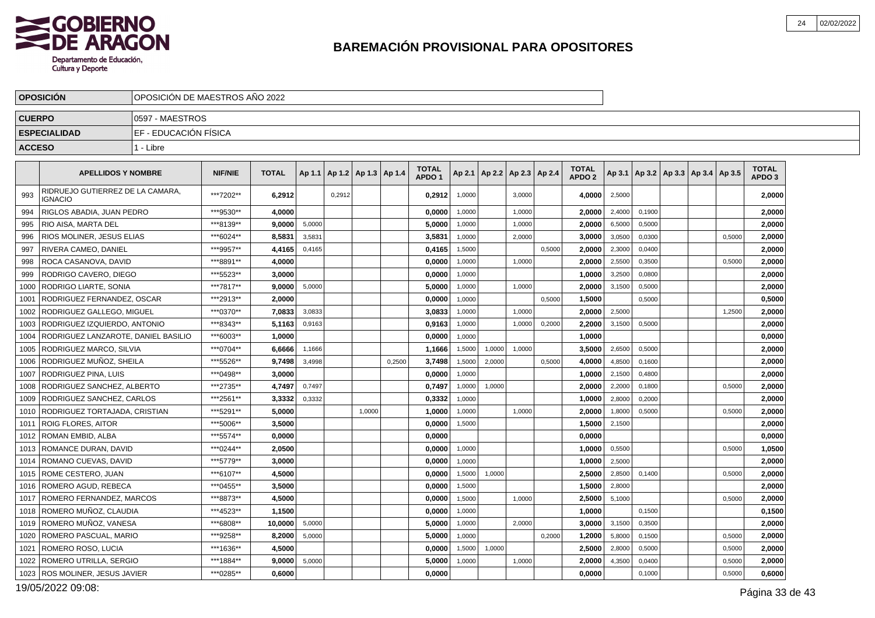

|               | <b>OPOSICION</b>                                   | OPOSICIÓN DE MAESTROS AÑO 2022 |                |              |        |                                   |        |        |                                   |        |        |                                   |        |                                   |        |                                            |  |        |                                   |  |
|---------------|----------------------------------------------------|--------------------------------|----------------|--------------|--------|-----------------------------------|--------|--------|-----------------------------------|--------|--------|-----------------------------------|--------|-----------------------------------|--------|--------------------------------------------|--|--------|-----------------------------------|--|
| <b>CUERPO</b> |                                                    | 0597 - MAESTROS                |                |              |        |                                   |        |        |                                   |        |        |                                   |        |                                   |        |                                            |  |        |                                   |  |
|               | <b>ESPECIALIDAD</b>                                | EF - EDUCACIÓN FÍSICA          |                |              |        |                                   |        |        |                                   |        |        |                                   |        |                                   |        |                                            |  |        |                                   |  |
| <b>ACCESO</b> |                                                    | 1 - Libre                      |                |              |        |                                   |        |        |                                   |        |        |                                   |        |                                   |        |                                            |  |        |                                   |  |
|               | <b>APELLIDOS Y NOMBRE</b>                          |                                | <b>NIF/NIE</b> | <b>TOTAL</b> |        | Ap 1.1   Ap 1.2   Ap 1.3   Ap 1.4 |        |        | <b>TOTAL</b><br>APDO <sub>1</sub> |        |        | Ap 2.1   Ap 2.2   Ap 2.3   Ap 2.4 |        | <b>TOTAL</b><br>APDO <sub>2</sub> |        | Ap 3.1   Ap 3.2   Ap 3.3   Ap 3.4   Ap 3.5 |  |        | <b>TOTAL</b><br>APDO <sub>3</sub> |  |
| 993           | RIDRUEJO GUTIERREZ DE LA CAMARA,<br><b>IGNACIO</b> |                                | ***7202**      | 6.2912       |        | 0.2912                            |        |        | 0,2912                            | 1,0000 |        | 3,0000                            |        | 4,0000                            | 2,5000 |                                            |  |        | 2,0000                            |  |
| 994           | RIGLOS ABADIA, JUAN PEDRO                          |                                | ***9530**      | 4,0000       |        |                                   |        |        | 0,0000                            | 1,0000 |        | 1,0000                            |        | 2,0000                            | 2,4000 | 0,1900                                     |  |        | 2,0000                            |  |
| 995           | RIO AISA, MARTA DEL                                |                                | ***8139**      | 9.0000       | 5,0000 |                                   |        |        | 5.0000                            | 1,0000 |        | 1,0000                            |        | 2.0000                            | 6,5000 | 0,5000                                     |  |        | 2.0000                            |  |
| 996           | RIOS MOLINER, JESUS ELIAS                          |                                | ***6024**      | 8,5831       | 3,5831 |                                   |        |        | 3,5831                            | 1,0000 |        | 2,0000                            |        | 3,0000                            | 3,0500 | 0,0300                                     |  | 0,5000 | 2,0000                            |  |
| 997           | RIVERA CAMEO, DANIEL                               |                                | ***9957**      | 4,4165       | 0,4165 |                                   |        |        | 0,4165                            | 1,5000 |        |                                   | 0,5000 | 2,0000                            | 2,3000 | 0,0400                                     |  |        | 2,0000                            |  |
| 998           | ROCA CASANOVA, DAVID                               |                                | ***8891**      | 4.0000       |        |                                   |        |        | 0.0000                            | 1,0000 |        | 1,0000                            |        | 2.0000                            | 2,5500 | 0,3500                                     |  | 0,5000 | 2.0000                            |  |
| 999           | RODRIGO CAVERO, DIEGO                              |                                | ***5523**      | 3,0000       |        |                                   |        |        | 0,0000                            | 1,0000 |        |                                   |        | 1,0000                            | 3,2500 | 0,0800                                     |  |        | 2,0000                            |  |
| 1000          | RODRIGO LIARTE, SONIA                              |                                | ***7817**      | 9,0000       | 5,0000 |                                   |        |        | 5,0000                            | 1,0000 |        | 1.0000                            |        | 2,0000                            | 3,1500 | 0,5000                                     |  |        | 2,0000                            |  |
| 1001          | RODRIGUEZ FERNANDEZ, OSCAR                         |                                | ***2913**      | 2,0000       |        |                                   |        |        | 0,0000                            | 1,0000 |        |                                   | 0,5000 | 1,5000                            |        | 0,5000                                     |  |        | 0,5000                            |  |
| 1002          | RODRIGUEZ GALLEGO, MIGUEL                          |                                | ***0370**      | 7,0833       | 3,0833 |                                   |        |        | 3,0833                            | 1,0000 |        | 1,0000                            |        | 2.0000                            | 2,5000 |                                            |  | 1,2500 | 2,0000                            |  |
| 1003          | RODRIGUEZ IZQUIERDO. ANTONIO                       |                                | ***8343**      | 5,1163       | 0,9163 |                                   |        |        | 0,9163                            | 1,0000 |        | 1,0000                            | 0,2000 | 2.2000                            | 3,1500 | 0,5000                                     |  |        | 2,0000                            |  |
| 1004          | RODRIGUEZ LANZAROTE, DANIEL BASILIO                |                                | ***6003**      | 1,0000       |        |                                   |        |        | 0,0000                            | 1,0000 |        |                                   |        | 1,0000                            |        |                                            |  |        | 0,0000                            |  |
| 1005          | RODRIGUEZ MARCO, SILVIA                            |                                | ***0704**      | 6.6666       | 1,1666 |                                   |        |        | 1,1666                            | 1,5000 | 1,0000 | 1.0000                            |        | 3,5000                            | 2,6500 | 0,5000                                     |  |        | 2,0000                            |  |
| 1006          | RODRIGUEZ MUÑOZ, SHEILA                            |                                | ***5526**      | 9,7498       | 3.4998 |                                   |        | 0.2500 | 3,7498                            | 1,5000 | 2,0000 |                                   | 0.5000 | 4,0000                            | 4,8500 | 0.1600                                     |  |        | 2,0000                            |  |
| 1007          | RODRIGUEZ PINA, LUIS                               |                                | ***0498**      | 3,0000       |        |                                   |        |        | 0,0000                            | 1,0000 |        |                                   |        | 1,0000                            | 2,1500 | 0,4800                                     |  |        | 2,0000                            |  |
|               | 1008   RODRIGUEZ SANCHEZ, ALBERTO                  |                                | ***2735**      | 4.7497       | 0,7497 |                                   |        |        | 0,7497                            | 1,0000 | 1,0000 |                                   |        | 2.00001                           | 2,2000 | 0,1800                                     |  | 0,5000 | 2,0000                            |  |
| 1009          | RODRIGUEZ SANCHEZ, CARLOS                          |                                | ***2561**      | 3,3332       | 0,3332 |                                   |        |        | 0,3332                            | 1,0000 |        |                                   |        | 1,0000                            | 2,8000 | 0,2000                                     |  |        | 2,0000                            |  |
| 1010          | RODRIGUEZ TORTAJADA, CRISTIAN                      |                                | ***5291**      | 5,0000       |        |                                   | 1,0000 |        | 1,0000                            | 1,0000 |        | 1,0000                            |        | 2,0000                            | 1,8000 | 0,5000                                     |  | 0,5000 | 2,0000                            |  |
| 1011          | <b>ROIG FLORES, AITOR</b>                          |                                | ***5006**      | 3,5000       |        |                                   |        |        | 0,0000                            | 1,5000 |        |                                   |        | 1,5000                            | 2,1500 |                                            |  |        | 2,0000                            |  |
| 1012          | ROMAN EMBID, ALBA                                  |                                | ***5574**      | 0,0000       |        |                                   |        |        | 0,0000                            |        |        |                                   |        | 0,0000                            |        |                                            |  |        | 0,0000                            |  |
| 1013          | ROMANCE DURAN, DAVID                               |                                | ***0244**      | 2.0500       |        |                                   |        |        | 0,0000                            | 1,0000 |        |                                   |        | 1,0000                            | 0,5500 |                                            |  | 0,5000 | 1,0500                            |  |
| 1014          | ROMANO CUEVAS, DAVID                               |                                | ***5779**      | 3,0000       |        |                                   |        |        | 0,0000                            | 1.0000 |        |                                   |        | 1,0000                            | 2,5000 |                                            |  |        | 2,0000                            |  |
| 1015          | ROME CESTERO, JUAN                                 |                                | ***6107**      | 4,5000       |        |                                   |        |        | 0.0000                            | 1,5000 | 1,0000 |                                   |        | 2,5000                            | 2,8500 | 0,1400                                     |  | 0,5000 | 2,0000                            |  |
| 1016          | ROMERO AGUD. REBECA                                |                                | ***0455**      | 3.5000       |        |                                   |        |        | 0.0000                            | 1,5000 |        |                                   |        | 1,5000                            | 2,8000 |                                            |  |        | 2,0000                            |  |
| 1017          | ROMERO FERNANDEZ, MARCOS                           |                                | ***8873**      | 4,5000       |        |                                   |        |        | 0,0000                            | 1,5000 |        | 1,0000                            |        | 2,5000                            | 5,1000 |                                            |  | 0,5000 | 2,0000                            |  |
| 1018          | ROMERO MUÑOZ, CLAUDIA                              |                                | ***4523**      | 1.1500       |        |                                   |        |        | 0.0000                            | 1,0000 |        |                                   |        | 1.0000                            |        | 0,1500                                     |  |        | 0,1500                            |  |
| 1019          | ROMERO MUÑOZ. VANESA                               |                                | ***6808**      | 10.0000      | 5,0000 |                                   |        |        | 5.0000                            | 1,0000 |        | 2.0000                            |        | 3.0000                            | 3,1500 | 0,3500                                     |  |        | 2.0000                            |  |
| 1020          | ROMERO PASCUAL, MARIO                              |                                | ***9258**      | 8,2000       | 5,0000 |                                   |        |        | 5,0000                            | 1,0000 |        |                                   | 0,2000 | 1,2000                            | 5,8000 | 0,1500                                     |  | 0,5000 | 2,0000                            |  |
| 1021          | ROMERO ROSO, LUCIA                                 |                                | ***1636**      | 4,5000       |        |                                   |        |        | 0.0000                            | 1,5000 | 1,0000 |                                   |        | 2,5000                            | 2,8000 | 0,5000                                     |  | 0,5000 | 2,0000                            |  |
| 1022          | ROMERO UTRILLA, SERGIO                             |                                | ***1884**      | 9,0000       | 5,0000 |                                   |        |        | 5,0000                            | 1,0000 |        | 1,0000                            |        | 2,0000                            | 4,3500 | 0,0400                                     |  | 0,5000 | 2,0000                            |  |
|               | 1023   ROS MOLINER, JESUS JAVIER                   |                                | ***0285**      | 0,6000       |        |                                   |        |        | 0,0000                            |        |        |                                   |        | 0,0000                            |        | 0,1000                                     |  | 0,5000 | 0,6000                            |  |
|               |                                                    |                                |                |              |        |                                   |        |        |                                   |        |        |                                   |        |                                   |        |                                            |  |        |                                   |  |

19/05/2022 09:08: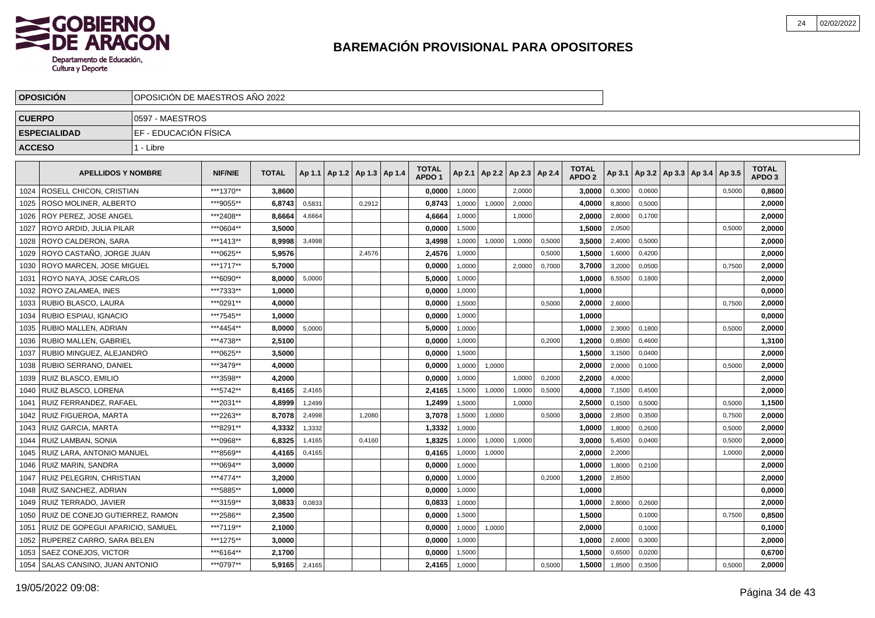

|               | <b>OPOSICION</b>                        | IOPOSICION DE MAESTROS ANO 2022 |                |              |        |                                   |        |                                   |        |                          |        |        |                                   |        |        |                          |        |                            |  |
|---------------|-----------------------------------------|---------------------------------|----------------|--------------|--------|-----------------------------------|--------|-----------------------------------|--------|--------------------------|--------|--------|-----------------------------------|--------|--------|--------------------------|--------|----------------------------|--|
| <b>CUERPO</b> |                                         | 0597 - MAESTROS                 |                |              |        |                                   |        |                                   |        |                          |        |        |                                   |        |        |                          |        |                            |  |
|               | <b>ESPECIALIDAD</b>                     | IEF - EDUCACIÓN FÍSICA          |                |              |        |                                   |        |                                   |        |                          |        |        |                                   |        |        |                          |        |                            |  |
| <b>ACCESO</b> |                                         | 1 - Libre                       |                |              |        |                                   |        |                                   |        |                          |        |        |                                   |        |        |                          |        |                            |  |
|               | <b>APELLIDOS Y NOMBRE</b>               |                                 | <b>NIF/NIE</b> | <b>TOTAL</b> |        | Ap 1.1   Ap 1.2   Ap 1.3   Ap 1.4 |        | <b>TOTAL</b><br>APDO <sub>1</sub> | Ap 2.1 | Ap 2.2   Ap 2.3   Ap 2.4 |        |        | <b>TOTAL</b><br>APDO <sub>2</sub> | Ap 3.1 |        | Ap 3.2   Ap 3.3   Ap 3.4 | Ap 3.5 | TOTAL<br>APDO <sub>3</sub> |  |
| 1024          | ROSELL CHICON, CRISTIAN                 |                                 | ***1370**      | 3,8600       |        |                                   |        | 0,0000                            | 1,0000 |                          | 2,0000 |        | 3,0000                            | 0,3000 | 0,0600 |                          | 0,5000 | 0,8600                     |  |
| 1025          | ROSO MOLINER, ALBERTO                   |                                 | ***9055**      | 6,8743       | 0,5831 |                                   | 0,2912 | 0,8743                            | 1,0000 | 1,0000                   | 2,0000 |        | 4,0000                            | 8,8000 | 0,5000 |                          |        | 2,0000                     |  |
| 1026          | ROY PEREZ. JOSE ANGEL                   |                                 | ***2408**      | 8.6664       | 4,6664 |                                   |        | 4.6664                            | 1,0000 |                          | 1,0000 |        | 2.0000                            | 2,8000 | 0.1700 |                          |        | 2.0000                     |  |
| 1027          | ROYO ARDID. JULIA PILAR                 |                                 | ***0604**      | 3.5000       |        |                                   |        | 0.0000                            | 1,5000 |                          |        |        | 1.5000                            | 2,0500 |        |                          | 0,5000 | 2.0000                     |  |
| 1028          | ROYO CALDERON, SARA                     |                                 | ***1413**      | 8.9998       | 3,4998 |                                   |        | 3,4998                            | 1,0000 | 1,0000                   | 1,0000 | 0,5000 | 3.5000                            | 2,4000 | 0,5000 |                          |        | 2,0000                     |  |
|               | 1029   ROYO CASTAÑO, JORGE JUAN         |                                 | ***0625**      | 5,9576       |        |                                   | 2,4576 | 2,4576                            | 1,0000 |                          |        | 0,5000 | 1,5000                            | 1,6000 | 0,4200 |                          |        | 2,0000                     |  |
| 1030          | <b>ROYO MARCEN, JOSE MIGUEL</b>         |                                 | ***1717**      | 5,7000       |        |                                   |        | 0,0000                            | 1,0000 |                          | 2,0000 | 0,7000 | 3,7000                            | 3,2000 | 0,0500 |                          | 0,7500 | 2,0000                     |  |
| 1031          | <b>ROYO NAYA, JOSE CARLOS</b>           |                                 | ***6090**      | 8,0000       | 5,0000 |                                   |        | 5,0000                            | 1,0000 |                          |        |        | 1,0000                            | 6,5500 | 0,1800 |                          |        | 2,0000                     |  |
| 1032          | <b>ROYO ZALAMEA, INES</b>               |                                 | ***7333**      | 1,0000       |        |                                   |        | 0,0000                            | 1,0000 |                          |        |        | 1,0000                            |        |        |                          |        | 0,0000                     |  |
|               | 1033   RUBIO BLASCO, LAURA              |                                 | ***0291**      | 4,0000       |        |                                   |        | 0,0000                            | 1,5000 |                          |        | 0,5000 | 2,0000                            | 2,6000 |        |                          | 0,7500 | 2,0000                     |  |
| 1034          | RUBIO ESPIAU. IGNACIO                   |                                 | ***7545**      | 1.0000       |        |                                   |        | 0.0000                            | 1,0000 |                          |        |        | 1,0000                            |        |        |                          |        | 0,0000                     |  |
| 1035          | <b>RUBIO MALLEN, ADRIAN</b>             |                                 | ***4454**      | 8.0000       | 5,0000 |                                   |        | 5.0000                            | 1,0000 |                          |        |        | 1,0000                            | 2,3000 | 0.1800 |                          | 0.5000 | 2,0000                     |  |
| 1036          | <b>RUBIO MALLEN, GABRIEL</b>            |                                 | ***4738**      | 2,5100       |        |                                   |        | 0.0000                            | 1,0000 |                          |        | 0,2000 | 1.2000                            | 0,8500 | 0,4600 |                          |        | 1,3100                     |  |
| 1037          | RUBIO MINGUEZ, ALEJANDRO                |                                 | ***0625**      | 3.5000       |        |                                   |        | 0,0000                            | 1,5000 |                          |        |        | 1.5000                            | 3,1500 | 0,0400 |                          |        | 2,0000                     |  |
| 1038          | RUBIO SERRANO, DANIEL                   |                                 | ***3479**      | 4.0000       |        |                                   |        | 0,0000                            | 1,0000 | 1,0000                   |        |        | 2.0000                            | 2,0000 | 0,1000 |                          | 0,5000 | 2,0000                     |  |
| 1039          | RUIZ BLASCO. EMILIO                     |                                 | ***3598**      | 4,2000       |        |                                   |        | 0,0000                            | 1,0000 |                          | 1,0000 | 0,2000 | 2,2000                            | 4,0000 |        |                          |        | 2,0000                     |  |
| 1040          | RUIZ BLASCO. LORENA                     |                                 | ***5742**      | 8,4165       | 2,4165 |                                   |        | 2,4165                            | 1,5000 | 1,0000                   | 1,0000 | 0,5000 | 4,0000                            | 7,1500 | 0,4500 |                          |        | 2,0000                     |  |
| 1041          | <b>RUIZ FERRANDEZ, RAFAEL</b>           |                                 | ***2031**      | 4,8999       | 1,2499 |                                   |        | 1,2499                            | 1,5000 |                          | 1,0000 |        | 2,5000                            | 0,1500 | 0,5000 |                          | 0,5000 | 1,1500                     |  |
| 1042          | RUIZ FIGUEROA, MARTA                    |                                 | ***2263**      | 8,7078       | 2,4998 |                                   | 1,2080 | 3,7078                            | 1,5000 | 1,0000                   |        | 0,5000 | 3,0000                            | 2,8500 | 0,3500 |                          | 0,7500 | 2,0000                     |  |
| 1043          | l RUIZ GARCIA. MARTA                    |                                 | ***8291**      | 4,3332       | 1,3332 |                                   |        | 1,3332                            | 1.0000 |                          |        |        | 1,0000                            | 1,8000 | 0.2600 |                          | 0,5000 | 2,0000                     |  |
|               | 1044 RUIZ LAMBAN, SONIA                 |                                 | ***0968**      | 6.8325       | 1,4165 |                                   | 0.4160 | 1,8325                            | 1,0000 | 1,0000                   | 1,0000 |        | 3.0000                            | 5,4500 | 0.0400 |                          | 0,5000 | 2.0000                     |  |
|               | 1045   RUIZ LARA, ANTONIO MANUEL        |                                 | ***8569**      | 4.4165       | 0,4165 |                                   |        | 0,4165                            | 1,0000 | 1,0000                   |        |        | 2,0000                            | 2,2000 |        |                          | 1,0000 | 2,0000                     |  |
|               | 1046   RUIZ MARIN, SANDRA               |                                 | ***0694**      | 3.0000       |        |                                   |        | 0,0000                            | 1,0000 |                          |        |        | 1.0000                            | 1,8000 | 0,2100 |                          |        | 2,0000                     |  |
|               | 1047   RUIZ PELEGRIN, CHRISTIAN         |                                 | ***4774**      | 3,2000       |        |                                   |        | 0,0000                            | 1,0000 |                          |        | 0,2000 | 1,2000                            | 2,8500 |        |                          |        | 2,0000                     |  |
|               | 1048   RUIZ SANCHEZ, ADRIAN             |                                 | ***5885**      | 1,0000       |        |                                   |        | 0,0000                            | 1,0000 |                          |        |        | 1,0000                            |        |        |                          |        | 0,0000                     |  |
|               | 1049 RUIZ TERRADO, JAVIER               |                                 | ***3159**      | 3,0833       | 0,0833 |                                   |        | 0,0833                            | 1,0000 |                          |        |        | 1,0000                            | 2,8000 | 0,2600 |                          |        | 2,0000                     |  |
|               | 1050 RUIZ DE CONEJO GUTIERREZ, RAMON    |                                 | ***2586**      | 2,3500       |        |                                   |        | 0,0000                            | 1,5000 |                          |        |        | 1,5000                            |        | 0,1000 |                          | 0,7500 | 0,8500                     |  |
|               | 1051   RUIZ DE GOPEGUI APARICIO, SAMUEL |                                 | ***7119**      | 2.1000       |        |                                   |        | 0.0000                            | 1,0000 | 1,0000                   |        |        | 2.0000                            |        | 0.1000 |                          |        | 0,1000                     |  |
|               | 1052   RUPEREZ CARRO, SARA BELEN        |                                 | ***1275**      | 3,0000       |        |                                   |        | 0,0000                            | 1,0000 |                          |        |        | 1,0000                            | 2,6000 | 0,3000 |                          |        | 2,0000                     |  |
| 1053          | SAEZ CONEJOS, VICTOR                    |                                 | ***6164**      | 2,1700       |        |                                   |        | 0.0000                            | 1,5000 |                          |        |        | 1.5000                            | 0,6500 | 0,0200 |                          |        | 0,6700                     |  |
| 1054          | <b>SALAS CANSINO, JUAN ANTONIO</b>      |                                 | ***0797**      | 5,9165       | 2,4165 |                                   |        | 2,4165                            | 1,0000 |                          |        | 0,5000 | 1.5000                            | 1,8500 | 0,3500 |                          | 0,5000 | 2,0000                     |  |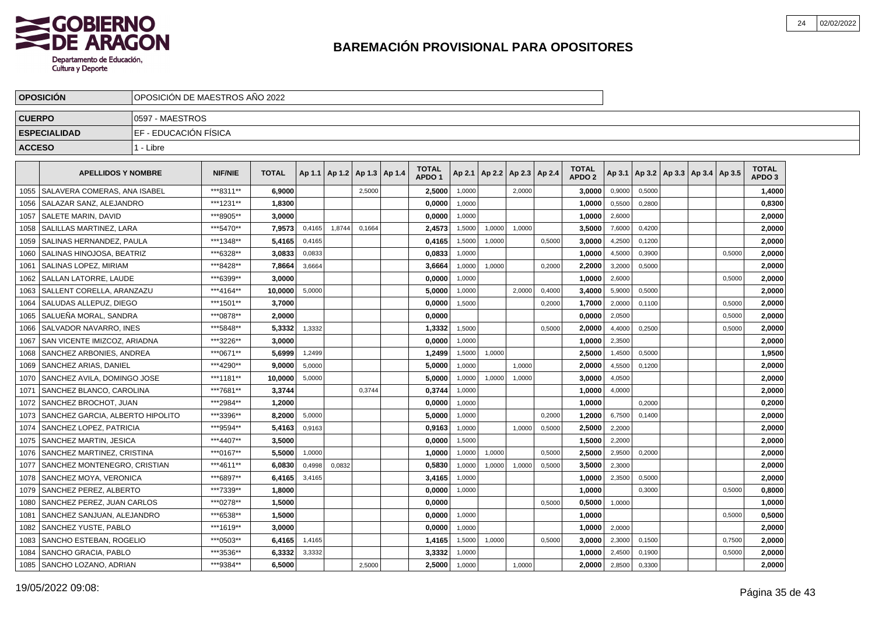

|               | <b>OPOSICIÓN</b>                 |                        | OPOSICIÓN DE MAESTROS AÑO 2022                                                            |              |        |        |                                   |  |                                   |        |        |        |                          |                                   |        |        |                                            |        |                                   |  |
|---------------|----------------------------------|------------------------|-------------------------------------------------------------------------------------------|--------------|--------|--------|-----------------------------------|--|-----------------------------------|--------|--------|--------|--------------------------|-----------------------------------|--------|--------|--------------------------------------------|--------|-----------------------------------|--|
| <b>CUERPO</b> |                                  | 0597 - MAESTROS        |                                                                                           |              |        |        |                                   |  |                                   |        |        |        |                          |                                   |        |        |                                            |        |                                   |  |
|               | <b>ESPECIALIDAD</b>              | IEF - EDUCACIÓN FÍSICA |                                                                                           |              |        |        |                                   |  |                                   |        |        |        |                          |                                   |        |        |                                            |        |                                   |  |
| <b>ACCESO</b> |                                  | 1 - Libre              |                                                                                           |              |        |        |                                   |  |                                   |        |        |        |                          |                                   |        |        |                                            |        |                                   |  |
|               | <b>APELLIDOS Y NOMBRE</b>        |                        | <b>NIF/NIE</b>                                                                            | <b>TOTAL</b> |        |        | Ap 1.1   Ap 1.2   Ap 1.3   Ap 1.4 |  | <b>TOTAL</b><br>APDO <sub>1</sub> | Ap 2.1 |        |        | Ap 2.2   Ap 2.3   Ap 2.4 | <b>TOTAL</b><br>APDO <sub>2</sub> |        |        | Ap 3.1   Ap 3.2   Ap 3.3   Ap 3.4   Ap 3.5 |        | <b>TOTAL</b><br>APDO <sub>3</sub> |  |
| 1055          | SALAVERA COMERAS, ANA ISABEL     |                        | ***8311**                                                                                 | 6,9000       |        |        | 2,5000                            |  | 2,5000                            | 1,0000 |        | 2,0000 |                          | 3,0000                            | 0,9000 | 0,5000 |                                            |        | 1,4000                            |  |
| 1056          | SALAZAR SANZ, ALEJANDRO          |                        | ***1231**                                                                                 | 1,8300       |        |        |                                   |  | 0,0000                            | 1,0000 |        |        |                          | 1,0000                            | 0,5500 | 0,2800 |                                            |        | 0,8300                            |  |
| 1057          | SALETE MARIN, DAVID              |                        | ***8905**                                                                                 | 3,0000       |        |        |                                   |  | 0,0000                            | 1,0000 |        |        |                          | 1,0000                            | 2,6000 |        |                                            |        | 2,0000                            |  |
| 1058          | SALILLAS MARTINEZ. LARA          |                        | *** 5470**                                                                                | 7,9573       | 0,4165 | 1,8744 | 0.1664                            |  | 2,4573                            | 1,5000 | 1,0000 | 1.0000 |                          | 3,5000                            | 7,6000 | 0,4200 |                                            |        | 2,0000                            |  |
| 1059          | SALINAS HERNANDEZ, PAULA         |                        | ***1348**<br>5.4165<br>0,4165<br>0,4165<br>0,5000<br>3.0000<br>4,2500<br>1,5000<br>1,0000 |              |        |        |                                   |  |                                   |        |        |        |                          |                                   |        |        |                                            |        | 2,0000                            |  |
| 1060          | SALINAS HINOJOSA, BEATRIZ        |                        | ***6328**                                                                                 | 3.0833       | 0.0833 |        |                                   |  | 0.0833                            | 1.0000 |        |        |                          | 1.0000                            | 4.5000 | 0.3900 |                                            | 0.5000 | 2,0000                            |  |
| 1061          | SALINAS LOPEZ, MIRIAM            |                        | ***8428**                                                                                 | 7,8664       | 3,6664 |        |                                   |  | 3,6664                            | 1,0000 | 1,0000 |        | 0,2000                   | 2,2000                            | 3,2000 | 0,5000 |                                            |        | 2,0000                            |  |
| 1062          | SALLAN LATORRE. LAUDE            |                        | ***6399**                                                                                 | 3.0000       |        |        |                                   |  | 0,0000                            | 1,0000 |        |        |                          | 1,0000                            | 2,6000 |        |                                            | 0,5000 | 2,0000                            |  |
| 1063          | SALLENT CORELLA, ARANZAZU        |                        | ***4164**                                                                                 | 10,0000      | 5,0000 |        |                                   |  | 5,0000                            | 1,0000 |        | 2.0000 | 0,4000                   | 3,4000                            | 5,9000 | 0,5000 |                                            |        | 2,0000                            |  |
| 1064          | SALUDAS ALLEPUZ, DIEGO           |                        | ***1501**                                                                                 | 3.7000       |        |        |                                   |  | 0,0000                            | 1,5000 |        |        | 0,2000                   | 1.7000                            | 2,0000 | 0.1100 |                                            | 0,5000 | 2,0000                            |  |
| 1065          | SALUEÑA MORAL, SANDRA            |                        | ***0878**                                                                                 | 2.0000       |        |        |                                   |  | 0.0000                            |        |        |        |                          | 0.0000                            | 2,0500 |        |                                            | 0,5000 | 2.0000                            |  |
| 1066          | SALVADOR NAVARRO, INES           |                        | ***5848**                                                                                 | 5,3332       | 1,3332 |        |                                   |  | 1,3332                            | 1,5000 |        |        | 0,5000                   | 2,0000                            | 4,4000 | 0,2500 |                                            | 0,5000 | 2,0000                            |  |
| 1067          | SAN VICENTE IMIZCOZ. ARIADNA     |                        | ***3226**                                                                                 | 3.0000       |        |        |                                   |  | 0,0000                            | 1,0000 |        |        |                          | 1,0000                            | 2,3500 |        |                                            |        | 2,0000                            |  |
| 1068          | SANCHEZ ARBONIES, ANDREA         |                        | ***0671**                                                                                 | 5.6999       | 1,2499 |        |                                   |  | 1,2499                            | 1,5000 | 1,0000 |        |                          | 2,5000                            | 1,4500 | 0,5000 |                                            |        | 1,9500                            |  |
| 1069          | SANCHEZ ARIAS, DANIEL            |                        | ***4290**                                                                                 | 9.0000       | 5,0000 |        |                                   |  | 5,0000                            | 1,0000 |        | 1,0000 |                          | 2,0000                            | 4,5500 | 0,1200 |                                            |        | 2,0000                            |  |
| 1070          | SANCHEZ AVILA, DOMINGO JOSE      |                        | ***1181**                                                                                 | 10,0000      | 5,0000 |        |                                   |  | 5,0000                            | 1,0000 | 1,0000 | 1,0000 |                          | 3.0000                            | 4,0500 |        |                                            |        | 2,0000                            |  |
| 1071          | SANCHEZ BLANCO, CAROLINA         |                        | ***7681**                                                                                 | 3,3744       |        |        | 0.3744                            |  | 0,3744                            | 1,0000 |        |        |                          | 1,0000                            | 4,0000 |        |                                            |        | 2,0000                            |  |
| 1072          | SANCHEZ BROCHOT, JUAN            |                        | ***2984**                                                                                 | 1,2000       |        |        |                                   |  | 0,0000                            | 1,0000 |        |        |                          | 1,0000                            |        | 0,2000 |                                            |        | 0,2000                            |  |
| 1073          | SANCHEZ GARCIA, ALBERTO HIPOLITO |                        | ***3396**                                                                                 | 8,2000       | 5,0000 |        |                                   |  | 5,0000                            | 1,0000 |        |        | 0,2000                   | 1.2000                            | 6,7500 | 0,1400 |                                            |        | 2,0000                            |  |
| 1074          | SANCHEZ LOPEZ, PATRICIA          |                        | ***9594**                                                                                 | 5,4163       | 0,9163 |        |                                   |  | 0,9163                            | 1,0000 |        | 1,0000 | 0,5000                   | 2.5000                            | 2,2000 |        |                                            |        | 2,0000                            |  |
| 1075          | SANCHEZ MARTIN, JESICA           |                        | ***4407**                                                                                 | 3.5000       |        |        |                                   |  | 0,0000                            | 1,5000 |        |        |                          | 1,5000                            | 2,2000 |        |                                            |        | 2,0000                            |  |
| 1076          | SANCHEZ MARTINEZ, CRISTINA       |                        | ***0167**                                                                                 | 5.5000       | 1,0000 |        |                                   |  | 1.0000                            | 1,0000 | 1,0000 |        | 0,5000                   | 2.5000                            | 2,9500 | 0,2000 |                                            |        | 2.0000                            |  |
| 1077          | SANCHEZ MONTENEGRO, CRISTIAN     |                        | ***4611**                                                                                 | 6,0830       | 0,4998 | 0,0832 |                                   |  | 0,5830                            | 1,0000 | 1,0000 | 1,0000 | 0,5000                   | 3,5000                            | 2,3000 |        |                                            |        | 2,0000                            |  |
| 1078          | SANCHEZ MOYA, VERONICA           |                        | ***6897**                                                                                 | 6,4165       | 3,4165 |        |                                   |  | 3,4165                            | 1,0000 |        |        |                          | 1,0000                            | 2,3500 | 0,5000 |                                            |        | 2,0000                            |  |
| 1079          | SANCHEZ PEREZ, ALBERTO           |                        | ***7339**                                                                                 | 1.8000       |        |        |                                   |  | 0,0000                            | 1,0000 |        |        |                          | 1,0000                            |        | 0,3000 |                                            | 0,5000 | 0,8000                            |  |
| 1080          | SANCHEZ PEREZ, JUAN CARLOS       |                        | ***0278**                                                                                 | 1.5000       |        |        |                                   |  | 0,0000                            |        |        |        | 0,5000                   | 0,5000                            | 1,0000 |        |                                            |        | 1,0000                            |  |
| 1081          | SANCHEZ SANJUAN, ALEJANDRO       |                        | ***6538**                                                                                 | 1.5000       |        |        |                                   |  | 0,0000                            | 1,0000 |        |        |                          | 1,0000                            |        |        |                                            | 0,5000 | 0,5000                            |  |
| 1082          | SANCHEZ YUSTE, PABLO             |                        | ***1619**                                                                                 | 3.0000       |        |        |                                   |  | 0,0000                            | 1.0000 |        |        |                          | 1.0000                            | 2,0000 |        |                                            |        | 2,0000                            |  |
| 1083          | SANCHO ESTEBAN, ROGELIO          |                        | ***0503**                                                                                 | 6,4165       | 1,4165 |        |                                   |  | 1,4165                            | 1,5000 | 1,0000 |        | 0,5000                   | 3,0000                            | 2,3000 | 0,1500 |                                            | 0,7500 | 2,0000                            |  |
| 1084          | SANCHO GRACIA, PABLO             |                        | ***3536**                                                                                 | 6,3332       | 3,3332 |        |                                   |  | 3,3332                            | 1,0000 |        |        |                          | 1,0000                            | 2,4500 | 0,1900 |                                            | 0,5000 | 2,0000                            |  |
| 1085          | SANCHO LOZANO, ADRIAN            |                        | ***9384**                                                                                 | 6.5000       |        |        | 2,5000                            |  | 2,5000                            | 1,0000 |        | 1,0000 |                          | 2,0000                            | 2,8500 | 0,3300 |                                            |        | 2,0000                            |  |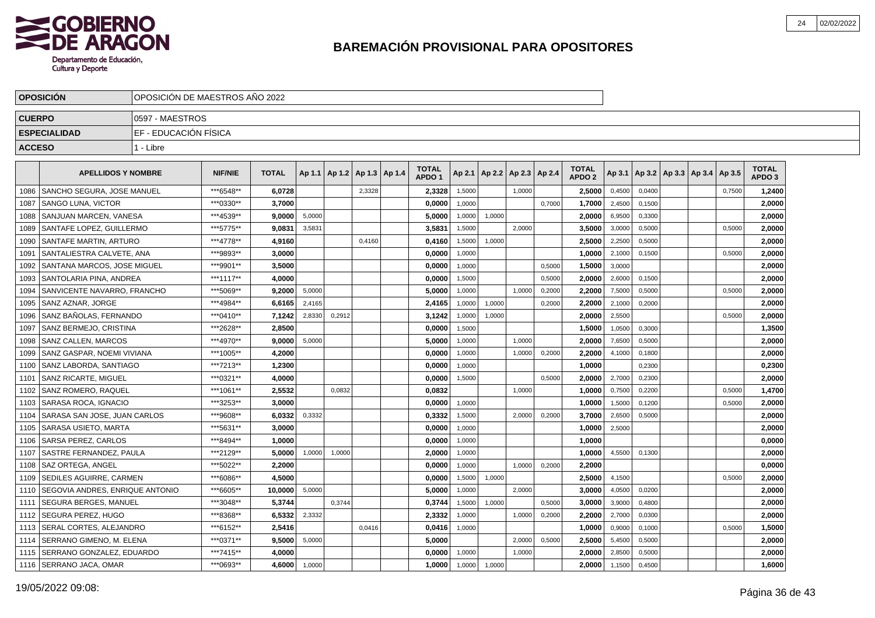

|               | <b>OPOSICION</b>                | OPOSICION DE MAESTROS ANO 2022 |                |              |        |                                   |        |                                   |        |                          |        |        |                                   |        |        |                          |        |                            |  |
|---------------|---------------------------------|--------------------------------|----------------|--------------|--------|-----------------------------------|--------|-----------------------------------|--------|--------------------------|--------|--------|-----------------------------------|--------|--------|--------------------------|--------|----------------------------|--|
| <b>CUERPO</b> |                                 | 0597 - MAESTROS                |                |              |        |                                   |        |                                   |        |                          |        |        |                                   |        |        |                          |        |                            |  |
|               | <b>ESPECIALIDAD</b>             | EF - EDUCACIÓN FÍSICA          |                |              |        |                                   |        |                                   |        |                          |        |        |                                   |        |        |                          |        |                            |  |
| <b>ACCESO</b> |                                 | 1 - Libre                      |                |              |        |                                   |        |                                   |        |                          |        |        |                                   |        |        |                          |        |                            |  |
|               | <b>APELLIDOS Y NOMBRE</b>       |                                | <b>NIF/NIE</b> | <b>TOTAL</b> |        | Ap 1.1   Ap 1.2   Ap 1.3   Ap 1.4 |        | <b>TOTAL</b><br>APDO <sub>1</sub> | Ap 2.1 | Ap 2.2   Ap 2.3   Ap 2.4 |        |        | <b>TOTAL</b><br>APDO <sub>2</sub> | Ap 3.1 |        | Ap 3.2   Ap 3.3   Ap 3.4 | Ap 3.5 | TOTAL<br>APDO <sub>3</sub> |  |
| 1086          | SANCHO SEGURA, JOSE MANUEL      |                                | ***6548**      | 6.0728       |        |                                   | 2,3328 | 2,3328                            | 1,5000 |                          | 1.0000 |        | 2.5000                            | 0,4500 | 0.0400 |                          | 0,7500 | 1,2400                     |  |
| 1087          | l SANGO LUNA. VICTOR            |                                | ***0330**      | 3.7000       |        |                                   |        | 0.0000                            | 1.0000 |                          |        | 0.7000 | 1,7000                            | 2,4500 | 0.1500 |                          |        | 2,0000                     |  |
| 1088          | <b>SANJUAN MARCEN. VANESA</b>   |                                | ***4539**      | 9.0000       | 5,0000 |                                   |        | 5.0000                            | 1,0000 | 1.0000                   |        |        | 2.0000                            | 6,9500 | 0.3300 |                          |        | 2.0000                     |  |
| 1089          | SANTAFE LOPEZ. GUILLERMO        |                                | ***5775**      | 9.0831       | 3,5831 |                                   |        | 3,5831                            | 1,5000 |                          | 2,0000 |        | 3,5000                            | 3,0000 | 0,5000 |                          | 0,5000 | 2,0000                     |  |
| 1090          | <b>SANTAFE MARTIN, ARTURO</b>   |                                | ***4778**      | 4,9160       |        |                                   | 0,4160 | 0,4160                            | 1,5000 | 1,0000                   |        |        | 2,5000                            | 2,2500 | 0,5000 |                          |        | 2,0000                     |  |
| 1091          | SANTALIESTRA CALVETE, ANA       |                                | ***9893**      | 3,0000       |        |                                   |        | 0,0000                            | 1,0000 |                          |        |        | 1,0000                            | 2,1000 | 0,1500 |                          | 0,5000 | 2,0000                     |  |
| 1092          | SANTANA MARCOS, JOSE MIGUEL     |                                | ***9901**      | 3,5000       |        |                                   |        | 0,0000                            | 1,0000 |                          |        | 0,5000 | 1,5000                            | 3,0000 |        |                          |        | 2,0000                     |  |
| 1093          | l SANTOLARIA PINA. ANDREA       |                                | ***1117**      | 4,0000       |        |                                   |        | 0.0000                            | 1,5000 |                          |        | 0,5000 | 2.0000                            | 2,6000 | 0.1500 |                          |        | 2.0000                     |  |
| 1094          | SANVICENTE NAVARRO, FRANCHO     |                                | ***5069**      | 9,2000       | 5,0000 |                                   |        | 5.0000                            | 1,0000 |                          | 1,0000 | 0,2000 | 2,2000                            | 7,5000 | 0,5000 |                          | 0,5000 | 2,0000                     |  |
| 1095          | l SANZ AZNAR. JORGE             |                                | ***4984**      | 6,6165       | 2,4165 |                                   |        | 2,4165                            | 1,0000 | 1,0000                   |        | 0,2000 | 2,2000                            | 2,1000 | 0,2000 |                          |        | 2,0000                     |  |
| 1096          | SANZ BAÑOLAS, FERNANDO          |                                | ***0410**      | 7,1242       | 2,8330 | 0,2912                            |        | 3,1242                            | 1,0000 | 1,0000                   |        |        | 2,0000                            | 2,5500 |        |                          | 0,5000 | 2,0000                     |  |
| 1097          | SANZ BERMEJO. CRISTINA          |                                | ***2628**      | 2,8500       |        |                                   |        | 0,0000                            | 1,5000 |                          |        |        | 1,5000                            | 1,0500 | 0,3000 |                          |        | 1,3500                     |  |
| 1098          | <b>SANZ CALLEN, MARCOS</b>      |                                | ***4970**      | 9,0000       | 5,0000 |                                   |        | 5,0000                            | 1,0000 |                          | 1,0000 |        | 2,0000                            | 7,6500 | 0,5000 |                          |        | 2,0000                     |  |
| 1099          | SANZ GASPAR, NOEMI VIVIANA      |                                | ***1005**      | 4,2000       |        |                                   |        | 0,0000                            | 1,0000 |                          | 1,0000 | 0,2000 | 2,2000                            | 4,1000 | 0,1800 |                          |        | 2,0000                     |  |
| 1100          | SANZ LABORDA, SANTIAGO          |                                | ***7213**      | 1.2300       |        |                                   |        | 0.0000                            | 1.0000 |                          |        |        | 1.0000                            |        | 0,2300 |                          |        | 0,2300                     |  |
| 1101          | <b>SANZ RICARTE, MIGUEL</b>     |                                | ***0321**      | 4.0000       |        |                                   |        | 0.0000                            | 1,5000 |                          |        | 0,5000 | 2.0000                            | 2,7000 | 0,2300 |                          |        | 2,0000                     |  |
| 1102          | <b>SANZ ROMERO, RAQUEL</b>      |                                | ***1061**      | 2,5532       |        | 0.0832                            |        | 0.0832                            |        |                          | 1,0000 |        | 1,0000                            | 0,7500 | 0.2200 |                          | 0,5000 | 1,4700                     |  |
| 1103          | <b>SARASA ROCA, IGNACIO</b>     |                                | ***3253**      | 3.0000       |        |                                   |        | 0.0000                            | 1,0000 |                          |        |        | 1.0000                            | 1,5000 | 0,1200 |                          | 0,5000 | 2,0000                     |  |
| 1104          | SARASA SAN JOSE, JUAN CARLOS    |                                | ***9608**      | 6,0332       | 0,3332 |                                   |        | 0,3332                            | 1,5000 |                          | 2,0000 | 0,2000 | 3,7000                            | 2,6500 | 0,5000 |                          |        | 2,0000                     |  |
| 1105          | <b>SARASA USIETO, MARTA</b>     |                                | ***5631**      | 3,0000       |        |                                   |        | 0,0000                            | 1,0000 |                          |        |        | 1,0000                            | 2,5000 |        |                          |        | 2,0000                     |  |
| 1106          | <b>SARSA PEREZ, CARLOS</b>      |                                | ***8494**      | 1,0000       |        |                                   |        | 0,0000                            | 1,0000 |                          |        |        | 1,0000                            |        |        |                          |        | 0,0000                     |  |
| 1107          | <b>SASTRE FERNANDEZ. PAULA</b>  |                                | ***2129**      | 5.0000       | 1.0000 | 1.0000                            |        | 2.0000                            | 1.0000 |                          |        |        | 1.0000                            | 4,5500 | 0.1300 |                          |        | 2.0000                     |  |
| 1108          | l SAZ ORTEGA. ANGEL             |                                | ***5022**      | 2.2000       |        |                                   |        | 0.0000                            | 1,0000 |                          | 1,0000 | 0,2000 | 2.2000                            |        |        |                          |        | 0.0000                     |  |
| 1109          | <b>SEDILES AGUIRRE. CARMEN</b>  |                                | ***6086**      | 4.5000       |        |                                   |        | 0.0000                            | 1,5000 | 1,0000                   |        |        | 2.5000                            | 4,1500 |        |                          | 0,5000 | 2,0000                     |  |
| 1110          | SEGOVIA ANDRES, ENRIQUE ANTONIO |                                | ***6605**      | 10,0000      | 5,0000 |                                   |        | 5,0000                            | 1,0000 |                          | 2,0000 |        | 3.0000                            | 4,0500 | 0,0200 |                          |        | 2,0000                     |  |
|               | 1111   SEGURA BERGES, MANUEL    |                                | ***3048**      | 5,3744       |        | 0,3744                            |        | 0,3744                            | 1,5000 | 1,0000                   |        | 0,5000 | 3,0000                            | 3,9000 | 0,4800 |                          |        | 2,0000                     |  |
| 1112          | <b>ISEGURA PEREZ. HUGO</b>      |                                | ***8368**      | 6,5332       | 2,3332 |                                   |        | 2,3332                            | 1,0000 |                          | 1,0000 | 0,2000 | 2,2000                            | 2,7000 | 0,0300 |                          |        | 2,0000                     |  |
| 1113          | SERAL CORTES, ALEJANDRO         |                                | ***6152**      | 2,5416       |        |                                   | 0,0416 | 0,0416                            | 1,0000 |                          |        |        | 1,0000                            | 0,9000 | 0,1000 |                          | 0,5000 | 1,5000                     |  |
| 1114          | SERRANO GIMENO. M. ELENA        |                                | ***0371**      | 9,5000       | 5,0000 |                                   |        | 5.0000                            |        |                          | 2.0000 | 0,5000 | 2.5000                            | 5,4500 | 0,5000 |                          |        | 2.0000                     |  |
| 1115          | SERRANO GONZALEZ, EDUARDO       |                                | ***7415**      | 4,0000       |        |                                   |        | 0,0000                            | 1.0000 |                          | 1.0000 |        | 2,0000                            | 2,8500 | 0,5000 |                          |        | 2,0000                     |  |
|               | 1116   SERRANO JACA, OMAR       |                                | ***0693**      | 4,6000       | 1,0000 |                                   |        | 1.0000                            | 1,0000 | 1,0000                   |        |        | 2.0000                            | 1,1500 | 0,4500 |                          |        | 1,6000                     |  |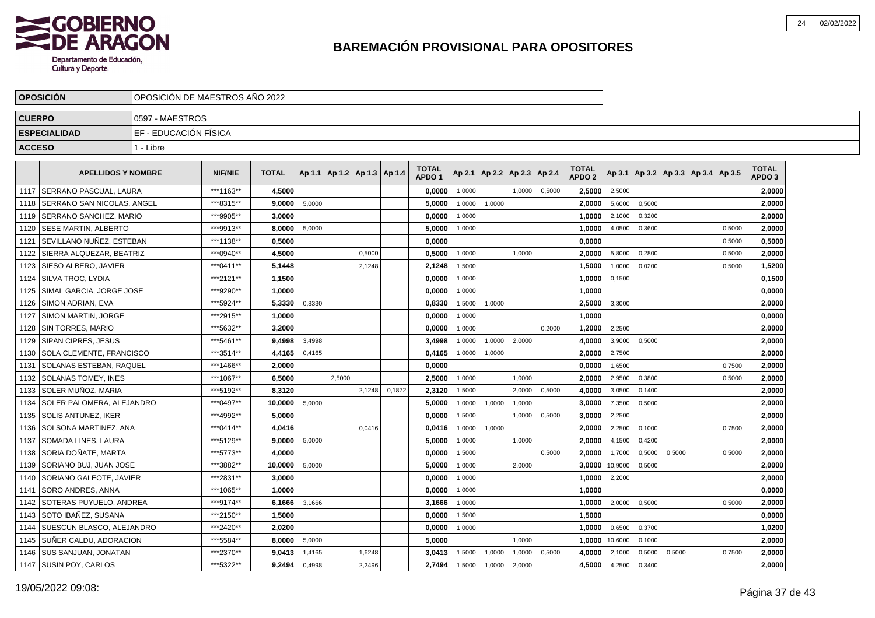

|               | <b>OPOSICION</b>                 | IOPOSICION DE MAESTROS ANO 2022 |                |              |        |                                   |        |        |                                   |        |                          |        |        |                                   |         |        |        |                                   |        |                                   |  |
|---------------|----------------------------------|---------------------------------|----------------|--------------|--------|-----------------------------------|--------|--------|-----------------------------------|--------|--------------------------|--------|--------|-----------------------------------|---------|--------|--------|-----------------------------------|--------|-----------------------------------|--|
| <b>CUERPO</b> |                                  | 10597 - MAESTROS                |                |              |        |                                   |        |        |                                   |        |                          |        |        |                                   |         |        |        |                                   |        |                                   |  |
|               | <b>ESPECIALIDAD</b>              | IEF - EDUCACIÓN FÍSICA          |                |              |        |                                   |        |        |                                   |        |                          |        |        |                                   |         |        |        |                                   |        |                                   |  |
| <b>ACCESO</b> |                                  | 1 - Libre                       |                |              |        |                                   |        |        |                                   |        |                          |        |        |                                   |         |        |        |                                   |        |                                   |  |
|               |                                  |                                 |                |              |        |                                   |        |        |                                   |        |                          |        |        |                                   |         |        |        |                                   |        |                                   |  |
|               | <b>APELLIDOS Y NOMBRE</b>        |                                 | <b>NIF/NIE</b> | <b>TOTAL</b> |        | Ap 1.1   Ap 1.2   Ap 1.3   Ap 1.4 |        |        | <b>TOTAL</b><br>APDO <sub>1</sub> | Ap 2.1 | Ap 2.2   Ap 2.3   Ap 2.4 |        |        | <b>TOTAL</b><br>APDO <sub>2</sub> | Ap 3.1  |        |        | Ap 3.2   Ap 3.3   Ap 3.4   Ap 3.5 |        | <b>TOTAL</b><br>APDO <sub>3</sub> |  |
|               | 1117 SERRANO PASCUAL. LAURA      |                                 | ***1163**      | 4,5000       |        |                                   |        |        | 0,0000                            | 1,0000 |                          | 1.0000 | 0,5000 | 2,5000                            | 2,5000  |        |        |                                   |        | 2,0000                            |  |
| 1118          | SERRANO SAN NICOLAS, ANGEL       |                                 | ***8315**      | 9.0000       | 5,0000 |                                   |        |        | 5,0000                            | 1,0000 | 1,0000                   |        |        | 2,0000                            | 5,6000  | 0,5000 |        |                                   |        | 2,0000                            |  |
| 1119          | I SERRANO SANCHEZ. MARIO         |                                 | ***9905**      | 3.0000       |        |                                   |        |        | 0.0000                            | 1,0000 |                          |        |        | 1,0000                            | 2,1000  | 0,3200 |        |                                   |        | 2.0000                            |  |
| 1120          | <b>ISESE MARTIN, ALBERTO</b>     |                                 | ***9913**      | 8.0000       | 5,0000 |                                   |        |        | 5,0000                            | 1,0000 |                          |        |        | 1,0000                            | 4,0500  | 0,3600 |        |                                   | 0,5000 | 2,0000                            |  |
|               | 1121 SEVILLANO NUÑEZ, ESTEBAN    |                                 | ***1138**      | 0,5000       |        |                                   |        |        | 0,0000                            |        |                          |        |        | 0,0000                            |         |        |        |                                   | 0,5000 | 0,5000                            |  |
|               | 1122 SIERRA ALQUEZAR. BEATRIZ    |                                 | ***0940**      | 4.5000       |        |                                   | 0,5000 |        | 0.5000                            | 1,0000 |                          | 1.0000 |        | 2.0000                            | 5,8000  | 0.2800 |        |                                   | 0,5000 | 2.0000                            |  |
|               | 1123 SIESO ALBERO, JAVIER        |                                 | *** 0411**     | 5.1448       |        |                                   | 2,1248 |        | 2,1248                            | 1,5000 |                          |        |        | 1.5000                            | 1,0000  | 0,0200 |        |                                   | 0,5000 | 1,5200                            |  |
|               | 1124 SILVA TROC. LYDIA           |                                 | ***2121**      | 1,1500       |        |                                   |        |        | 0,0000                            | 1,0000 |                          |        |        | 1,0000                            | 0,1500  |        |        |                                   |        | 0,1500                            |  |
|               | 1125 SIMAL GARCIA, JORGE JOSE    |                                 | ***9290**      | 1,0000       |        |                                   |        |        | 0,0000                            | 1,0000 |                          |        |        | 1,0000                            |         |        |        |                                   |        | 0,0000                            |  |
|               | 1126   SIMON ADRIAN, EVA         |                                 | *** 5924**     | 5,3330       | 0,8330 |                                   |        |        | 0,8330                            | 1,5000 | 1,0000                   |        |        | 2,5000                            | 3,3000  |        |        |                                   |        | 2,0000                            |  |
|               | 1127   SIMON MARTIN, JORGE       |                                 | ***2915**      | 1,0000       |        |                                   |        |        | 0,0000                            | 1,0000 |                          |        |        | 1,0000                            |         |        |        |                                   |        | 0,0000                            |  |
|               | 1128 SIN TORRES, MARIO           |                                 | ***5632**      | 3,2000       |        |                                   |        |        | 0,0000                            | 1.0000 |                          |        | 0.2000 | 1,2000                            | 2,2500  |        |        |                                   |        | 2,0000                            |  |
|               | 1129   SIPAN CIPRES, JESUS       |                                 | ***5461**      | 9,4998       | 3.4998 |                                   |        |        | 3,4998                            | 1,0000 | 1,0000                   | 2,0000 |        | 4,0000                            | 3,9000  | 0.5000 |        |                                   |        | 2,0000                            |  |
| 1130          | <b>SOLA CLEMENTE. FRANCISCO</b>  |                                 | ***3514**      | 4,4165       | 0,4165 |                                   |        |        | 0,4165                            | 1,0000 | 1,0000                   |        |        | 2,0000                            | 2,7500  |        |        |                                   |        | 2,0000                            |  |
|               | 1131   SOLANAS ESTEBAN, RAQUEL   |                                 | ***1466**      | 2,0000       |        |                                   |        |        | 0,0000                            |        |                          |        |        | 0,0000                            | 1,6500  |        |        |                                   | 0,7500 | 2,0000                            |  |
|               | 1132 SOLANAS TOMEY. INES         |                                 | ***1067**      | 6,5000       |        | 2,5000                            |        |        | 2,5000                            | 1,0000 |                          | 1,0000 |        | 2,0000                            | 2,9500  | 0,3800 |        |                                   | 0,5000 | 2,0000                            |  |
|               | 1133 SOLER MUÑOZ, MARIA          |                                 | ***5192**      | 8,3120       |        |                                   | 2,1248 | 0,1872 | 2,3120                            | 1,5000 |                          | 2,0000 | 0,5000 | 4,0000                            | 3,0500  | 0,1400 |        |                                   |        | 2,0000                            |  |
| 1134          | <b>SOLER PALOMERA, ALEJANDRO</b> |                                 | ***0497**      | 10.0000      | 5,0000 |                                   |        |        | 5.0000                            | 1,0000 | 1,0000                   | 1.0000 |        | 3.0000                            | 7,3500  | 0.5000 |        |                                   |        | 2,0000                            |  |
| 1135          | <b>SOLIS ANTUNEZ. IKER</b>       |                                 | ***4992**      | 5.0000       |        |                                   |        |        | 0.0000                            | 1,5000 |                          | 1,0000 | 0,5000 | 3.0000                            | 2,2500  |        |        |                                   |        | 2,0000                            |  |
|               | 1136 SOLSONA MARTINEZ, ANA       |                                 | ***0414**      | 4,0416       |        |                                   | 0,0416 |        | 0,0416                            | 1,0000 | 1,0000                   |        |        | 2,0000                            | 2,2500  | 0,1000 |        |                                   | 0,7500 | 2,0000                            |  |
| 1137          | SOMADA LINES, LAURA              |                                 | ***5129**      | 9.0000       | 5,0000 |                                   |        |        | 5,0000                            | 1,0000 |                          | 1,0000 |        | 2,0000                            | 4,1500  | 0,4200 |        |                                   |        | 2.0000                            |  |
| 1138          | l SORIA DOÑATE. MARTA            |                                 | ***5773**      | 4,0000       |        |                                   |        |        | 0,0000                            | 1,5000 |                          |        | 0,5000 | 2,0000                            | 1,7000  | 0,5000 | 0,5000 |                                   | 0,5000 | 2,0000                            |  |
| 1139          | SORIANO BUJ, JUAN JOSE           |                                 | ***3882**      | 10.0000      | 5,0000 |                                   |        |        | 5,0000                            | 1,0000 |                          | 2,0000 |        | 3,0000                            | 10,9000 | 0,5000 |        |                                   |        | 2,0000                            |  |
| 1140          | <b>SORIANO GALEOTE, JAVIER</b>   |                                 | ***2831**      | 3.0000       |        |                                   |        |        | 0.0000                            | 1,0000 |                          |        |        | 1,0000                            | 2,2000  |        |        |                                   |        | 2.0000                            |  |
|               | 1141 SORO ANDRES, ANNA           |                                 | ***1065**      | 1.0000       |        |                                   |        |        | 0,0000                            | 1,0000 |                          |        |        | 1.0000                            |         |        |        |                                   |        | 0,0000                            |  |
|               | 1142 SOTERAS PUYUELO. ANDREA     |                                 | ***9174**      | 6.1666       | 3,1666 |                                   |        |        | 3,1666                            | 1,0000 |                          |        |        | 1,0000                            | 2,0000  | 0,5000 |        |                                   | 0,5000 | 2,0000                            |  |
|               | 1143 SOTO IBAÑEZ, SUSANA         |                                 | ***2150**      | 1,5000       |        |                                   |        |        | 0,0000                            | 1,5000 |                          |        |        | 1,5000                            |         |        |        |                                   |        | 0,0000                            |  |
|               | 1144   SUESCUN BLASCO, ALEJANDRO |                                 | ***2420**      | 2,0200       |        |                                   |        |        | 0,0000                            | 1,0000 |                          |        |        | 1,0000                            | 0,6500  | 0,3700 |        |                                   |        | 1,0200                            |  |
|               | 1145   SUÑER CALDU, ADORACION    |                                 | ***5584**      | 8,0000       | 5,0000 |                                   |        |        | 5,0000                            |        |                          | 1,0000 |        | 1,0000                            | 10,6000 | 0,1000 |        |                                   |        | 2,0000                            |  |
|               | 1146 ISUS SANJUAN, JONATAN       |                                 | ***2370**      | 9.0413       | 1,4165 |                                   | 1,6248 |        | 3.0413                            | 1,5000 | 1,0000                   | 1,0000 | 0,5000 | 4.0000                            | 2,1000  | 0,5000 | 0,5000 |                                   | 0,7500 | 2.0000                            |  |
|               | 1147 SUSIN POY, CARLOS           |                                 | ***5322**      | 9,2494       | 0,4998 |                                   | 2,2496 |        | 2,7494                            | 1,5000 | 1,0000                   | 2,0000 |        | 4,5000                            | 4,2500  | 0,3400 |        |                                   |        | 2,0000                            |  |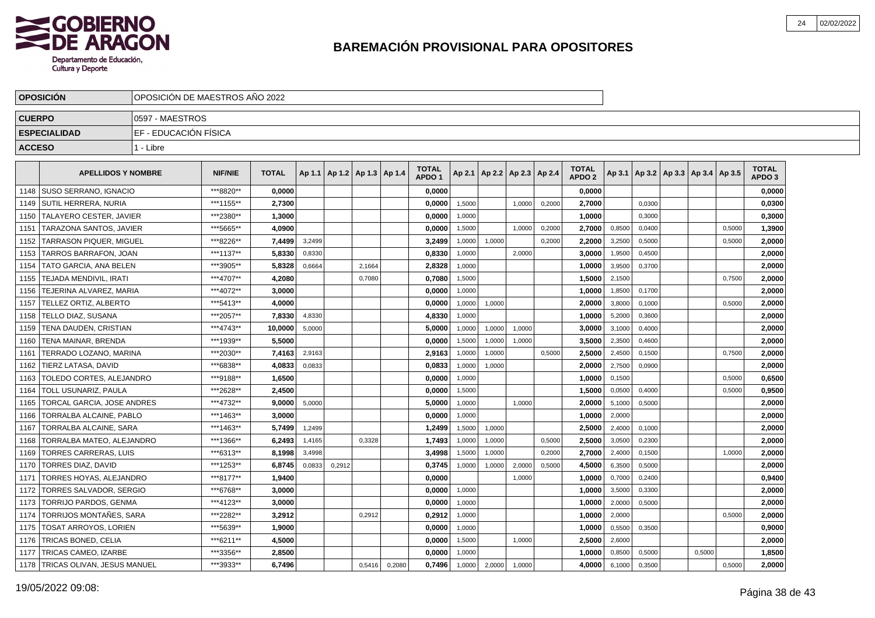

|               | <b>OPOSICION</b>                 | OPOSICION DE MAESTROS ANO 2022 |                |              |        |                                   |        |        |                                   |        |                          |        |        |                                   |        |        |                                            |        |        |                                   |  |
|---------------|----------------------------------|--------------------------------|----------------|--------------|--------|-----------------------------------|--------|--------|-----------------------------------|--------|--------------------------|--------|--------|-----------------------------------|--------|--------|--------------------------------------------|--------|--------|-----------------------------------|--|
| <b>CUERPO</b> |                                  | 0597 - MAESTROS                |                |              |        |                                   |        |        |                                   |        |                          |        |        |                                   |        |        |                                            |        |        |                                   |  |
|               | <b>ESPECIALIDAD</b>              | EF - EDUCACIÓN FÍSICA          |                |              |        |                                   |        |        |                                   |        |                          |        |        |                                   |        |        |                                            |        |        |                                   |  |
| <b>ACCESO</b> |                                  | 1 - Libre                      |                |              |        |                                   |        |        |                                   |        |                          |        |        |                                   |        |        |                                            |        |        |                                   |  |
|               |                                  |                                |                |              |        |                                   |        |        |                                   |        |                          |        |        |                                   |        |        |                                            |        |        |                                   |  |
|               | <b>APELLIDOS Y NOMBRE</b>        |                                | <b>NIF/NIE</b> | <b>TOTAL</b> |        | Ap 1.1   Ap 1.2   Ap 1.3   Ap 1.4 |        |        | <b>TOTAL</b><br>APDO <sub>1</sub> | Ap 2.1 | Ap 2.2   Ap 2.3   Ap 2.4 |        |        | <b>TOTAL</b><br>APDO <sub>2</sub> |        |        | Ap 3.1   Ap 3.2   Ap 3.3   Ap 3.4   Ap 3.5 |        |        | <b>TOTAL</b><br>APDO <sub>3</sub> |  |
| 1148          | <b>SUSO SERRANO, IGNACIO</b>     |                                | ***8820**      | 0,0000       |        |                                   |        |        | 0,0000                            |        |                          |        |        | 0,0000                            |        |        |                                            |        |        | 0,0000                            |  |
| 1149          | I SUTIL HERRERA. NURIA           |                                | ***1155**      | 2.7300       |        |                                   |        |        | 0.0000                            | 1,5000 |                          | 1.0000 | 0,2000 | 2.7000                            |        | 0,0300 |                                            |        |        | 0.0300                            |  |
| 1150          | TALAYERO CESTER, JAVIER          |                                | ***2380**      | 1,3000       |        |                                   |        |        | 0,0000                            | 1,0000 |                          |        |        | 1.0000                            |        | 0.3000 |                                            |        |        | 0,3000                            |  |
| 1151          | TARAZONA SANTOS, JAVIER          |                                | ***5665**      | 4.0900       |        |                                   |        |        | 0,0000                            | 1,5000 |                          | 1.0000 | 0,2000 | 2,7000                            | 0,8500 | 0.0400 |                                            |        | 0,5000 | 1,3900                            |  |
| 1152          | <b>TARRASON PIQUER, MIGUEL</b>   |                                | ***8226**      | 7,4499       | 3,2499 |                                   |        |        | 3,2499                            | 1,0000 | 1,0000                   |        | 0,2000 | 2,2000                            | 3,2500 | 0,5000 |                                            |        | 0,5000 | 2,0000                            |  |
| 1153          | <b>TARROS BARRAFON. JOAN</b>     |                                | ***1137**      | 5.8330       | 0,8330 |                                   |        |        | 0.8330                            | 1,0000 |                          | 2,0000 |        | 3.0000                            | 1,9500 | 0,4500 |                                            |        |        | 2.0000                            |  |
| 1154          | TATO GARCIA. ANA BELEN           |                                | ***3905**      | 5.8328       | 0,6664 |                                   | 2,1664 |        | 2,8328                            | 1,0000 |                          |        |        | 1.0000                            | 3,9500 | 0,3700 |                                            |        |        | 2,0000                            |  |
| 1155          | <b>TEJADA MENDIVIL. IRATI</b>    |                                | ***4707**      | 4,2080       |        |                                   | 0,7080 |        | 0,7080                            | 1,5000 |                          |        |        | 1,5000                            | 2,1500 |        |                                            |        | 0,7500 | 2,0000                            |  |
| 1156          | TEJERINA ALVAREZ, MARIA          |                                | ***4072**      | 3,0000       |        |                                   |        |        | 0,0000                            | 1,0000 |                          |        |        | 1,0000                            | 1,8500 | 0,1700 |                                            |        |        | 2,0000                            |  |
| 1157          | <b>TELLEZ ORTIZ, ALBERTO</b>     |                                | ***5413**      | 4.0000       |        |                                   |        |        | 0.0000                            | 1,0000 | 1,0000                   |        |        | 2.0000                            | 3,8000 | 0.1000 |                                            |        | 0.5000 | 2,0000                            |  |
| 1158          | l TELLO DIAZ. SUSANA             |                                | ***2057**      | 7,8330       | 4,8330 |                                   |        |        | 4,8330                            | 1,0000 |                          |        |        | 1,0000                            | 5,2000 | 0,3600 |                                            |        |        | 2,0000                            |  |
| 1159          | TENA DAUDEN, CRISTIAN            |                                | ***4743**      | 10,0000      | 5,0000 |                                   |        |        | 5,0000                            | 1,0000 | 1,0000                   | 1,0000 |        | 3,0000                            | 3,1000 | 0,4000 |                                            |        |        | 2,0000                            |  |
| 1160          | TENA MAINAR, BRENDA              |                                | ***1939**      | 5,5000       |        |                                   |        |        | 0,0000                            | 1,5000 | 1,0000                   | 1,0000 |        | 3,5000                            | 2,3500 | 0,4600 |                                            |        |        | 2,0000                            |  |
| 1161          | TERRADO LOZANO. MARINA           |                                | ***2030**      | 7,4163       | 2,9163 |                                   |        |        | 2,9163                            | 1,0000 | 1,0000                   |        | 0,5000 | 2,5000                            | 2,4500 | 0,1500 |                                            |        | 0.7500 | 2,0000                            |  |
| 1162          | <b>TIERZ LATASA, DAVID</b>       |                                | ***6838**      | 4,0833       | 0,0833 |                                   |        |        | 0,0833                            | 1,0000 | 1,0000                   |        |        | 2,0000                            | 2,7500 | 0,0900 |                                            |        |        | 2,0000                            |  |
| 1163          | TOLEDO CORTES, ALEJANDRO         |                                | ***9188**      | 1,6500       |        |                                   |        |        | 0,0000                            | 1,0000 |                          |        |        | 1,0000                            | 0,1500 |        |                                            |        | 0,5000 | 0,6500                            |  |
| 1164          | TOLL USUNARIZ, PAULA             |                                | ***2628**      | 2,4500       |        |                                   |        |        | 0,0000                            | 1,5000 |                          |        |        | 1,5000                            | 0,0500 | 0,4000 |                                            |        | 0,5000 | 0,9500                            |  |
| 1165          | TORCAL GARCIA, JOSE ANDRES       |                                | ***4732**      | 9.0000       | 5,0000 |                                   |        |        | 5.0000                            | 1,0000 |                          | 1.0000 |        | 2.0000                            | 5,1000 | 0.5000 |                                            |        |        | 2,0000                            |  |
| 1166          | TORRALBA ALCAINE. PABLO          |                                | ***1463**      | 3.0000       |        |                                   |        |        | 0,0000                            | 1,0000 |                          |        |        | 1.0000                            | 2,0000 |        |                                            |        |        | 2,0000                            |  |
| 1167          | TORRALBA ALCAINE. SARA           |                                | ***1463**      | 5.7499       | 1,2499 |                                   |        |        | 1,2499                            | 1,5000 | 1,0000                   |        |        | 2,5000                            | 2,4000 | 0,1000 |                                            |        |        | 2,0000                            |  |
| 1168          | TORRALBA MATEO. ALEJANDRO        |                                | ***1366**      | 6,2493       | 1,4165 |                                   | 0,3328 |        | 1,7493                            | 1,0000 | 1,0000                   |        | 0,5000 | 2,5000                            | 3,0500 | 0,2300 |                                            |        |        | 2,0000                            |  |
| 1169          | <b>TORRES CARRERAS, LUIS</b>     |                                | ***6313**      | 8.1998       | 3,4998 |                                   |        |        | 3,4998                            | 1.5000 | 1,0000                   |        | 0,2000 | 2.7000                            | 2,4000 | 0.1500 |                                            |        | 1.0000 | 2.0000                            |  |
| 1170          | <b>TORRES DIAZ, DAVID</b>        |                                | ***1253**      | 6.8745       | 0,0833 | 0,2912                            |        |        | 0,3745                            | 1,0000 | 1,0000                   | 2,0000 | 0,5000 | 4,5000                            | 6,3500 | 0,5000 |                                            |        |        | 2.0000                            |  |
| 1171          | TORRES HOYAS, ALEJANDRO          |                                | ***8177**      | 1,9400       |        |                                   |        |        | 0,0000                            |        |                          | 1,0000 |        | 1.0000                            | 0,7000 | 0,2400 |                                            |        |        | 0,9400                            |  |
| 1172          | TORRES SALVADOR, SERGIO          |                                | ***6768**      | 3.0000       |        |                                   |        |        | 0,0000                            | 1,0000 |                          |        |        | 1,0000                            | 3,5000 | 0,3300 |                                            |        |        | 2,0000                            |  |
| 1173          | <b>TORRIJO PARDOS, GENMA</b>     |                                | ***4123**      | 3,0000       |        |                                   |        |        | 0,0000                            | 1.0000 |                          |        |        | 1,0000                            | 2,0000 | 0.5000 |                                            |        |        | 2,0000                            |  |
| 1174          | TORRIJOS MONTAÑES, SARA          |                                | ***2282**      | 3.2912       |        |                                   | 0,2912 |        | 0.2912                            | 1,0000 |                          |        |        | 1.0000                            | 2,0000 |        |                                            |        | 0,5000 | 2.0000                            |  |
| 1175          | TOSAT ARROYOS, LORIEN            |                                | ***5639**      | 1,9000       |        |                                   |        |        | 0,0000                            | 1,0000 |                          |        |        | 1,0000                            | 0,5500 | 0,3500 |                                            |        |        | 0,9000                            |  |
|               | 1176   TRICAS BONED, CELIA       |                                | ***6211**      | 4,5000       |        |                                   |        |        | 0,0000                            | 1,5000 |                          | 1,0000 |        | 2,5000                            | 2,6000 |        |                                            |        |        | 2,0000                            |  |
|               | 1177   TRICAS CAMEO, IZARBE      |                                | ***3356**      | 2,8500       |        |                                   |        |        | 0,0000                            | 1,0000 |                          |        |        | 1,0000                            | 0,8500 | 0,5000 |                                            | 0,5000 |        | 1,8500                            |  |
|               | 1178 TRICAS OLIVAN, JESUS MANUEL |                                | ***3933**      | 6.7496       |        |                                   | 0,5416 | 0,2080 | 0.7496                            | 1,0000 | 2,0000                   | 1,0000 |        | 4.0000                            | 6,1000 | 0,3500 |                                            |        | 0,5000 | 2.0000                            |  |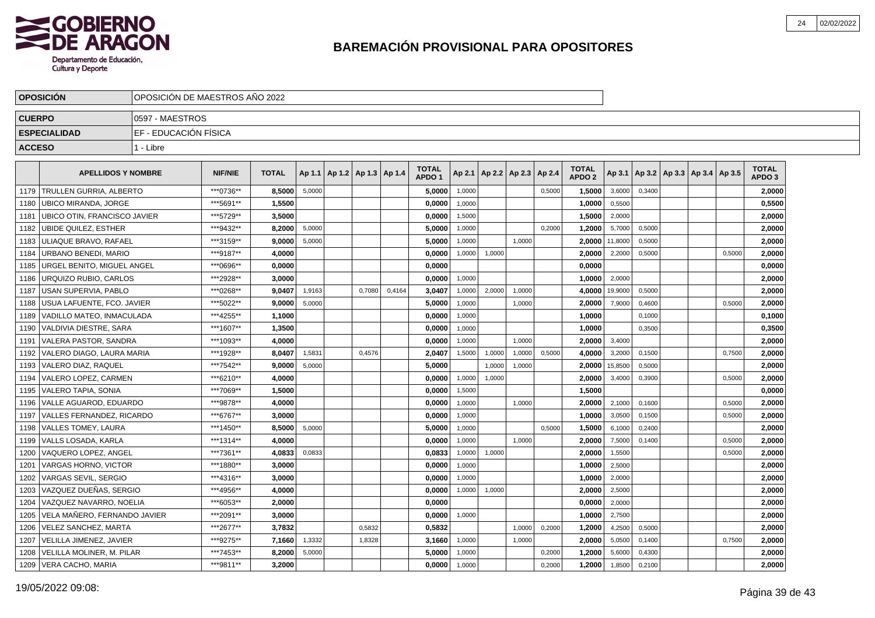

|               | <b>OPOSICION</b>                  | IOPOSICION DE MAESTROS ANO 2022 |                |              |        |                                   |        |        |                                   |        |                          |        |        |                   |         |        |                                   |        |                   |  |
|---------------|-----------------------------------|---------------------------------|----------------|--------------|--------|-----------------------------------|--------|--------|-----------------------------------|--------|--------------------------|--------|--------|-------------------|---------|--------|-----------------------------------|--------|-------------------|--|
| <b>CUERPO</b> |                                   | 10597 - MAESTROS                |                |              |        |                                   |        |        |                                   |        |                          |        |        |                   |         |        |                                   |        |                   |  |
|               | <b>ESPECIALIDAD</b>               | IEF - EDUCACIÓN FÍSICA          |                |              |        |                                   |        |        |                                   |        |                          |        |        |                   |         |        |                                   |        |                   |  |
| <b>ACCESO</b> |                                   | 1 - Libre                       |                |              |        |                                   |        |        |                                   |        |                          |        |        |                   |         |        |                                   |        |                   |  |
|               |                                   |                                 |                |              |        |                                   |        |        |                                   |        |                          |        |        | <b>TOTAL</b>      |         |        |                                   |        | <b>TOTAL</b>      |  |
|               | <b>APELLIDOS Y NOMBRE</b>         |                                 | <b>NIF/NIE</b> | <b>TOTAL</b> |        | Ap 1.1   Ap 1.2   Ap 1.3   Ap 1.4 |        |        | <b>TOTAL</b><br>APDO <sub>1</sub> | Ap 2.1 | Ap 2.2   Ap 2.3   Ap 2.4 |        |        | APDO <sub>2</sub> | Ap 3.1  |        | Ap 3.2   Ap 3.3   Ap 3.4   Ap 3.5 |        | APDO <sub>3</sub> |  |
|               | 1179 TRULLEN GURRIA, ALBERTO      |                                 | ***0736**      | 8.5000       | 5,0000 |                                   |        |        | 5,0000                            | 1,0000 |                          |        | 0,5000 | 1,5000            | 3,6000  | 0.3400 |                                   |        | 2,0000            |  |
| 1180          | <b>UBICO MIRANDA, JORGE</b>       |                                 | ***5691**      | 1,5500       |        |                                   |        |        | 0,0000                            | 1,0000 |                          |        |        | 1,0000            | 0,5500  |        |                                   |        | 0,5500            |  |
| 1181          | UBICO OTIN, FRANCISCO JAVIER      |                                 | ***5729**      | 3.5000       |        |                                   |        |        | 0.0000                            | 1,5000 |                          |        |        | 1,5000            | 2,0000  |        |                                   |        | 2,0000            |  |
| 1182          | UBIDE QUILEZ. ESTHER              |                                 | ***9432**      | 8.2000       | 5,0000 |                                   |        |        | 5,0000                            | 1,0000 |                          |        | 0,2000 | 1,2000            | 5,7000  | 0,5000 |                                   |        | 2,0000            |  |
| 1183          | <b>ULIAQUE BRAVO, RAFAEL</b>      |                                 | ***3159**      | 9,0000       | 5,0000 |                                   |        |        | 5,0000                            | 1,0000 |                          | 1,0000 |        | 2,0000            | 11,8000 | 0,5000 |                                   |        | 2,0000            |  |
| 1184          | <b>URBANO BENEDI, MARIO</b>       |                                 | ***9187**      | 4.0000       |        |                                   |        |        | 0.0000                            | 1,0000 | 1,0000                   |        |        | 2.0000            | 2,2000  | 0,5000 |                                   | 0,5000 | 2.0000            |  |
| 1185          | URGEL BENITO. MIGUEL ANGEL        |                                 | ***0696**      | 0.0000       |        |                                   |        |        | 0.0000                            |        |                          |        |        | 0.0000            |         |        |                                   |        | 0,0000            |  |
| 1186          | <b>IURQUIZO RUBIO. CARLOS</b>     |                                 | ***2928**      | 3.0000       |        |                                   |        |        | 0.0000                            | 1,0000 |                          |        |        | 1,0000            | 2,0000  |        |                                   |        | 2,0000            |  |
|               | 1187 USAN SUPERVIA, PABLO         |                                 | ***0268**      | 9,0407       | 1,9163 |                                   | 0,7080 | 0,4164 | 3,0407                            | 1,0000 | 2,0000                   | 1,0000 |        | 4,0000            | 19,9000 | 0,5000 |                                   |        | 2,0000            |  |
|               | 1188   USUA LAFUENTE, FCO. JAVIER |                                 | ***5022**      | 9,0000       | 5,0000 |                                   |        |        | 5,0000                            | 1,0000 |                          | 1,0000 |        | 2,0000            | 7,9000  | 0,4600 |                                   | 0,5000 | 2,0000            |  |
|               | 1189   VADILLO MATEO, INMACULADA  |                                 | ***4255**      | 1,1000       |        |                                   |        |        | 0,0000                            | 1,0000 |                          |        |        | 1,0000            |         | 0,1000 |                                   |        | 0,1000            |  |
|               | 1190 VALDIVIA DIESTRE, SARA       |                                 | ***1607**      | 1,3500       |        |                                   |        |        | 0,0000                            | 1.0000 |                          |        |        | 1,0000            |         | 0,3500 |                                   |        | 0,3500            |  |
|               | 1191   VALERA PASTOR, SANDRA      |                                 | ***1093**      | 4,0000       |        |                                   |        |        | 0,0000                            | 1.0000 |                          | 1.0000 |        | 2,0000            | 3,4000  |        |                                   |        | 2,0000            |  |
| 1192          | l VALERO DIAGO. LAURA MARIA       |                                 | ***1928**      | 8,0407       | 1,5831 |                                   | 0,4576 |        | 2,0407                            | 1,5000 | 1,0000                   | 1,0000 | 0,5000 | 4,0000            | 3,2000  | 0,1500 |                                   | 0,7500 | 2,0000            |  |
| 1193          | <b>VALERO DIAZ, RAQUEL</b>        |                                 | ***7542**      | 9,0000       | 5,0000 |                                   |        |        | 5,0000                            |        | 1,0000                   | 1,0000 |        | 2,0000            | 15,8500 | 0,5000 |                                   |        | 2,0000            |  |
| 1194          | VALERO LOPEZ. CARMEN              |                                 | ***6210**      | 4,0000       |        |                                   |        |        | 0,0000                            | 1,0000 | 1,0000                   |        |        | 2,0000            | 3,4000  | 0,3900 |                                   | 0,5000 | 2,0000            |  |
| 1195          | VALERO TAPIA, SONIA               |                                 | ***7069**      | 1,5000       |        |                                   |        |        | 0,0000                            | 1,5000 |                          |        |        | 1,5000            |         |        |                                   |        | 0,0000            |  |
| 1196          | VALLE AGUAROD. EDUARDO            |                                 | ***9878**      | 4.0000       |        |                                   |        |        | 0.0000                            | 1.0000 |                          | 1.0000 |        | 2.0000            | 2,1000  | 0.1600 |                                   | 0.5000 | 2.0000            |  |
| 1197          | VALLES FERNANDEZ. RICARDO         |                                 | ***6767**      | 3.0000       |        |                                   |        |        | 0.0000                            | 1,0000 |                          |        |        | 1.0000            | 3,0500  | 0,1500 |                                   | 0,5000 | 2,0000            |  |
| 1198          | VALLES TOMEY, LAURA               |                                 | ***1450**      | 8.5000       | 5,0000 |                                   |        |        | 5,0000                            | 1,0000 |                          |        | 0,5000 | 1,5000            | 6,1000  | 0,2400 |                                   |        | 2,0000            |  |
|               | 1199 VALLS LOSADA, KARLA          |                                 | ***1314**      | 4,0000       |        |                                   |        |        | 0,0000                            | 1,0000 |                          | 1.0000 |        | 2,0000            | 7,5000  | 0,1400 |                                   | 0,5000 | 2,0000            |  |
| 1200          | VAQUERO LOPEZ, ANGEL              |                                 | ***7361**      | 4,0833       | 0,0833 |                                   |        |        | 0,0833                            | 1,0000 | 1,0000                   |        |        | 2,0000            | 1,5500  |        |                                   | 0,5000 | 2,0000            |  |
| 1201          | VARGAS HORNO, VICTOR              |                                 | ***1880**      | 3.0000       |        |                                   |        |        | 0,0000                            | 1,0000 |                          |        |        | 1,0000            | 2,5000  |        |                                   |        | 2,0000            |  |
| 1202          | VARGAS SEVIL. SERGIO              |                                 | ***4316**      | 3.0000       |        |                                   |        |        | 0.0000                            | 1,0000 |                          |        |        | 1.0000            | 2,0000  |        |                                   |        | 2.0000            |  |
|               | 1203 VAZQUEZ DUEÑAS, SERGIO       |                                 | ***4956**      | 4.0000       |        |                                   |        |        | 0,0000                            | 1,0000 | 1,0000                   |        |        | 2.0000            | 2,5000  |        |                                   |        | 2,0000            |  |
|               | 1204   VAZQUEZ NAVARRO, NOELIA    |                                 | ***6053**      | 2.0000       |        |                                   |        |        | 0,0000                            |        |                          |        |        | 0.0000            | 2,0000  |        |                                   |        | 2,0000            |  |
|               | 1205 VELA MAÑERO, FERNANDO JAVIER |                                 | ***2091**      | 3,0000       |        |                                   |        |        | 0,0000                            | 1,0000 |                          |        |        | 1,0000            | 2,7500  |        |                                   |        | 2,0000            |  |
| 1206          | VELEZ SANCHEZ, MARTA              |                                 | ***2677**      | 3,7832       |        |                                   | 0,5832 |        | 0,5832                            |        |                          | 1,0000 | 0,2000 | 1,2000            | 4,2500  | 0,5000 |                                   |        | 2,0000            |  |
|               | 1207 VELILLA JIMENEZ, JAVIER      |                                 | ***9275**      | 7,1660       | 1,3332 |                                   | 1,8328 |        | 3,1660                            | 1,0000 |                          | 1,0000 |        | 2,0000            | 5,0500  | 0,1400 |                                   | 0,7500 | 2,0000            |  |
| 1208          | <b>VELILLA MOLINER, M. PILAR</b>  |                                 | ***7453**      | 8,2000       | 5,0000 |                                   |        |        | 5.0000                            | 1,0000 |                          |        | 0,2000 | 1.2000            | 5,6000  | 0,4300 |                                   |        | 2.0000            |  |
|               | 1209   VERA CACHO, MARIA          |                                 | ***9811**      | 3.2000       |        |                                   |        |        | 0,0000                            | 1,0000 |                          |        | 0,2000 | 1,2000            | 1,8500  | 0,2100 |                                   |        | 2,0000            |  |
|               |                                   |                                 |                |              |        |                                   |        |        |                                   |        |                          |        |        |                   |         |        |                                   |        |                   |  |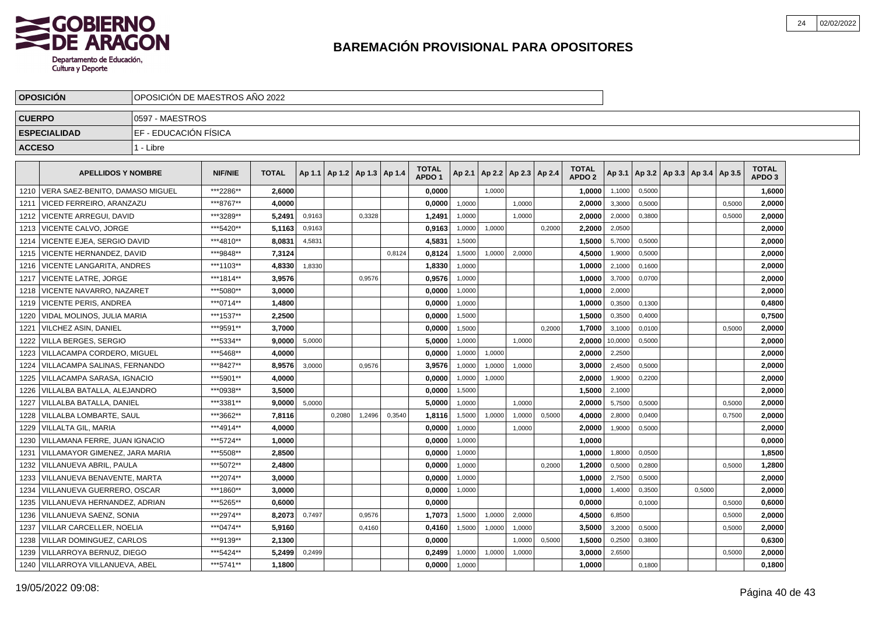

|               | <b>OPOSICION</b>                       | IOPOSICION DE MAESTROS ANO 2022 |                |              |        |                                   |        |        |                                   |        |                          |        |        |                                   |         |        |                                   |        |                                   |  |
|---------------|----------------------------------------|---------------------------------|----------------|--------------|--------|-----------------------------------|--------|--------|-----------------------------------|--------|--------------------------|--------|--------|-----------------------------------|---------|--------|-----------------------------------|--------|-----------------------------------|--|
| <b>CUERPO</b> |                                        | 10597 - MAESTROS                |                |              |        |                                   |        |        |                                   |        |                          |        |        |                                   |         |        |                                   |        |                                   |  |
|               | <b>ESPECIALIDAD</b>                    | IEF - EDUCACIÓN FÍSICA          |                |              |        |                                   |        |        |                                   |        |                          |        |        |                                   |         |        |                                   |        |                                   |  |
| <b>ACCESO</b> |                                        | 1 - Libre                       |                |              |        |                                   |        |        |                                   |        |                          |        |        |                                   |         |        |                                   |        |                                   |  |
|               |                                        |                                 |                |              |        |                                   |        |        |                                   |        |                          |        |        |                                   |         |        |                                   |        |                                   |  |
|               | <b>APELLIDOS Y NOMBRE</b>              |                                 | <b>NIF/NIE</b> | <b>TOTAL</b> |        | Ap 1.1   Ap 1.2   Ap 1.3   Ap 1.4 |        |        | <b>TOTAL</b><br>APDO <sub>1</sub> | Ap 2.1 | Ap 2.2   Ap 2.3   Ap 2.4 |        |        | <b>TOTAL</b><br>APDO <sub>2</sub> | Ap 3.1  |        | Ap 3.2   Ap 3.3   Ap 3.4   Ap 3.5 |        | <b>TOTAL</b><br>APDO <sub>3</sub> |  |
|               | 1210   VERA SAEZ-BENITO, DAMASO MIGUEL |                                 | ***2286**      | 2,6000       |        |                                   |        |        | 0,0000                            |        | 1,0000                   |        |        | 1,0000                            | 1,1000  | 0,5000 |                                   |        | 1,6000                            |  |
| 1211          | VICED FERREIRO, ARANZAZU               |                                 | ***8767**      | 4.0000       |        |                                   |        |        | 0.0000                            | 1,0000 |                          | 1.0000 |        | 2.0000                            | 3,3000  | 0.5000 |                                   | 0.5000 | 2.0000                            |  |
| 1212          | VICENTE ARREGUI, DAVID                 |                                 | ***3289**      | 5.2491       | 0,9163 |                                   | 0,3328 |        | 1,2491                            | 1.0000 |                          | 1.0000 |        | 2,0000                            | 2,0000  | 0,3800 |                                   | 0,5000 | 2.0000                            |  |
| 1213          | VICENTE CALVO, JORGE                   |                                 | ***5420**      | 5.1163       | 0,9163 |                                   |        |        | 0,9163                            | 1,0000 | 1,0000                   |        | 0,2000 | 2,2000                            | 2,0500  |        |                                   |        | 2,0000                            |  |
|               | 1214   VICENTE EJEA, SERGIO DAVID      |                                 | ***4810**      | 8,0831       | 4,5831 |                                   |        |        | 4,5831                            | 1,5000 |                          |        |        | 1,5000                            | 5,7000  | 0,5000 |                                   |        | 2,0000                            |  |
|               | 1215 VICENTE HERNANDEZ, DAVID          |                                 | ***9848**      | 7.3124       |        |                                   |        | 0,8124 | 0.8124                            | 1,5000 | 1,0000                   | 2,0000 |        | 4.5000                            | 1,9000  | 0.5000 |                                   |        | 2.0000                            |  |
|               | 1216   VICENTE LANGARITA, ANDRES       |                                 | ***1103**      | 4.8330       | 1,8330 |                                   |        |        | 1,8330                            | 1,0000 |                          |        |        | 1.0000                            | 2,1000  | 0,1600 |                                   |        | 2,0000                            |  |
|               | 1217   VICENTE LATRE, JORGE            |                                 | ***1814**      | 3,9576       |        |                                   | 0,9576 |        | 0,9576                            | 1,0000 |                          |        |        | 1,0000                            | 3,7000  | 0,0700 |                                   |        | 2,0000                            |  |
|               | 1218   VICENTE NAVARRO, NAZARET        |                                 | ***5080**      | 3,0000       |        |                                   |        |        | 0,0000                            | 1,0000 |                          |        |        | 1,0000                            | 2,0000  |        |                                   |        | 2,0000                            |  |
|               | 1219   VICENTE PERIS. ANDREA           |                                 | ***0714**      | 1,4800       |        |                                   |        |        | 0.0000                            | 1.0000 |                          |        |        | 1,0000                            | 0,3500  | 0.1300 |                                   |        | 0,4800                            |  |
|               | 1220   VIDAL MOLINOS, JULIA MARIA      |                                 | ***1537**      | 2,2500       |        |                                   |        |        | 0,0000                            | 1,5000 |                          |        |        | 1,5000                            | 0,3500  | 0,4000 |                                   |        | 0,7500                            |  |
|               | 1221   VILCHEZ ASIN, DANIEL            |                                 | ***9591**      | 3,7000       |        |                                   |        |        | 0,0000                            | 1,5000 |                          |        | 0,2000 | 1,7000                            | 3,1000  | 0,0100 |                                   | 0,5000 | 2,0000                            |  |
|               | 1222 VILLA BERGES, SERGIO              |                                 | ***5334**      | 9,0000       | 5,0000 |                                   |        |        | 5,0000                            | 1,0000 |                          | 1,0000 |        | 2,0000                            | 10,0000 | 0,5000 |                                   |        | 2,0000                            |  |
|               | 1223   VILLACAMPA CORDERO, MIGUEL      |                                 | ***5468**      | 4,0000       |        |                                   |        |        | 0,0000                            | 1,0000 | 1.0000                   |        |        | 2,0000                            | 2,2500  |        |                                   |        | 2,0000                            |  |
|               | 1224   VILLACAMPA SALINAS, FERNANDO    |                                 | ***8427**      | 8,9576       | 3,0000 |                                   | 0.9576 |        | 3,9576                            | 1,0000 | 1,0000                   | 1,0000 |        | 3,0000                            | 2,4500  | 0.5000 |                                   |        | 2,0000                            |  |
| 1225          | VILLACAMPA SARASA. IGNACIO             |                                 | ***5901**      | 4,0000       |        |                                   |        |        | 0,0000                            | 1,0000 | 1,0000                   |        |        | 2,0000                            | 1,9000  | 0,2200 |                                   |        | 2,0000                            |  |
| 1226          | VILLALBA BATALLA, ALEJANDRO            |                                 | ***0938**      | 3,5000       |        |                                   |        |        | 0,0000                            | 1,5000 |                          |        |        | 1,5000                            | 2,1000  |        |                                   |        | 2,0000                            |  |
| 1227          | VILLALBA BATALLA. DANIEL               |                                 | ***3381**      | 9.0000       | 5.0000 |                                   |        |        | 5.0000                            | 1.0000 |                          | 1.0000 |        | 2.0000                            | 5,7500  | 0,5000 |                                   | 0.5000 | 2.0000                            |  |
| 1228          | <b>VILLALBA LOMBARTE, SAUL</b>         |                                 | ***3662**      | 7,8116       |        | 0.2080                            | 1.2496 | 0.3540 | 1,8116                            | 1,5000 | 1.0000                   | 1.0000 | 0.5000 | 4.0000                            | 2,8000  | 0.0400 |                                   | 0,7500 | 2,0000                            |  |
| 1229          | <b>VILLALTA GIL. MARIA</b>             |                                 | ***4914**      | 4.0000       |        |                                   |        |        | 0,0000                            | 1,0000 |                          | 1,0000 |        | 2,0000                            | 1,9000  | 0,5000 |                                   |        | 2,0000                            |  |
| 1230          | VILLAMANA FERRE, JUAN IGNACIO          |                                 | ***5724**      | 1,0000       |        |                                   |        |        | 0,0000                            | 1,0000 |                          |        |        | 1,0000                            |         |        |                                   |        | 0,0000                            |  |
| 1231          | VILLAMAYOR GIMENEZ. JARA MARIA         |                                 | ***5508**      | 2.8500       |        |                                   |        |        | 0.0000                            | 1,0000 |                          |        |        | 1.0000                            | 1,8000  | 0.0500 |                                   |        | 1,8500                            |  |
| 1232          | VILLANUEVA ABRIL. PAULA                |                                 | ***5072**      | 2.4800       |        |                                   |        |        | 0.0000                            | 1,0000 |                          |        | 0.2000 | 1.2000                            | 0,5000  | 0.2800 |                                   | 0.5000 | 1,2800                            |  |
| 1233          | I VILLANUEVA BENAVENTE. MARTA          |                                 | ***2074**      | 3.0000       |        |                                   |        |        | 0,0000                            | 1,0000 |                          |        |        | 1,0000                            | 2,7500  | 0,5000 |                                   |        | 2.0000                            |  |
|               | 1234   VILLANUEVA GUERRERO, OSCAR      |                                 | ***1860**      | 3.0000       |        |                                   |        |        | 0,0000                            | 1,0000 |                          |        |        | 1,0000                            | 1,4000  | 0,3500 | 0,5000                            |        | 2,0000                            |  |
| 1235          | VILLANUEVA HERNANDEZ, ADRIAN           |                                 | ***5265**      | 0.6000       |        |                                   |        |        | 0,0000                            |        |                          |        |        | 0,0000                            |         | 0.1000 |                                   | 0,5000 | 0,6000                            |  |
|               | 1236   VILLANUEVA SAENZ, SONIA         |                                 | ***2974**      | 8.2073       | 0,7497 |                                   | 0.9576 |        | 1.7073                            | 1,5000 | 1,0000                   | 2,0000 |        | 4.5000                            | 6,8500  |        |                                   | 0,5000 | 2.0000                            |  |
|               | 1237   VILLAR CARCELLER, NOELIA        |                                 | ***0474**      | 5,9160       |        |                                   | 0,4160 |        | 0,4160                            | 1,5000 | 1,0000                   | 1,0000 |        | 3,5000                            | 3,2000  | 0,5000 |                                   | 0,5000 | 2,0000                            |  |
|               | 1238 VILLAR DOMINGUEZ, CARLOS          |                                 | ***9139**      | 2,1300       |        |                                   |        |        | 0,0000                            |        |                          | 1,0000 | 0,5000 | 1,5000                            | 0,2500  | 0,3800 |                                   |        | 0,6300                            |  |
| 1239          | VILLARROYA BERNUZ, DIEGO               |                                 | ***5424**      | 5,2499       | 0,2499 |                                   |        |        | 0,2499                            | 1,0000 | 1,0000                   | 1,0000 |        | 3,0000                            | 2,6500  |        |                                   | 0,5000 | 2,0000                            |  |
|               | 1240   VILLARROYA VILLANUEVA. ABEL     |                                 | ***5741**      | 1,1800       |        |                                   |        |        | 0,0000                            | 1,0000 |                          |        |        | 1.0000                            |         | 0.1800 |                                   |        | 0.1800                            |  |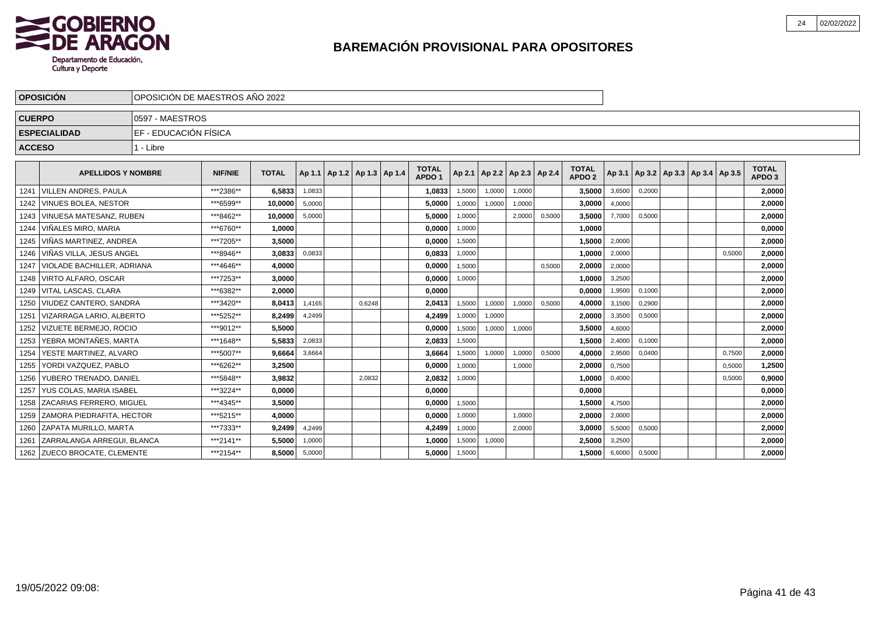

|               | <b>OPOSICIÓN</b>                  | OPOSICIÓN DE MAESTROS AÑO 2022 |                |              |        |        |                                   |                                   |        |                                   |        |        |                                   |        |        |                                            |        |                        |  |
|---------------|-----------------------------------|--------------------------------|----------------|--------------|--------|--------|-----------------------------------|-----------------------------------|--------|-----------------------------------|--------|--------|-----------------------------------|--------|--------|--------------------------------------------|--------|------------------------|--|
| <b>CUERPO</b> |                                   | 0597 - MAESTROS                |                |              |        |        |                                   |                                   |        |                                   |        |        |                                   |        |        |                                            |        |                        |  |
|               | <b>ESPECIALIDAD</b>               | <b>EF - EDUCACIÓN FÍSICA</b>   |                |              |        |        |                                   |                                   |        |                                   |        |        |                                   |        |        |                                            |        |                        |  |
| <b>ACCESO</b> |                                   | 1 - Libre                      |                |              |        |        |                                   |                                   |        |                                   |        |        |                                   |        |        |                                            |        |                        |  |
|               | <b>APELLIDOS Y NOMBRE</b>         |                                | <b>NIF/NIE</b> | <b>TOTAL</b> |        |        | Ap 1.1   Ap 1.2   Ap 1.3   Ap 1.4 | <b>TOTAL</b><br>APDO <sub>1</sub> |        | Ap 2.1   Ap 2.2   Ap 2.3   Ap 2.4 |        |        | <b>TOTAL</b><br>APDO <sub>2</sub> |        |        | Ap 3.1   Ap 3.2   Ap 3.3   Ap 3.4   Ap 3.5 |        | <b>TOTAL</b><br>APDO 3 |  |
|               | 1241   VILLEN ANDRES, PAULA       |                                | ***2386**      | 6,5833       | 1,0833 |        |                                   | 1,0833                            | 1,5000 | 1,0000                            | 1,0000 |        | 3,5000                            | 3,6500 | 0,2000 |                                            |        | 2,0000                 |  |
|               | 1242 VINUES BOLEA, NESTOR         |                                | ***6599**      | 10,0000      | 5,0000 |        |                                   | 5,0000                            | 1,0000 | 1,0000                            | 1,0000 |        | 3,0000                            | 4,0000 |        |                                            |        | 2,0000                 |  |
| 1243          | VINUESA MATESANZ. RUBEN           |                                | ***8462**      | 10,0000      | 5,0000 |        |                                   | 5,0000                            | 1,0000 |                                   | 2,0000 | 0,5000 | 3,5000                            | 7,7000 | 0,5000 |                                            |        | 2,0000                 |  |
| 1244          | VIÑALES MIRO, MARIA               |                                | ***6760**      | 1,0000       |        |        |                                   | 0,0000                            | 1,0000 |                                   |        |        | 1,0000                            |        |        |                                            |        | 0,0000                 |  |
| 1245          | VIÑAS MARTINEZ, ANDREA            |                                | ***7205**      | 3,5000       |        |        |                                   | 0,0000                            | 1.5000 |                                   |        |        | 1,5000                            | 2,0000 |        |                                            |        | 2,0000                 |  |
| 1246          | ∐VIÑAS VILLA. JESUS ANGEL         |                                | ***8946**      | 3,0833       | 0,0833 |        |                                   | 0,0833                            | 1,0000 |                                   |        |        | 1.0000                            | 2,0000 |        |                                            | 0,5000 | 2,0000                 |  |
| 1247          | <b>VIOLADE BACHILLER, ADRIANA</b> |                                | ***4646**      | 4.0000       |        |        |                                   | 0.0000                            | 1,5000 |                                   |        | 0.5000 | 2,0000                            | 2,0000 |        |                                            |        | 2,0000                 |  |
| 1248          | VIRTO ALFARO. OSCAR               |                                | ***7253**      | 3.0000       |        |        |                                   | 0,0000                            | 1,0000 |                                   |        |        | 1,0000                            | 3,2500 |        |                                            |        | 2,0000                 |  |
| 1249          | VITAL LASCAS. CLARA               |                                | ***6382**      | 2,0000       |        |        |                                   | 0,0000                            |        |                                   |        |        | 0,0000                            | 1,9500 | 0,1000 |                                            |        | 2,0000                 |  |
| 1250          | VIUDEZ CANTERO, SANDRA            |                                | ***3420**      | 8,0413       | 1,4165 | 0,6248 |                                   | 2,0413                            | 1,5000 | 1,0000                            | 1,0000 | 0,5000 | 4,0000                            | 3,1500 | 0,2900 |                                            |        | 2.0000                 |  |
| 1251          | VIZARRAGA LARIO. ALBERTO          |                                | ***5252**      | 8,2499       | 4,2499 |        |                                   | 4,2499                            | 1,0000 | 1,0000                            |        |        | 2,0000                            | 3,3500 | 0,5000 |                                            |        | 2,0000                 |  |
| 1252          | VIZUETE BERMEJO. ROCIO            |                                | ***9012**      | 5,5000       |        |        |                                   | 0,0000                            | 1,5000 | 1,0000                            | 1,0000 |        | 3,5000                            | 4,6000 |        |                                            |        | 2,0000                 |  |
| 1253          | YEBRA MONTAÑES, MARTA             |                                | ***1648**      | 5,5833       | 2,0833 |        |                                   | 2,0833                            | 1,5000 |                                   |        |        | 1,5000                            | 2,4000 | 0,1000 |                                            |        | 2,0000                 |  |
| 1254          | YESTE MARTINEZ, ALVARO            |                                | ***5007**      | 9.6664       | 3,6664 |        |                                   | 3.6664                            | 1,5000 | 1,0000                            | 1,0000 | 0,5000 | 4,0000                            | 2,9500 | 0,0400 |                                            | 0,7500 | 2,0000                 |  |
| 1255          | YORDI VAZQUEZ, PABLO              |                                | ***6262**      | 3,2500       |        |        |                                   | 0,0000                            | 1,0000 |                                   | 1,0000 |        | 2,0000                            | 0,7500 |        |                                            | 0,5000 | 1,2500                 |  |
| 1256          | YUBERO TRENADO, DANIEL            |                                | ***5848**      | 3,9832       |        | 2.0832 |                                   | 2,0832                            | 1,0000 |                                   |        |        | 1,0000                            | 0,4000 |        |                                            | 0.5000 | 0,9000                 |  |
|               | 1257   YUS COLAS, MARIA ISABEL    |                                | ***3224**      | 0.0000       |        |        |                                   | 0.0000                            |        |                                   |        |        | 0,0000                            |        |        |                                            |        | 0,0000                 |  |
| 1258          | <b>ZACARIAS FERRERO. MIGUEL</b>   |                                | ***4345**      | 3,5000       |        |        |                                   | 0,0000                            | 1,5000 |                                   |        |        | 1,5000                            | 4,7500 |        |                                            |        | 2,0000                 |  |
| 1259          | IZAMORA PIEDRAFITA. HECTOR        |                                | ***5215**      | 4.0000       |        |        |                                   | 0,0000                            | 1,0000 |                                   | 1,0000 |        | 2,0000                            | 2,0000 |        |                                            |        | 2,0000                 |  |
| 1260          | <b>ZAPATA MURILLO, MARTA</b>      |                                | ***7333**      | 9,2499       | 4,2499 |        |                                   | 4,2499                            | 1,0000 |                                   | 2.0000 |        | 3,0000                            | 5,5000 | 0,5000 |                                            |        | 2,0000                 |  |
|               | 1261 ZARRALANGA ARREGUI, BLANCA   |                                | ***2141**      | 5,5000       | 1,0000 |        |                                   | 1,0000                            | 1,5000 | 1,0000                            |        |        | 2,5000                            | 3,2500 |        |                                            |        | 2,0000                 |  |
|               | 1262 ZUECO BROCATE, CLEMENTE      |                                | ***2154**      | 8,5000       | 5,0000 |        |                                   | 5,0000                            | 1,5000 |                                   |        |        | 1,5000                            | 6,6000 | 0,5000 |                                            |        | 2,0000                 |  |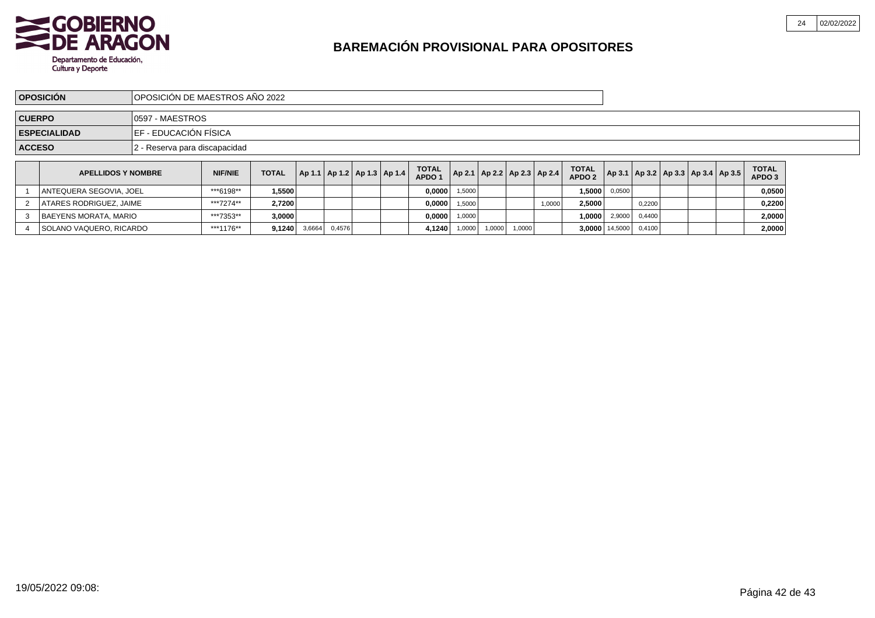

4 SOLANO VAQUERO, RICARDO

|               | <b>OPOSICIÓN</b>          | OPOSICIÓN DE MAESTROS AÑO 2022 |                               |              |        |        |  |                                   |                                   |        |                                   |        |        |                                   |        |                             |  |                                            |                        |
|---------------|---------------------------|--------------------------------|-------------------------------|--------------|--------|--------|--|-----------------------------------|-----------------------------------|--------|-----------------------------------|--------|--------|-----------------------------------|--------|-----------------------------|--|--------------------------------------------|------------------------|
| <b>CUERPO</b> |                           | 10597 - MAESTROS               |                               |              |        |        |  |                                   |                                   |        |                                   |        |        |                                   |        |                             |  |                                            |                        |
|               | <b>ESPECIALIDAD</b>       | <b>IEF - EDUCACIÓN FÍSICA</b>  |                               |              |        |        |  |                                   |                                   |        |                                   |        |        |                                   |        |                             |  |                                            |                        |
| <b>ACCESO</b> |                           |                                | 2 - Reserva para discapacidad |              |        |        |  |                                   |                                   |        |                                   |        |        |                                   |        |                             |  |                                            |                        |
|               | <b>APELLIDOS Y NOMBRE</b> |                                | <b>NIF/NIE</b>                | <b>TOTAL</b> |        |        |  | Ap 1.1   Ap 1.2   Ap 1.3   Ap 1.4 | <b>TOTAL</b><br>APDO <sub>1</sub> |        | Ap 2.1   Ap 2.2   Ap 2.3   Ap 2.4 |        |        | <b>TOTAL</b><br>APDO <sub>2</sub> |        |                             |  | Ap 3.1   Ap 3.2   Ap 3.3   Ap 3.4   Ap 3.5 | <b>TOTAL</b><br>APDO 3 |
|               | ANTEQUERA SEGOVIA, JOEL   |                                | ***6198**                     | 1.5500       |        |        |  |                                   | 0,0000                            | 1,5000 |                                   |        |        | 1,5000                            | 0,0500 |                             |  |                                            | 0,0500                 |
| $\mathbf{2}$  | ATARES RODRIGUEZ, JAIME   |                                | ***7274**                     | 2,7200       |        |        |  |                                   | 0,0000                            | 1,5000 |                                   |        | 1,0000 | 2,5000                            |        | 0,2200                      |  |                                            | 0,2200                 |
|               | 3 BAEYENS MORATA, MARIO   |                                | ***7353**                     | 3,0000       |        |        |  |                                   | 0,0000                            | 1,0000 |                                   |        |        | 1,0000                            | 2,9000 | 0,4400                      |  |                                            | 2,0000                 |
|               | 4 SOLANO VAQUERO, RICARDO |                                | ***1176**                     | 9.1240       | 3,6664 | 0,4576 |  |                                   | 4,1240                            | 1,0000 | 1,0000                            | 1,0000 |        |                                   |        | $3,0000$   14,5000   0,4100 |  |                                            | 2,0000                 |